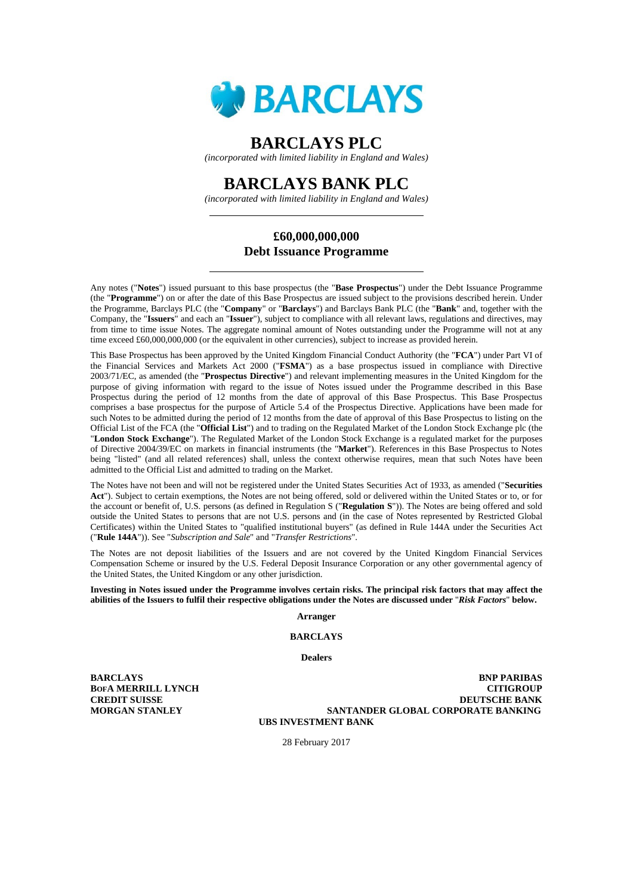

# **BARCLAYS PLC**

*(incorporated with limited liability in England and Wales)* 

# **BARCLAYS BANK PLC**

*(incorporated with limited liability in England and Wales)* 

# **£60,000,000,000 Debt Issuance Programme**

Any notes ("**Notes**") issued pursuant to this base prospectus (the "**Base Prospectus**") under the Debt Issuance Programme (the "**Programme**") on or after the date of this Base Prospectus are issued subject to the provisions described herein. Under the Programme, Barclays PLC (the "**Company**" or "**Barclays**") and Barclays Bank PLC (the "**Bank**" and, together with the Company, the "**Issuers**" and each an "**Issuer**"), subject to compliance with all relevant laws, regulations and directives, may from time to time issue Notes. The aggregate nominal amount of Notes outstanding under the Programme will not at any time exceed £60,000,000,000 (or the equivalent in other currencies), subject to increase as provided herein.

This Base Prospectus has been approved by the United Kingdom Financial Conduct Authority (the "**FCA**") under Part VI of the Financial Services and Markets Act 2000 ("**FSMA**") as a base prospectus issued in compliance with Directive 2003/71/EC, as amended (the "**Prospectus Directive**") and relevant implementing measures in the United Kingdom for the purpose of giving information with regard to the issue of Notes issued under the Programme described in this Base Prospectus during the period of 12 months from the date of approval of this Base Prospectus. This Base Prospectus comprises a base prospectus for the purpose of Article 5.4 of the Prospectus Directive. Applications have been made for such Notes to be admitted during the period of 12 months from the date of approval of this Base Prospectus to listing on the Official List of the FCA (the "**Official List**") and to trading on the Regulated Market of the London Stock Exchange plc (the "**London Stock Exchange**"). The Regulated Market of the London Stock Exchange is a regulated market for the purposes of Directive 2004/39/EC on markets in financial instruments (the "**Market**"). References in this Base Prospectus to Notes being "listed" (and all related references) shall, unless the context otherwise requires, mean that such Notes have been admitted to the Official List and admitted to trading on the Market.

The Notes have not been and will not be registered under the United States Securities Act of 1933, as amended ("**Securities Act**"). Subject to certain exemptions, the Notes are not being offered, sold or delivered within the United States or to, or for the account or benefit of, U.S. persons (as defined in Regulation S ("**Regulation S**")). The Notes are being offered and sold outside the United States to persons that are not U.S. persons and (in the case of Notes represented by Restricted Global Certificates) within the United States to "qualified institutional buyers" (as defined in Rule 144A under the Securities Act ("**Rule 144A**")). See "*Subscription and Sale*" and "*Transfer Restrictions*".

The Notes are not deposit liabilities of the Issuers and are not covered by the United Kingdom Financial Services Compensation Scheme or insured by the U.S. Federal Deposit Insurance Corporation or any other governmental agency of the United States, the United Kingdom or any other jurisdiction.

#### **Investing in Notes issued under the Programme involves certain risks. The principal risk factors that may affect the abilities of the Issuers to fulfil their respective obligations under the Notes are discussed under** "*Risk Factors*" **below.**

#### **Arranger**

# **BARCLAYS**

#### **Dealers**

**BARCLAYS BOFA MERRILL LYNCH CREDIT SUISSE MORGAN STANLEY**

**BNP PARIBAS CITIGROUP DEUTSCHE BANK SANTANDER GLOBAL CORPORATE BANKING UBS INVESTMENT BANK**

28 February 2017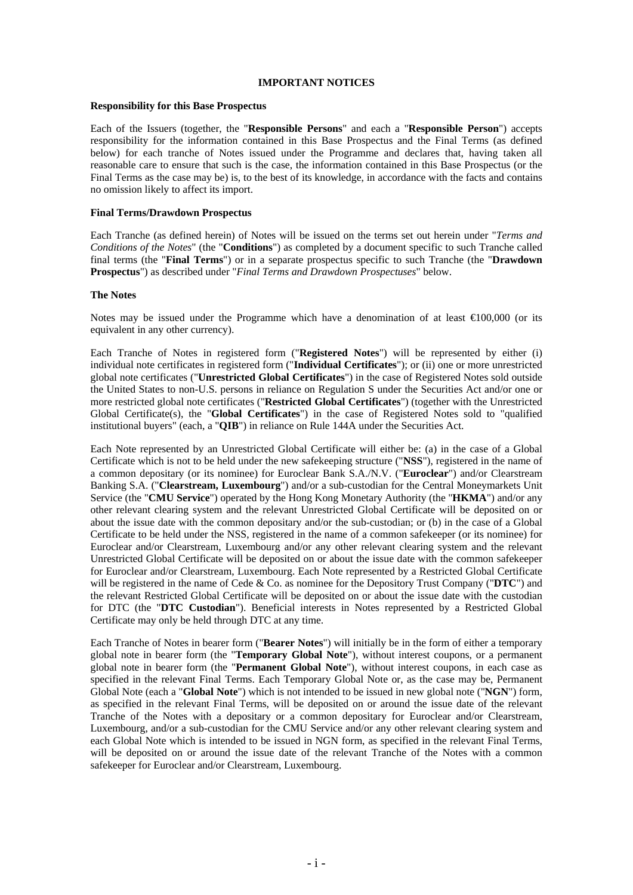#### **IMPORTANT NOTICES**

#### **Responsibility for this Base Prospectus**

Each of the Issuers (together, the "**Responsible Persons**" and each a "**Responsible Person**") accepts responsibility for the information contained in this Base Prospectus and the Final Terms (as defined below) for each tranche of Notes issued under the Programme and declares that, having taken all reasonable care to ensure that such is the case, the information contained in this Base Prospectus (or the Final Terms as the case may be) is, to the best of its knowledge, in accordance with the facts and contains no omission likely to affect its import.

#### **Final Terms/Drawdown Prospectus**

Each Tranche (as defined herein) of Notes will be issued on the terms set out herein under "*Terms and Conditions of the Notes*" (the "**Conditions**") as completed by a document specific to such Tranche called final terms (the "**Final Terms**") or in a separate prospectus specific to such Tranche (the "**Drawdown Prospectus**") as described under "*Final Terms and Drawdown Prospectuses*" below.

#### **The Notes**

Notes may be issued under the Programme which have a denomination of at least  $\epsilon 00,000$  (or its equivalent in any other currency).

Each Tranche of Notes in registered form ("**Registered Notes**") will be represented by either (i) individual note certificates in registered form ("**Individual Certificates**"); or (ii) one or more unrestricted global note certificates ("**Unrestricted Global Certificates**") in the case of Registered Notes sold outside the United States to non-U.S. persons in reliance on Regulation S under the Securities Act and/or one or more restricted global note certificates ("**Restricted Global Certificates**") (together with the Unrestricted Global Certificate(s), the "**Global Certificates**") in the case of Registered Notes sold to "qualified institutional buyers" (each, a "**QIB**") in reliance on Rule 144A under the Securities Act.

Each Note represented by an Unrestricted Global Certificate will either be: (a) in the case of a Global Certificate which is not to be held under the new safekeeping structure ("**NSS**"), registered in the name of a common depositary (or its nominee) for Euroclear Bank S.A./N.V. ("**Euroclear**") and/or Clearstream Banking S.A. ("**Clearstream, Luxembourg**") and/or a sub-custodian for the Central Moneymarkets Unit Service (the "**CMU Service**") operated by the Hong Kong Monetary Authority (the "**HKMA**") and/or any other relevant clearing system and the relevant Unrestricted Global Certificate will be deposited on or about the issue date with the common depositary and/or the sub-custodian; or (b) in the case of a Global Certificate to be held under the NSS, registered in the name of a common safekeeper (or its nominee) for Euroclear and/or Clearstream, Luxembourg and/or any other relevant clearing system and the relevant Unrestricted Global Certificate will be deposited on or about the issue date with the common safekeeper for Euroclear and/or Clearstream, Luxembourg. Each Note represented by a Restricted Global Certificate will be registered in the name of Cede & Co. as nominee for the Depository Trust Company ("**DTC**") and the relevant Restricted Global Certificate will be deposited on or about the issue date with the custodian for DTC (the "**DTC Custodian**"). Beneficial interests in Notes represented by a Restricted Global Certificate may only be held through DTC at any time.

Each Tranche of Notes in bearer form ("**Bearer Notes**") will initially be in the form of either a temporary global note in bearer form (the "**Temporary Global Note**"), without interest coupons, or a permanent global note in bearer form (the "**Permanent Global Note**"), without interest coupons, in each case as specified in the relevant Final Terms. Each Temporary Global Note or, as the case may be, Permanent Global Note (each a "**Global Note**") which is not intended to be issued in new global note ("**NGN**") form, as specified in the relevant Final Terms, will be deposited on or around the issue date of the relevant Tranche of the Notes with a depositary or a common depositary for Euroclear and/or Clearstream, Luxembourg, and/or a sub-custodian for the CMU Service and/or any other relevant clearing system and each Global Note which is intended to be issued in NGN form, as specified in the relevant Final Terms, will be deposited on or around the issue date of the relevant Tranche of the Notes with a common safekeeper for Euroclear and/or Clearstream, Luxembourg.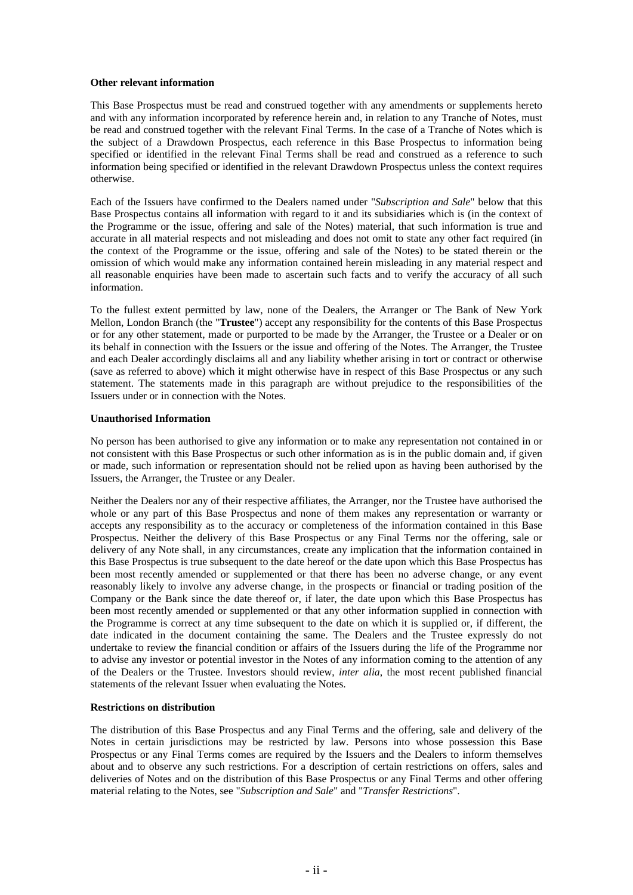#### **Other relevant information**

This Base Prospectus must be read and construed together with any amendments or supplements hereto and with any information incorporated by reference herein and, in relation to any Tranche of Notes, must be read and construed together with the relevant Final Terms. In the case of a Tranche of Notes which is the subject of a Drawdown Prospectus, each reference in this Base Prospectus to information being specified or identified in the relevant Final Terms shall be read and construed as a reference to such information being specified or identified in the relevant Drawdown Prospectus unless the context requires otherwise.

Each of the Issuers have confirmed to the Dealers named under "*Subscription and Sale*" below that this Base Prospectus contains all information with regard to it and its subsidiaries which is (in the context of the Programme or the issue, offering and sale of the Notes) material, that such information is true and accurate in all material respects and not misleading and does not omit to state any other fact required (in the context of the Programme or the issue, offering and sale of the Notes) to be stated therein or the omission of which would make any information contained herein misleading in any material respect and all reasonable enquiries have been made to ascertain such facts and to verify the accuracy of all such information.

To the fullest extent permitted by law, none of the Dealers, the Arranger or The Bank of New York Mellon, London Branch (the "**Trustee**") accept any responsibility for the contents of this Base Prospectus or for any other statement, made or purported to be made by the Arranger, the Trustee or a Dealer or on its behalf in connection with the Issuers or the issue and offering of the Notes. The Arranger, the Trustee and each Dealer accordingly disclaims all and any liability whether arising in tort or contract or otherwise (save as referred to above) which it might otherwise have in respect of this Base Prospectus or any such statement. The statements made in this paragraph are without prejudice to the responsibilities of the Issuers under or in connection with the Notes.

#### **Unauthorised Information**

No person has been authorised to give any information or to make any representation not contained in or not consistent with this Base Prospectus or such other information as is in the public domain and, if given or made, such information or representation should not be relied upon as having been authorised by the Issuers, the Arranger, the Trustee or any Dealer.

Neither the Dealers nor any of their respective affiliates, the Arranger, nor the Trustee have authorised the whole or any part of this Base Prospectus and none of them makes any representation or warranty or accepts any responsibility as to the accuracy or completeness of the information contained in this Base Prospectus. Neither the delivery of this Base Prospectus or any Final Terms nor the offering, sale or delivery of any Note shall, in any circumstances, create any implication that the information contained in this Base Prospectus is true subsequent to the date hereof or the date upon which this Base Prospectus has been most recently amended or supplemented or that there has been no adverse change, or any event reasonably likely to involve any adverse change, in the prospects or financial or trading position of the Company or the Bank since the date thereof or, if later, the date upon which this Base Prospectus has been most recently amended or supplemented or that any other information supplied in connection with the Programme is correct at any time subsequent to the date on which it is supplied or, if different, the date indicated in the document containing the same. The Dealers and the Trustee expressly do not undertake to review the financial condition or affairs of the Issuers during the life of the Programme nor to advise any investor or potential investor in the Notes of any information coming to the attention of any of the Dealers or the Trustee. Investors should review, *inter alia*, the most recent published financial statements of the relevant Issuer when evaluating the Notes.

#### **Restrictions on distribution**

The distribution of this Base Prospectus and any Final Terms and the offering, sale and delivery of the Notes in certain jurisdictions may be restricted by law. Persons into whose possession this Base Prospectus or any Final Terms comes are required by the Issuers and the Dealers to inform themselves about and to observe any such restrictions. For a description of certain restrictions on offers, sales and deliveries of Notes and on the distribution of this Base Prospectus or any Final Terms and other offering material relating to the Notes, see "*Subscription and Sale*" and "*Transfer Restrictions*".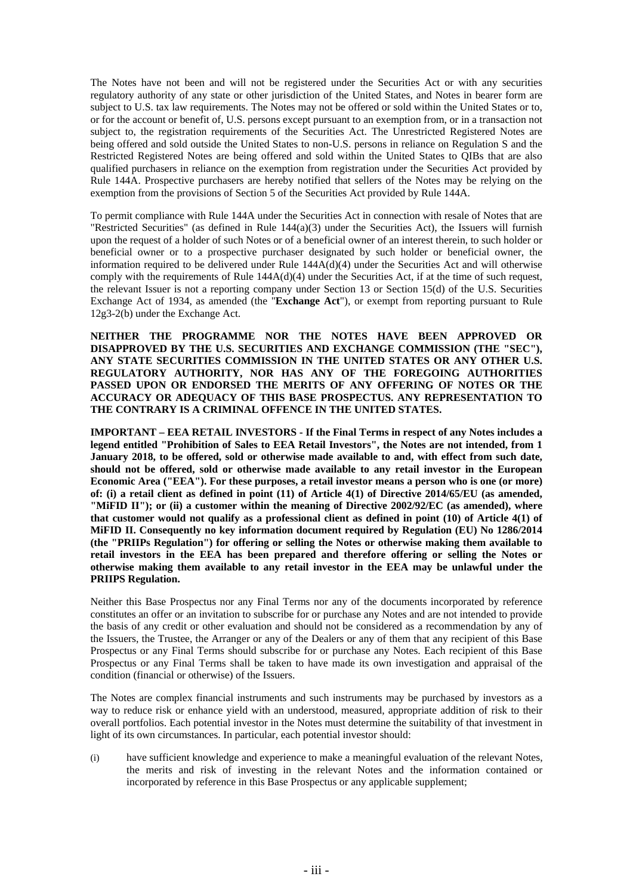The Notes have not been and will not be registered under the Securities Act or with any securities regulatory authority of any state or other jurisdiction of the United States, and Notes in bearer form are subject to U.S. tax law requirements. The Notes may not be offered or sold within the United States or to, or for the account or benefit of, U.S. persons except pursuant to an exemption from, or in a transaction not subject to, the registration requirements of the Securities Act. The Unrestricted Registered Notes are being offered and sold outside the United States to non-U.S. persons in reliance on Regulation S and the Restricted Registered Notes are being offered and sold within the United States to QIBs that are also qualified purchasers in reliance on the exemption from registration under the Securities Act provided by Rule 144A. Prospective purchasers are hereby notified that sellers of the Notes may be relying on the exemption from the provisions of Section 5 of the Securities Act provided by Rule 144A.

To permit compliance with Rule 144A under the Securities Act in connection with resale of Notes that are "Restricted Securities" (as defined in Rule 144(a)(3) under the Securities Act), the Issuers will furnish upon the request of a holder of such Notes or of a beneficial owner of an interest therein, to such holder or beneficial owner or to a prospective purchaser designated by such holder or beneficial owner, the information required to be delivered under Rule 144A(d)(4) under the Securities Act and will otherwise comply with the requirements of Rule 144A(d)(4) under the Securities Act, if at the time of such request, the relevant Issuer is not a reporting company under Section 13 or Section 15(d) of the U.S. Securities Exchange Act of 1934, as amended (the "**Exchange Act**"), or exempt from reporting pursuant to Rule 12g3-2(b) under the Exchange Act.

**NEITHER THE PROGRAMME NOR THE NOTES HAVE BEEN APPROVED OR DISAPPROVED BY THE U.S. SECURITIES AND EXCHANGE COMMISSION (THE "SEC"), ANY STATE SECURITIES COMMISSION IN THE UNITED STATES OR ANY OTHER U.S. REGULATORY AUTHORITY, NOR HAS ANY OF THE FOREGOING AUTHORITIES PASSED UPON OR ENDORSED THE MERITS OF ANY OFFERING OF NOTES OR THE ACCURACY OR ADEQUACY OF THIS BASE PROSPECTUS. ANY REPRESENTATION TO THE CONTRARY IS A CRIMINAL OFFENCE IN THE UNITED STATES.** 

**IMPORTANT – EEA RETAIL INVESTORS - If the Final Terms in respect of any Notes includes a legend entitled "Prohibition of Sales to EEA Retail Investors", the Notes are not intended, from 1 January 2018, to be offered, sold or otherwise made available to and, with effect from such date, should not be offered, sold or otherwise made available to any retail investor in the European Economic Area ("EEA"). For these purposes, a retail investor means a person who is one (or more) of: (i) a retail client as defined in point (11) of Article 4(1) of Directive 2014/65/EU (as amended, "MiFID II"); or (ii) a customer within the meaning of Directive 2002/92/EC (as amended), where that customer would not qualify as a professional client as defined in point (10) of Article 4(1) of MiFID II. Consequently no key information document required by Regulation (EU) No 1286/2014 (the "PRIIPs Regulation") for offering or selling the Notes or otherwise making them available to retail investors in the EEA has been prepared and therefore offering or selling the Notes or otherwise making them available to any retail investor in the EEA may be unlawful under the PRIIPS Regulation.** 

Neither this Base Prospectus nor any Final Terms nor any of the documents incorporated by reference constitutes an offer or an invitation to subscribe for or purchase any Notes and are not intended to provide the basis of any credit or other evaluation and should not be considered as a recommendation by any of the Issuers, the Trustee, the Arranger or any of the Dealers or any of them that any recipient of this Base Prospectus or any Final Terms should subscribe for or purchase any Notes. Each recipient of this Base Prospectus or any Final Terms shall be taken to have made its own investigation and appraisal of the condition (financial or otherwise) of the Issuers.

The Notes are complex financial instruments and such instruments may be purchased by investors as a way to reduce risk or enhance yield with an understood, measured, appropriate addition of risk to their overall portfolios. Each potential investor in the Notes must determine the suitability of that investment in light of its own circumstances. In particular, each potential investor should:

(i) have sufficient knowledge and experience to make a meaningful evaluation of the relevant Notes, the merits and risk of investing in the relevant Notes and the information contained or incorporated by reference in this Base Prospectus or any applicable supplement;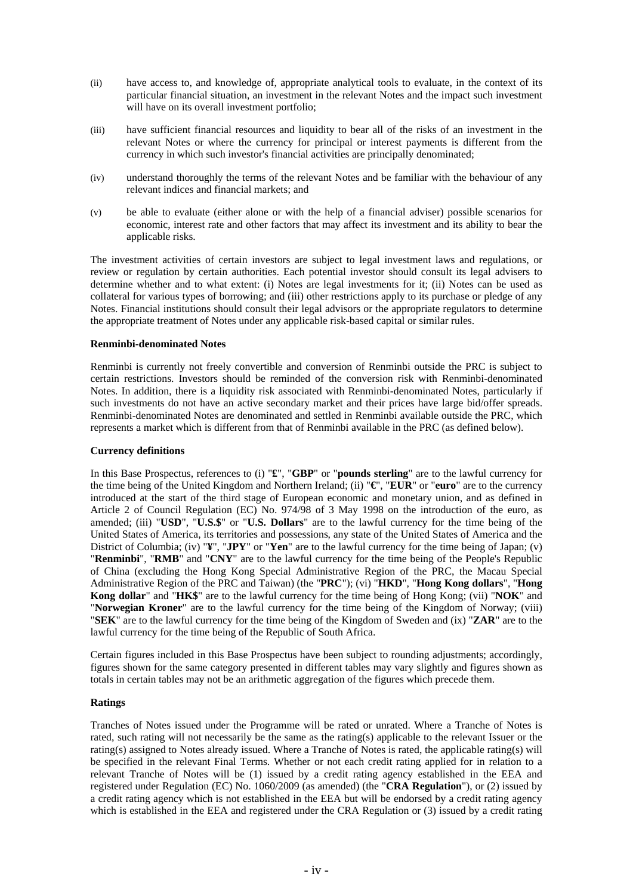- (ii) have access to, and knowledge of, appropriate analytical tools to evaluate, in the context of its particular financial situation, an investment in the relevant Notes and the impact such investment will have on its overall investment portfolio;
- (iii) have sufficient financial resources and liquidity to bear all of the risks of an investment in the relevant Notes or where the currency for principal or interest payments is different from the currency in which such investor's financial activities are principally denominated;
- (iv) understand thoroughly the terms of the relevant Notes and be familiar with the behaviour of any relevant indices and financial markets; and
- (v) be able to evaluate (either alone or with the help of a financial adviser) possible scenarios for economic, interest rate and other factors that may affect its investment and its ability to bear the applicable risks.

The investment activities of certain investors are subject to legal investment laws and regulations, or review or regulation by certain authorities. Each potential investor should consult its legal advisers to determine whether and to what extent: (i) Notes are legal investments for it; (ii) Notes can be used as collateral for various types of borrowing; and (iii) other restrictions apply to its purchase or pledge of any Notes. Financial institutions should consult their legal advisors or the appropriate regulators to determine the appropriate treatment of Notes under any applicable risk-based capital or similar rules.

#### **Renminbi-denominated Notes**

Renminbi is currently not freely convertible and conversion of Renminbi outside the PRC is subject to certain restrictions. Investors should be reminded of the conversion risk with Renminbi-denominated Notes. In addition, there is a liquidity risk associated with Renminbi-denominated Notes, particularly if such investments do not have an active secondary market and their prices have large bid/offer spreads. Renminbi-denominated Notes are denominated and settled in Renminbi available outside the PRC, which represents a market which is different from that of Renminbi available in the PRC (as defined below).

#### **Currency definitions**

In this Base Prospectus, references to (i) "**£**", "**GBP**" or "**pounds sterling**" are to the lawful currency for the time being of the United Kingdom and Northern Ireland; (ii) "**€**", "**EUR**" or "**euro**" are to the currency introduced at the start of the third stage of European economic and monetary union, and as defined in Article 2 of Council Regulation (EC) No. 974/98 of 3 May 1998 on the introduction of the euro, as amended; (iii) "**USD**", "**U.S.\$**" or "**U.S. Dollars**" are to the lawful currency for the time being of the United States of America, its territories and possessions, any state of the United States of America and the District of Columbia; (iv) "**¥**", "**JPY**" or "**Yen**" are to the lawful currency for the time being of Japan; (v) "**Renminbi**", "**RMB**" and "**CNY**" are to the lawful currency for the time being of the People's Republic of China (excluding the Hong Kong Special Administrative Region of the PRC, the Macau Special Administrative Region of the PRC and Taiwan) (the "**PRC**"); (vi) "**HKD**", "**Hong Kong dollars**", "**Hong Kong dollar**" and "**HK\$**" are to the lawful currency for the time being of Hong Kong; (vii) "**NOK**" and "**Norwegian Kroner**" are to the lawful currency for the time being of the Kingdom of Norway; (viii) "**SEK**" are to the lawful currency for the time being of the Kingdom of Sweden and (ix) "**ZAR**" are to the lawful currency for the time being of the Republic of South Africa.

Certain figures included in this Base Prospectus have been subject to rounding adjustments; accordingly, figures shown for the same category presented in different tables may vary slightly and figures shown as totals in certain tables may not be an arithmetic aggregation of the figures which precede them.

# **Ratings**

Tranches of Notes issued under the Programme will be rated or unrated. Where a Tranche of Notes is rated, such rating will not necessarily be the same as the rating(s) applicable to the relevant Issuer or the rating(s) assigned to Notes already issued. Where a Tranche of Notes is rated, the applicable rating(s) will be specified in the relevant Final Terms. Whether or not each credit rating applied for in relation to a relevant Tranche of Notes will be (1) issued by a credit rating agency established in the EEA and registered under Regulation (EC) No. 1060/2009 (as amended) (the "**CRA Regulation**"), or (2) issued by a credit rating agency which is not established in the EEA but will be endorsed by a credit rating agency which is established in the EEA and registered under the CRA Regulation or (3) issued by a credit rating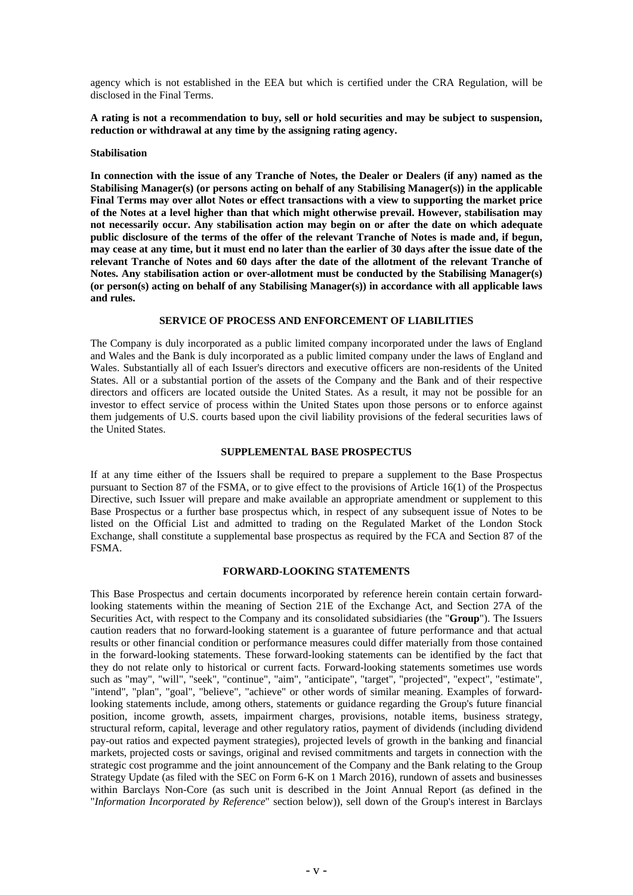agency which is not established in the EEA but which is certified under the CRA Regulation, will be disclosed in the Final Terms.

**A rating is not a recommendation to buy, sell or hold securities and may be subject to suspension, reduction or withdrawal at any time by the assigning rating agency.**

#### **Stabilisation**

**In connection with the issue of any Tranche of Notes, the Dealer or Dealers (if any) named as the Stabilising Manager(s) (or persons acting on behalf of any Stabilising Manager(s)) in the applicable Final Terms may over allot Notes or effect transactions with a view to supporting the market price of the Notes at a level higher than that which might otherwise prevail. However, stabilisation may not necessarily occur. Any stabilisation action may begin on or after the date on which adequate public disclosure of the terms of the offer of the relevant Tranche of Notes is made and, if begun, may cease at any time, but it must end no later than the earlier of 30 days after the issue date of the relevant Tranche of Notes and 60 days after the date of the allotment of the relevant Tranche of Notes. Any stabilisation action or over-allotment must be conducted by the Stabilising Manager(s) (or person(s) acting on behalf of any Stabilising Manager(s)) in accordance with all applicable laws and rules.**

#### **SERVICE OF PROCESS AND ENFORCEMENT OF LIABILITIES**

The Company is duly incorporated as a public limited company incorporated under the laws of England and Wales and the Bank is duly incorporated as a public limited company under the laws of England and Wales. Substantially all of each Issuer's directors and executive officers are non-residents of the United States. All or a substantial portion of the assets of the Company and the Bank and of their respective directors and officers are located outside the United States. As a result, it may not be possible for an investor to effect service of process within the United States upon those persons or to enforce against them judgements of U.S. courts based upon the civil liability provisions of the federal securities laws of the United States.

# **SUPPLEMENTAL BASE PROSPECTUS**

If at any time either of the Issuers shall be required to prepare a supplement to the Base Prospectus pursuant to Section 87 of the FSMA, or to give effect to the provisions of Article 16(1) of the Prospectus Directive, such Issuer will prepare and make available an appropriate amendment or supplement to this Base Prospectus or a further base prospectus which, in respect of any subsequent issue of Notes to be listed on the Official List and admitted to trading on the Regulated Market of the London Stock Exchange, shall constitute a supplemental base prospectus as required by the FCA and Section 87 of the FSMA.

# **FORWARD-LOOKING STATEMENTS**

This Base Prospectus and certain documents incorporated by reference herein contain certain forwardlooking statements within the meaning of Section 21E of the Exchange Act, and Section 27A of the Securities Act, with respect to the Company and its consolidated subsidiaries (the "**Group**"). The Issuers caution readers that no forward-looking statement is a guarantee of future performance and that actual results or other financial condition or performance measures could differ materially from those contained in the forward-looking statements. These forward-looking statements can be identified by the fact that they do not relate only to historical or current facts. Forward-looking statements sometimes use words such as "may", "will", "seek", "continue", "aim", "anticipate", "target", "projected", "expect", "estimate", "intend", "plan", "goal", "believe", "achieve" or other words of similar meaning. Examples of forwardlooking statements include, among others, statements or guidance regarding the Group's future financial position, income growth, assets, impairment charges, provisions, notable items, business strategy, structural reform, capital, leverage and other regulatory ratios, payment of dividends (including dividend pay-out ratios and expected payment strategies), projected levels of growth in the banking and financial markets, projected costs or savings, original and revised commitments and targets in connection with the strategic cost programme and the joint announcement of the Company and the Bank relating to the Group Strategy Update (as filed with the SEC on Form 6-K on 1 March 2016), rundown of assets and businesses within Barclays Non-Core (as such unit is described in the Joint Annual Report (as defined in the "*Information Incorporated by Reference*" section below)), sell down of the Group's interest in Barclays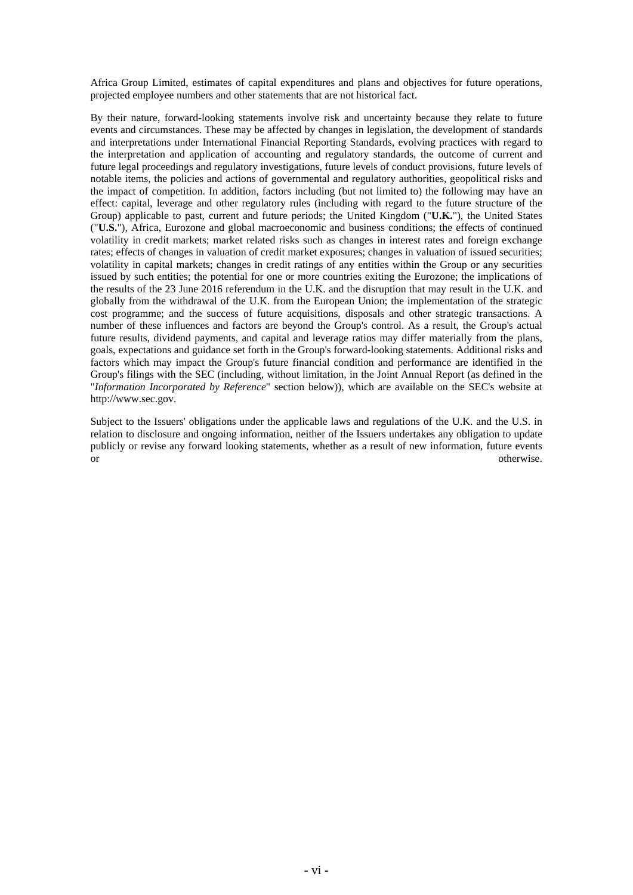Africa Group Limited, estimates of capital expenditures and plans and objectives for future operations, projected employee numbers and other statements that are not historical fact.

By their nature, forward-looking statements involve risk and uncertainty because they relate to future events and circumstances. These may be affected by changes in legislation, the development of standards and interpretations under International Financial Reporting Standards, evolving practices with regard to the interpretation and application of accounting and regulatory standards, the outcome of current and future legal proceedings and regulatory investigations, future levels of conduct provisions, future levels of notable items, the policies and actions of governmental and regulatory authorities, geopolitical risks and the impact of competition. In addition, factors including (but not limited to) the following may have an effect: capital, leverage and other regulatory rules (including with regard to the future structure of the Group) applicable to past, current and future periods; the United Kingdom ("**U.K.**"), the United States ("**U.S.**"), Africa, Eurozone and global macroeconomic and business conditions; the effects of continued volatility in credit markets; market related risks such as changes in interest rates and foreign exchange rates; effects of changes in valuation of credit market exposures; changes in valuation of issued securities; volatility in capital markets; changes in credit ratings of any entities within the Group or any securities issued by such entities; the potential for one or more countries exiting the Eurozone; the implications of the results of the 23 June 2016 referendum in the U.K. and the disruption that may result in the U.K. and globally from the withdrawal of the U.K. from the European Union; the implementation of the strategic cost programme; and the success of future acquisitions, disposals and other strategic transactions. A number of these influences and factors are beyond the Group's control. As a result, the Group's actual future results, dividend payments, and capital and leverage ratios may differ materially from the plans, goals, expectations and guidance set forth in the Group's forward-looking statements. Additional risks and factors which may impact the Group's future financial condition and performance are identified in the Group's filings with the SEC (including, without limitation, in the Joint Annual Report (as defined in the "*Information Incorporated by Reference*" section below)), which are available on the SEC's website at http://www.sec.gov.

Subject to the Issuers' obligations under the applicable laws and regulations of the U.K. and the U.S. in relation to disclosure and ongoing information, neither of the Issuers undertakes any obligation to update publicly or revise any forward looking statements, whether as a result of new information, future events or or otherwise.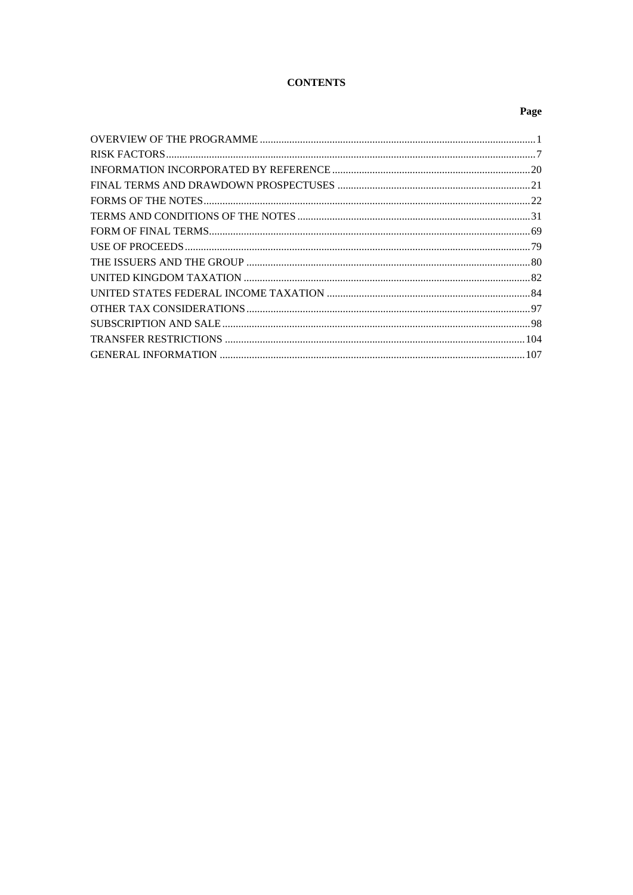# **CONTENTS**

# Page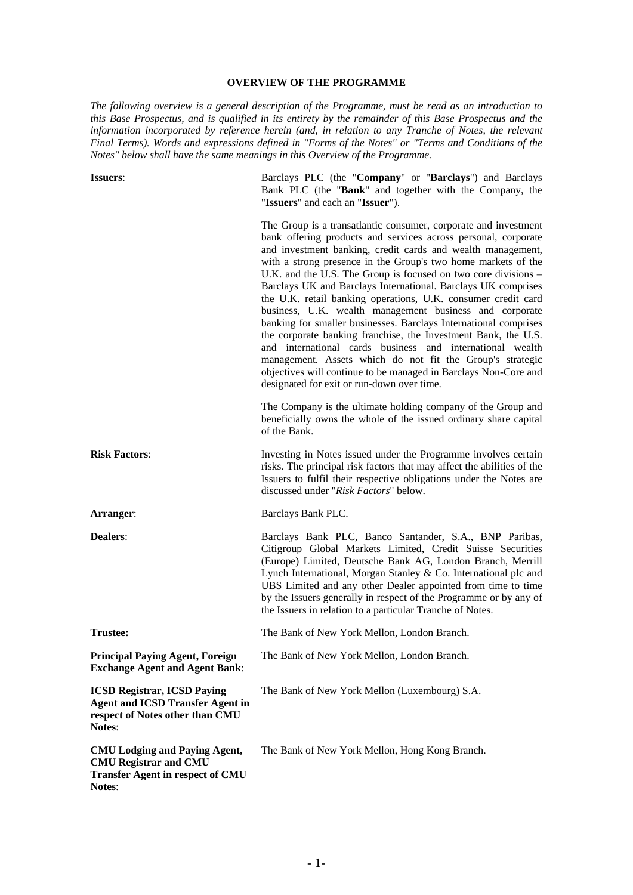# **OVERVIEW OF THE PROGRAMME**

*The following overview is a general description of the Programme, must be read as an introduction to this Base Prospectus, and is qualified in its entirety by the remainder of this Base Prospectus and the information incorporated by reference herein (and, in relation to any Tranche of Notes, the relevant Final Terms). Words and expressions defined in "Forms of the Notes" or "Terms and Conditions of the Notes" below shall have the same meanings in this Overview of the Programme.*

| <b>Issuers:</b>                                                                                                            | Barclays PLC (the "Company" or "Barclays") and Barclays<br>Bank PLC (the "Bank" and together with the Company, the<br>"Issuers" and each an "Issuer").                                                                                                                                                                                                                                                                                                                                                                                                                                                                                                                                                                                                                                                                                                                                                            |
|----------------------------------------------------------------------------------------------------------------------------|-------------------------------------------------------------------------------------------------------------------------------------------------------------------------------------------------------------------------------------------------------------------------------------------------------------------------------------------------------------------------------------------------------------------------------------------------------------------------------------------------------------------------------------------------------------------------------------------------------------------------------------------------------------------------------------------------------------------------------------------------------------------------------------------------------------------------------------------------------------------------------------------------------------------|
|                                                                                                                            | The Group is a transatlantic consumer, corporate and investment<br>bank offering products and services across personal, corporate<br>and investment banking, credit cards and wealth management,<br>with a strong presence in the Group's two home markets of the<br>U.K. and the U.S. The Group is focused on two core divisions -<br>Barclays UK and Barclays International. Barclays UK comprises<br>the U.K. retail banking operations, U.K. consumer credit card<br>business, U.K. wealth management business and corporate<br>banking for smaller businesses. Barclays International comprises<br>the corporate banking franchise, the Investment Bank, the U.S.<br>and international cards business and international wealth<br>management. Assets which do not fit the Group's strategic<br>objectives will continue to be managed in Barclays Non-Core and<br>designated for exit or run-down over time. |
|                                                                                                                            | The Company is the ultimate holding company of the Group and<br>beneficially owns the whole of the issued ordinary share capital<br>of the Bank.                                                                                                                                                                                                                                                                                                                                                                                                                                                                                                                                                                                                                                                                                                                                                                  |
| <b>Risk Factors:</b>                                                                                                       | Investing in Notes issued under the Programme involves certain<br>risks. The principal risk factors that may affect the abilities of the<br>Issuers to fulfil their respective obligations under the Notes are<br>discussed under "Risk Factors" below.                                                                                                                                                                                                                                                                                                                                                                                                                                                                                                                                                                                                                                                           |
| Arranger:                                                                                                                  | Barclays Bank PLC.                                                                                                                                                                                                                                                                                                                                                                                                                                                                                                                                                                                                                                                                                                                                                                                                                                                                                                |
| <b>Dealers:</b>                                                                                                            | Barclays Bank PLC, Banco Santander, S.A., BNP Paribas,<br>Citigroup Global Markets Limited, Credit Suisse Securities<br>(Europe) Limited, Deutsche Bank AG, London Branch, Merrill<br>Lynch International, Morgan Stanley & Co. International plc and<br>UBS Limited and any other Dealer appointed from time to time<br>by the Issuers generally in respect of the Programme or by any of<br>the Issuers in relation to a particular Tranche of Notes.                                                                                                                                                                                                                                                                                                                                                                                                                                                           |
| Trustee:                                                                                                                   | The Bank of New York Mellon, London Branch.                                                                                                                                                                                                                                                                                                                                                                                                                                                                                                                                                                                                                                                                                                                                                                                                                                                                       |
| <b>Principal Paying Agent, Foreign</b><br><b>Exchange Agent and Agent Bank:</b>                                            | The Bank of New York Mellon, London Branch.                                                                                                                                                                                                                                                                                                                                                                                                                                                                                                                                                                                                                                                                                                                                                                                                                                                                       |
| <b>ICSD Registrar, ICSD Paying</b><br><b>Agent and ICSD Transfer Agent in</b><br>respect of Notes other than CMU<br>Notes: | The Bank of New York Mellon (Luxembourg) S.A.                                                                                                                                                                                                                                                                                                                                                                                                                                                                                                                                                                                                                                                                                                                                                                                                                                                                     |
| <b>CMU Lodging and Paying Agent,</b><br><b>CMU Registrar and CMU</b><br><b>Transfer Agent in respect of CMU</b><br>Notes:  | The Bank of New York Mellon, Hong Kong Branch.                                                                                                                                                                                                                                                                                                                                                                                                                                                                                                                                                                                                                                                                                                                                                                                                                                                                    |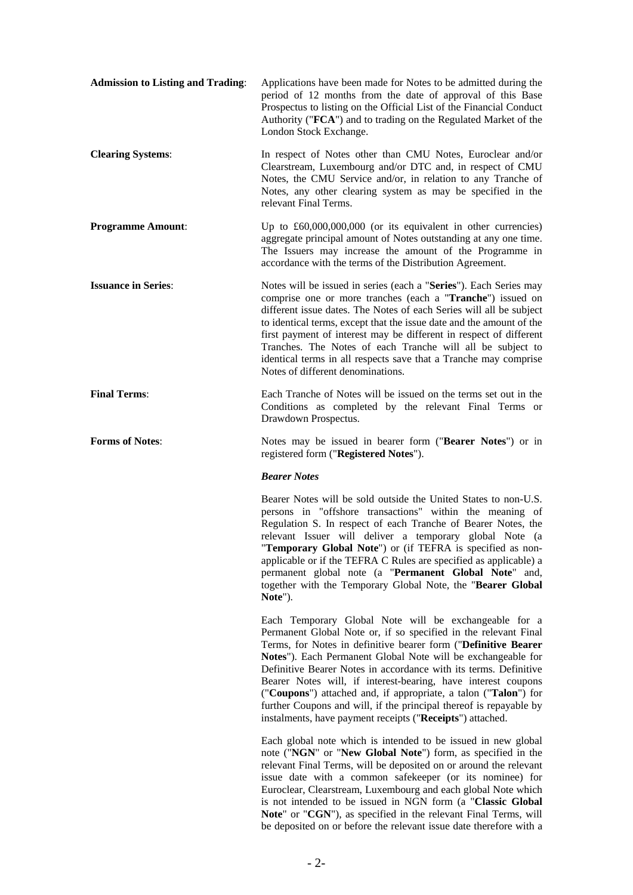| <b>Admission to Listing and Trading:</b> | Applications have been made for Notes to be admitted during the<br>period of 12 months from the date of approval of this Base<br>Prospectus to listing on the Official List of the Financial Conduct<br>Authority ("FCA") and to trading on the Regulated Market of the<br>London Stock Exchange.                                                                                                                                                                                                                                                                                                     |
|------------------------------------------|-------------------------------------------------------------------------------------------------------------------------------------------------------------------------------------------------------------------------------------------------------------------------------------------------------------------------------------------------------------------------------------------------------------------------------------------------------------------------------------------------------------------------------------------------------------------------------------------------------|
| <b>Clearing Systems:</b>                 | In respect of Notes other than CMU Notes, Euroclear and/or<br>Clearstream, Luxembourg and/or DTC and, in respect of CMU<br>Notes, the CMU Service and/or, in relation to any Tranche of<br>Notes, any other clearing system as may be specified in the<br>relevant Final Terms.                                                                                                                                                                                                                                                                                                                       |
| <b>Programme Amount:</b>                 | Up to $\pounds 60,000,000,000$ (or its equivalent in other currencies)<br>aggregate principal amount of Notes outstanding at any one time.<br>The Issuers may increase the amount of the Programme in<br>accordance with the terms of the Distribution Agreement.                                                                                                                                                                                                                                                                                                                                     |
| <b>Issuance in Series:</b>               | Notes will be issued in series (each a "Series"). Each Series may<br>comprise one or more tranches (each a "Tranche") issued on<br>different issue dates. The Notes of each Series will all be subject<br>to identical terms, except that the issue date and the amount of the<br>first payment of interest may be different in respect of different<br>Tranches. The Notes of each Tranche will all be subject to<br>identical terms in all respects save that a Tranche may comprise<br>Notes of different denominations.                                                                           |
| <b>Final Terms:</b>                      | Each Tranche of Notes will be issued on the terms set out in the<br>Conditions as completed by the relevant Final Terms or<br>Drawdown Prospectus.                                                                                                                                                                                                                                                                                                                                                                                                                                                    |
| <b>Forms of Notes:</b>                   | Notes may be issued in bearer form ("Bearer Notes") or in<br>registered form ("Registered Notes").                                                                                                                                                                                                                                                                                                                                                                                                                                                                                                    |
|                                          | <b>Bearer Notes</b>                                                                                                                                                                                                                                                                                                                                                                                                                                                                                                                                                                                   |
|                                          | Bearer Notes will be sold outside the United States to non-U.S.<br>persons in "offshore transactions" within the meaning of<br>Regulation S. In respect of each Tranche of Bearer Notes, the<br>relevant Issuer will deliver a temporary global Note (a<br>"Temporary Global Note") or (if TEFRA is specified as non-<br>applicable or if the TEFRA C Rules are specified as applicable) a<br>permanent global note (a "Permanent Global Note" and,<br>together with the Temporary Global Note, the "Bearer Global<br>Note").                                                                         |
|                                          | Each Temporary Global Note will be exchangeable for a<br>Permanent Global Note or, if so specified in the relevant Final<br>Terms, for Notes in definitive bearer form ("Definitive Bearer<br>Notes"). Each Permanent Global Note will be exchangeable for<br>Definitive Bearer Notes in accordance with its terms. Definitive<br>Bearer Notes will, if interest-bearing, have interest coupons<br>("Coupons") attached and, if appropriate, a talon ("Talon") for<br>further Coupons and will, if the principal thereof is repayable by<br>instalments, have payment receipts ("Receipts") attached. |
|                                          | Each global note which is intended to be issued in new global<br>note ("NGN" or "New Global Note") form, as specified in the<br>relevant Final Terms, will be deposited on or around the relevant<br>issue date with a common safekeeper (or its nominee) for<br>Euroclear, Clearstream, Luxembourg and each global Note which<br>is not intended to be issued in NGN form (a "Classic Global<br>Note" or "CGN"), as specified in the relevant Final Terms, will                                                                                                                                      |

be deposited on or before the relevant issue date therefore with a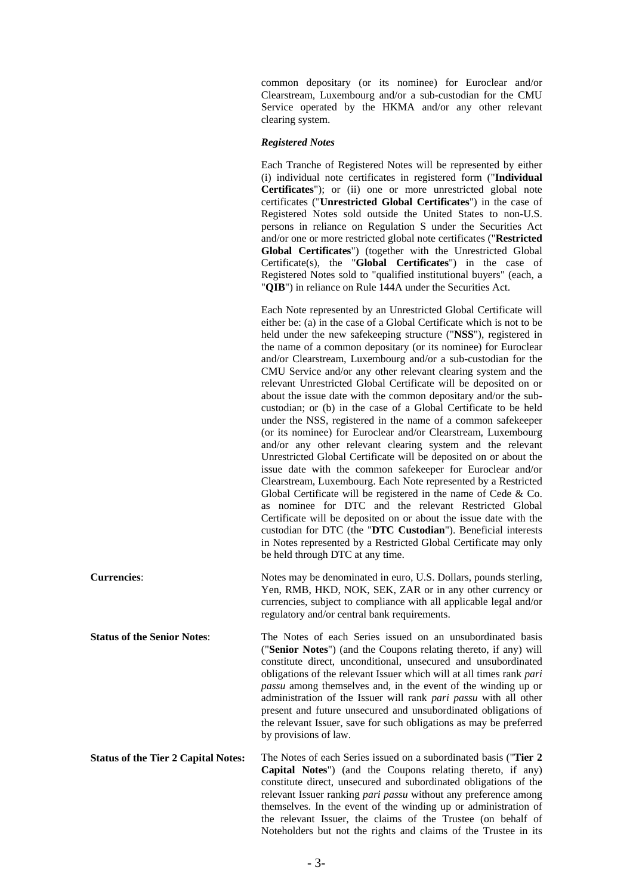common depositary (or its nominee) for Euroclear and/or Clearstream, Luxembourg and/or a sub-custodian for the CMU Service operated by the HKMA and/or any other relevant clearing system.

#### *Registered Notes*

 Each Tranche of Registered Notes will be represented by either (i) individual note certificates in registered form ("**Individual Certificates**"); or (ii) one or more unrestricted global note certificates ("**Unrestricted Global Certificates**") in the case of Registered Notes sold outside the United States to non-U.S. persons in reliance on Regulation S under the Securities Act and/or one or more restricted global note certificates ("**Restricted Global Certificates**") (together with the Unrestricted Global Certificate(s), the "**Global Certificates**") in the case of Registered Notes sold to "qualified institutional buyers" (each, a "**QIB**") in reliance on Rule 144A under the Securities Act.

 Each Note represented by an Unrestricted Global Certificate will either be: (a) in the case of a Global Certificate which is not to be held under the new safekeeping structure ("**NSS**"), registered in the name of a common depositary (or its nominee) for Euroclear and/or Clearstream, Luxembourg and/or a sub-custodian for the CMU Service and/or any other relevant clearing system and the relevant Unrestricted Global Certificate will be deposited on or about the issue date with the common depositary and/or the subcustodian; or (b) in the case of a Global Certificate to be held under the NSS, registered in the name of a common safekeeper (or its nominee) for Euroclear and/or Clearstream, Luxembourg and/or any other relevant clearing system and the relevant Unrestricted Global Certificate will be deposited on or about the issue date with the common safekeeper for Euroclear and/or Clearstream, Luxembourg. Each Note represented by a Restricted Global Certificate will be registered in the name of Cede & Co. as nominee for DTC and the relevant Restricted Global Certificate will be deposited on or about the issue date with the custodian for DTC (the "**DTC Custodian**"). Beneficial interests in Notes represented by a Restricted Global Certificate may only be held through DTC at any time.

**Currencies**: Notes may be denominated in euro, U.S. Dollars, pounds sterling, Yen, RMB, HKD, NOK, SEK, ZAR or in any other currency or currencies, subject to compliance with all applicable legal and/or regulatory and/or central bank requirements.

**Status of the Senior Notes:** The Notes of each Series issued on an unsubordinated basis ("**Senior Notes**") (and the Coupons relating thereto, if any) will constitute direct, unconditional, unsecured and unsubordinated obligations of the relevant Issuer which will at all times rank *pari passu* among themselves and, in the event of the winding up or administration of the Issuer will rank *pari passu* with all other present and future unsecured and unsubordinated obligations of the relevant Issuer, save for such obligations as may be preferred by provisions of law.

**Status of the Tier 2 Capital Notes:** The Notes of each Series issued on a subordinated basis ("**Tier 2 Capital Notes**") (and the Coupons relating thereto, if any) constitute direct, unsecured and subordinated obligations of the relevant Issuer ranking *pari passu* without any preference among themselves. In the event of the winding up or administration of the relevant Issuer, the claims of the Trustee (on behalf of Noteholders but not the rights and claims of the Trustee in its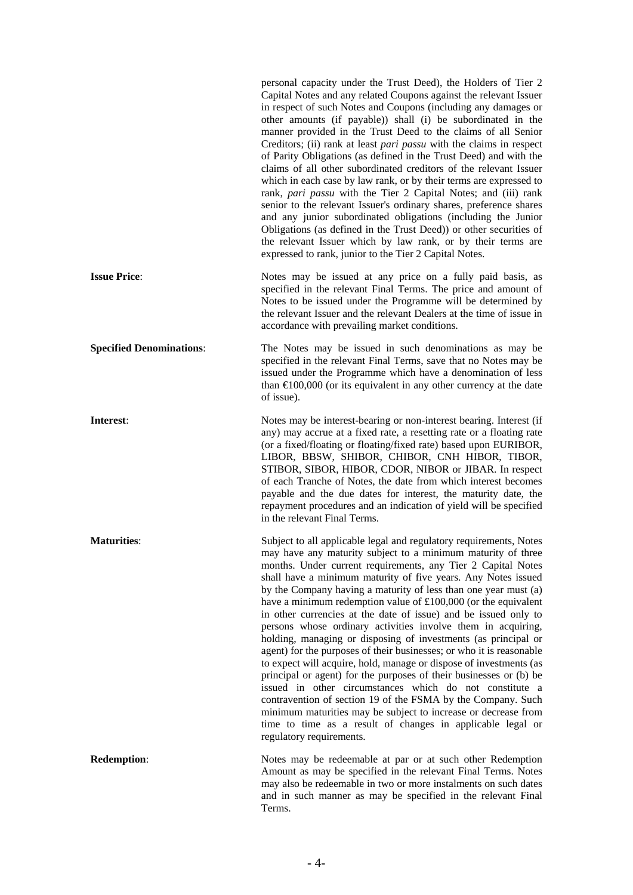|                                 | personal capacity under the Trust Deed), the Holders of Tier 2<br>Capital Notes and any related Coupons against the relevant Issuer<br>in respect of such Notes and Coupons (including any damages or<br>other amounts (if payable)) shall (i) be subordinated in the<br>manner provided in the Trust Deed to the claims of all Senior<br>Creditors; (ii) rank at least <i>pari passu</i> with the claims in respect<br>of Parity Obligations (as defined in the Trust Deed) and with the<br>claims of all other subordinated creditors of the relevant Issuer<br>which in each case by law rank, or by their terms are expressed to<br>rank, pari passu with the Tier 2 Capital Notes; and (iii) rank<br>senior to the relevant Issuer's ordinary shares, preference shares<br>and any junior subordinated obligations (including the Junior<br>Obligations (as defined in the Trust Deed)) or other securities of<br>the relevant Issuer which by law rank, or by their terms are<br>expressed to rank, junior to the Tier 2 Capital Notes.                                                                              |
|---------------------------------|----------------------------------------------------------------------------------------------------------------------------------------------------------------------------------------------------------------------------------------------------------------------------------------------------------------------------------------------------------------------------------------------------------------------------------------------------------------------------------------------------------------------------------------------------------------------------------------------------------------------------------------------------------------------------------------------------------------------------------------------------------------------------------------------------------------------------------------------------------------------------------------------------------------------------------------------------------------------------------------------------------------------------------------------------------------------------------------------------------------------------|
| <b>Issue Price:</b>             | Notes may be issued at any price on a fully paid basis, as<br>specified in the relevant Final Terms. The price and amount of<br>Notes to be issued under the Programme will be determined by<br>the relevant Issuer and the relevant Dealers at the time of issue in<br>accordance with prevailing market conditions.                                                                                                                                                                                                                                                                                                                                                                                                                                                                                                                                                                                                                                                                                                                                                                                                      |
| <b>Specified Denominations:</b> | The Notes may be issued in such denominations as may be<br>specified in the relevant Final Terms, save that no Notes may be<br>issued under the Programme which have a denomination of less<br>than $\in$ 100,000 (or its equivalent in any other currency at the date<br>of issue).                                                                                                                                                                                                                                                                                                                                                                                                                                                                                                                                                                                                                                                                                                                                                                                                                                       |
| Interest:                       | Notes may be interest-bearing or non-interest bearing. Interest (if<br>any) may accrue at a fixed rate, a resetting rate or a floating rate<br>(or a fixed/floating or floating/fixed rate) based upon EURIBOR,<br>LIBOR, BBSW, SHIBOR, CHIBOR, CNH HIBOR, TIBOR,<br>STIBOR, SIBOR, HIBOR, CDOR, NIBOR or JIBAR. In respect<br>of each Tranche of Notes, the date from which interest becomes<br>payable and the due dates for interest, the maturity date, the<br>repayment procedures and an indication of yield will be specified<br>in the relevant Final Terms.                                                                                                                                                                                                                                                                                                                                                                                                                                                                                                                                                       |
| <b>Maturities:</b>              | Subject to all applicable legal and regulatory requirements, Notes<br>may have any maturity subject to a minimum maturity of three<br>months. Under current requirements, any Tier 2 Capital Notes<br>shall have a minimum maturity of five years. Any Notes issued<br>by the Company having a maturity of less than one year must (a)<br>have a minimum redemption value of $£100,000$ (or the equivalent<br>in other currencies at the date of issue) and be issued only to<br>persons whose ordinary activities involve them in acquiring,<br>holding, managing or disposing of investments (as principal or<br>agent) for the purposes of their businesses; or who it is reasonable<br>to expect will acquire, hold, manage or dispose of investments (as<br>principal or agent) for the purposes of their businesses or (b) be<br>issued in other circumstances which do not constitute a<br>contravention of section 19 of the FSMA by the Company. Such<br>minimum maturities may be subject to increase or decrease from<br>time to time as a result of changes in applicable legal or<br>regulatory requirements. |
| <b>Redemption:</b>              | Notes may be redeemable at par or at such other Redemption<br>Amount as may be specified in the relevant Final Terms. Notes<br>may also be redeemable in two or more instalments on such dates<br>and in such manner as may be specified in the relevant Final<br>Terms.                                                                                                                                                                                                                                                                                                                                                                                                                                                                                                                                                                                                                                                                                                                                                                                                                                                   |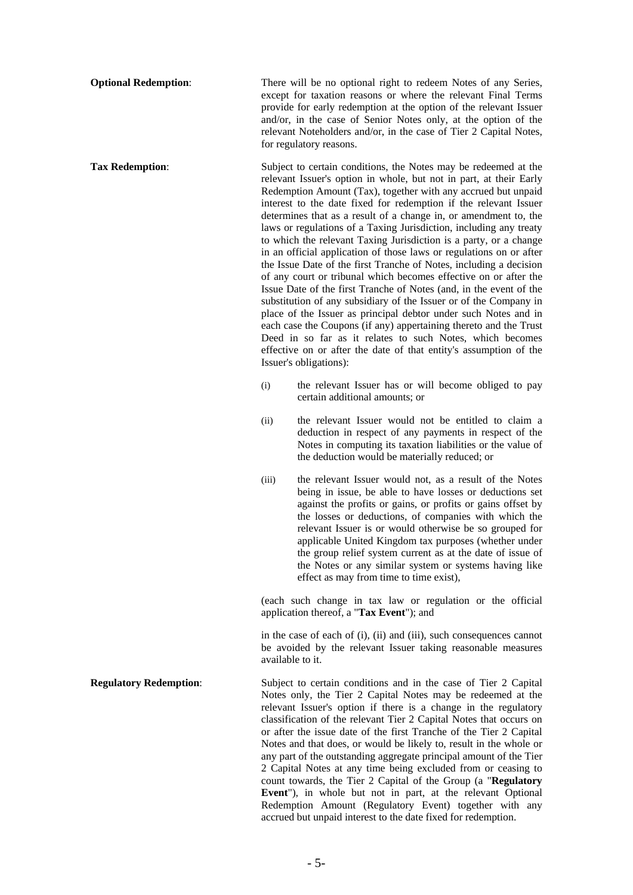**Optional Redemption:** There will be no optional right to redeem Notes of any Series, except for taxation reasons or where the relevant Final Terms provide for early redemption at the option of the relevant Issuer and/or, in the case of Senior Notes only, at the option of the relevant Noteholders and/or, in the case of Tier 2 Capital Notes, for regulatory reasons.

**Tax Redemption:** Subject to certain conditions, the Notes may be redeemed at the relevant Issuer's option in whole, but not in part, at their Early Redemption Amount (Tax), together with any accrued but unpaid interest to the date fixed for redemption if the relevant Issuer determines that as a result of a change in, or amendment to, the laws or regulations of a Taxing Jurisdiction, including any treaty to which the relevant Taxing Jurisdiction is a party, or a change in an official application of those laws or regulations on or after the Issue Date of the first Tranche of Notes, including a decision of any court or tribunal which becomes effective on or after the Issue Date of the first Tranche of Notes (and, in the event of the substitution of any subsidiary of the Issuer or of the Company in place of the Issuer as principal debtor under such Notes and in each case the Coupons (if any) appertaining thereto and the Trust Deed in so far as it relates to such Notes, which becomes effective on or after the date of that entity's assumption of the Issuer's obligations):

- (i) the relevant Issuer has or will become obliged to pay certain additional amounts; or
- (ii) the relevant Issuer would not be entitled to claim a deduction in respect of any payments in respect of the Notes in computing its taxation liabilities or the value of the deduction would be materially reduced; or
- (iii) the relevant Issuer would not, as a result of the Notes being in issue, be able to have losses or deductions set against the profits or gains, or profits or gains offset by the losses or deductions, of companies with which the relevant Issuer is or would otherwise be so grouped for applicable United Kingdom tax purposes (whether under the group relief system current as at the date of issue of the Notes or any similar system or systems having like effect as may from time to time exist),

(each such change in tax law or regulation or the official application thereof, a "**Tax Event**"); and

in the case of each of (i), (ii) and (iii), such consequences cannot be avoided by the relevant Issuer taking reasonable measures available to it.

**Regulatory Redemption:** Subject to certain conditions and in the case of Tier 2 Capital Notes only, the Tier 2 Capital Notes may be redeemed at the relevant Issuer's option if there is a change in the regulatory classification of the relevant Tier 2 Capital Notes that occurs on or after the issue date of the first Tranche of the Tier 2 Capital Notes and that does, or would be likely to, result in the whole or any part of the outstanding aggregate principal amount of the Tier 2 Capital Notes at any time being excluded from or ceasing to count towards, the Tier 2 Capital of the Group (a "**Regulatory Event**"), in whole but not in part, at the relevant Optional Redemption Amount (Regulatory Event) together with any accrued but unpaid interest to the date fixed for redemption.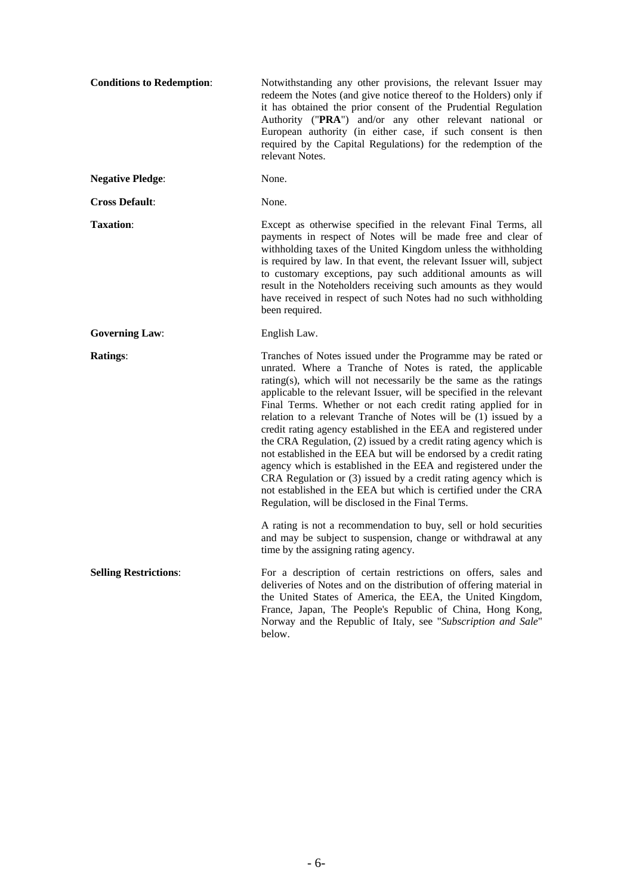| <b>Conditions to Redemption:</b> | Notwithstanding any other provisions, the relevant Issuer may<br>redeem the Notes (and give notice thereof to the Holders) only if<br>it has obtained the prior consent of the Prudential Regulation<br>Authority ("PRA") and/or any other relevant national or<br>European authority (in either case, if such consent is then<br>required by the Capital Regulations) for the redemption of the<br>relevant Notes.                                                                                                                                                                                                                                                                                                                                                                                                                                                                     |
|----------------------------------|-----------------------------------------------------------------------------------------------------------------------------------------------------------------------------------------------------------------------------------------------------------------------------------------------------------------------------------------------------------------------------------------------------------------------------------------------------------------------------------------------------------------------------------------------------------------------------------------------------------------------------------------------------------------------------------------------------------------------------------------------------------------------------------------------------------------------------------------------------------------------------------------|
| <b>Negative Pledge:</b>          | None.                                                                                                                                                                                                                                                                                                                                                                                                                                                                                                                                                                                                                                                                                                                                                                                                                                                                                   |
| <b>Cross Default:</b>            | None.                                                                                                                                                                                                                                                                                                                                                                                                                                                                                                                                                                                                                                                                                                                                                                                                                                                                                   |
| <b>Taxation:</b>                 | Except as otherwise specified in the relevant Final Terms, all<br>payments in respect of Notes will be made free and clear of<br>withholding taxes of the United Kingdom unless the withholding<br>is required by law. In that event, the relevant Issuer will, subject<br>to customary exceptions, pay such additional amounts as will<br>result in the Noteholders receiving such amounts as they would<br>have received in respect of such Notes had no such withholding<br>been required.                                                                                                                                                                                                                                                                                                                                                                                           |
| <b>Governing Law:</b>            | English Law.                                                                                                                                                                                                                                                                                                                                                                                                                                                                                                                                                                                                                                                                                                                                                                                                                                                                            |
| <b>Ratings:</b>                  | Tranches of Notes issued under the Programme may be rated or<br>unrated. Where a Tranche of Notes is rated, the applicable<br>rating(s), which will not necessarily be the same as the ratings<br>applicable to the relevant Issuer, will be specified in the relevant<br>Final Terms. Whether or not each credit rating applied for in<br>relation to a relevant Tranche of Notes will be (1) issued by a<br>credit rating agency established in the EEA and registered under<br>the CRA Regulation, (2) issued by a credit rating agency which is<br>not established in the EEA but will be endorsed by a credit rating<br>agency which is established in the EEA and registered under the<br>CRA Regulation or (3) issued by a credit rating agency which is<br>not established in the EEA but which is certified under the CRA<br>Regulation, will be disclosed in the Final Terms. |
|                                  | A rating is not a recommendation to buy, sell or hold securities<br>and may be subject to suspension, change or withdrawal at any<br>time by the assigning rating agency.                                                                                                                                                                                                                                                                                                                                                                                                                                                                                                                                                                                                                                                                                                               |
| <b>Selling Restrictions:</b>     | For a description of certain restrictions on offers, sales and<br>deliveries of Notes and on the distribution of offering material in<br>the United States of America, the EEA, the United Kingdom,<br>France, Japan, The People's Republic of China, Hong Kong,<br>Norway and the Republic of Italy, see "Subscription and Sale"<br>below.                                                                                                                                                                                                                                                                                                                                                                                                                                                                                                                                             |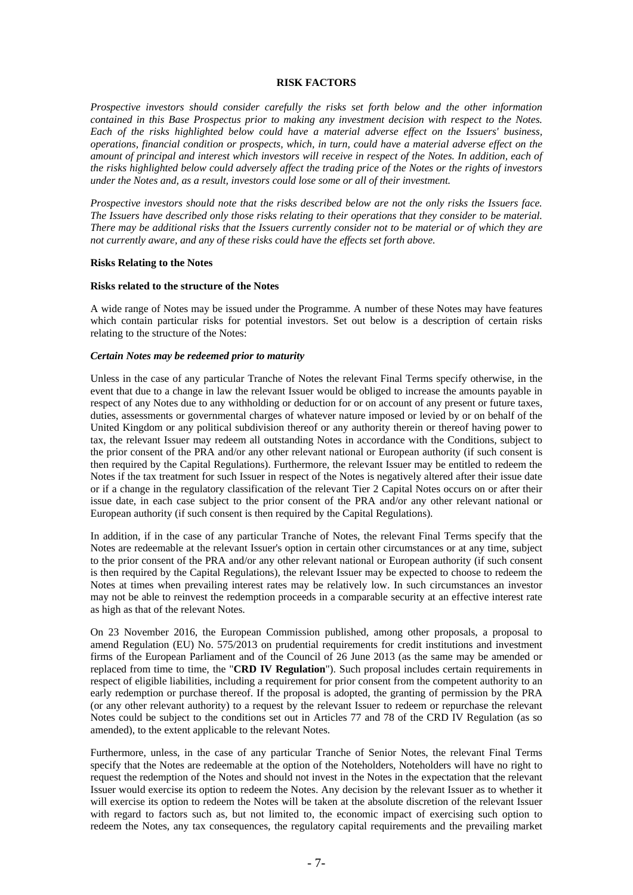#### **RISK FACTORS**

*Prospective investors should consider carefully the risks set forth below and the other information contained in this Base Prospectus prior to making any investment decision with respect to the Notes. Each of the risks highlighted below could have a material adverse effect on the Issuers' business, operations, financial condition or prospects, which, in turn, could have a material adverse effect on the amount of principal and interest which investors will receive in respect of the Notes. In addition, each of the risks highlighted below could adversely affect the trading price of the Notes or the rights of investors under the Notes and, as a result, investors could lose some or all of their investment.* 

*Prospective investors should note that the risks described below are not the only risks the Issuers face. The Issuers have described only those risks relating to their operations that they consider to be material. There may be additional risks that the Issuers currently consider not to be material or of which they are not currently aware, and any of these risks could have the effects set forth above.* 

#### **Risks Relating to the Notes**

#### **Risks related to the structure of the Notes**

A wide range of Notes may be issued under the Programme. A number of these Notes may have features which contain particular risks for potential investors. Set out below is a description of certain risks relating to the structure of the Notes:

#### *Certain Notes may be redeemed prior to maturity*

Unless in the case of any particular Tranche of Notes the relevant Final Terms specify otherwise, in the event that due to a change in law the relevant Issuer would be obliged to increase the amounts payable in respect of any Notes due to any withholding or deduction for or on account of any present or future taxes, duties, assessments or governmental charges of whatever nature imposed or levied by or on behalf of the United Kingdom or any political subdivision thereof or any authority therein or thereof having power to tax, the relevant Issuer may redeem all outstanding Notes in accordance with the Conditions, subject to the prior consent of the PRA and/or any other relevant national or European authority (if such consent is then required by the Capital Regulations). Furthermore, the relevant Issuer may be entitled to redeem the Notes if the tax treatment for such Issuer in respect of the Notes is negatively altered after their issue date or if a change in the regulatory classification of the relevant Tier 2 Capital Notes occurs on or after their issue date, in each case subject to the prior consent of the PRA and/or any other relevant national or European authority (if such consent is then required by the Capital Regulations).

In addition, if in the case of any particular Tranche of Notes, the relevant Final Terms specify that the Notes are redeemable at the relevant Issuer's option in certain other circumstances or at any time, subject to the prior consent of the PRA and/or any other relevant national or European authority (if such consent is then required by the Capital Regulations), the relevant Issuer may be expected to choose to redeem the Notes at times when prevailing interest rates may be relatively low. In such circumstances an investor may not be able to reinvest the redemption proceeds in a comparable security at an effective interest rate as high as that of the relevant Notes.

On 23 November 2016, the European Commission published, among other proposals, a proposal to amend Regulation (EU) No. 575/2013 on prudential requirements for credit institutions and investment firms of the European Parliament and of the Council of 26 June 2013 (as the same may be amended or replaced from time to time, the "**CRD IV Regulation**"). Such proposal includes certain requirements in respect of eligible liabilities, including a requirement for prior consent from the competent authority to an early redemption or purchase thereof. If the proposal is adopted, the granting of permission by the PRA (or any other relevant authority) to a request by the relevant Issuer to redeem or repurchase the relevant Notes could be subject to the conditions set out in Articles 77 and 78 of the CRD IV Regulation (as so amended), to the extent applicable to the relevant Notes.

Furthermore, unless, in the case of any particular Tranche of Senior Notes, the relevant Final Terms specify that the Notes are redeemable at the option of the Noteholders, Noteholders will have no right to request the redemption of the Notes and should not invest in the Notes in the expectation that the relevant Issuer would exercise its option to redeem the Notes. Any decision by the relevant Issuer as to whether it will exercise its option to redeem the Notes will be taken at the absolute discretion of the relevant Issuer with regard to factors such as, but not limited to, the economic impact of exercising such option to redeem the Notes, any tax consequences, the regulatory capital requirements and the prevailing market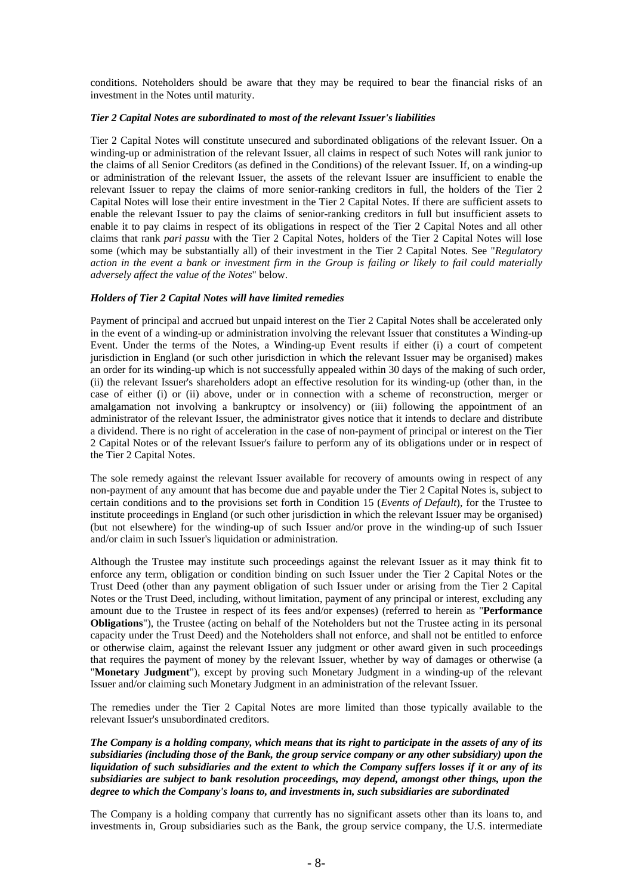conditions. Noteholders should be aware that they may be required to bear the financial risks of an investment in the Notes until maturity.

#### *Tier 2 Capital Notes are subordinated to most of the relevant Issuer's liabilities*

Tier 2 Capital Notes will constitute unsecured and subordinated obligations of the relevant Issuer. On a winding-up or administration of the relevant Issuer, all claims in respect of such Notes will rank junior to the claims of all Senior Creditors (as defined in the Conditions) of the relevant Issuer. If, on a winding-up or administration of the relevant Issuer, the assets of the relevant Issuer are insufficient to enable the relevant Issuer to repay the claims of more senior-ranking creditors in full, the holders of the Tier 2 Capital Notes will lose their entire investment in the Tier 2 Capital Notes. If there are sufficient assets to enable the relevant Issuer to pay the claims of senior-ranking creditors in full but insufficient assets to enable it to pay claims in respect of its obligations in respect of the Tier 2 Capital Notes and all other claims that rank *pari passu* with the Tier 2 Capital Notes, holders of the Tier 2 Capital Notes will lose some (which may be substantially all) of their investment in the Tier 2 Capital Notes. See "*Regulatory action in the event a bank or investment firm in the Group is failing or likely to fail could materially adversely affect the value of the Notes*" below.

#### *Holders of Tier 2 Capital Notes will have limited remedies*

Payment of principal and accrued but unpaid interest on the Tier 2 Capital Notes shall be accelerated only in the event of a winding-up or administration involving the relevant Issuer that constitutes a Winding-up Event. Under the terms of the Notes, a Winding-up Event results if either (i) a court of competent jurisdiction in England (or such other jurisdiction in which the relevant Issuer may be organised) makes an order for its winding-up which is not successfully appealed within 30 days of the making of such order, (ii) the relevant Issuer's shareholders adopt an effective resolution for its winding-up (other than, in the case of either (i) or (ii) above, under or in connection with a scheme of reconstruction, merger or amalgamation not involving a bankruptcy or insolvency) or (iii) following the appointment of an administrator of the relevant Issuer, the administrator gives notice that it intends to declare and distribute a dividend. There is no right of acceleration in the case of non-payment of principal or interest on the Tier 2 Capital Notes or of the relevant Issuer's failure to perform any of its obligations under or in respect of the Tier 2 Capital Notes.

The sole remedy against the relevant Issuer available for recovery of amounts owing in respect of any non-payment of any amount that has become due and payable under the Tier 2 Capital Notes is, subject to certain conditions and to the provisions set forth in Condition 15 (*Events of Default*), for the Trustee to institute proceedings in England (or such other jurisdiction in which the relevant Issuer may be organised) (but not elsewhere) for the winding-up of such Issuer and/or prove in the winding-up of such Issuer and/or claim in such Issuer's liquidation or administration.

Although the Trustee may institute such proceedings against the relevant Issuer as it may think fit to enforce any term, obligation or condition binding on such Issuer under the Tier 2 Capital Notes or the Trust Deed (other than any payment obligation of such Issuer under or arising from the Tier 2 Capital Notes or the Trust Deed, including, without limitation, payment of any principal or interest, excluding any amount due to the Trustee in respect of its fees and/or expenses) (referred to herein as "**Performance Obligations**"), the Trustee (acting on behalf of the Noteholders but not the Trustee acting in its personal capacity under the Trust Deed) and the Noteholders shall not enforce, and shall not be entitled to enforce or otherwise claim, against the relevant Issuer any judgment or other award given in such proceedings that requires the payment of money by the relevant Issuer, whether by way of damages or otherwise (a "**Monetary Judgment**"), except by proving such Monetary Judgment in a winding-up of the relevant Issuer and/or claiming such Monetary Judgment in an administration of the relevant Issuer.

The remedies under the Tier 2 Capital Notes are more limited than those typically available to the relevant Issuer's unsubordinated creditors.

*The Company is a holding company, which means that its right to participate in the assets of any of its subsidiaries (including those of the Bank, the group service company or any other subsidiary) upon the liquidation of such subsidiaries and the extent to which the Company suffers losses if it or any of its subsidiaries are subject to bank resolution proceedings, may depend, amongst other things, upon the degree to which the Company's loans to, and investments in, such subsidiaries are subordinated* 

The Company is a holding company that currently has no significant assets other than its loans to, and investments in, Group subsidiaries such as the Bank, the group service company, the U.S. intermediate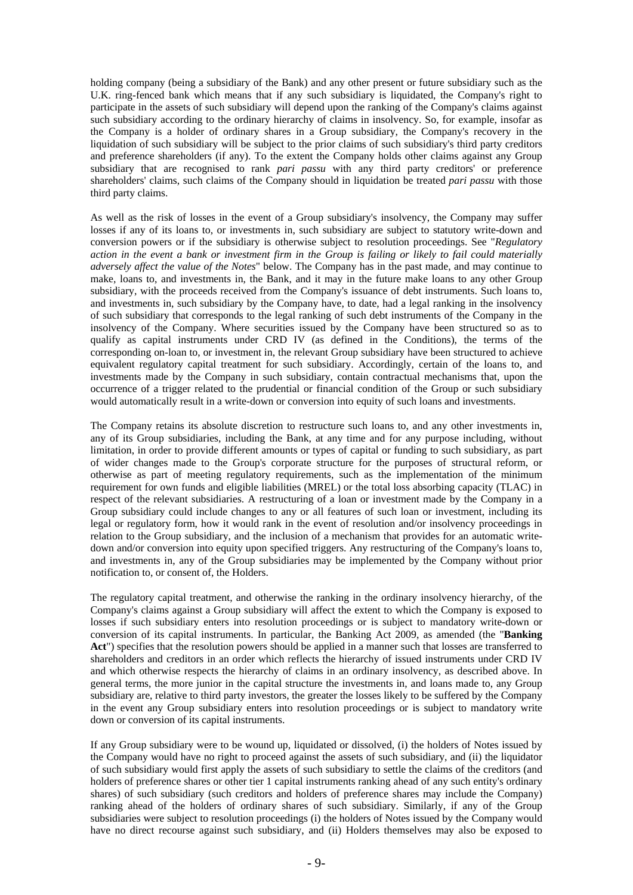holding company (being a subsidiary of the Bank) and any other present or future subsidiary such as the U.K. ring-fenced bank which means that if any such subsidiary is liquidated, the Company's right to participate in the assets of such subsidiary will depend upon the ranking of the Company's claims against such subsidiary according to the ordinary hierarchy of claims in insolvency. So, for example, insofar as the Company is a holder of ordinary shares in a Group subsidiary, the Company's recovery in the liquidation of such subsidiary will be subject to the prior claims of such subsidiary's third party creditors and preference shareholders (if any). To the extent the Company holds other claims against any Group subsidiary that are recognised to rank *pari passu* with any third party creditors' or preference shareholders' claims, such claims of the Company should in liquidation be treated *pari passu* with those third party claims.

As well as the risk of losses in the event of a Group subsidiary's insolvency, the Company may suffer losses if any of its loans to, or investments in, such subsidiary are subject to statutory write-down and conversion powers or if the subsidiary is otherwise subject to resolution proceedings. See "*Regulatory action in the event a bank or investment firm in the Group is failing or likely to fail could materially adversely affect the value of the Notes*" below. The Company has in the past made, and may continue to make, loans to, and investments in, the Bank, and it may in the future make loans to any other Group subsidiary, with the proceeds received from the Company's issuance of debt instruments. Such loans to, and investments in, such subsidiary by the Company have, to date, had a legal ranking in the insolvency of such subsidiary that corresponds to the legal ranking of such debt instruments of the Company in the insolvency of the Company. Where securities issued by the Company have been structured so as to qualify as capital instruments under CRD IV (as defined in the Conditions), the terms of the corresponding on-loan to, or investment in, the relevant Group subsidiary have been structured to achieve equivalent regulatory capital treatment for such subsidiary. Accordingly, certain of the loans to, and investments made by the Company in such subsidiary, contain contractual mechanisms that, upon the occurrence of a trigger related to the prudential or financial condition of the Group or such subsidiary would automatically result in a write-down or conversion into equity of such loans and investments.

The Company retains its absolute discretion to restructure such loans to, and any other investments in, any of its Group subsidiaries, including the Bank, at any time and for any purpose including, without limitation, in order to provide different amounts or types of capital or funding to such subsidiary, as part of wider changes made to the Group's corporate structure for the purposes of structural reform, or otherwise as part of meeting regulatory requirements, such as the implementation of the minimum requirement for own funds and eligible liabilities (MREL) or the total loss absorbing capacity (TLAC) in respect of the relevant subsidiaries. A restructuring of a loan or investment made by the Company in a Group subsidiary could include changes to any or all features of such loan or investment, including its legal or regulatory form, how it would rank in the event of resolution and/or insolvency proceedings in relation to the Group subsidiary, and the inclusion of a mechanism that provides for an automatic writedown and/or conversion into equity upon specified triggers. Any restructuring of the Company's loans to, and investments in, any of the Group subsidiaries may be implemented by the Company without prior notification to, or consent of, the Holders.

The regulatory capital treatment, and otherwise the ranking in the ordinary insolvency hierarchy, of the Company's claims against a Group subsidiary will affect the extent to which the Company is exposed to losses if such subsidiary enters into resolution proceedings or is subject to mandatory write-down or conversion of its capital instruments. In particular, the Banking Act 2009, as amended (the "**Banking Act**") specifies that the resolution powers should be applied in a manner such that losses are transferred to shareholders and creditors in an order which reflects the hierarchy of issued instruments under CRD IV and which otherwise respects the hierarchy of claims in an ordinary insolvency, as described above. In general terms, the more junior in the capital structure the investments in, and loans made to, any Group subsidiary are, relative to third party investors, the greater the losses likely to be suffered by the Company in the event any Group subsidiary enters into resolution proceedings or is subject to mandatory write down or conversion of its capital instruments.

If any Group subsidiary were to be wound up, liquidated or dissolved, (i) the holders of Notes issued by the Company would have no right to proceed against the assets of such subsidiary, and (ii) the liquidator of such subsidiary would first apply the assets of such subsidiary to settle the claims of the creditors (and holders of preference shares or other tier 1 capital instruments ranking ahead of any such entity's ordinary shares) of such subsidiary (such creditors and holders of preference shares may include the Company) ranking ahead of the holders of ordinary shares of such subsidiary. Similarly, if any of the Group subsidiaries were subject to resolution proceedings (i) the holders of Notes issued by the Company would have no direct recourse against such subsidiary, and (ii) Holders themselves may also be exposed to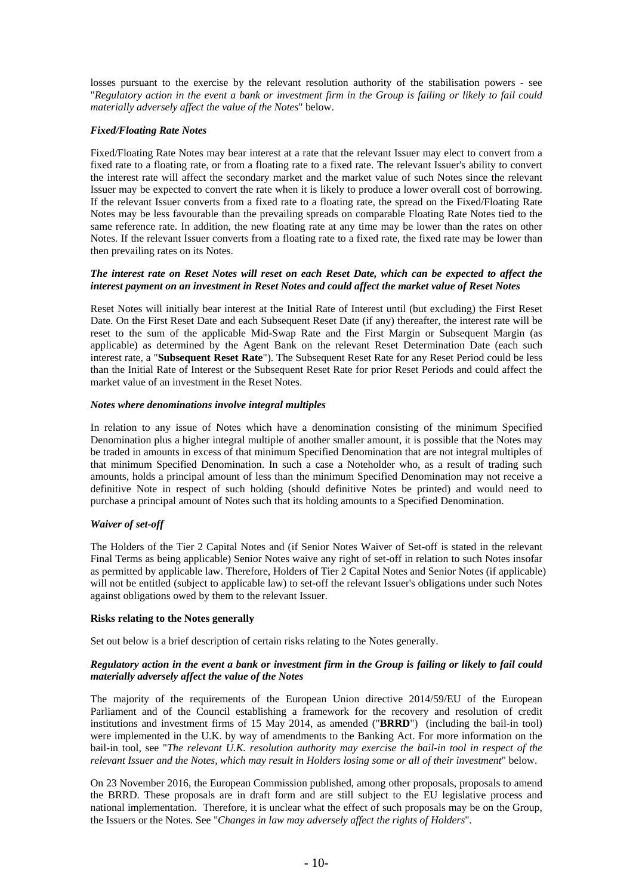losses pursuant to the exercise by the relevant resolution authority of the stabilisation powers - see "*Regulatory action in the event a bank or investment firm in the Group is failing or likely to fail could materially adversely affect the value of the Notes*" below.

# *Fixed/Floating Rate Notes*

Fixed/Floating Rate Notes may bear interest at a rate that the relevant Issuer may elect to convert from a fixed rate to a floating rate, or from a floating rate to a fixed rate. The relevant Issuer's ability to convert the interest rate will affect the secondary market and the market value of such Notes since the relevant Issuer may be expected to convert the rate when it is likely to produce a lower overall cost of borrowing. If the relevant Issuer converts from a fixed rate to a floating rate, the spread on the Fixed/Floating Rate Notes may be less favourable than the prevailing spreads on comparable Floating Rate Notes tied to the same reference rate. In addition, the new floating rate at any time may be lower than the rates on other Notes. If the relevant Issuer converts from a floating rate to a fixed rate, the fixed rate may be lower than then prevailing rates on its Notes.

#### *The interest rate on Reset Notes will reset on each Reset Date, which can be expected to affect the interest payment on an investment in Reset Notes and could affect the market value of Reset Notes*

Reset Notes will initially bear interest at the Initial Rate of Interest until (but excluding) the First Reset Date. On the First Reset Date and each Subsequent Reset Date (if any) thereafter, the interest rate will be reset to the sum of the applicable Mid-Swap Rate and the First Margin or Subsequent Margin (as applicable) as determined by the Agent Bank on the relevant Reset Determination Date (each such interest rate, a "**Subsequent Reset Rate**"). The Subsequent Reset Rate for any Reset Period could be less than the Initial Rate of Interest or the Subsequent Reset Rate for prior Reset Periods and could affect the market value of an investment in the Reset Notes.

# *Notes where denominations involve integral multiples*

In relation to any issue of Notes which have a denomination consisting of the minimum Specified Denomination plus a higher integral multiple of another smaller amount, it is possible that the Notes may be traded in amounts in excess of that minimum Specified Denomination that are not integral multiples of that minimum Specified Denomination. In such a case a Noteholder who, as a result of trading such amounts, holds a principal amount of less than the minimum Specified Denomination may not receive a definitive Note in respect of such holding (should definitive Notes be printed) and would need to purchase a principal amount of Notes such that its holding amounts to a Specified Denomination.

# *Waiver of set-off*

The Holders of the Tier 2 Capital Notes and (if Senior Notes Waiver of Set-off is stated in the relevant Final Terms as being applicable) Senior Notes waive any right of set-off in relation to such Notes insofar as permitted by applicable law. Therefore, Holders of Tier 2 Capital Notes and Senior Notes (if applicable) will not be entitled (subject to applicable law) to set-off the relevant Issuer's obligations under such Notes against obligations owed by them to the relevant Issuer.

# **Risks relating to the Notes generally**

Set out below is a brief description of certain risks relating to the Notes generally.

# *Regulatory action in the event a bank or investment firm in the Group is failing or likely to fail could materially adversely affect the value of the Notes*

The majority of the requirements of the European Union directive 2014/59/EU of the European Parliament and of the Council establishing a framework for the recovery and resolution of credit institutions and investment firms of 15 May 2014, as amended ("**BRRD**") (including the bail-in tool) were implemented in the U.K. by way of amendments to the Banking Act. For more information on the bail-in tool, see "*The relevant U.K. resolution authority may exercise the bail-in tool in respect of the relevant Issuer and the Notes, which may result in Holders losing some or all of their investment*" below.

On 23 November 2016, the European Commission published, among other proposals, proposals to amend the BRRD. These proposals are in draft form and are still subject to the EU legislative process and national implementation. Therefore, it is unclear what the effect of such proposals may be on the Group, the Issuers or the Notes. See "*Changes in law may adversely affect the rights of Holders*".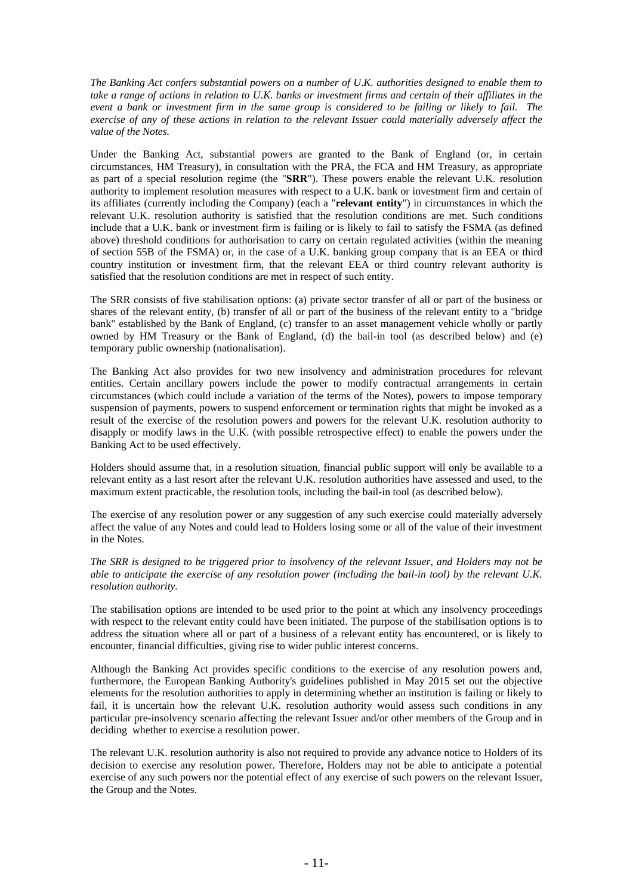*The Banking Act confers substantial powers on a number of U.K. authorities designed to enable them to take a range of actions in relation to U.K. banks or investment firms and certain of their affiliates in the event a bank or investment firm in the same group is considered to be failing or likely to fail. The exercise of any of these actions in relation to the relevant Issuer could materially adversely affect the value of the Notes.* 

Under the Banking Act, substantial powers are granted to the Bank of England (or, in certain circumstances, HM Treasury), in consultation with the PRA, the FCA and HM Treasury, as appropriate as part of a special resolution regime (the "**SRR**"). These powers enable the relevant U.K. resolution authority to implement resolution measures with respect to a U.K. bank or investment firm and certain of its affiliates (currently including the Company) (each a "**relevant entity**") in circumstances in which the relevant U.K. resolution authority is satisfied that the resolution conditions are met. Such conditions include that a U.K. bank or investment firm is failing or is likely to fail to satisfy the FSMA (as defined above) threshold conditions for authorisation to carry on certain regulated activities (within the meaning of section 55B of the FSMA) or, in the case of a U.K. banking group company that is an EEA or third country institution or investment firm, that the relevant EEA or third country relevant authority is satisfied that the resolution conditions are met in respect of such entity.

The SRR consists of five stabilisation options: (a) private sector transfer of all or part of the business or shares of the relevant entity, (b) transfer of all or part of the business of the relevant entity to a "bridge bank" established by the Bank of England, (c) transfer to an asset management vehicle wholly or partly owned by HM Treasury or the Bank of England, (d) the bail-in tool (as described below) and (e) temporary public ownership (nationalisation).

The Banking Act also provides for two new insolvency and administration procedures for relevant entities. Certain ancillary powers include the power to modify contractual arrangements in certain circumstances (which could include a variation of the terms of the Notes), powers to impose temporary suspension of payments, powers to suspend enforcement or termination rights that might be invoked as a result of the exercise of the resolution powers and powers for the relevant U.K. resolution authority to disapply or modify laws in the U.K. (with possible retrospective effect) to enable the powers under the Banking Act to be used effectively.

Holders should assume that, in a resolution situation, financial public support will only be available to a relevant entity as a last resort after the relevant U.K. resolution authorities have assessed and used, to the maximum extent practicable, the resolution tools, including the bail-in tool (as described below).

The exercise of any resolution power or any suggestion of any such exercise could materially adversely affect the value of any Notes and could lead to Holders losing some or all of the value of their investment in the Notes.

*The SRR is designed to be triggered prior to insolvency of the relevant Issuer, and Holders may not be able to anticipate the exercise of any resolution power (including the bail-in tool) by the relevant U.K. resolution authority.* 

The stabilisation options are intended to be used prior to the point at which any insolvency proceedings with respect to the relevant entity could have been initiated. The purpose of the stabilisation options is to address the situation where all or part of a business of a relevant entity has encountered, or is likely to encounter, financial difficulties, giving rise to wider public interest concerns.

Although the Banking Act provides specific conditions to the exercise of any resolution powers and, furthermore, the European Banking Authority's guidelines published in May 2015 set out the objective elements for the resolution authorities to apply in determining whether an institution is failing or likely to fail, it is uncertain how the relevant U.K. resolution authority would assess such conditions in any particular pre-insolvency scenario affecting the relevant Issuer and/or other members of the Group and in deciding whether to exercise a resolution power.

The relevant U.K. resolution authority is also not required to provide any advance notice to Holders of its decision to exercise any resolution power. Therefore, Holders may not be able to anticipate a potential exercise of any such powers nor the potential effect of any exercise of such powers on the relevant Issuer, the Group and the Notes.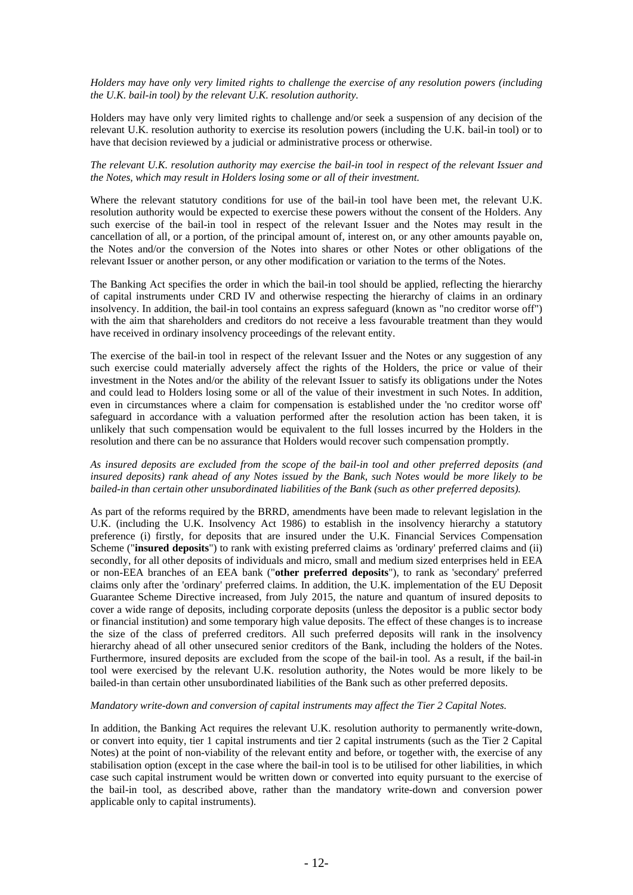*Holders may have only very limited rights to challenge the exercise of any resolution powers (including the U.K. bail-in tool) by the relevant U.K. resolution authority.* 

Holders may have only very limited rights to challenge and/or seek a suspension of any decision of the relevant U.K. resolution authority to exercise its resolution powers (including the U.K. bail-in tool) or to have that decision reviewed by a judicial or administrative process or otherwise.

#### *The relevant U.K. resolution authority may exercise the bail-in tool in respect of the relevant Issuer and the Notes, which may result in Holders losing some or all of their investment.*

Where the relevant statutory conditions for use of the bail-in tool have been met, the relevant U.K. resolution authority would be expected to exercise these powers without the consent of the Holders. Any such exercise of the bail-in tool in respect of the relevant Issuer and the Notes may result in the cancellation of all, or a portion, of the principal amount of, interest on, or any other amounts payable on, the Notes and/or the conversion of the Notes into shares or other Notes or other obligations of the relevant Issuer or another person, or any other modification or variation to the terms of the Notes.

The Banking Act specifies the order in which the bail-in tool should be applied, reflecting the hierarchy of capital instruments under CRD IV and otherwise respecting the hierarchy of claims in an ordinary insolvency. In addition, the bail-in tool contains an express safeguard (known as "no creditor worse off") with the aim that shareholders and creditors do not receive a less favourable treatment than they would have received in ordinary insolvency proceedings of the relevant entity.

The exercise of the bail-in tool in respect of the relevant Issuer and the Notes or any suggestion of any such exercise could materially adversely affect the rights of the Holders, the price or value of their investment in the Notes and/or the ability of the relevant Issuer to satisfy its obligations under the Notes and could lead to Holders losing some or all of the value of their investment in such Notes. In addition, even in circumstances where a claim for compensation is established under the 'no creditor worse off' safeguard in accordance with a valuation performed after the resolution action has been taken, it is unlikely that such compensation would be equivalent to the full losses incurred by the Holders in the resolution and there can be no assurance that Holders would recover such compensation promptly.

# *As insured deposits are excluded from the scope of the bail-in tool and other preferred deposits (and insured deposits) rank ahead of any Notes issued by the Bank, such Notes would be more likely to be bailed-in than certain other unsubordinated liabilities of the Bank (such as other preferred deposits).*

As part of the reforms required by the BRRD, amendments have been made to relevant legislation in the U.K. (including the U.K. Insolvency Act 1986) to establish in the insolvency hierarchy a statutory preference (i) firstly, for deposits that are insured under the U.K. Financial Services Compensation Scheme ("**insured deposits**") to rank with existing preferred claims as 'ordinary' preferred claims and (ii) secondly, for all other deposits of individuals and micro, small and medium sized enterprises held in EEA or non-EEA branches of an EEA bank ("**other preferred deposits**"), to rank as 'secondary' preferred claims only after the 'ordinary' preferred claims. In addition, the U.K. implementation of the EU Deposit Guarantee Scheme Directive increased, from July 2015, the nature and quantum of insured deposits to cover a wide range of deposits, including corporate deposits (unless the depositor is a public sector body or financial institution) and some temporary high value deposits. The effect of these changes is to increase the size of the class of preferred creditors. All such preferred deposits will rank in the insolvency hierarchy ahead of all other unsecured senior creditors of the Bank, including the holders of the Notes. Furthermore, insured deposits are excluded from the scope of the bail-in tool. As a result, if the bail-in tool were exercised by the relevant U.K. resolution authority, the Notes would be more likely to be bailed-in than certain other unsubordinated liabilities of the Bank such as other preferred deposits.

# *Mandatory write-down and conversion of capital instruments may affect the Tier 2 Capital Notes.*

In addition, the Banking Act requires the relevant U.K. resolution authority to permanently write-down, or convert into equity, tier 1 capital instruments and tier 2 capital instruments (such as the Tier 2 Capital Notes) at the point of non-viability of the relevant entity and before, or together with, the exercise of any stabilisation option (except in the case where the bail-in tool is to be utilised for other liabilities, in which case such capital instrument would be written down or converted into equity pursuant to the exercise of the bail-in tool, as described above, rather than the mandatory write-down and conversion power applicable only to capital instruments).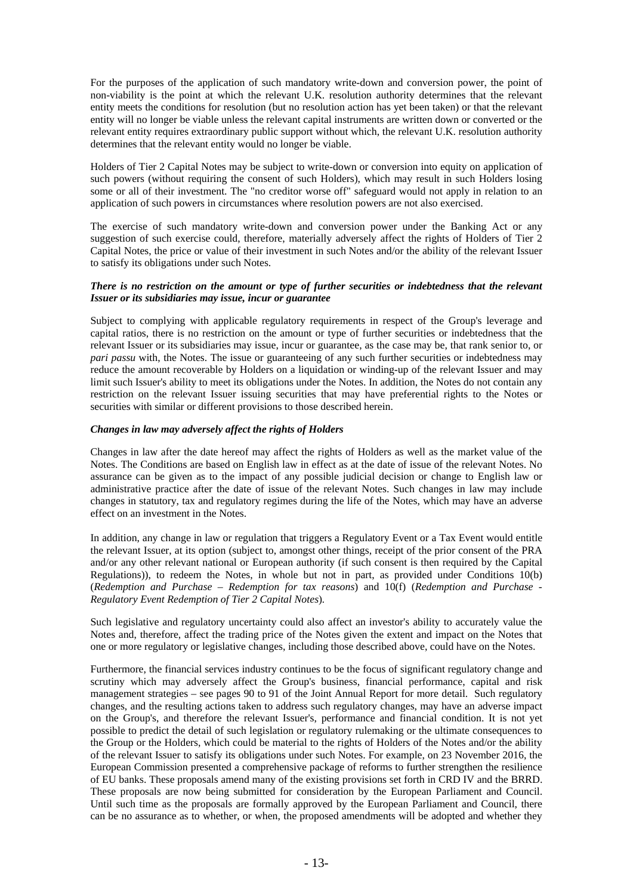For the purposes of the application of such mandatory write-down and conversion power, the point of non-viability is the point at which the relevant U.K. resolution authority determines that the relevant entity meets the conditions for resolution (but no resolution action has yet been taken) or that the relevant entity will no longer be viable unless the relevant capital instruments are written down or converted or the relevant entity requires extraordinary public support without which, the relevant U.K. resolution authority determines that the relevant entity would no longer be viable.

Holders of Tier 2 Capital Notes may be subject to write-down or conversion into equity on application of such powers (without requiring the consent of such Holders), which may result in such Holders losing some or all of their investment. The "no creditor worse off" safeguard would not apply in relation to an application of such powers in circumstances where resolution powers are not also exercised.

The exercise of such mandatory write-down and conversion power under the Banking Act or any suggestion of such exercise could, therefore, materially adversely affect the rights of Holders of Tier 2 Capital Notes, the price or value of their investment in such Notes and/or the ability of the relevant Issuer to satisfy its obligations under such Notes.

# *There is no restriction on the amount or type of further securities or indebtedness that the relevant Issuer or its subsidiaries may issue, incur or guarantee*

Subject to complying with applicable regulatory requirements in respect of the Group's leverage and capital ratios, there is no restriction on the amount or type of further securities or indebtedness that the relevant Issuer or its subsidiaries may issue, incur or guarantee, as the case may be, that rank senior to, or *pari passu* with, the Notes. The issue or guaranteeing of any such further securities or indebtedness may reduce the amount recoverable by Holders on a liquidation or winding-up of the relevant Issuer and may limit such Issuer's ability to meet its obligations under the Notes. In addition, the Notes do not contain any restriction on the relevant Issuer issuing securities that may have preferential rights to the Notes or securities with similar or different provisions to those described herein.

# *Changes in law may adversely affect the rights of Holders*

Changes in law after the date hereof may affect the rights of Holders as well as the market value of the Notes. The Conditions are based on English law in effect as at the date of issue of the relevant Notes. No assurance can be given as to the impact of any possible judicial decision or change to English law or administrative practice after the date of issue of the relevant Notes. Such changes in law may include changes in statutory, tax and regulatory regimes during the life of the Notes, which may have an adverse effect on an investment in the Notes.

In addition, any change in law or regulation that triggers a Regulatory Event or a Tax Event would entitle the relevant Issuer, at its option (subject to, amongst other things, receipt of the prior consent of the PRA and/or any other relevant national or European authority (if such consent is then required by the Capital Regulations)), to redeem the Notes, in whole but not in part, as provided under Conditions 10(b) (*Redemption and Purchase – Redemption for tax reasons*) and 10(f) (*Redemption and Purchase - Regulatory Event Redemption of Tier 2 Capital Notes*)*.* 

Such legislative and regulatory uncertainty could also affect an investor's ability to accurately value the Notes and, therefore, affect the trading price of the Notes given the extent and impact on the Notes that one or more regulatory or legislative changes, including those described above, could have on the Notes.

Furthermore, the financial services industry continues to be the focus of significant regulatory change and scrutiny which may adversely affect the Group's business, financial performance, capital and risk management strategies *–* see pages 90 to 91 of the Joint Annual Report for more detail. Such regulatory changes, and the resulting actions taken to address such regulatory changes, may have an adverse impact on the Group's, and therefore the relevant Issuer's, performance and financial condition. It is not yet possible to predict the detail of such legislation or regulatory rulemaking or the ultimate consequences to the Group or the Holders, which could be material to the rights of Holders of the Notes and/or the ability of the relevant Issuer to satisfy its obligations under such Notes. For example, on 23 November 2016, the European Commission presented a comprehensive package of reforms to further strengthen the resilience of EU banks. These proposals amend many of the existing provisions set forth in CRD IV and the BRRD. These proposals are now being submitted for consideration by the European Parliament and Council. Until such time as the proposals are formally approved by the European Parliament and Council, there can be no assurance as to whether, or when, the proposed amendments will be adopted and whether they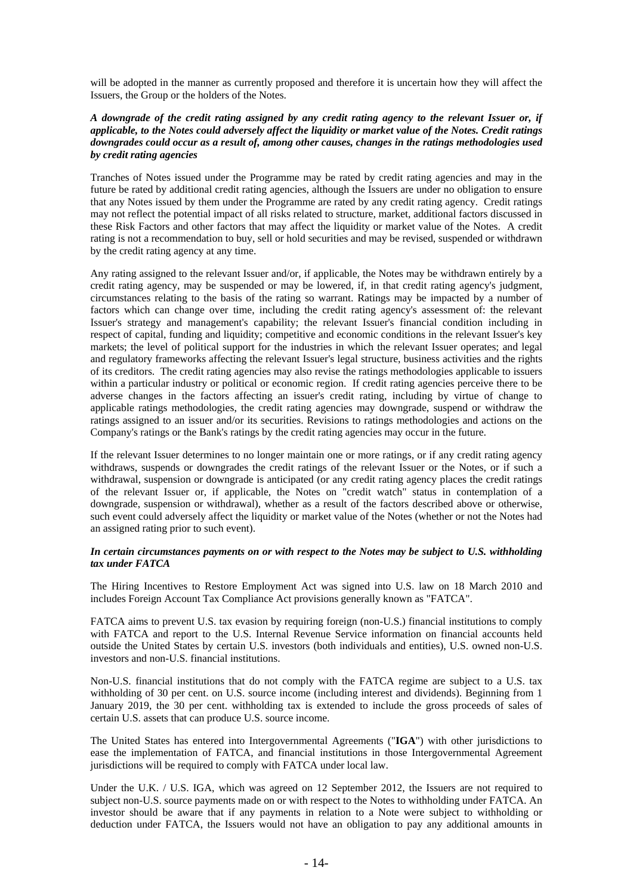will be adopted in the manner as currently proposed and therefore it is uncertain how they will affect the Issuers, the Group or the holders of the Notes.

#### *A downgrade of the credit rating assigned by any credit rating agency to the relevant Issuer or, if applicable, to the Notes could adversely affect the liquidity or market value of the Notes. Credit ratings downgrades could occur as a result of, among other causes, changes in the ratings methodologies used by credit rating agencies*

Tranches of Notes issued under the Programme may be rated by credit rating agencies and may in the future be rated by additional credit rating agencies, although the Issuers are under no obligation to ensure that any Notes issued by them under the Programme are rated by any credit rating agency. Credit ratings may not reflect the potential impact of all risks related to structure, market, additional factors discussed in these Risk Factors and other factors that may affect the liquidity or market value of the Notes. A credit rating is not a recommendation to buy, sell or hold securities and may be revised, suspended or withdrawn by the credit rating agency at any time.

Any rating assigned to the relevant Issuer and/or, if applicable, the Notes may be withdrawn entirely by a credit rating agency, may be suspended or may be lowered, if, in that credit rating agency's judgment, circumstances relating to the basis of the rating so warrant. Ratings may be impacted by a number of factors which can change over time, including the credit rating agency's assessment of: the relevant Issuer's strategy and management's capability; the relevant Issuer's financial condition including in respect of capital, funding and liquidity; competitive and economic conditions in the relevant Issuer's key markets; the level of political support for the industries in which the relevant Issuer operates; and legal and regulatory frameworks affecting the relevant Issuer's legal structure, business activities and the rights of its creditors. The credit rating agencies may also revise the ratings methodologies applicable to issuers within a particular industry or political or economic region. If credit rating agencies perceive there to be adverse changes in the factors affecting an issuer's credit rating, including by virtue of change to applicable ratings methodologies, the credit rating agencies may downgrade, suspend or withdraw the ratings assigned to an issuer and/or its securities. Revisions to ratings methodologies and actions on the Company's ratings or the Bank's ratings by the credit rating agencies may occur in the future.

If the relevant Issuer determines to no longer maintain one or more ratings, or if any credit rating agency withdraws, suspends or downgrades the credit ratings of the relevant Issuer or the Notes, or if such a withdrawal, suspension or downgrade is anticipated (or any credit rating agency places the credit ratings of the relevant Issuer or, if applicable, the Notes on "credit watch" status in contemplation of a downgrade, suspension or withdrawal), whether as a result of the factors described above or otherwise, such event could adversely affect the liquidity or market value of the Notes (whether or not the Notes had an assigned rating prior to such event).

#### *In certain circumstances payments on or with respect to the Notes may be subject to U.S. withholding tax under FATCA*

The Hiring Incentives to Restore Employment Act was signed into U.S. law on 18 March 2010 and includes Foreign Account Tax Compliance Act provisions generally known as "FATCA".

FATCA aims to prevent U.S. tax evasion by requiring foreign (non-U.S.) financial institutions to comply with FATCA and report to the U.S. Internal Revenue Service information on financial accounts held outside the United States by certain U.S. investors (both individuals and entities), U.S. owned non-U.S. investors and non-U.S. financial institutions.

Non-U.S. financial institutions that do not comply with the FATCA regime are subject to a U.S. tax withholding of 30 per cent. on U.S. source income (including interest and dividends). Beginning from 1 January 2019, the 30 per cent. withholding tax is extended to include the gross proceeds of sales of certain U.S. assets that can produce U.S. source income.

The United States has entered into Intergovernmental Agreements ("**IGA**") with other jurisdictions to ease the implementation of FATCA, and financial institutions in those Intergovernmental Agreement jurisdictions will be required to comply with FATCA under local law.

Under the U.K. / U.S. IGA, which was agreed on 12 September 2012, the Issuers are not required to subject non-U.S. source payments made on or with respect to the Notes to withholding under FATCA. An investor should be aware that if any payments in relation to a Note were subject to withholding or deduction under FATCA, the Issuers would not have an obligation to pay any additional amounts in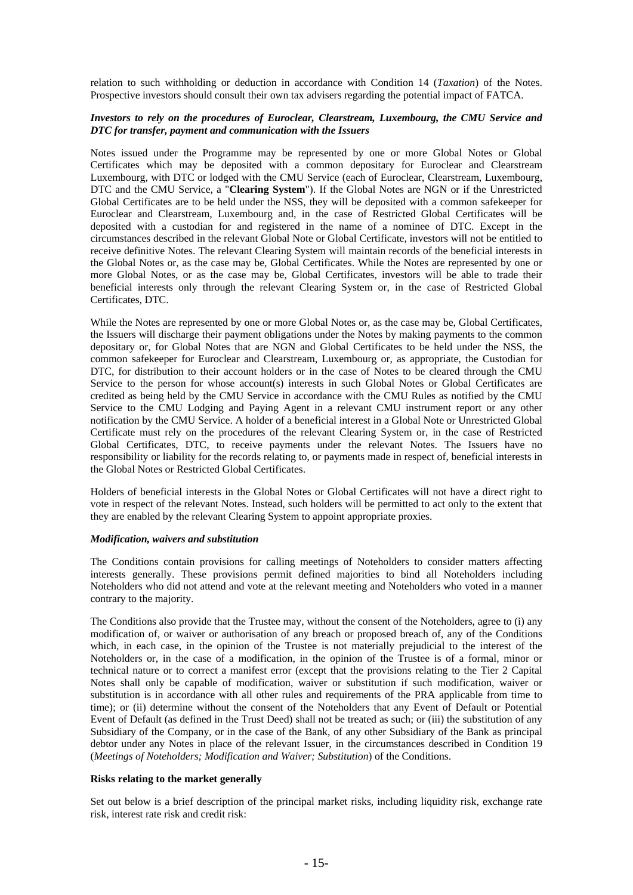relation to such withholding or deduction in accordance with Condition 14 (*Taxation*) of the Notes. Prospective investors should consult their own tax advisers regarding the potential impact of FATCA.

# *Investors to rely on the procedures of Euroclear, Clearstream, Luxembourg, the CMU Service and DTC for transfer, payment and communication with the Issuers*

Notes issued under the Programme may be represented by one or more Global Notes or Global Certificates which may be deposited with a common depositary for Euroclear and Clearstream Luxembourg, with DTC or lodged with the CMU Service (each of Euroclear, Clearstream, Luxembourg, DTC and the CMU Service, a "**Clearing System**"). If the Global Notes are NGN or if the Unrestricted Global Certificates are to be held under the NSS, they will be deposited with a common safekeeper for Euroclear and Clearstream, Luxembourg and, in the case of Restricted Global Certificates will be deposited with a custodian for and registered in the name of a nominee of DTC. Except in the circumstances described in the relevant Global Note or Global Certificate, investors will not be entitled to receive definitive Notes. The relevant Clearing System will maintain records of the beneficial interests in the Global Notes or, as the case may be, Global Certificates. While the Notes are represented by one or more Global Notes, or as the case may be, Global Certificates, investors will be able to trade their beneficial interests only through the relevant Clearing System or, in the case of Restricted Global Certificates, DTC.

While the Notes are represented by one or more Global Notes or, as the case may be, Global Certificates, the Issuers will discharge their payment obligations under the Notes by making payments to the common depositary or, for Global Notes that are NGN and Global Certificates to be held under the NSS, the common safekeeper for Euroclear and Clearstream, Luxembourg or, as appropriate, the Custodian for DTC, for distribution to their account holders or in the case of Notes to be cleared through the CMU Service to the person for whose account(s) interests in such Global Notes or Global Certificates are credited as being held by the CMU Service in accordance with the CMU Rules as notified by the CMU Service to the CMU Lodging and Paying Agent in a relevant CMU instrument report or any other notification by the CMU Service. A holder of a beneficial interest in a Global Note or Unrestricted Global Certificate must rely on the procedures of the relevant Clearing System or, in the case of Restricted Global Certificates, DTC, to receive payments under the relevant Notes. The Issuers have no responsibility or liability for the records relating to, or payments made in respect of, beneficial interests in the Global Notes or Restricted Global Certificates.

Holders of beneficial interests in the Global Notes or Global Certificates will not have a direct right to vote in respect of the relevant Notes. Instead, such holders will be permitted to act only to the extent that they are enabled by the relevant Clearing System to appoint appropriate proxies.

# *Modification, waivers and substitution*

The Conditions contain provisions for calling meetings of Noteholders to consider matters affecting interests generally. These provisions permit defined majorities to bind all Noteholders including Noteholders who did not attend and vote at the relevant meeting and Noteholders who voted in a manner contrary to the majority.

The Conditions also provide that the Trustee may, without the consent of the Noteholders, agree to (i) any modification of, or waiver or authorisation of any breach or proposed breach of, any of the Conditions which, in each case, in the opinion of the Trustee is not materially prejudicial to the interest of the Noteholders or, in the case of a modification, in the opinion of the Trustee is of a formal, minor or technical nature or to correct a manifest error (except that the provisions relating to the Tier 2 Capital Notes shall only be capable of modification, waiver or substitution if such modification, waiver or substitution is in accordance with all other rules and requirements of the PRA applicable from time to time); or (ii) determine without the consent of the Noteholders that any Event of Default or Potential Event of Default (as defined in the Trust Deed) shall not be treated as such; or (iii) the substitution of any Subsidiary of the Company, or in the case of the Bank, of any other Subsidiary of the Bank as principal debtor under any Notes in place of the relevant Issuer, in the circumstances described in Condition 19 (*Meetings of Noteholders; Modification and Waiver; Substitution*) of the Conditions.

#### **Risks relating to the market generally**

Set out below is a brief description of the principal market risks, including liquidity risk, exchange rate risk, interest rate risk and credit risk: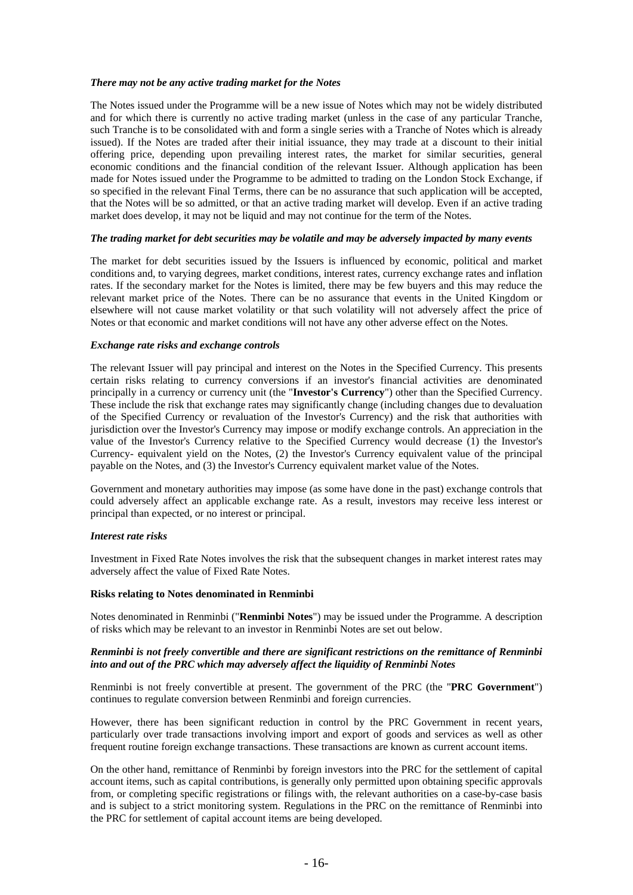#### *There may not be any active trading market for the Notes*

The Notes issued under the Programme will be a new issue of Notes which may not be widely distributed and for which there is currently no active trading market (unless in the case of any particular Tranche, such Tranche is to be consolidated with and form a single series with a Tranche of Notes which is already issued). If the Notes are traded after their initial issuance, they may trade at a discount to their initial offering price, depending upon prevailing interest rates, the market for similar securities, general economic conditions and the financial condition of the relevant Issuer. Although application has been made for Notes issued under the Programme to be admitted to trading on the London Stock Exchange, if so specified in the relevant Final Terms, there can be no assurance that such application will be accepted, that the Notes will be so admitted, or that an active trading market will develop. Even if an active trading market does develop, it may not be liquid and may not continue for the term of the Notes.

#### *The trading market for debt securities may be volatile and may be adversely impacted by many events*

The market for debt securities issued by the Issuers is influenced by economic, political and market conditions and, to varying degrees, market conditions, interest rates, currency exchange rates and inflation rates. If the secondary market for the Notes is limited, there may be few buyers and this may reduce the relevant market price of the Notes. There can be no assurance that events in the United Kingdom or elsewhere will not cause market volatility or that such volatility will not adversely affect the price of Notes or that economic and market conditions will not have any other adverse effect on the Notes.

#### *Exchange rate risks and exchange controls*

The relevant Issuer will pay principal and interest on the Notes in the Specified Currency. This presents certain risks relating to currency conversions if an investor's financial activities are denominated principally in a currency or currency unit (the "**Investor's Currency**") other than the Specified Currency. These include the risk that exchange rates may significantly change (including changes due to devaluation of the Specified Currency or revaluation of the Investor's Currency) and the risk that authorities with jurisdiction over the Investor's Currency may impose or modify exchange controls. An appreciation in the value of the Investor's Currency relative to the Specified Currency would decrease (1) the Investor's Currency- equivalent yield on the Notes, (2) the Investor's Currency equivalent value of the principal payable on the Notes, and (3) the Investor's Currency equivalent market value of the Notes.

Government and monetary authorities may impose (as some have done in the past) exchange controls that could adversely affect an applicable exchange rate. As a result, investors may receive less interest or principal than expected, or no interest or principal.

#### *Interest rate risks*

Investment in Fixed Rate Notes involves the risk that the subsequent changes in market interest rates may adversely affect the value of Fixed Rate Notes.

#### **Risks relating to Notes denominated in Renminbi**

Notes denominated in Renminbi ("**Renminbi Notes**") may be issued under the Programme. A description of risks which may be relevant to an investor in Renminbi Notes are set out below.

#### *Renminbi is not freely convertible and there are significant restrictions on the remittance of Renminbi into and out of the PRC which may adversely affect the liquidity of Renminbi Notes*

Renminbi is not freely convertible at present. The government of the PRC (the "**PRC Government**") continues to regulate conversion between Renminbi and foreign currencies.

However, there has been significant reduction in control by the PRC Government in recent years, particularly over trade transactions involving import and export of goods and services as well as other frequent routine foreign exchange transactions. These transactions are known as current account items.

On the other hand, remittance of Renminbi by foreign investors into the PRC for the settlement of capital account items, such as capital contributions, is generally only permitted upon obtaining specific approvals from, or completing specific registrations or filings with, the relevant authorities on a case-by-case basis and is subject to a strict monitoring system. Regulations in the PRC on the remittance of Renminbi into the PRC for settlement of capital account items are being developed.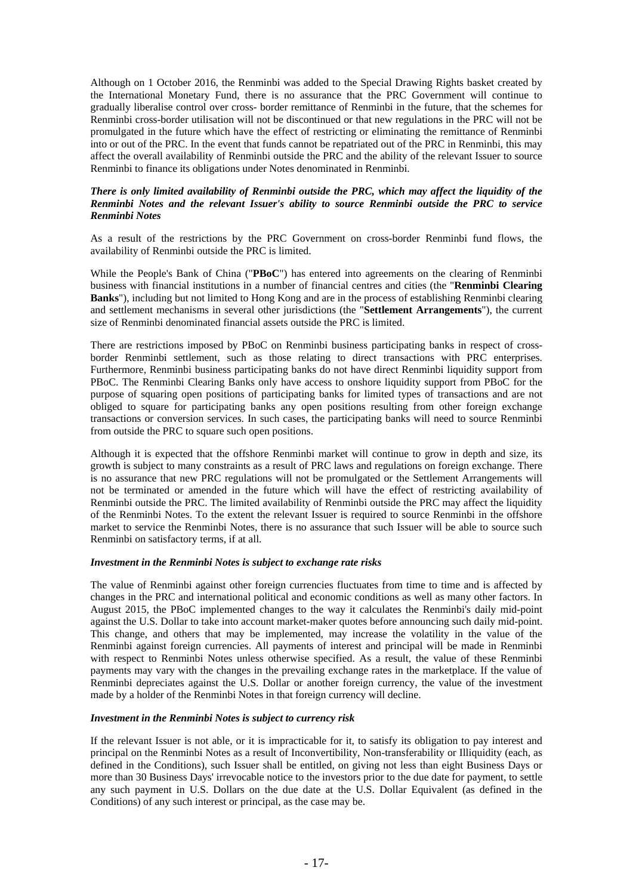Although on 1 October 2016, the Renminbi was added to the Special Drawing Rights basket created by the International Monetary Fund, there is no assurance that the PRC Government will continue to gradually liberalise control over cross- border remittance of Renminbi in the future, that the schemes for Renminbi cross-border utilisation will not be discontinued or that new regulations in the PRC will not be promulgated in the future which have the effect of restricting or eliminating the remittance of Renminbi into or out of the PRC. In the event that funds cannot be repatriated out of the PRC in Renminbi, this may affect the overall availability of Renminbi outside the PRC and the ability of the relevant Issuer to source Renminbi to finance its obligations under Notes denominated in Renminbi.

# *There is only limited availability of Renminbi outside the PRC, which may affect the liquidity of the Renminbi Notes and the relevant Issuer's ability to source Renminbi outside the PRC to service Renminbi Notes*

As a result of the restrictions by the PRC Government on cross-border Renminbi fund flows, the availability of Renminbi outside the PRC is limited.

While the People's Bank of China ("**PBoC**") has entered into agreements on the clearing of Renminbi business with financial institutions in a number of financial centres and cities (the "**Renminbi Clearing Banks**"), including but not limited to Hong Kong and are in the process of establishing Renminbi clearing and settlement mechanisms in several other jurisdictions (the "**Settlement Arrangements**"), the current size of Renminbi denominated financial assets outside the PRC is limited.

There are restrictions imposed by PBoC on Renminbi business participating banks in respect of crossborder Renminbi settlement, such as those relating to direct transactions with PRC enterprises. Furthermore, Renminbi business participating banks do not have direct Renminbi liquidity support from PBoC. The Renminbi Clearing Banks only have access to onshore liquidity support from PBoC for the purpose of squaring open positions of participating banks for limited types of transactions and are not obliged to square for participating banks any open positions resulting from other foreign exchange transactions or conversion services. In such cases, the participating banks will need to source Renminbi from outside the PRC to square such open positions.

Although it is expected that the offshore Renminbi market will continue to grow in depth and size, its growth is subject to many constraints as a result of PRC laws and regulations on foreign exchange. There is no assurance that new PRC regulations will not be promulgated or the Settlement Arrangements will not be terminated or amended in the future which will have the effect of restricting availability of Renminbi outside the PRC. The limited availability of Renminbi outside the PRC may affect the liquidity of the Renminbi Notes. To the extent the relevant Issuer is required to source Renminbi in the offshore market to service the Renminbi Notes, there is no assurance that such Issuer will be able to source such Renminbi on satisfactory terms, if at all.

# *Investment in the Renminbi Notes is subject to exchange rate risks*

The value of Renminbi against other foreign currencies fluctuates from time to time and is affected by changes in the PRC and international political and economic conditions as well as many other factors. In August 2015, the PBoC implemented changes to the way it calculates the Renminbi's daily mid-point against the U.S. Dollar to take into account market-maker quotes before announcing such daily mid-point. This change, and others that may be implemented, may increase the volatility in the value of the Renminbi against foreign currencies. All payments of interest and principal will be made in Renminbi with respect to Renminbi Notes unless otherwise specified. As a result, the value of these Renminbi payments may vary with the changes in the prevailing exchange rates in the marketplace. If the value of Renminbi depreciates against the U.S. Dollar or another foreign currency, the value of the investment made by a holder of the Renminbi Notes in that foreign currency will decline.

#### *Investment in the Renminbi Notes is subject to currency risk*

If the relevant Issuer is not able, or it is impracticable for it, to satisfy its obligation to pay interest and principal on the Renminbi Notes as a result of Inconvertibility, Non-transferability or Illiquidity (each, as defined in the Conditions), such Issuer shall be entitled, on giving not less than eight Business Days or more than 30 Business Days' irrevocable notice to the investors prior to the due date for payment, to settle any such payment in U.S. Dollars on the due date at the U.S. Dollar Equivalent (as defined in the Conditions) of any such interest or principal, as the case may be.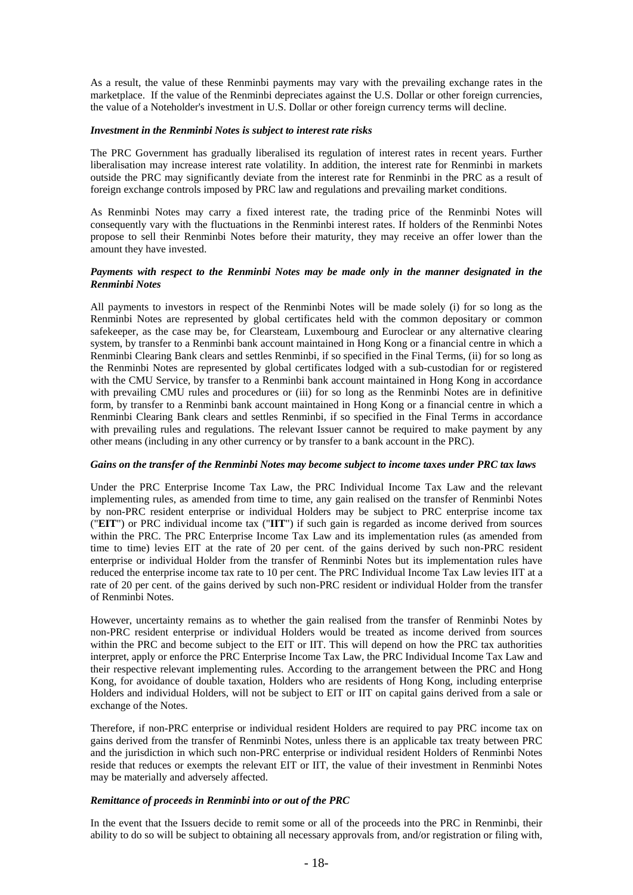As a result, the value of these Renminbi payments may vary with the prevailing exchange rates in the marketplace. If the value of the Renminbi depreciates against the U.S. Dollar or other foreign currencies, the value of a Noteholder's investment in U.S. Dollar or other foreign currency terms will decline.

#### *Investment in the Renminbi Notes is subject to interest rate risks*

The PRC Government has gradually liberalised its regulation of interest rates in recent years. Further liberalisation may increase interest rate volatility. In addition, the interest rate for Renminbi in markets outside the PRC may significantly deviate from the interest rate for Renminbi in the PRC as a result of foreign exchange controls imposed by PRC law and regulations and prevailing market conditions.

As Renminbi Notes may carry a fixed interest rate, the trading price of the Renminbi Notes will consequently vary with the fluctuations in the Renminbi interest rates. If holders of the Renminbi Notes propose to sell their Renminbi Notes before their maturity, they may receive an offer lower than the amount they have invested.

#### *Payments with respect to the Renminbi Notes may be made only in the manner designated in the Renminbi Notes*

All payments to investors in respect of the Renminbi Notes will be made solely (i) for so long as the Renminbi Notes are represented by global certificates held with the common depositary or common safekeeper, as the case may be, for Clearsteam, Luxembourg and Euroclear or any alternative clearing system, by transfer to a Renminbi bank account maintained in Hong Kong or a financial centre in which a Renminbi Clearing Bank clears and settles Renminbi, if so specified in the Final Terms, (ii) for so long as the Renminbi Notes are represented by global certificates lodged with a sub-custodian for or registered with the CMU Service, by transfer to a Renminbi bank account maintained in Hong Kong in accordance with prevailing CMU rules and procedures or (iii) for so long as the Renminbi Notes are in definitive form, by transfer to a Renminbi bank account maintained in Hong Kong or a financial centre in which a Renminbi Clearing Bank clears and settles Renminbi, if so specified in the Final Terms in accordance with prevailing rules and regulations. The relevant Issuer cannot be required to make payment by any other means (including in any other currency or by transfer to a bank account in the PRC).

# *Gains on the transfer of the Renminbi Notes may become subject to income taxes under PRC tax laws*

Under the PRC Enterprise Income Tax Law, the PRC Individual Income Tax Law and the relevant implementing rules, as amended from time to time, any gain realised on the transfer of Renminbi Notes by non-PRC resident enterprise or individual Holders may be subject to PRC enterprise income tax ("**EIT**") or PRC individual income tax ("**IIT**") if such gain is regarded as income derived from sources within the PRC. The PRC Enterprise Income Tax Law and its implementation rules (as amended from time to time) levies EIT at the rate of 20 per cent. of the gains derived by such non-PRC resident enterprise or individual Holder from the transfer of Renminbi Notes but its implementation rules have reduced the enterprise income tax rate to 10 per cent. The PRC Individual Income Tax Law levies IIT at a rate of 20 per cent. of the gains derived by such non-PRC resident or individual Holder from the transfer of Renminbi Notes.

However, uncertainty remains as to whether the gain realised from the transfer of Renminbi Notes by non-PRC resident enterprise or individual Holders would be treated as income derived from sources within the PRC and become subject to the EIT or IIT. This will depend on how the PRC tax authorities interpret, apply or enforce the PRC Enterprise Income Tax Law, the PRC Individual Income Tax Law and their respective relevant implementing rules. According to the arrangement between the PRC and Hong Kong, for avoidance of double taxation, Holders who are residents of Hong Kong, including enterprise Holders and individual Holders, will not be subject to EIT or IIT on capital gains derived from a sale or exchange of the Notes.

Therefore, if non-PRC enterprise or individual resident Holders are required to pay PRC income tax on gains derived from the transfer of Renminbi Notes, unless there is an applicable tax treaty between PRC and the jurisdiction in which such non-PRC enterprise or individual resident Holders of Renminbi Notes reside that reduces or exempts the relevant EIT or IIT, the value of their investment in Renminbi Notes may be materially and adversely affected.

# *Remittance of proceeds in Renminbi into or out of the PRC*

In the event that the Issuers decide to remit some or all of the proceeds into the PRC in Renminbi, their ability to do so will be subject to obtaining all necessary approvals from, and/or registration or filing with,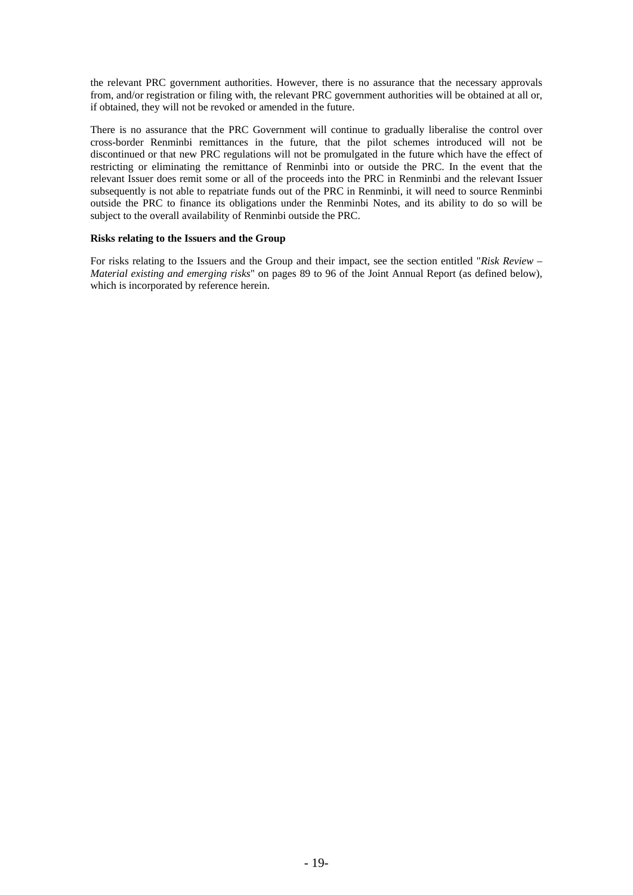the relevant PRC government authorities. However, there is no assurance that the necessary approvals from, and/or registration or filing with, the relevant PRC government authorities will be obtained at all or, if obtained, they will not be revoked or amended in the future.

There is no assurance that the PRC Government will continue to gradually liberalise the control over cross-border Renminbi remittances in the future, that the pilot schemes introduced will not be discontinued or that new PRC regulations will not be promulgated in the future which have the effect of restricting or eliminating the remittance of Renminbi into or outside the PRC. In the event that the relevant Issuer does remit some or all of the proceeds into the PRC in Renminbi and the relevant Issuer subsequently is not able to repatriate funds out of the PRC in Renminbi, it will need to source Renminbi outside the PRC to finance its obligations under the Renminbi Notes, and its ability to do so will be subject to the overall availability of Renminbi outside the PRC.

#### **Risks relating to the Issuers and the Group**

For risks relating to the Issuers and the Group and their impact, see the section entitled "*Risk Review – Material existing and emerging risks*" on pages 89 to 96 of the Joint Annual Report (as defined below), which is incorporated by reference herein.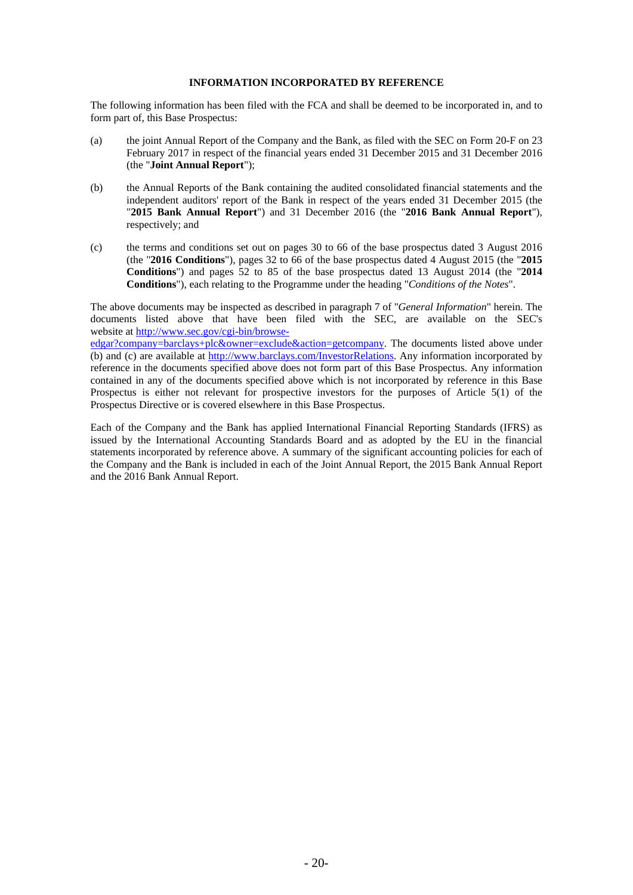#### **INFORMATION INCORPORATED BY REFERENCE**

The following information has been filed with the FCA and shall be deemed to be incorporated in, and to form part of, this Base Prospectus:

- (a) the joint Annual Report of the Company and the Bank, as filed with the SEC on Form 20-F on 23 February 2017 in respect of the financial years ended 31 December 2015 and 31 December 2016 (the "**Joint Annual Report**");
- (b) the Annual Reports of the Bank containing the audited consolidated financial statements and the independent auditors' report of the Bank in respect of the years ended 31 December 2015 (the "**2015 Bank Annual Report**") and 31 December 2016 (the "**2016 Bank Annual Report**"), respectively; and
- (c) the terms and conditions set out on pages 30 to 66 of the base prospectus dated 3 August 2016 (the "**2016 Conditions**"), pages 32 to 66 of the base prospectus dated 4 August 2015 (the "**2015 Conditions**") and pages 52 to 85 of the base prospectus dated 13 August 2014 (the "**2014 Conditions**"), each relating to the Programme under the heading "*Conditions of the Notes*".

The above documents may be inspected as described in paragraph 7 of "*General Information*" herein. The documents listed above that have been filed with the SEC, are available on the SEC's website at http://www.sec.gov/cgi-bin/browse-

edgar?company=barclays+plc&owner=exclude&action=getcompany. The documents listed above under (b) and (c) are available at http://www.barclays.com/InvestorRelations. Any information incorporated by reference in the documents specified above does not form part of this Base Prospectus. Any information contained in any of the documents specified above which is not incorporated by reference in this Base Prospectus is either not relevant for prospective investors for the purposes of Article 5(1) of the Prospectus Directive or is covered elsewhere in this Base Prospectus.

Each of the Company and the Bank has applied International Financial Reporting Standards (IFRS) as issued by the International Accounting Standards Board and as adopted by the EU in the financial statements incorporated by reference above. A summary of the significant accounting policies for each of the Company and the Bank is included in each of the Joint Annual Report, the 2015 Bank Annual Report and the 2016 Bank Annual Report.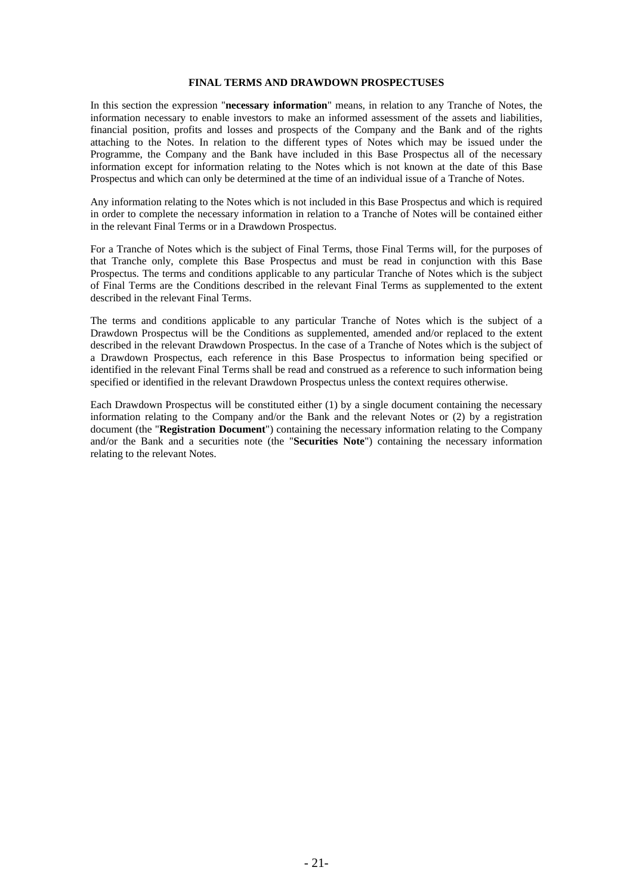#### **FINAL TERMS AND DRAWDOWN PROSPECTUSES**

In this section the expression "**necessary information**" means, in relation to any Tranche of Notes, the information necessary to enable investors to make an informed assessment of the assets and liabilities, financial position, profits and losses and prospects of the Company and the Bank and of the rights attaching to the Notes. In relation to the different types of Notes which may be issued under the Programme, the Company and the Bank have included in this Base Prospectus all of the necessary information except for information relating to the Notes which is not known at the date of this Base Prospectus and which can only be determined at the time of an individual issue of a Tranche of Notes.

Any information relating to the Notes which is not included in this Base Prospectus and which is required in order to complete the necessary information in relation to a Tranche of Notes will be contained either in the relevant Final Terms or in a Drawdown Prospectus.

For a Tranche of Notes which is the subject of Final Terms, those Final Terms will, for the purposes of that Tranche only, complete this Base Prospectus and must be read in conjunction with this Base Prospectus. The terms and conditions applicable to any particular Tranche of Notes which is the subject of Final Terms are the Conditions described in the relevant Final Terms as supplemented to the extent described in the relevant Final Terms.

The terms and conditions applicable to any particular Tranche of Notes which is the subject of a Drawdown Prospectus will be the Conditions as supplemented, amended and/or replaced to the extent described in the relevant Drawdown Prospectus. In the case of a Tranche of Notes which is the subject of a Drawdown Prospectus, each reference in this Base Prospectus to information being specified or identified in the relevant Final Terms shall be read and construed as a reference to such information being specified or identified in the relevant Drawdown Prospectus unless the context requires otherwise.

Each Drawdown Prospectus will be constituted either (1) by a single document containing the necessary information relating to the Company and/or the Bank and the relevant Notes or (2) by a registration document (the "**Registration Document**") containing the necessary information relating to the Company and/or the Bank and a securities note (the "**Securities Note**") containing the necessary information relating to the relevant Notes.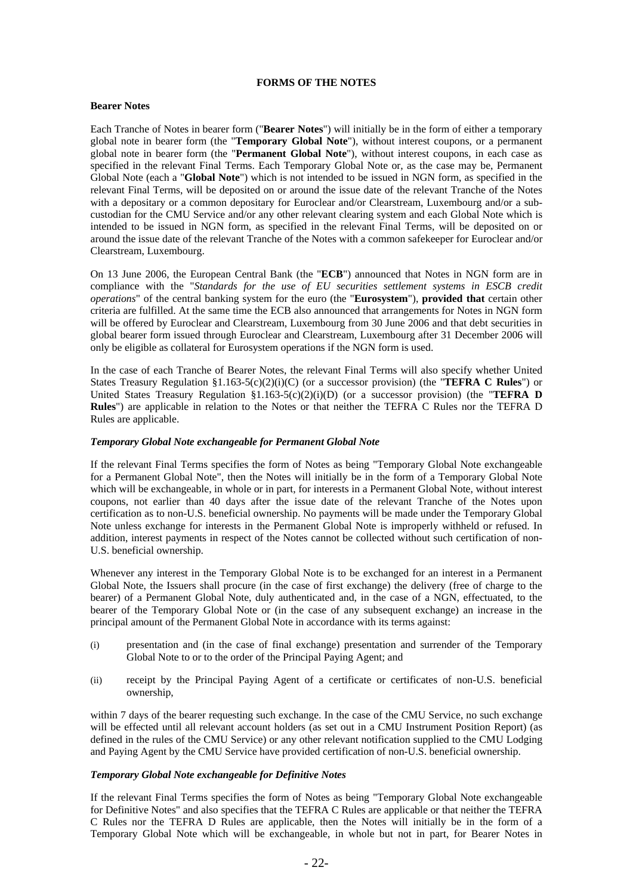#### **FORMS OF THE NOTES**

#### **Bearer Notes**

Each Tranche of Notes in bearer form ("**Bearer Notes**") will initially be in the form of either a temporary global note in bearer form (the "**Temporary Global Note**"), without interest coupons, or a permanent global note in bearer form (the "**Permanent Global Note**"), without interest coupons, in each case as specified in the relevant Final Terms. Each Temporary Global Note or, as the case may be, Permanent Global Note (each a "**Global Note**") which is not intended to be issued in NGN form, as specified in the relevant Final Terms, will be deposited on or around the issue date of the relevant Tranche of the Notes with a depositary or a common depositary for Euroclear and/or Clearstream, Luxembourg and/or a subcustodian for the CMU Service and/or any other relevant clearing system and each Global Note which is intended to be issued in NGN form, as specified in the relevant Final Terms, will be deposited on or around the issue date of the relevant Tranche of the Notes with a common safekeeper for Euroclear and/or Clearstream, Luxembourg.

On 13 June 2006, the European Central Bank (the "**ECB**") announced that Notes in NGN form are in compliance with the "*Standards for the use of EU securities settlement systems in ESCB credit operations*" of the central banking system for the euro (the "**Eurosystem**"), **provided that** certain other criteria are fulfilled. At the same time the ECB also announced that arrangements for Notes in NGN form will be offered by Euroclear and Clearstream, Luxembourg from 30 June 2006 and that debt securities in global bearer form issued through Euroclear and Clearstream, Luxembourg after 31 December 2006 will only be eligible as collateral for Eurosystem operations if the NGN form is used.

In the case of each Tranche of Bearer Notes, the relevant Final Terms will also specify whether United States Treasury Regulation §1.163-5(c)(2)(i)(C) (or a successor provision) (the "**TEFRA C Rules**") or United States Treasury Regulation §1.163-5(c)(2)(i)(D) (or a successor provision) (the "**TEFRA D Rules**") are applicable in relation to the Notes or that neither the TEFRA C Rules nor the TEFRA D Rules are applicable.

#### *Temporary Global Note exchangeable for Permanent Global Note*

If the relevant Final Terms specifies the form of Notes as being "Temporary Global Note exchangeable for a Permanent Global Note", then the Notes will initially be in the form of a Temporary Global Note which will be exchangeable, in whole or in part, for interests in a Permanent Global Note, without interest coupons, not earlier than 40 days after the issue date of the relevant Tranche of the Notes upon certification as to non-U.S. beneficial ownership. No payments will be made under the Temporary Global Note unless exchange for interests in the Permanent Global Note is improperly withheld or refused. In addition, interest payments in respect of the Notes cannot be collected without such certification of non-U.S. beneficial ownership.

Whenever any interest in the Temporary Global Note is to be exchanged for an interest in a Permanent Global Note, the Issuers shall procure (in the case of first exchange) the delivery (free of charge to the bearer) of a Permanent Global Note, duly authenticated and, in the case of a NGN, effectuated, to the bearer of the Temporary Global Note or (in the case of any subsequent exchange) an increase in the principal amount of the Permanent Global Note in accordance with its terms against:

- (i) presentation and (in the case of final exchange) presentation and surrender of the Temporary Global Note to or to the order of the Principal Paying Agent; and
- (ii) receipt by the Principal Paying Agent of a certificate or certificates of non-U.S. beneficial ownership,

within 7 days of the bearer requesting such exchange. In the case of the CMU Service, no such exchange will be effected until all relevant account holders (as set out in a CMU Instrument Position Report) (as defined in the rules of the CMU Service) or any other relevant notification supplied to the CMU Lodging and Paying Agent by the CMU Service have provided certification of non-U.S. beneficial ownership.

#### *Temporary Global Note exchangeable for Definitive Notes*

If the relevant Final Terms specifies the form of Notes as being "Temporary Global Note exchangeable for Definitive Notes" and also specifies that the TEFRA C Rules are applicable or that neither the TEFRA C Rules nor the TEFRA D Rules are applicable, then the Notes will initially be in the form of a Temporary Global Note which will be exchangeable, in whole but not in part, for Bearer Notes in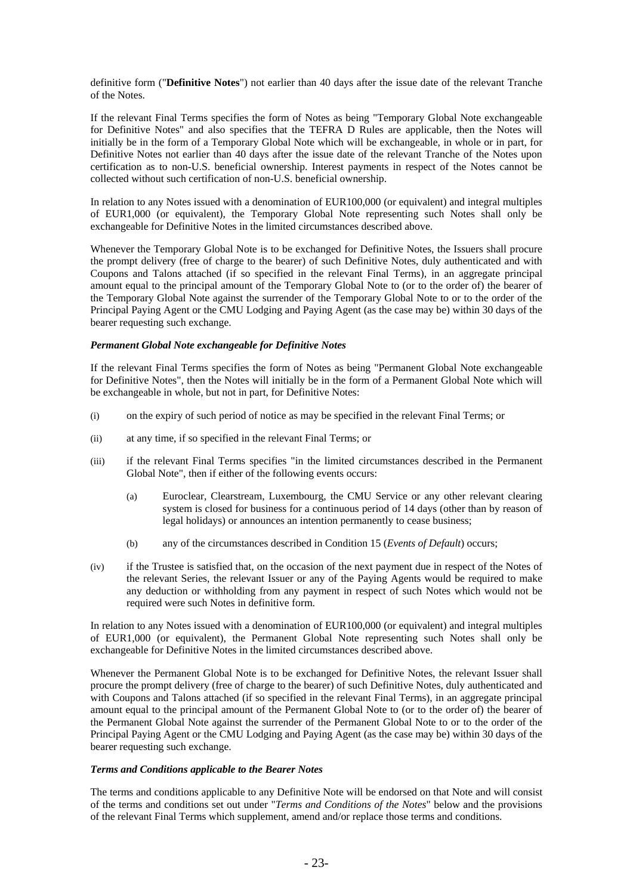definitive form ("**Definitive Notes**") not earlier than 40 days after the issue date of the relevant Tranche of the Notes.

If the relevant Final Terms specifies the form of Notes as being "Temporary Global Note exchangeable for Definitive Notes" and also specifies that the TEFRA D Rules are applicable, then the Notes will initially be in the form of a Temporary Global Note which will be exchangeable, in whole or in part, for Definitive Notes not earlier than 40 days after the issue date of the relevant Tranche of the Notes upon certification as to non-U.S. beneficial ownership. Interest payments in respect of the Notes cannot be collected without such certification of non-U.S. beneficial ownership.

In relation to any Notes issued with a denomination of EUR100,000 (or equivalent) and integral multiples of EUR1,000 (or equivalent), the Temporary Global Note representing such Notes shall only be exchangeable for Definitive Notes in the limited circumstances described above.

Whenever the Temporary Global Note is to be exchanged for Definitive Notes, the Issuers shall procure the prompt delivery (free of charge to the bearer) of such Definitive Notes, duly authenticated and with Coupons and Talons attached (if so specified in the relevant Final Terms), in an aggregate principal amount equal to the principal amount of the Temporary Global Note to (or to the order of) the bearer of the Temporary Global Note against the surrender of the Temporary Global Note to or to the order of the Principal Paying Agent or the CMU Lodging and Paying Agent (as the case may be) within 30 days of the bearer requesting such exchange.

# *Permanent Global Note exchangeable for Definitive Notes*

If the relevant Final Terms specifies the form of Notes as being "Permanent Global Note exchangeable for Definitive Notes", then the Notes will initially be in the form of a Permanent Global Note which will be exchangeable in whole, but not in part, for Definitive Notes:

- (i) on the expiry of such period of notice as may be specified in the relevant Final Terms; or
- (ii) at any time, if so specified in the relevant Final Terms; or
- (iii) if the relevant Final Terms specifies "in the limited circumstances described in the Permanent Global Note", then if either of the following events occurs:
	- (a) Euroclear, Clearstream, Luxembourg, the CMU Service or any other relevant clearing system is closed for business for a continuous period of 14 days (other than by reason of legal holidays) or announces an intention permanently to cease business;
	- (b) any of the circumstances described in Condition 15 (*Events of Default*) occurs;
- (iv) if the Trustee is satisfied that, on the occasion of the next payment due in respect of the Notes of the relevant Series, the relevant Issuer or any of the Paying Agents would be required to make any deduction or withholding from any payment in respect of such Notes which would not be required were such Notes in definitive form.

In relation to any Notes issued with a denomination of EUR100,000 (or equivalent) and integral multiples of EUR1,000 (or equivalent), the Permanent Global Note representing such Notes shall only be exchangeable for Definitive Notes in the limited circumstances described above.

Whenever the Permanent Global Note is to be exchanged for Definitive Notes, the relevant Issuer shall procure the prompt delivery (free of charge to the bearer) of such Definitive Notes, duly authenticated and with Coupons and Talons attached (if so specified in the relevant Final Terms), in an aggregate principal amount equal to the principal amount of the Permanent Global Note to (or to the order of) the bearer of the Permanent Global Note against the surrender of the Permanent Global Note to or to the order of the Principal Paying Agent or the CMU Lodging and Paying Agent (as the case may be) within 30 days of the bearer requesting such exchange.

# *Terms and Conditions applicable to the Bearer Notes*

The terms and conditions applicable to any Definitive Note will be endorsed on that Note and will consist of the terms and conditions set out under "*Terms and Conditions of the Notes*" below and the provisions of the relevant Final Terms which supplement, amend and/or replace those terms and conditions.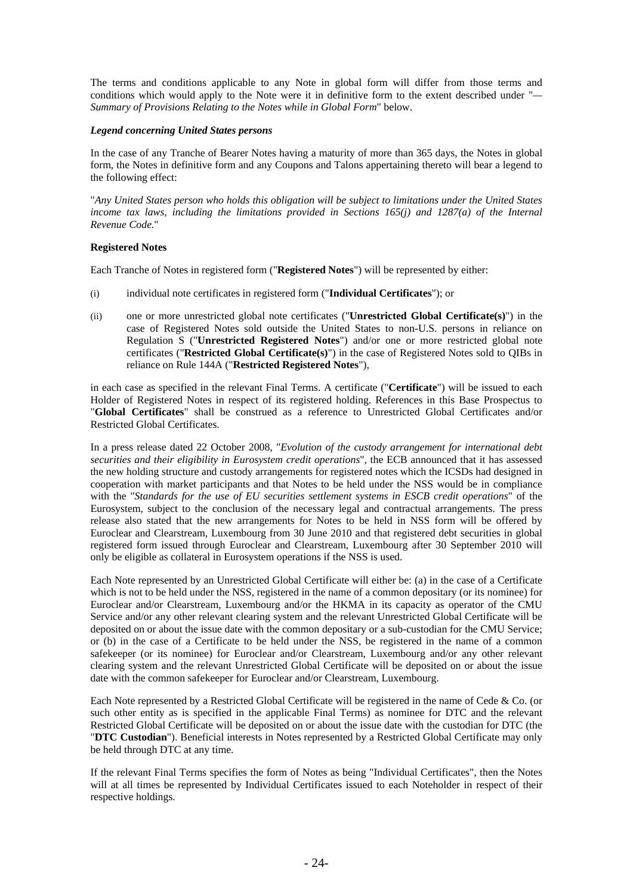The terms and conditions applicable to any Note in global form will differ from those terms and conditions which would apply to the Note were it in definitive form to the extent described under "*— Summary of Provisions Relating to the Notes while in Global Form*" below.

#### *Legend concerning United States persons*

In the case of any Tranche of Bearer Notes having a maturity of more than 365 days, the Notes in global form, the Notes in definitive form and any Coupons and Talons appertaining thereto will bear a legend to the following effect:

"*Any United States person who holds this obligation will be subject to limitations under the United States income tax laws, including the limitations provided in Sections 165(j) and 1287(a) of the Internal Revenue Code.*"

# **Registered Notes**

Each Tranche of Notes in registered form ("**Registered Notes**") will be represented by either:

- (i) individual note certificates in registered form ("**Individual Certificates**"); or
- (ii) one or more unrestricted global note certificates ("**Unrestricted Global Certificate(s)**") in the case of Registered Notes sold outside the United States to non-U.S. persons in reliance on Regulation S ("**Unrestricted Registered Notes**") and/or one or more restricted global note certificates ("**Restricted Global Certificate(s)**") in the case of Registered Notes sold to QIBs in reliance on Rule 144A ("**Restricted Registered Notes**"),

in each case as specified in the relevant Final Terms. A certificate ("**Certificate**") will be issued to each Holder of Registered Notes in respect of its registered holding. References in this Base Prospectus to "**Global Certificates**" shall be construed as a reference to Unrestricted Global Certificates and/or Restricted Global Certificates.

In a press release dated 22 October 2008, "*Evolution of the custody arrangement for international debt securities and their eligibility in Eurosystem credit operations*", the ECB announced that it has assessed the new holding structure and custody arrangements for registered notes which the ICSDs had designed in cooperation with market participants and that Notes to be held under the NSS would be in compliance with the "*Standards for the use of EU securities settlement systems in ESCB credit operations*" of the Eurosystem, subject to the conclusion of the necessary legal and contractual arrangements. The press release also stated that the new arrangements for Notes to be held in NSS form will be offered by Euroclear and Clearstream, Luxembourg from 30 June 2010 and that registered debt securities in global registered form issued through Euroclear and Clearstream, Luxembourg after 30 September 2010 will only be eligible as collateral in Eurosystem operations if the NSS is used.

Each Note represented by an Unrestricted Global Certificate will either be: (a) in the case of a Certificate which is not to be held under the NSS, registered in the name of a common depositary (or its nominee) for Euroclear and/or Clearstream, Luxembourg and/or the HKMA in its capacity as operator of the CMU Service and/or any other relevant clearing system and the relevant Unrestricted Global Certificate will be deposited on or about the issue date with the common depositary or a sub-custodian for the CMU Service; or (b) in the case of a Certificate to be held under the NSS, be registered in the name of a common safekeeper (or its nominee) for Euroclear and/or Clearstream, Luxembourg and/or any other relevant clearing system and the relevant Unrestricted Global Certificate will be deposited on or about the issue date with the common safekeeper for Euroclear and/or Clearstream, Luxembourg.

Each Note represented by a Restricted Global Certificate will be registered in the name of Cede & Co. (or such other entity as is specified in the applicable Final Terms) as nominee for DTC and the relevant Restricted Global Certificate will be deposited on or about the issue date with the custodian for DTC (the "**DTC Custodian**"). Beneficial interests in Notes represented by a Restricted Global Certificate may only be held through DTC at any time.

If the relevant Final Terms specifies the form of Notes as being "Individual Certificates", then the Notes will at all times be represented by Individual Certificates issued to each Noteholder in respect of their respective holdings.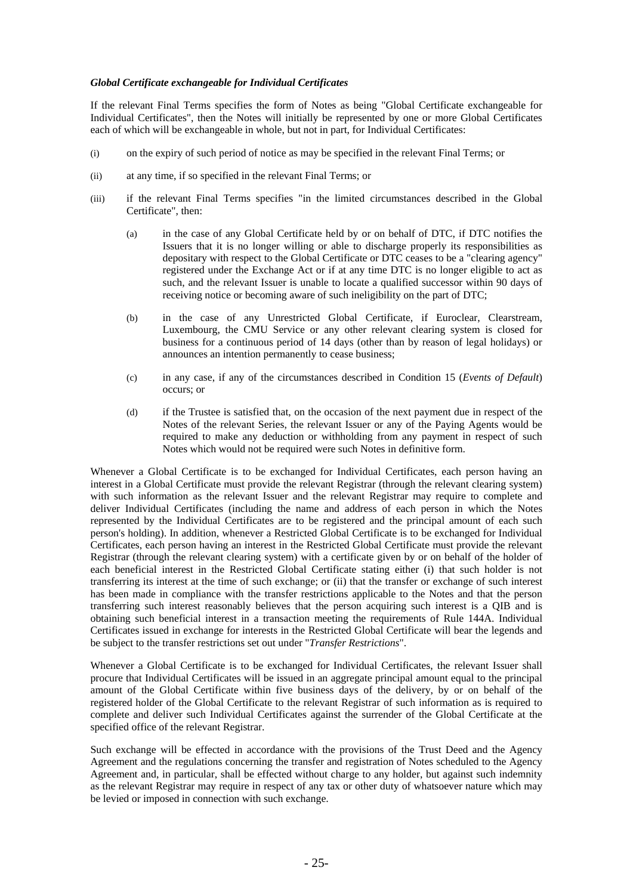# *Global Certificate exchangeable for Individual Certificates*

If the relevant Final Terms specifies the form of Notes as being "Global Certificate exchangeable for Individual Certificates", then the Notes will initially be represented by one or more Global Certificates each of which will be exchangeable in whole, but not in part, for Individual Certificates:

- (i) on the expiry of such period of notice as may be specified in the relevant Final Terms; or
- (ii) at any time, if so specified in the relevant Final Terms; or
- (iii) if the relevant Final Terms specifies "in the limited circumstances described in the Global Certificate", then:
	- (a) in the case of any Global Certificate held by or on behalf of DTC, if DTC notifies the Issuers that it is no longer willing or able to discharge properly its responsibilities as depositary with respect to the Global Certificate or DTC ceases to be a "clearing agency" registered under the Exchange Act or if at any time DTC is no longer eligible to act as such, and the relevant Issuer is unable to locate a qualified successor within 90 days of receiving notice or becoming aware of such ineligibility on the part of DTC;
	- (b) in the case of any Unrestricted Global Certificate, if Euroclear, Clearstream, Luxembourg, the CMU Service or any other relevant clearing system is closed for business for a continuous period of 14 days (other than by reason of legal holidays) or announces an intention permanently to cease business;
	- (c) in any case, if any of the circumstances described in Condition 15 (*Events of Default*) occurs; or
	- (d) if the Trustee is satisfied that, on the occasion of the next payment due in respect of the Notes of the relevant Series, the relevant Issuer or any of the Paying Agents would be required to make any deduction or withholding from any payment in respect of such Notes which would not be required were such Notes in definitive form.

Whenever a Global Certificate is to be exchanged for Individual Certificates, each person having an interest in a Global Certificate must provide the relevant Registrar (through the relevant clearing system) with such information as the relevant Issuer and the relevant Registrar may require to complete and deliver Individual Certificates (including the name and address of each person in which the Notes represented by the Individual Certificates are to be registered and the principal amount of each such person's holding). In addition, whenever a Restricted Global Certificate is to be exchanged for Individual Certificates, each person having an interest in the Restricted Global Certificate must provide the relevant Registrar (through the relevant clearing system) with a certificate given by or on behalf of the holder of each beneficial interest in the Restricted Global Certificate stating either (i) that such holder is not transferring its interest at the time of such exchange; or (ii) that the transfer or exchange of such interest has been made in compliance with the transfer restrictions applicable to the Notes and that the person transferring such interest reasonably believes that the person acquiring such interest is a QIB and is obtaining such beneficial interest in a transaction meeting the requirements of Rule 144A. Individual Certificates issued in exchange for interests in the Restricted Global Certificate will bear the legends and be subject to the transfer restrictions set out under "*Transfer Restrictions*".

Whenever a Global Certificate is to be exchanged for Individual Certificates, the relevant Issuer shall procure that Individual Certificates will be issued in an aggregate principal amount equal to the principal amount of the Global Certificate within five business days of the delivery, by or on behalf of the registered holder of the Global Certificate to the relevant Registrar of such information as is required to complete and deliver such Individual Certificates against the surrender of the Global Certificate at the specified office of the relevant Registrar.

Such exchange will be effected in accordance with the provisions of the Trust Deed and the Agency Agreement and the regulations concerning the transfer and registration of Notes scheduled to the Agency Agreement and, in particular, shall be effected without charge to any holder, but against such indemnity as the relevant Registrar may require in respect of any tax or other duty of whatsoever nature which may be levied or imposed in connection with such exchange.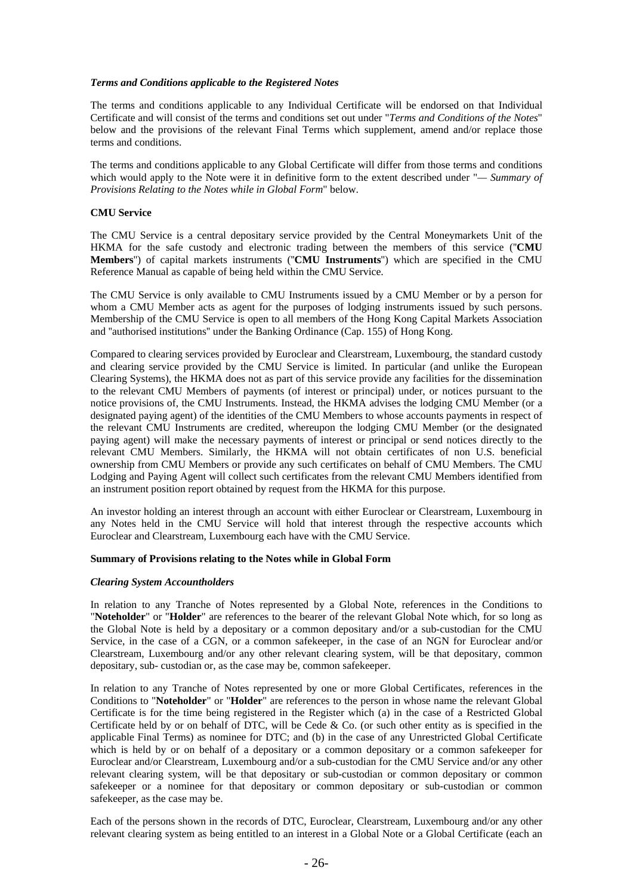#### *Terms and Conditions applicable to the Registered Notes*

The terms and conditions applicable to any Individual Certificate will be endorsed on that Individual Certificate and will consist of the terms and conditions set out under "*Terms and Conditions of the Notes*" below and the provisions of the relevant Final Terms which supplement, amend and/or replace those terms and conditions.

The terms and conditions applicable to any Global Certificate will differ from those terms and conditions which would apply to the Note were it in definitive form to the extent described under "*— Summary of Provisions Relating to the Notes while in Global Form*" below.

#### **CMU Service**

The CMU Service is a central depositary service provided by the Central Moneymarkets Unit of the HKMA for the safe custody and electronic trading between the members of this service (''**CMU Members**'') of capital markets instruments (''**CMU Instruments**'') which are specified in the CMU Reference Manual as capable of being held within the CMU Service.

The CMU Service is only available to CMU Instruments issued by a CMU Member or by a person for whom a CMU Member acts as agent for the purposes of lodging instruments issued by such persons. Membership of the CMU Service is open to all members of the Hong Kong Capital Markets Association and ''authorised institutions'' under the Banking Ordinance (Cap. 155) of Hong Kong.

Compared to clearing services provided by Euroclear and Clearstream, Luxembourg, the standard custody and clearing service provided by the CMU Service is limited. In particular (and unlike the European Clearing Systems), the HKMA does not as part of this service provide any facilities for the dissemination to the relevant CMU Members of payments (of interest or principal) under, or notices pursuant to the notice provisions of, the CMU Instruments. Instead, the HKMA advises the lodging CMU Member (or a designated paying agent) of the identities of the CMU Members to whose accounts payments in respect of the relevant CMU Instruments are credited, whereupon the lodging CMU Member (or the designated paying agent) will make the necessary payments of interest or principal or send notices directly to the relevant CMU Members. Similarly, the HKMA will not obtain certificates of non U.S. beneficial ownership from CMU Members or provide any such certificates on behalf of CMU Members. The CMU Lodging and Paying Agent will collect such certificates from the relevant CMU Members identified from an instrument position report obtained by request from the HKMA for this purpose.

An investor holding an interest through an account with either Euroclear or Clearstream, Luxembourg in any Notes held in the CMU Service will hold that interest through the respective accounts which Euroclear and Clearstream, Luxembourg each have with the CMU Service.

#### **Summary of Provisions relating to the Notes while in Global Form**

#### *Clearing System Accountholders*

In relation to any Tranche of Notes represented by a Global Note, references in the Conditions to "**Noteholder**" or "**Holder**" are references to the bearer of the relevant Global Note which, for so long as the Global Note is held by a depositary or a common depositary and/or a sub-custodian for the CMU Service, in the case of a CGN, or a common safekeeper, in the case of an NGN for Euroclear and/or Clearstream, Luxembourg and/or any other relevant clearing system, will be that depositary, common depositary, sub- custodian or, as the case may be, common safekeeper.

In relation to any Tranche of Notes represented by one or more Global Certificates, references in the Conditions to "**Noteholder**" or "**Holder**" are references to the person in whose name the relevant Global Certificate is for the time being registered in the Register which (a) in the case of a Restricted Global Certificate held by or on behalf of DTC, will be Cede  $& Co.$  (or such other entity as is specified in the applicable Final Terms) as nominee for DTC; and (b) in the case of any Unrestricted Global Certificate which is held by or on behalf of a depositary or a common depositary or a common safekeeper for Euroclear and/or Clearstream, Luxembourg and/or a sub-custodian for the CMU Service and/or any other relevant clearing system, will be that depositary or sub-custodian or common depositary or common safekeeper or a nominee for that depositary or common depositary or sub-custodian or common safekeeper, as the case may be.

Each of the persons shown in the records of DTC, Euroclear, Clearstream, Luxembourg and/or any other relevant clearing system as being entitled to an interest in a Global Note or a Global Certificate (each an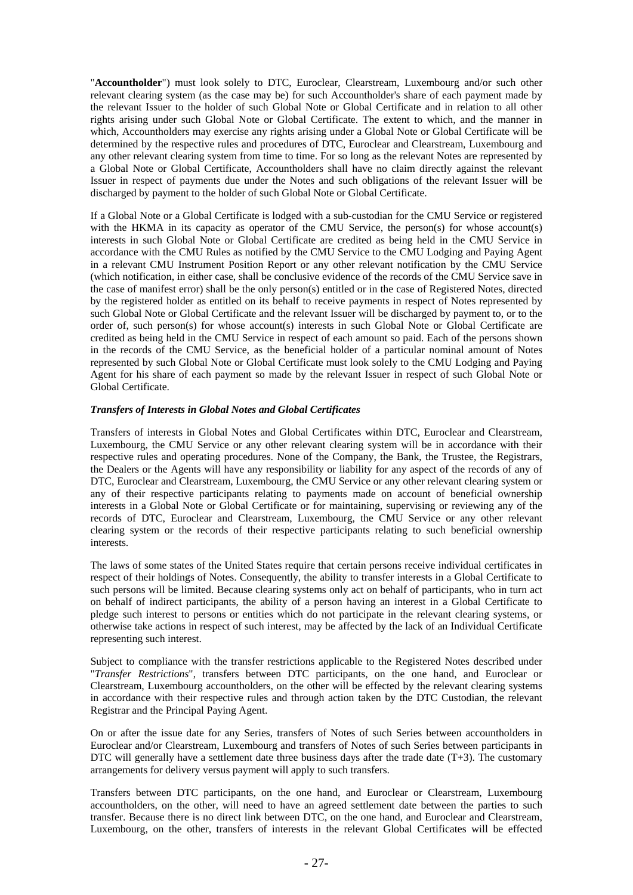"**Accountholder**") must look solely to DTC, Euroclear, Clearstream, Luxembourg and/or such other relevant clearing system (as the case may be) for such Accountholder's share of each payment made by the relevant Issuer to the holder of such Global Note or Global Certificate and in relation to all other rights arising under such Global Note or Global Certificate. The extent to which, and the manner in which, Accountholders may exercise any rights arising under a Global Note or Global Certificate will be determined by the respective rules and procedures of DTC, Euroclear and Clearstream, Luxembourg and any other relevant clearing system from time to time. For so long as the relevant Notes are represented by a Global Note or Global Certificate, Accountholders shall have no claim directly against the relevant Issuer in respect of payments due under the Notes and such obligations of the relevant Issuer will be discharged by payment to the holder of such Global Note or Global Certificate.

If a Global Note or a Global Certificate is lodged with a sub-custodian for the CMU Service or registered with the HKMA in its capacity as operator of the CMU Service, the person(s) for whose account(s) interests in such Global Note or Global Certificate are credited as being held in the CMU Service in accordance with the CMU Rules as notified by the CMU Service to the CMU Lodging and Paying Agent in a relevant CMU Instrument Position Report or any other relevant notification by the CMU Service (which notification, in either case, shall be conclusive evidence of the records of the CMU Service save in the case of manifest error) shall be the only person(s) entitled or in the case of Registered Notes, directed by the registered holder as entitled on its behalf to receive payments in respect of Notes represented by such Global Note or Global Certificate and the relevant Issuer will be discharged by payment to, or to the order of, such person(s) for whose account(s) interests in such Global Note or Global Certificate are credited as being held in the CMU Service in respect of each amount so paid. Each of the persons shown in the records of the CMU Service, as the beneficial holder of a particular nominal amount of Notes represented by such Global Note or Global Certificate must look solely to the CMU Lodging and Paying Agent for his share of each payment so made by the relevant Issuer in respect of such Global Note or Global Certificate.

# *Transfers of Interests in Global Notes and Global Certificates*

Transfers of interests in Global Notes and Global Certificates within DTC, Euroclear and Clearstream, Luxembourg, the CMU Service or any other relevant clearing system will be in accordance with their respective rules and operating procedures. None of the Company, the Bank, the Trustee, the Registrars, the Dealers or the Agents will have any responsibility or liability for any aspect of the records of any of DTC, Euroclear and Clearstream, Luxembourg, the CMU Service or any other relevant clearing system or any of their respective participants relating to payments made on account of beneficial ownership interests in a Global Note or Global Certificate or for maintaining, supervising or reviewing any of the records of DTC, Euroclear and Clearstream, Luxembourg, the CMU Service or any other relevant clearing system or the records of their respective participants relating to such beneficial ownership interests.

The laws of some states of the United States require that certain persons receive individual certificates in respect of their holdings of Notes. Consequently, the ability to transfer interests in a Global Certificate to such persons will be limited. Because clearing systems only act on behalf of participants, who in turn act on behalf of indirect participants, the ability of a person having an interest in a Global Certificate to pledge such interest to persons or entities which do not participate in the relevant clearing systems, or otherwise take actions in respect of such interest, may be affected by the lack of an Individual Certificate representing such interest.

Subject to compliance with the transfer restrictions applicable to the Registered Notes described under "*Transfer Restrictions*", transfers between DTC participants, on the one hand, and Euroclear or Clearstream, Luxembourg accountholders, on the other will be effected by the relevant clearing systems in accordance with their respective rules and through action taken by the DTC Custodian, the relevant Registrar and the Principal Paying Agent.

On or after the issue date for any Series, transfers of Notes of such Series between accountholders in Euroclear and/or Clearstream, Luxembourg and transfers of Notes of such Series between participants in DTC will generally have a settlement date three business days after the trade date  $(T+3)$ . The customary arrangements for delivery versus payment will apply to such transfers.

Transfers between DTC participants, on the one hand, and Euroclear or Clearstream, Luxembourg accountholders, on the other, will need to have an agreed settlement date between the parties to such transfer. Because there is no direct link between DTC, on the one hand, and Euroclear and Clearstream, Luxembourg, on the other, transfers of interests in the relevant Global Certificates will be effected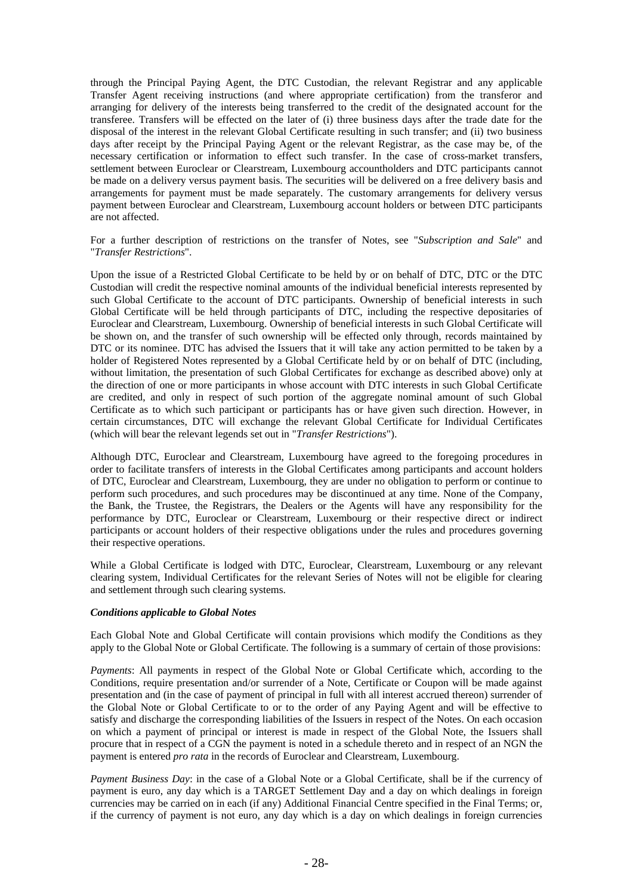through the Principal Paying Agent, the DTC Custodian, the relevant Registrar and any applicable Transfer Agent receiving instructions (and where appropriate certification) from the transferor and arranging for delivery of the interests being transferred to the credit of the designated account for the transferee. Transfers will be effected on the later of (i) three business days after the trade date for the disposal of the interest in the relevant Global Certificate resulting in such transfer; and (ii) two business days after receipt by the Principal Paying Agent or the relevant Registrar, as the case may be, of the necessary certification or information to effect such transfer. In the case of cross-market transfers, settlement between Euroclear or Clearstream, Luxembourg accountholders and DTC participants cannot be made on a delivery versus payment basis. The securities will be delivered on a free delivery basis and arrangements for payment must be made separately. The customary arrangements for delivery versus payment between Euroclear and Clearstream, Luxembourg account holders or between DTC participants are not affected.

For a further description of restrictions on the transfer of Notes, see "*Subscription and Sale*" and "*Transfer Restrictions*".

Upon the issue of a Restricted Global Certificate to be held by or on behalf of DTC, DTC or the DTC Custodian will credit the respective nominal amounts of the individual beneficial interests represented by such Global Certificate to the account of DTC participants. Ownership of beneficial interests in such Global Certificate will be held through participants of DTC, including the respective depositaries of Euroclear and Clearstream, Luxembourg. Ownership of beneficial interests in such Global Certificate will be shown on, and the transfer of such ownership will be effected only through, records maintained by DTC or its nominee. DTC has advised the Issuers that it will take any action permitted to be taken by a holder of Registered Notes represented by a Global Certificate held by or on behalf of DTC (including, without limitation, the presentation of such Global Certificates for exchange as described above) only at the direction of one or more participants in whose account with DTC interests in such Global Certificate are credited, and only in respect of such portion of the aggregate nominal amount of such Global Certificate as to which such participant or participants has or have given such direction. However, in certain circumstances, DTC will exchange the relevant Global Certificate for Individual Certificates (which will bear the relevant legends set out in "*Transfer Restrictions*").

Although DTC, Euroclear and Clearstream, Luxembourg have agreed to the foregoing procedures in order to facilitate transfers of interests in the Global Certificates among participants and account holders of DTC, Euroclear and Clearstream, Luxembourg, they are under no obligation to perform or continue to perform such procedures, and such procedures may be discontinued at any time. None of the Company, the Bank, the Trustee, the Registrars, the Dealers or the Agents will have any responsibility for the performance by DTC, Euroclear or Clearstream, Luxembourg or their respective direct or indirect participants or account holders of their respective obligations under the rules and procedures governing their respective operations.

While a Global Certificate is lodged with DTC, Euroclear, Clearstream, Luxembourg or any relevant clearing system, Individual Certificates for the relevant Series of Notes will not be eligible for clearing and settlement through such clearing systems.

# *Conditions applicable to Global Notes*

Each Global Note and Global Certificate will contain provisions which modify the Conditions as they apply to the Global Note or Global Certificate. The following is a summary of certain of those provisions:

*Payments*: All payments in respect of the Global Note or Global Certificate which, according to the Conditions, require presentation and/or surrender of a Note, Certificate or Coupon will be made against presentation and (in the case of payment of principal in full with all interest accrued thereon) surrender of the Global Note or Global Certificate to or to the order of any Paying Agent and will be effective to satisfy and discharge the corresponding liabilities of the Issuers in respect of the Notes. On each occasion on which a payment of principal or interest is made in respect of the Global Note, the Issuers shall procure that in respect of a CGN the payment is noted in a schedule thereto and in respect of an NGN the payment is entered *pro rata* in the records of Euroclear and Clearstream, Luxembourg.

*Payment Business Day*: in the case of a Global Note or a Global Certificate, shall be if the currency of payment is euro, any day which is a TARGET Settlement Day and a day on which dealings in foreign currencies may be carried on in each (if any) Additional Financial Centre specified in the Final Terms; or, if the currency of payment is not euro, any day which is a day on which dealings in foreign currencies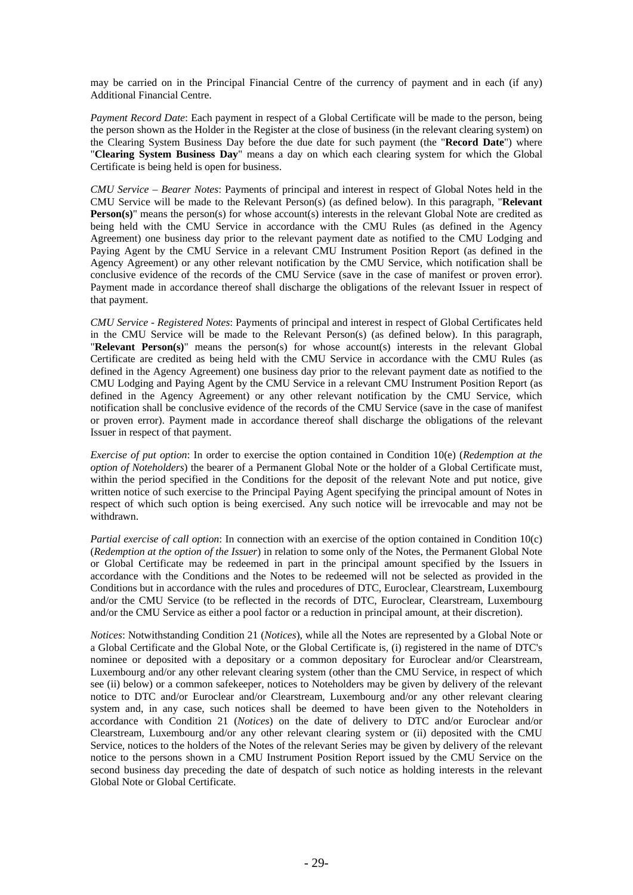may be carried on in the Principal Financial Centre of the currency of payment and in each (if any) Additional Financial Centre.

*Payment Record Date*: Each payment in respect of a Global Certificate will be made to the person, being the person shown as the Holder in the Register at the close of business (in the relevant clearing system) on the Clearing System Business Day before the due date for such payment (the "**Record Date**") where "**Clearing System Business Day**" means a day on which each clearing system for which the Global Certificate is being held is open for business.

*CMU Service – Bearer Notes*: Payments of principal and interest in respect of Global Notes held in the CMU Service will be made to the Relevant Person(s) (as defined below). In this paragraph, "**Relevant Person(s)**" means the person(s) for whose account(s) interests in the relevant Global Note are credited as being held with the CMU Service in accordance with the CMU Rules (as defined in the Agency Agreement) one business day prior to the relevant payment date as notified to the CMU Lodging and Paying Agent by the CMU Service in a relevant CMU Instrument Position Report (as defined in the Agency Agreement) or any other relevant notification by the CMU Service, which notification shall be conclusive evidence of the records of the CMU Service (save in the case of manifest or proven error). Payment made in accordance thereof shall discharge the obligations of the relevant Issuer in respect of that payment.

*CMU Service - Registered Notes*: Payments of principal and interest in respect of Global Certificates held in the CMU Service will be made to the Relevant Person(s) (as defined below). In this paragraph, "**Relevant Person(s)**" means the person(s) for whose account(s) interests in the relevant Global Certificate are credited as being held with the CMU Service in accordance with the CMU Rules (as defined in the Agency Agreement) one business day prior to the relevant payment date as notified to the CMU Lodging and Paying Agent by the CMU Service in a relevant CMU Instrument Position Report (as defined in the Agency Agreement) or any other relevant notification by the CMU Service, which notification shall be conclusive evidence of the records of the CMU Service (save in the case of manifest or proven error). Payment made in accordance thereof shall discharge the obligations of the relevant Issuer in respect of that payment.

*Exercise of put option*: In order to exercise the option contained in Condition 10(e) (*Redemption at the option of Noteholders*) the bearer of a Permanent Global Note or the holder of a Global Certificate must, within the period specified in the Conditions for the deposit of the relevant Note and put notice, give written notice of such exercise to the Principal Paying Agent specifying the principal amount of Notes in respect of which such option is being exercised. Any such notice will be irrevocable and may not be withdrawn.

*Partial exercise of call option*: In connection with an exercise of the option contained in Condition 10(c) (*Redemption at the option of the Issuer*) in relation to some only of the Notes, the Permanent Global Note or Global Certificate may be redeemed in part in the principal amount specified by the Issuers in accordance with the Conditions and the Notes to be redeemed will not be selected as provided in the Conditions but in accordance with the rules and procedures of DTC, Euroclear, Clearstream, Luxembourg and/or the CMU Service (to be reflected in the records of DTC, Euroclear, Clearstream, Luxembourg and/or the CMU Service as either a pool factor or a reduction in principal amount, at their discretion).

*Notices*: Notwithstanding Condition 21 (*Notices*), while all the Notes are represented by a Global Note or a Global Certificate and the Global Note, or the Global Certificate is, (i) registered in the name of DTC's nominee or deposited with a depositary or a common depositary for Euroclear and/or Clearstream, Luxembourg and/or any other relevant clearing system (other than the CMU Service, in respect of which see (ii) below) or a common safekeeper, notices to Noteholders may be given by delivery of the relevant notice to DTC and/or Euroclear and/or Clearstream, Luxembourg and/or any other relevant clearing system and, in any case, such notices shall be deemed to have been given to the Noteholders in accordance with Condition 21 (*Notices*) on the date of delivery to DTC and/or Euroclear and/or Clearstream, Luxembourg and/or any other relevant clearing system or (ii) deposited with the CMU Service, notices to the holders of the Notes of the relevant Series may be given by delivery of the relevant notice to the persons shown in a CMU Instrument Position Report issued by the CMU Service on the second business day preceding the date of despatch of such notice as holding interests in the relevant Global Note or Global Certificate.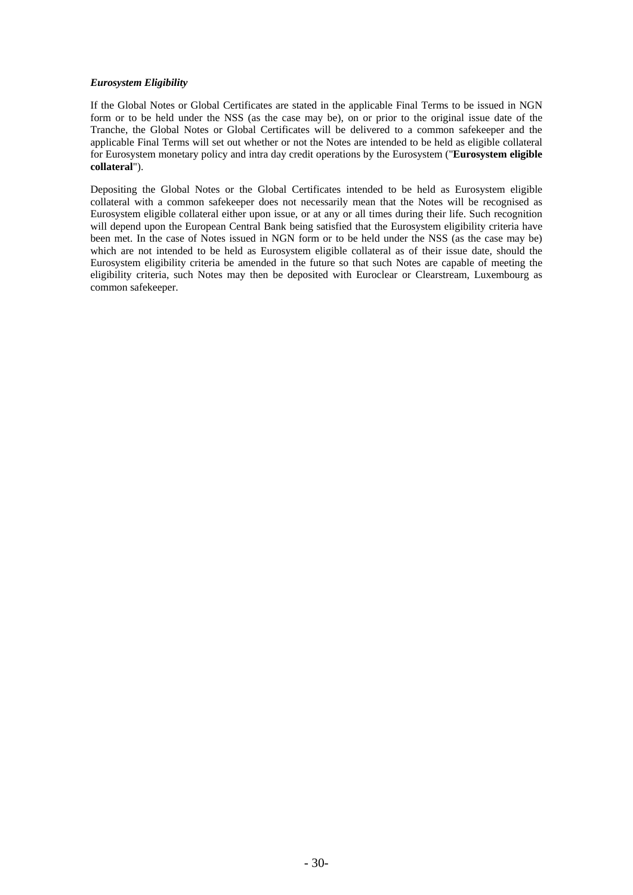# *Eurosystem Eligibility*

If the Global Notes or Global Certificates are stated in the applicable Final Terms to be issued in NGN form or to be held under the NSS (as the case may be), on or prior to the original issue date of the Tranche, the Global Notes or Global Certificates will be delivered to a common safekeeper and the applicable Final Terms will set out whether or not the Notes are intended to be held as eligible collateral for Eurosystem monetary policy and intra day credit operations by the Eurosystem ("**Eurosystem eligible collateral**").

Depositing the Global Notes or the Global Certificates intended to be held as Eurosystem eligible collateral with a common safekeeper does not necessarily mean that the Notes will be recognised as Eurosystem eligible collateral either upon issue, or at any or all times during their life. Such recognition will depend upon the European Central Bank being satisfied that the Eurosystem eligibility criteria have been met. In the case of Notes issued in NGN form or to be held under the NSS (as the case may be) which are not intended to be held as Eurosystem eligible collateral as of their issue date, should the Eurosystem eligibility criteria be amended in the future so that such Notes are capable of meeting the eligibility criteria, such Notes may then be deposited with Euroclear or Clearstream, Luxembourg as common safekeeper.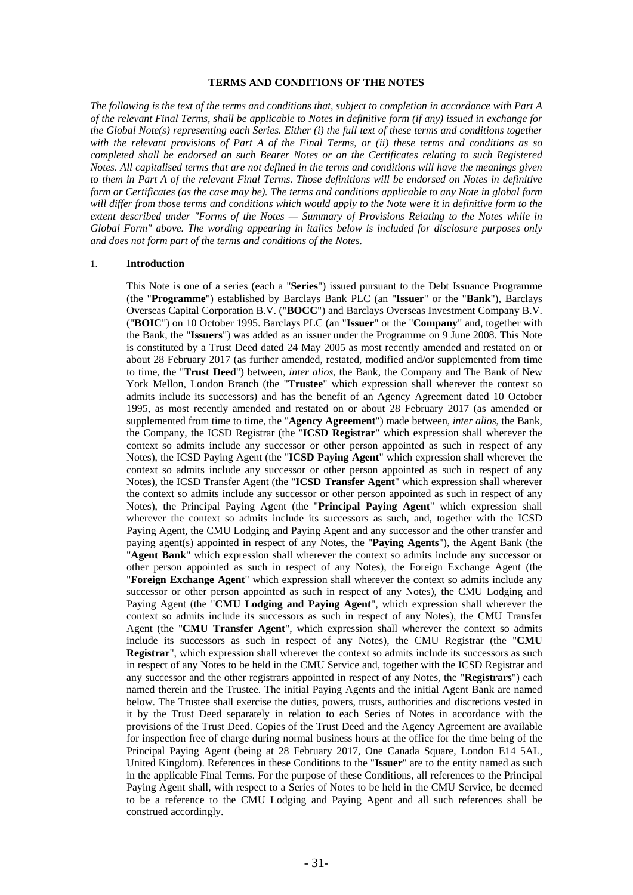## **TERMS AND CONDITIONS OF THE NOTES**

*The following is the text of the terms and conditions that, subject to completion in accordance with Part A of the relevant Final Terms, shall be applicable to Notes in definitive form (if any) issued in exchange for the Global Note(s) representing each Series. Either (i) the full text of these terms and conditions together with the relevant provisions of Part A of the Final Terms, or (ii) these terms and conditions as so completed shall be endorsed on such Bearer Notes or on the Certificates relating to such Registered Notes. All capitalised terms that are not defined in the terms and conditions will have the meanings given to them in Part A of the relevant Final Terms. Those definitions will be endorsed on Notes in definitive form or Certificates (as the case may be). The terms and conditions applicable to any Note in global form will differ from those terms and conditions which would apply to the Note were it in definitive form to the extent described under "Forms of the Notes — Summary of Provisions Relating to the Notes while in Global Form" above. The wording appearing in italics below is included for disclosure purposes only and does not form part of the terms and conditions of the Notes.* 

### 1. **Introduction**

This Note is one of a series (each a "**Series**") issued pursuant to the Debt Issuance Programme (the "**Programme**") established by Barclays Bank PLC (an "**Issuer**" or the "**Bank**"), Barclays Overseas Capital Corporation B.V. ("**BOCC**") and Barclays Overseas Investment Company B.V. ("**BOIC**") on 10 October 1995. Barclays PLC (an "**Issuer**" or the "**Company**" and, together with the Bank, the "**Issuers**") was added as an issuer under the Programme on 9 June 2008. This Note is constituted by a Trust Deed dated 24 May 2005 as most recently amended and restated on or about 28 February 2017 (as further amended, restated, modified and/or supplemented from time to time, the "**Trust Deed**") between, *inter alios*, the Bank, the Company and The Bank of New York Mellon, London Branch (the "**Trustee**" which expression shall wherever the context so admits include its successors) and has the benefit of an Agency Agreement dated 10 October 1995, as most recently amended and restated on or about 28 February 2017 (as amended or supplemented from time to time, the "**Agency Agreement**") made between, *inter alios*, the Bank, the Company, the ICSD Registrar (the "**ICSD Registrar**" which expression shall wherever the context so admits include any successor or other person appointed as such in respect of any Notes), the ICSD Paying Agent (the "**ICSD Paying Agent**" which expression shall wherever the context so admits include any successor or other person appointed as such in respect of any Notes), the ICSD Transfer Agent (the "**ICSD Transfer Agent**" which expression shall wherever the context so admits include any successor or other person appointed as such in respect of any Notes), the Principal Paying Agent (the "**Principal Paying Agent**" which expression shall wherever the context so admits include its successors as such, and, together with the ICSD Paying Agent, the CMU Lodging and Paying Agent and any successor and the other transfer and paying agent(s) appointed in respect of any Notes, the "**Paying Agents**"), the Agent Bank (the "**Agent Bank**" which expression shall wherever the context so admits include any successor or other person appointed as such in respect of any Notes), the Foreign Exchange Agent (the "**Foreign Exchange Agent**" which expression shall wherever the context so admits include any successor or other person appointed as such in respect of any Notes), the CMU Lodging and Paying Agent (the "**CMU Lodging and Paying Agent**", which expression shall wherever the context so admits include its successors as such in respect of any Notes), the CMU Transfer Agent (the "**CMU Transfer Agent**", which expression shall wherever the context so admits include its successors as such in respect of any Notes), the CMU Registrar (the "**CMU Registrar**", which expression shall wherever the context so admits include its successors as such in respect of any Notes to be held in the CMU Service and, together with the ICSD Registrar and any successor and the other registrars appointed in respect of any Notes, the "**Registrars**") each named therein and the Trustee. The initial Paying Agents and the initial Agent Bank are named below. The Trustee shall exercise the duties, powers, trusts, authorities and discretions vested in it by the Trust Deed separately in relation to each Series of Notes in accordance with the provisions of the Trust Deed. Copies of the Trust Deed and the Agency Agreement are available for inspection free of charge during normal business hours at the office for the time being of the Principal Paying Agent (being at 28 February 2017, One Canada Square, London E14 5AL, United Kingdom). References in these Conditions to the "**Issuer**" are to the entity named as such in the applicable Final Terms. For the purpose of these Conditions, all references to the Principal Paying Agent shall, with respect to a Series of Notes to be held in the CMU Service, be deemed to be a reference to the CMU Lodging and Paying Agent and all such references shall be construed accordingly.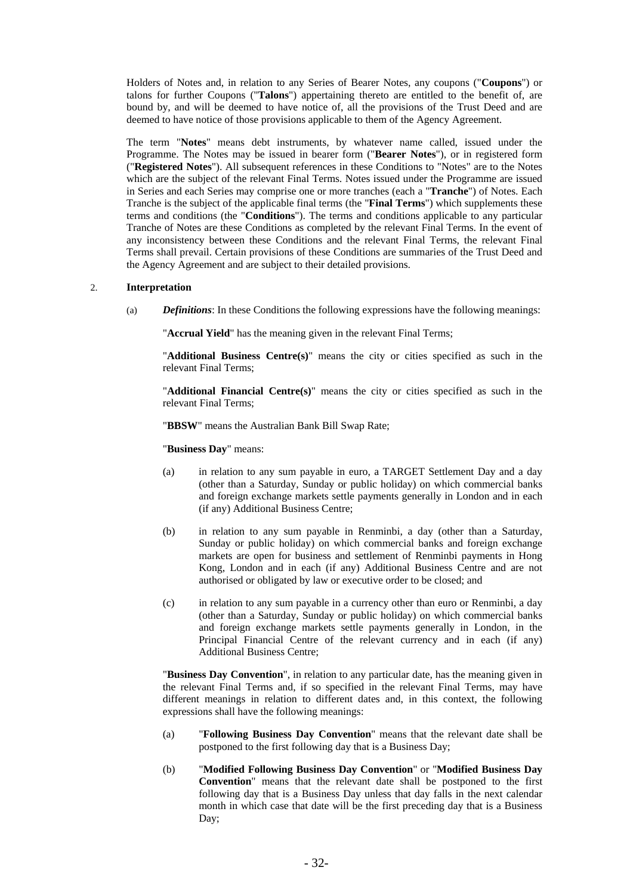Holders of Notes and, in relation to any Series of Bearer Notes, any coupons ("**Coupons**") or talons for further Coupons ("**Talons**") appertaining thereto are entitled to the benefit of, are bound by, and will be deemed to have notice of, all the provisions of the Trust Deed and are deemed to have notice of those provisions applicable to them of the Agency Agreement.

The term "**Notes**" means debt instruments, by whatever name called, issued under the Programme. The Notes may be issued in bearer form ("**Bearer Notes**"), or in registered form ("**Registered Notes**"). All subsequent references in these Conditions to "Notes" are to the Notes which are the subject of the relevant Final Terms. Notes issued under the Programme are issued in Series and each Series may comprise one or more tranches (each a "**Tranche**") of Notes. Each Tranche is the subject of the applicable final terms (the "**Final Terms**") which supplements these terms and conditions (the "**Conditions**"). The terms and conditions applicable to any particular Tranche of Notes are these Conditions as completed by the relevant Final Terms. In the event of any inconsistency between these Conditions and the relevant Final Terms, the relevant Final Terms shall prevail. Certain provisions of these Conditions are summaries of the Trust Deed and the Agency Agreement and are subject to their detailed provisions.

### 2. **Interpretation**

(a) *Definitions*: In these Conditions the following expressions have the following meanings:

"**Accrual Yield**" has the meaning given in the relevant Final Terms;

"**Additional Business Centre(s)**" means the city or cities specified as such in the relevant Final Terms;

"**Additional Financial Centre(s)**" means the city or cities specified as such in the relevant Final Terms;

"**BBSW**" means the Australian Bank Bill Swap Rate;

"**Business Day**" means:

- (a) in relation to any sum payable in euro, a TARGET Settlement Day and a day (other than a Saturday, Sunday or public holiday) on which commercial banks and foreign exchange markets settle payments generally in London and in each (if any) Additional Business Centre;
- (b) in relation to any sum payable in Renminbi, a day (other than a Saturday, Sunday or public holiday) on which commercial banks and foreign exchange markets are open for business and settlement of Renminbi payments in Hong Kong, London and in each (if any) Additional Business Centre and are not authorised or obligated by law or executive order to be closed; and
- (c) in relation to any sum payable in a currency other than euro or Renminbi, a day (other than a Saturday, Sunday or public holiday) on which commercial banks and foreign exchange markets settle payments generally in London, in the Principal Financial Centre of the relevant currency and in each (if any) Additional Business Centre;

"**Business Day Convention**", in relation to any particular date, has the meaning given in the relevant Final Terms and, if so specified in the relevant Final Terms, may have different meanings in relation to different dates and, in this context, the following expressions shall have the following meanings:

- (a) "**Following Business Day Convention**" means that the relevant date shall be postponed to the first following day that is a Business Day;
- (b) "**Modified Following Business Day Convention**" or "**Modified Business Day Convention**" means that the relevant date shall be postponed to the first following day that is a Business Day unless that day falls in the next calendar month in which case that date will be the first preceding day that is a Business Day;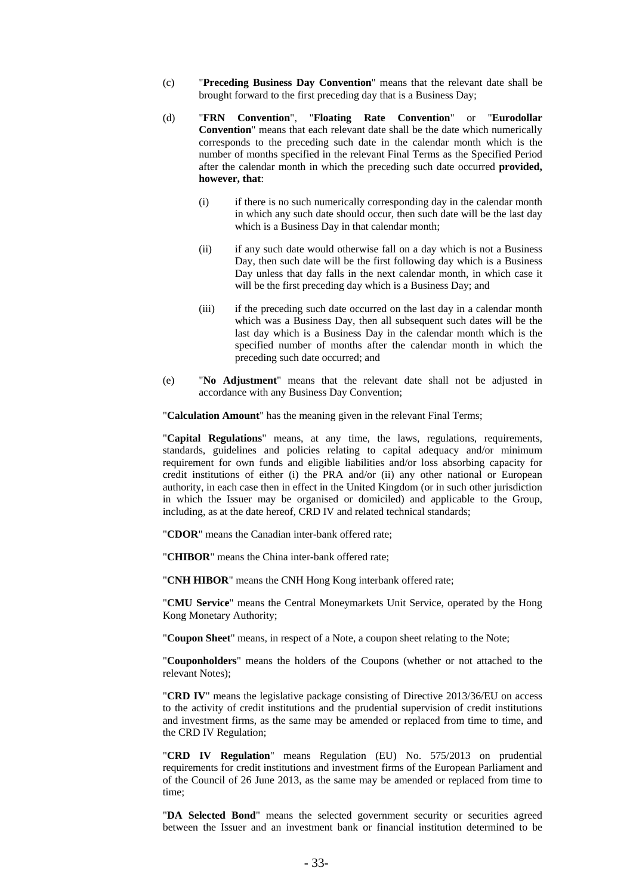- (c) "**Preceding Business Day Convention**" means that the relevant date shall be brought forward to the first preceding day that is a Business Day;
- (d) "**FRN Convention**", "**Floating Rate Convention**" or "**Eurodollar Convention**" means that each relevant date shall be the date which numerically corresponds to the preceding such date in the calendar month which is the number of months specified in the relevant Final Terms as the Specified Period after the calendar month in which the preceding such date occurred **provided, however, that**:
	- (i) if there is no such numerically corresponding day in the calendar month in which any such date should occur, then such date will be the last day which is a Business Day in that calendar month;
	- (ii) if any such date would otherwise fall on a day which is not a Business Day, then such date will be the first following day which is a Business Day unless that day falls in the next calendar month, in which case it will be the first preceding day which is a Business Day; and
	- (iii) if the preceding such date occurred on the last day in a calendar month which was a Business Day, then all subsequent such dates will be the last day which is a Business Day in the calendar month which is the specified number of months after the calendar month in which the preceding such date occurred; and
- (e) "**No Adjustment**" means that the relevant date shall not be adjusted in accordance with any Business Day Convention;

"**Calculation Amount**" has the meaning given in the relevant Final Terms;

"**Capital Regulations**" means, at any time, the laws, regulations, requirements, standards, guidelines and policies relating to capital adequacy and/or minimum requirement for own funds and eligible liabilities and/or loss absorbing capacity for credit institutions of either (i) the PRA and/or (ii) any other national or European authority, in each case then in effect in the United Kingdom (or in such other jurisdiction in which the Issuer may be organised or domiciled) and applicable to the Group, including, as at the date hereof, CRD IV and related technical standards;

"**CDOR**" means the Canadian inter-bank offered rate;

"**CHIBOR**" means the China inter-bank offered rate;

"**CNH HIBOR**" means the CNH Hong Kong interbank offered rate;

"**CMU Service**" means the Central Moneymarkets Unit Service, operated by the Hong Kong Monetary Authority;

"**Coupon Sheet**" means, in respect of a Note, a coupon sheet relating to the Note;

"**Couponholders**" means the holders of the Coupons (whether or not attached to the relevant Notes);

"**CRD IV**" means the legislative package consisting of Directive 2013/36/EU on access to the activity of credit institutions and the prudential supervision of credit institutions and investment firms, as the same may be amended or replaced from time to time, and the CRD IV Regulation;

"**CRD IV Regulation**" means Regulation (EU) No. 575/2013 on prudential requirements for credit institutions and investment firms of the European Parliament and of the Council of 26 June 2013, as the same may be amended or replaced from time to time;

"**DA Selected Bond**" means the selected government security or securities agreed between the Issuer and an investment bank or financial institution determined to be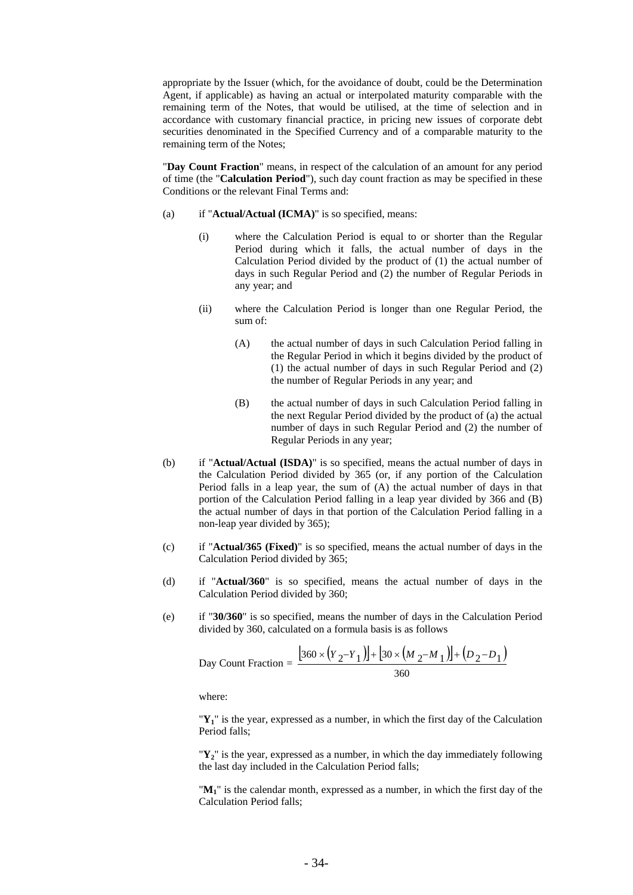appropriate by the Issuer (which, for the avoidance of doubt, could be the Determination Agent, if applicable) as having an actual or interpolated maturity comparable with the remaining term of the Notes, that would be utilised, at the time of selection and in accordance with customary financial practice, in pricing new issues of corporate debt securities denominated in the Specified Currency and of a comparable maturity to the remaining term of the Notes;

"**Day Count Fraction**" means, in respect of the calculation of an amount for any period of time (the "**Calculation Period**"), such day count fraction as may be specified in these Conditions or the relevant Final Terms and:

- (a) if "**Actual/Actual (ICMA)**" is so specified, means:
	- (i) where the Calculation Period is equal to or shorter than the Regular Period during which it falls, the actual number of days in the Calculation Period divided by the product of (1) the actual number of days in such Regular Period and (2) the number of Regular Periods in any year; and
	- (ii) where the Calculation Period is longer than one Regular Period, the sum of:
		- (A) the actual number of days in such Calculation Period falling in the Regular Period in which it begins divided by the product of (1) the actual number of days in such Regular Period and (2) the number of Regular Periods in any year; and
		- (B) the actual number of days in such Calculation Period falling in the next Regular Period divided by the product of (a) the actual number of days in such Regular Period and (2) the number of Regular Periods in any year;
- (b) if "**Actual/Actual (ISDA)**" is so specified, means the actual number of days in the Calculation Period divided by 365 (or, if any portion of the Calculation Period falls in a leap year, the sum of (A) the actual number of days in that portion of the Calculation Period falling in a leap year divided by 366 and (B) the actual number of days in that portion of the Calculation Period falling in a non-leap year divided by 365);
- (c) if "**Actual/365 (Fixed)**" is so specified, means the actual number of days in the Calculation Period divided by 365;
- (d) if "**Actual/360**" is so specified, means the actual number of days in the Calculation Period divided by 360;
- (e) if "**30/360**" is so specified, means the number of days in the Calculation Period divided by 360, calculated on a formula basis is as follows

Day Count Fraction = 
$$
\frac{[360 \times (Y_2 - Y_1)] + [30 \times (M_2 - M_1)] + (D_2 - D_1)}{360}
$$

where:

"**Y1**" is the year, expressed as a number, in which the first day of the Calculation Period falls;

 $\mathbf{Y}_2$ " is the year, expressed as a number, in which the day immediately following the last day included in the Calculation Period falls;

"**M1**" is the calendar month, expressed as a number, in which the first day of the Calculation Period falls;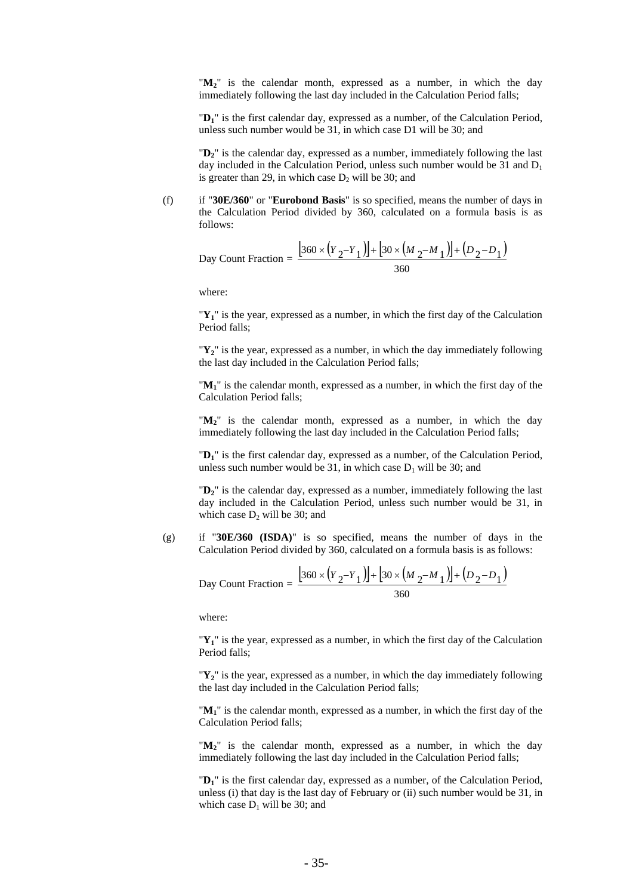" $M_2$ " is the calendar month, expressed as a number, in which the day immediately following the last day included in the Calculation Period falls;

"**D1**" is the first calendar day, expressed as a number, of the Calculation Period, unless such number would be 31, in which case D1 will be 30; and

"**D2**" is the calendar day, expressed as a number, immediately following the last day included in the Calculation Period, unless such number would be 31 and  $D_1$ is greater than 29, in which case  $D_2$  will be 30; and

(f) if "**30E/360**" or "**Eurobond Basis**" is so specified, means the number of days in the Calculation Period divided by 360, calculated on a formula basis is as follows:

Day Count Fraction = 
$$
\frac{\left[360 \times (Y_2 - Y_1)\right] + \left[30 \times (M_2 - M_1)\right] + (D_2 - D_1)}{360}
$$

where:

"**Y1**" is the year, expressed as a number, in which the first day of the Calculation Period falls;

"**Y2**" is the year, expressed as a number, in which the day immediately following the last day included in the Calculation Period falls;

"**M1**" is the calendar month, expressed as a number, in which the first day of the Calculation Period falls;

" $M_2$ " is the calendar month, expressed as a number, in which the day immediately following the last day included in the Calculation Period falls;

"**D1**" is the first calendar day, expressed as a number, of the Calculation Period, unless such number would be 31, in which case  $D_1$  will be 30; and

"**D2**" is the calendar day, expressed as a number, immediately following the last day included in the Calculation Period, unless such number would be 31, in which case  $D_2$  will be 30; and

(g) if "**30E/360 (ISDA)**" is so specified, means the number of days in the Calculation Period divided by 360, calculated on a formula basis is as follows:

Day Count Fraction = 
$$
\frac{[360 \times (Y_2 - Y_1)] + [30 \times (M_2 - M_1)] + (D_2 - D_1)}{360}
$$

where:

"**Y1**" is the year, expressed as a number, in which the first day of the Calculation Period falls;

"**Y2**" is the year, expressed as a number, in which the day immediately following the last day included in the Calculation Period falls;

"**M1**" is the calendar month, expressed as a number, in which the first day of the Calculation Period falls;

" $M_2$ " is the calendar month, expressed as a number, in which the day immediately following the last day included in the Calculation Period falls;

"**D1**" is the first calendar day, expressed as a number, of the Calculation Period, unless (i) that day is the last day of February or (ii) such number would be 31, in which case  $D_1$  will be 30; and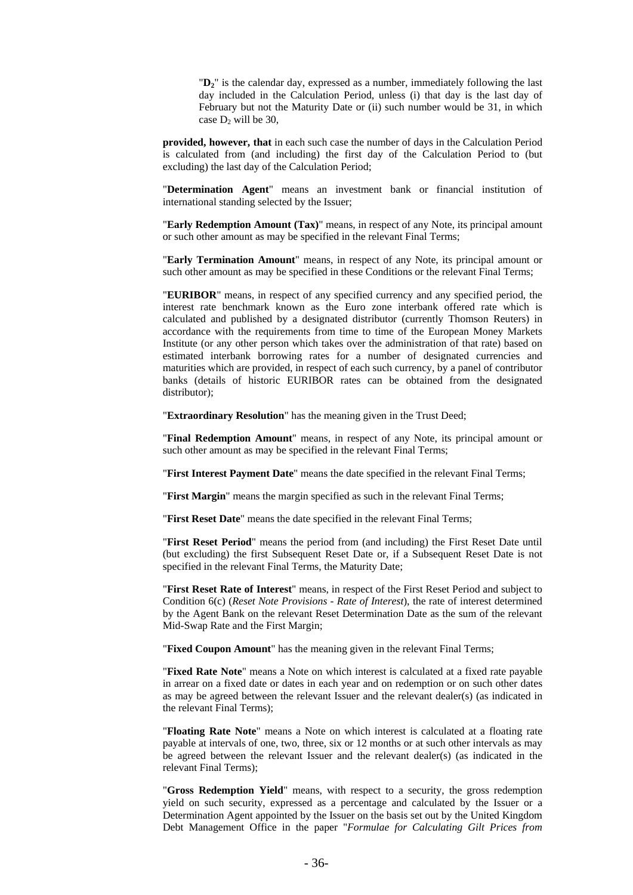"**D2**" is the calendar day, expressed as a number, immediately following the last day included in the Calculation Period, unless (i) that day is the last day of February but not the Maturity Date or (ii) such number would be 31, in which case  $D_2$  will be 30,

**provided, however, that** in each such case the number of days in the Calculation Period is calculated from (and including) the first day of the Calculation Period to (but excluding) the last day of the Calculation Period;

"**Determination Agent**" means an investment bank or financial institution of international standing selected by the Issuer;

"**Early Redemption Amount (Tax)**" means, in respect of any Note, its principal amount or such other amount as may be specified in the relevant Final Terms;

"**Early Termination Amount**" means, in respect of any Note, its principal amount or such other amount as may be specified in these Conditions or the relevant Final Terms;

"**EURIBOR**" means, in respect of any specified currency and any specified period, the interest rate benchmark known as the Euro zone interbank offered rate which is calculated and published by a designated distributor (currently Thomson Reuters) in accordance with the requirements from time to time of the European Money Markets Institute (or any other person which takes over the administration of that rate) based on estimated interbank borrowing rates for a number of designated currencies and maturities which are provided, in respect of each such currency, by a panel of contributor banks (details of historic EURIBOR rates can be obtained from the designated distributor);

"**Extraordinary Resolution**" has the meaning given in the Trust Deed;

"**Final Redemption Amount**" means, in respect of any Note, its principal amount or such other amount as may be specified in the relevant Final Terms;

"**First Interest Payment Date**" means the date specified in the relevant Final Terms;

"**First Margin**" means the margin specified as such in the relevant Final Terms;

"**First Reset Date**" means the date specified in the relevant Final Terms;

"**First Reset Period**" means the period from (and including) the First Reset Date until (but excluding) the first Subsequent Reset Date or, if a Subsequent Reset Date is not specified in the relevant Final Terms, the Maturity Date;

"**First Reset Rate of Interest**" means, in respect of the First Reset Period and subject to Condition 6(c) (*Reset Note Provisions - Rate of Interest*), the rate of interest determined by the Agent Bank on the relevant Reset Determination Date as the sum of the relevant Mid-Swap Rate and the First Margin;

"**Fixed Coupon Amount**" has the meaning given in the relevant Final Terms;

"**Fixed Rate Note**" means a Note on which interest is calculated at a fixed rate payable in arrear on a fixed date or dates in each year and on redemption or on such other dates as may be agreed between the relevant Issuer and the relevant dealer(s) (as indicated in the relevant Final Terms);

"**Floating Rate Note**" means a Note on which interest is calculated at a floating rate payable at intervals of one, two, three, six or 12 months or at such other intervals as may be agreed between the relevant Issuer and the relevant dealer(s) (as indicated in the relevant Final Terms);

"**Gross Redemption Yield**" means, with respect to a security, the gross redemption yield on such security, expressed as a percentage and calculated by the Issuer or a Determination Agent appointed by the Issuer on the basis set out by the United Kingdom Debt Management Office in the paper "*Formulae for Calculating Gilt Prices from*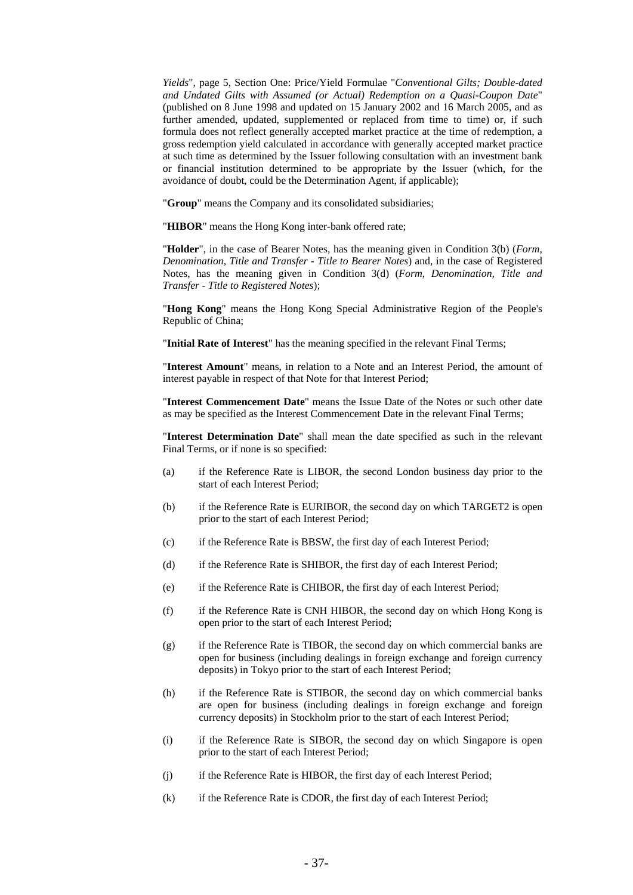*Yields*"*,* page 5, Section One: Price/Yield Formulae "*Conventional Gilts; Double-dated and Undated Gilts with Assumed (or Actual) Redemption on a Quasi-Coupon Date*" (published on 8 June 1998 and updated on 15 January 2002 and 16 March 2005, and as further amended, updated, supplemented or replaced from time to time) or, if such formula does not reflect generally accepted market practice at the time of redemption, a gross redemption yield calculated in accordance with generally accepted market practice at such time as determined by the Issuer following consultation with an investment bank or financial institution determined to be appropriate by the Issuer (which, for the avoidance of doubt, could be the Determination Agent, if applicable);

"**Group**" means the Company and its consolidated subsidiaries;

"**HIBOR**" means the Hong Kong inter-bank offered rate;

"**Holder**", in the case of Bearer Notes, has the meaning given in Condition 3(b) (*Form, Denomination, Title and Transfer - Title to Bearer Notes*) and, in the case of Registered Notes, has the meaning given in Condition 3(d) (*Form, Denomination, Title and Transfer - Title to Registered Notes*);

"**Hong Kong**" means the Hong Kong Special Administrative Region of the People's Republic of China;

"**Initial Rate of Interest**" has the meaning specified in the relevant Final Terms;

"**Interest Amount**" means, in relation to a Note and an Interest Period, the amount of interest payable in respect of that Note for that Interest Period;

"**Interest Commencement Date**" means the Issue Date of the Notes or such other date as may be specified as the Interest Commencement Date in the relevant Final Terms;

"**Interest Determination Date**" shall mean the date specified as such in the relevant Final Terms, or if none is so specified:

- (a) if the Reference Rate is LIBOR, the second London business day prior to the start of each Interest Period;
- (b) if the Reference Rate is EURIBOR, the second day on which TARGET2 is open prior to the start of each Interest Period;
- (c) if the Reference Rate is BBSW, the first day of each Interest Period;
- (d) if the Reference Rate is SHIBOR, the first day of each Interest Period;
- (e) if the Reference Rate is CHIBOR, the first day of each Interest Period;
- (f) if the Reference Rate is CNH HIBOR, the second day on which Hong Kong is open prior to the start of each Interest Period;
- (g) if the Reference Rate is TIBOR, the second day on which commercial banks are open for business (including dealings in foreign exchange and foreign currency deposits) in Tokyo prior to the start of each Interest Period;
- (h) if the Reference Rate is STIBOR, the second day on which commercial banks are open for business (including dealings in foreign exchange and foreign currency deposits) in Stockholm prior to the start of each Interest Period;
- (i) if the Reference Rate is SIBOR, the second day on which Singapore is open prior to the start of each Interest Period;
- (j) if the Reference Rate is HIBOR, the first day of each Interest Period;
- (k) if the Reference Rate is CDOR, the first day of each Interest Period;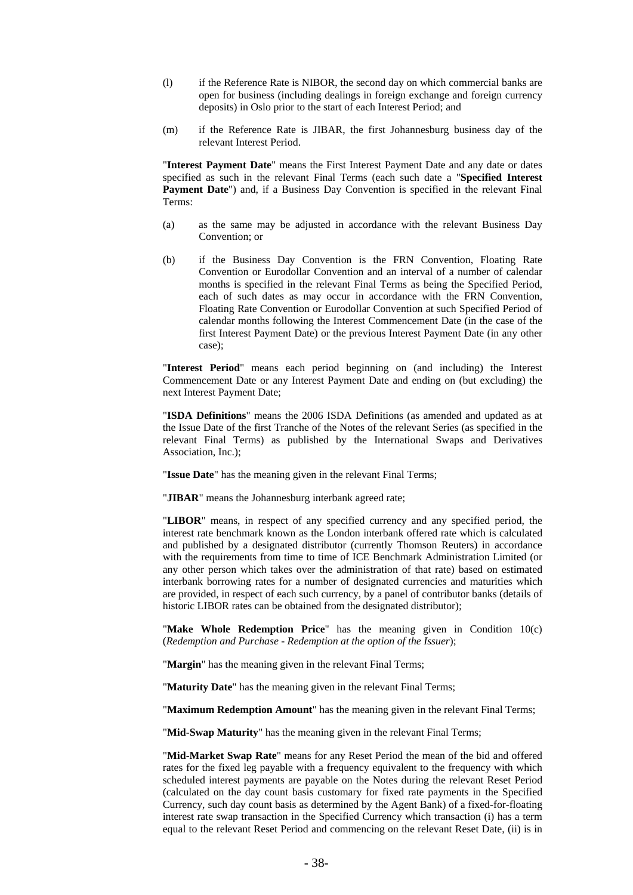- (l) if the Reference Rate is NIBOR, the second day on which commercial banks are open for business (including dealings in foreign exchange and foreign currency deposits) in Oslo prior to the start of each Interest Period; and
- (m) if the Reference Rate is JIBAR, the first Johannesburg business day of the relevant Interest Period.

"**Interest Payment Date**" means the First Interest Payment Date and any date or dates specified as such in the relevant Final Terms (each such date a "**Specified Interest**  Payment Date") and, if a Business Day Convention is specified in the relevant Final Terms:

- (a) as the same may be adjusted in accordance with the relevant Business Day Convention; or
- (b) if the Business Day Convention is the FRN Convention, Floating Rate Convention or Eurodollar Convention and an interval of a number of calendar months is specified in the relevant Final Terms as being the Specified Period, each of such dates as may occur in accordance with the FRN Convention, Floating Rate Convention or Eurodollar Convention at such Specified Period of calendar months following the Interest Commencement Date (in the case of the first Interest Payment Date) or the previous Interest Payment Date (in any other case);

"**Interest Period**" means each period beginning on (and including) the Interest Commencement Date or any Interest Payment Date and ending on (but excluding) the next Interest Payment Date;

"**ISDA Definitions**" means the 2006 ISDA Definitions (as amended and updated as at the Issue Date of the first Tranche of the Notes of the relevant Series (as specified in the relevant Final Terms) as published by the International Swaps and Derivatives Association, Inc.);

"**Issue Date**" has the meaning given in the relevant Final Terms;

"**JIBAR**" means the Johannesburg interbank agreed rate;

"**LIBOR**" means, in respect of any specified currency and any specified period, the interest rate benchmark known as the London interbank offered rate which is calculated and published by a designated distributor (currently Thomson Reuters) in accordance with the requirements from time to time of ICE Benchmark Administration Limited (or any other person which takes over the administration of that rate) based on estimated interbank borrowing rates for a number of designated currencies and maturities which are provided, in respect of each such currency, by a panel of contributor banks (details of historic LIBOR rates can be obtained from the designated distributor);

"**Make Whole Redemption Price**" has the meaning given in Condition 10(c) (*Redemption and Purchase - Redemption at the option of the Issuer*);

"**Margin**" has the meaning given in the relevant Final Terms;

"**Maturity Date**" has the meaning given in the relevant Final Terms;

"**Maximum Redemption Amount**" has the meaning given in the relevant Final Terms;

"**Mid-Swap Maturity**" has the meaning given in the relevant Final Terms;

"**Mid-Market Swap Rate**" means for any Reset Period the mean of the bid and offered rates for the fixed leg payable with a frequency equivalent to the frequency with which scheduled interest payments are payable on the Notes during the relevant Reset Period (calculated on the day count basis customary for fixed rate payments in the Specified Currency, such day count basis as determined by the Agent Bank) of a fixed-for-floating interest rate swap transaction in the Specified Currency which transaction (i) has a term equal to the relevant Reset Period and commencing on the relevant Reset Date, (ii) is in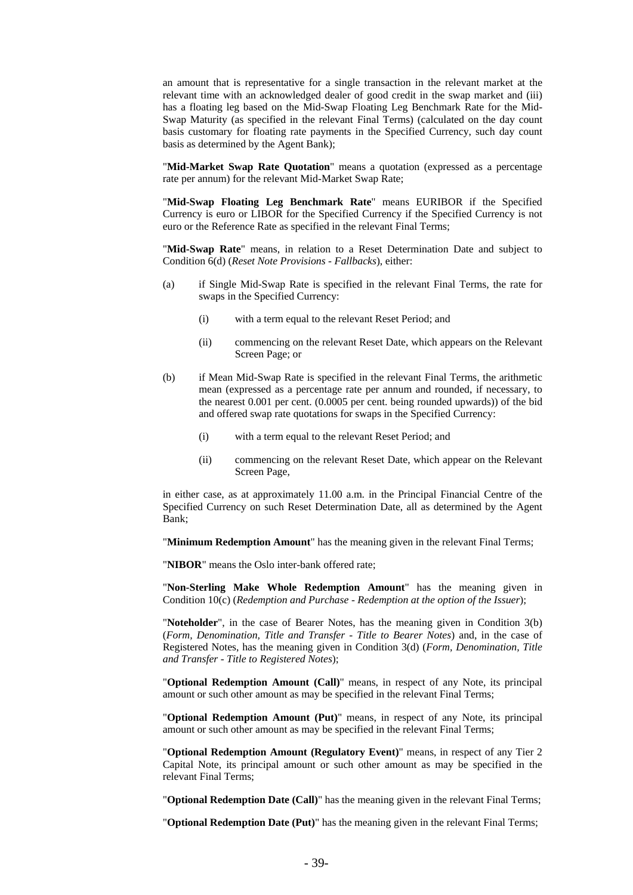an amount that is representative for a single transaction in the relevant market at the relevant time with an acknowledged dealer of good credit in the swap market and (iii) has a floating leg based on the Mid-Swap Floating Leg Benchmark Rate for the Mid-Swap Maturity (as specified in the relevant Final Terms) (calculated on the day count basis customary for floating rate payments in the Specified Currency, such day count basis as determined by the Agent Bank);

"**Mid-Market Swap Rate Quotation**" means a quotation (expressed as a percentage rate per annum) for the relevant Mid-Market Swap Rate;

"**Mid-Swap Floating Leg Benchmark Rate**" means EURIBOR if the Specified Currency is euro or LIBOR for the Specified Currency if the Specified Currency is not euro or the Reference Rate as specified in the relevant Final Terms;

"**Mid-Swap Rate**" means, in relation to a Reset Determination Date and subject to Condition 6(d) (*Reset Note Provisions - Fallbacks*), either:

- (a) if Single Mid-Swap Rate is specified in the relevant Final Terms, the rate for swaps in the Specified Currency:
	- (i) with a term equal to the relevant Reset Period; and
	- (ii) commencing on the relevant Reset Date, which appears on the Relevant Screen Page; or
- (b) if Mean Mid-Swap Rate is specified in the relevant Final Terms, the arithmetic mean (expressed as a percentage rate per annum and rounded, if necessary, to the nearest 0.001 per cent. (0.0005 per cent. being rounded upwards)) of the bid and offered swap rate quotations for swaps in the Specified Currency:
	- (i) with a term equal to the relevant Reset Period; and
	- (ii) commencing on the relevant Reset Date, which appear on the Relevant Screen Page,

in either case, as at approximately 11.00 a.m. in the Principal Financial Centre of the Specified Currency on such Reset Determination Date, all as determined by the Agent Bank;

"**Minimum Redemption Amount**" has the meaning given in the relevant Final Terms;

"**NIBOR**" means the Oslo inter-bank offered rate;

"**Non-Sterling Make Whole Redemption Amount**" has the meaning given in Condition 10(c) (*Redemption and Purchase - Redemption at the option of the Issuer*);

"**Noteholder**", in the case of Bearer Notes, has the meaning given in Condition 3(b) (*Form, Denomination, Title and Transfer - Title to Bearer Notes*) and, in the case of Registered Notes, has the meaning given in Condition 3(d) (*Form, Denomination, Title and Transfer - Title to Registered Notes*);

"**Optional Redemption Amount (Call)**" means, in respect of any Note, its principal amount or such other amount as may be specified in the relevant Final Terms;

"**Optional Redemption Amount (Put)**" means, in respect of any Note, its principal amount or such other amount as may be specified in the relevant Final Terms;

"**Optional Redemption Amount (Regulatory Event)**" means, in respect of any Tier 2 Capital Note, its principal amount or such other amount as may be specified in the relevant Final Terms;

"**Optional Redemption Date (Call)**" has the meaning given in the relevant Final Terms;

"**Optional Redemption Date (Put)**" has the meaning given in the relevant Final Terms;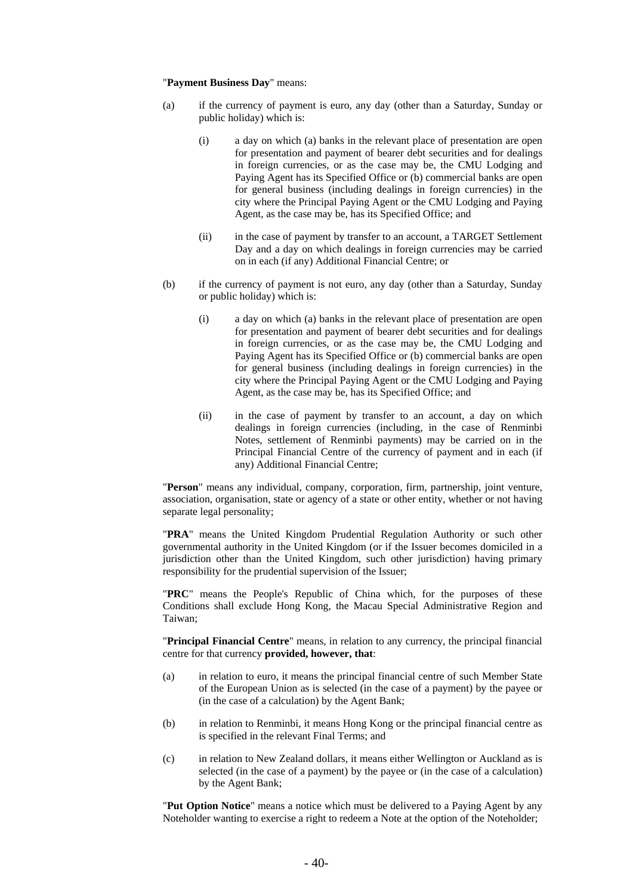#### "**Payment Business Day**" means:

- (a) if the currency of payment is euro, any day (other than a Saturday, Sunday or public holiday) which is:
	- (i) a day on which (a) banks in the relevant place of presentation are open for presentation and payment of bearer debt securities and for dealings in foreign currencies, or as the case may be, the CMU Lodging and Paying Agent has its Specified Office or (b) commercial banks are open for general business (including dealings in foreign currencies) in the city where the Principal Paying Agent or the CMU Lodging and Paying Agent, as the case may be, has its Specified Office; and
	- (ii) in the case of payment by transfer to an account, a TARGET Settlement Day and a day on which dealings in foreign currencies may be carried on in each (if any) Additional Financial Centre; or
- (b) if the currency of payment is not euro, any day (other than a Saturday, Sunday or public holiday) which is:
	- (i) a day on which (a) banks in the relevant place of presentation are open for presentation and payment of bearer debt securities and for dealings in foreign currencies, or as the case may be, the CMU Lodging and Paying Agent has its Specified Office or (b) commercial banks are open for general business (including dealings in foreign currencies) in the city where the Principal Paying Agent or the CMU Lodging and Paying Agent, as the case may be, has its Specified Office; and
	- (ii) in the case of payment by transfer to an account, a day on which dealings in foreign currencies (including, in the case of Renminbi Notes, settlement of Renminbi payments) may be carried on in the Principal Financial Centre of the currency of payment and in each (if any) Additional Financial Centre;

"**Person**" means any individual, company, corporation, firm, partnership, joint venture, association, organisation, state or agency of a state or other entity, whether or not having separate legal personality;

"**PRA**" means the United Kingdom Prudential Regulation Authority or such other governmental authority in the United Kingdom (or if the Issuer becomes domiciled in a jurisdiction other than the United Kingdom, such other jurisdiction) having primary responsibility for the prudential supervision of the Issuer;

"**PRC**" means the People's Republic of China which, for the purposes of these Conditions shall exclude Hong Kong, the Macau Special Administrative Region and Taiwan;

"**Principal Financial Centre**" means, in relation to any currency, the principal financial centre for that currency **provided, however, that**:

- (a) in relation to euro, it means the principal financial centre of such Member State of the European Union as is selected (in the case of a payment) by the payee or (in the case of a calculation) by the Agent Bank;
- (b) in relation to Renminbi, it means Hong Kong or the principal financial centre as is specified in the relevant Final Terms; and
- (c) in relation to New Zealand dollars, it means either Wellington or Auckland as is selected (in the case of a payment) by the payee or (in the case of a calculation) by the Agent Bank;

"**Put Option Notice**" means a notice which must be delivered to a Paying Agent by any Noteholder wanting to exercise a right to redeem a Note at the option of the Noteholder;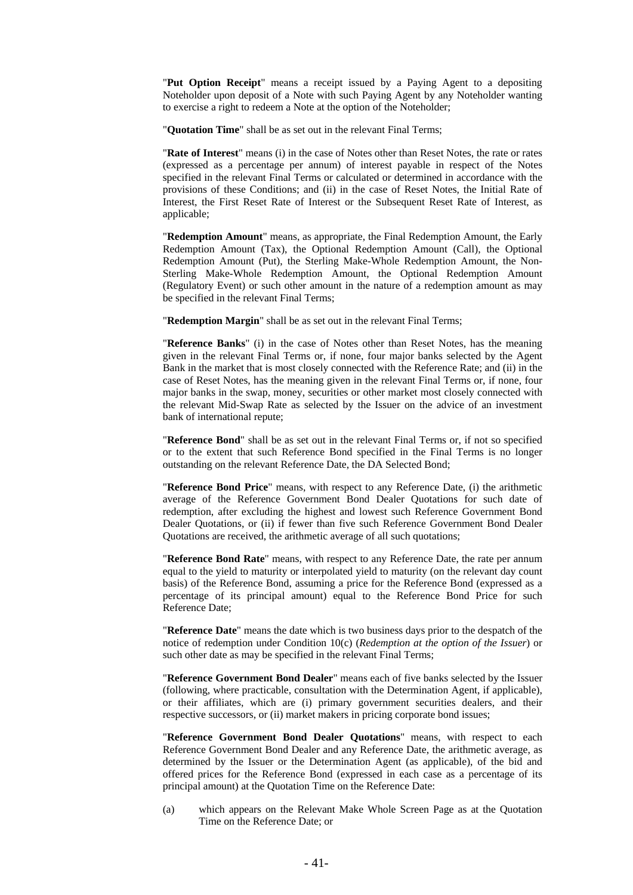"**Put Option Receipt**" means a receipt issued by a Paying Agent to a depositing Noteholder upon deposit of a Note with such Paying Agent by any Noteholder wanting to exercise a right to redeem a Note at the option of the Noteholder;

"**Quotation Time**" shall be as set out in the relevant Final Terms;

"**Rate of Interest**" means (i) in the case of Notes other than Reset Notes, the rate or rates (expressed as a percentage per annum) of interest payable in respect of the Notes specified in the relevant Final Terms or calculated or determined in accordance with the provisions of these Conditions; and (ii) in the case of Reset Notes, the Initial Rate of Interest, the First Reset Rate of Interest or the Subsequent Reset Rate of Interest, as applicable;

"**Redemption Amount**" means, as appropriate, the Final Redemption Amount, the Early Redemption Amount (Tax), the Optional Redemption Amount (Call), the Optional Redemption Amount (Put), the Sterling Make-Whole Redemption Amount, the Non-Sterling Make-Whole Redemption Amount, the Optional Redemption Amount (Regulatory Event) or such other amount in the nature of a redemption amount as may be specified in the relevant Final Terms;

"**Redemption Margin**" shall be as set out in the relevant Final Terms;

"**Reference Banks**" (i) in the case of Notes other than Reset Notes, has the meaning given in the relevant Final Terms or, if none, four major banks selected by the Agent Bank in the market that is most closely connected with the Reference Rate; and (ii) in the case of Reset Notes, has the meaning given in the relevant Final Terms or, if none, four major banks in the swap, money, securities or other market most closely connected with the relevant Mid-Swap Rate as selected by the Issuer on the advice of an investment bank of international repute;

"**Reference Bond**" shall be as set out in the relevant Final Terms or, if not so specified or to the extent that such Reference Bond specified in the Final Terms is no longer outstanding on the relevant Reference Date, the DA Selected Bond;

"**Reference Bond Price**" means, with respect to any Reference Date, (i) the arithmetic average of the Reference Government Bond Dealer Quotations for such date of redemption, after excluding the highest and lowest such Reference Government Bond Dealer Quotations, or (ii) if fewer than five such Reference Government Bond Dealer Quotations are received, the arithmetic average of all such quotations;

"**Reference Bond Rate**" means, with respect to any Reference Date, the rate per annum equal to the yield to maturity or interpolated yield to maturity (on the relevant day count basis) of the Reference Bond, assuming a price for the Reference Bond (expressed as a percentage of its principal amount) equal to the Reference Bond Price for such Reference Date;

"**Reference Date**" means the date which is two business days prior to the despatch of the notice of redemption under Condition 10(c) (*Redemption at the option of the Issuer*) or such other date as may be specified in the relevant Final Terms;

"**Reference Government Bond Dealer**" means each of five banks selected by the Issuer (following, where practicable, consultation with the Determination Agent, if applicable), or their affiliates, which are (i) primary government securities dealers, and their respective successors, or (ii) market makers in pricing corporate bond issues;

"**Reference Government Bond Dealer Quotations**" means, with respect to each Reference Government Bond Dealer and any Reference Date, the arithmetic average, as determined by the Issuer or the Determination Agent (as applicable), of the bid and offered prices for the Reference Bond (expressed in each case as a percentage of its principal amount) at the Quotation Time on the Reference Date:

(a) which appears on the Relevant Make Whole Screen Page as at the Quotation Time on the Reference Date; or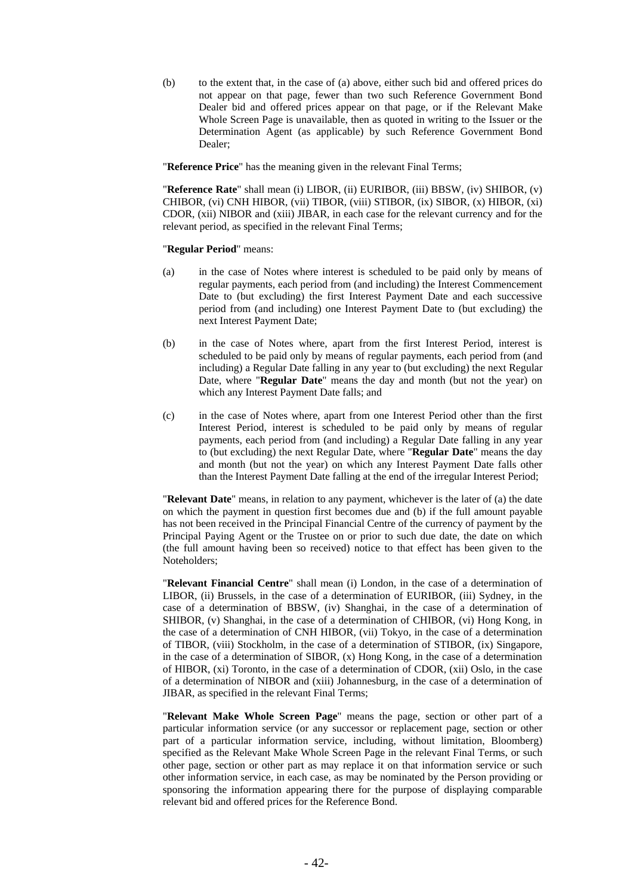(b) to the extent that, in the case of (a) above, either such bid and offered prices do not appear on that page, fewer than two such Reference Government Bond Dealer bid and offered prices appear on that page, or if the Relevant Make Whole Screen Page is unavailable, then as quoted in writing to the Issuer or the Determination Agent (as applicable) by such Reference Government Bond Dealer;

"**Reference Price**" has the meaning given in the relevant Final Terms;

"**Reference Rate**" shall mean (i) LIBOR, (ii) EURIBOR, (iii) BBSW, (iv) SHIBOR, (v) CHIBOR, (vi) CNH HIBOR, (vii) TIBOR, (viii) STIBOR, (ix) SIBOR, (x) HIBOR, (xi) CDOR, (xii) NIBOR and (xiii) JIBAR, in each case for the relevant currency and for the relevant period, as specified in the relevant Final Terms;

#### "**Regular Period**" means:

- (a) in the case of Notes where interest is scheduled to be paid only by means of regular payments, each period from (and including) the Interest Commencement Date to (but excluding) the first Interest Payment Date and each successive period from (and including) one Interest Payment Date to (but excluding) the next Interest Payment Date;
- (b) in the case of Notes where, apart from the first Interest Period, interest is scheduled to be paid only by means of regular payments, each period from (and including) a Regular Date falling in any year to (but excluding) the next Regular Date, where "**Regular Date**" means the day and month (but not the year) on which any Interest Payment Date falls; and
- (c) in the case of Notes where, apart from one Interest Period other than the first Interest Period, interest is scheduled to be paid only by means of regular payments, each period from (and including) a Regular Date falling in any year to (but excluding) the next Regular Date, where "**Regular Date**" means the day and month (but not the year) on which any Interest Payment Date falls other than the Interest Payment Date falling at the end of the irregular Interest Period;

"**Relevant Date**" means, in relation to any payment, whichever is the later of (a) the date on which the payment in question first becomes due and (b) if the full amount payable has not been received in the Principal Financial Centre of the currency of payment by the Principal Paying Agent or the Trustee on or prior to such due date, the date on which (the full amount having been so received) notice to that effect has been given to the Noteholders;

"**Relevant Financial Centre**" shall mean (i) London, in the case of a determination of LIBOR, (ii) Brussels, in the case of a determination of EURIBOR, (iii) Sydney, in the case of a determination of BBSW, (iv) Shanghai, in the case of a determination of SHIBOR, (v) Shanghai, in the case of a determination of CHIBOR, (vi) Hong Kong, in the case of a determination of CNH HIBOR, (vii) Tokyo, in the case of a determination of TIBOR, (viii) Stockholm, in the case of a determination of STIBOR, (ix) Singapore, in the case of a determination of SIBOR, (x) Hong Kong, in the case of a determination of HIBOR, (xi) Toronto, in the case of a determination of CDOR, (xii) Oslo, in the case of a determination of NIBOR and (xiii) Johannesburg, in the case of a determination of JIBAR, as specified in the relevant Final Terms;

"**Relevant Make Whole Screen Page**" means the page, section or other part of a particular information service (or any successor or replacement page, section or other part of a particular information service, including, without limitation, Bloomberg) specified as the Relevant Make Whole Screen Page in the relevant Final Terms, or such other page, section or other part as may replace it on that information service or such other information service, in each case, as may be nominated by the Person providing or sponsoring the information appearing there for the purpose of displaying comparable relevant bid and offered prices for the Reference Bond.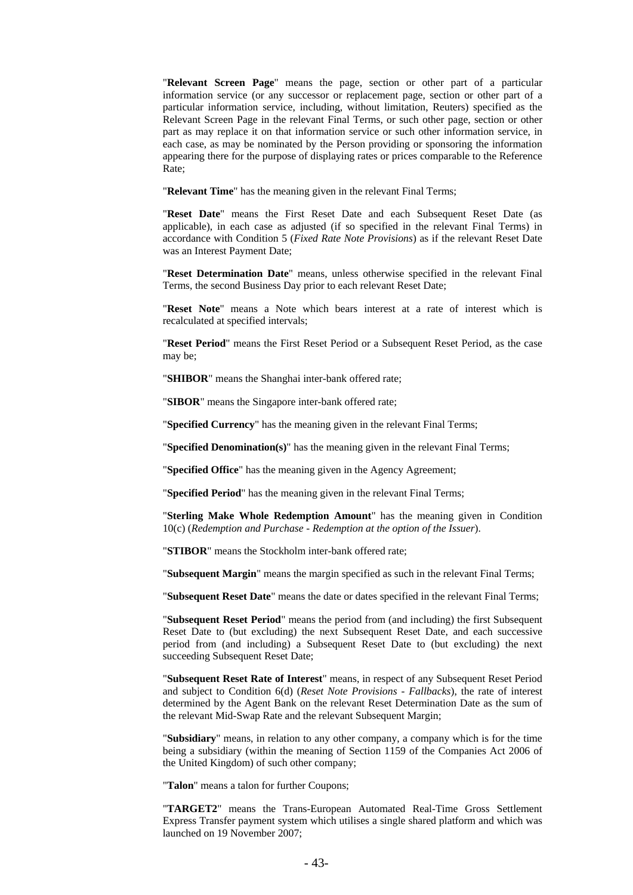"**Relevant Screen Page**" means the page, section or other part of a particular information service (or any successor or replacement page, section or other part of a particular information service, including, without limitation, Reuters) specified as the Relevant Screen Page in the relevant Final Terms, or such other page, section or other part as may replace it on that information service or such other information service, in each case, as may be nominated by the Person providing or sponsoring the information appearing there for the purpose of displaying rates or prices comparable to the Reference Rate;

"**Relevant Time**" has the meaning given in the relevant Final Terms;

"**Reset Date**" means the First Reset Date and each Subsequent Reset Date (as applicable), in each case as adjusted (if so specified in the relevant Final Terms) in accordance with Condition 5 (*Fixed Rate Note Provisions*) as if the relevant Reset Date was an Interest Payment Date;

"**Reset Determination Date**" means, unless otherwise specified in the relevant Final Terms, the second Business Day prior to each relevant Reset Date;

"**Reset Note**" means a Note which bears interest at a rate of interest which is recalculated at specified intervals;

"**Reset Period**" means the First Reset Period or a Subsequent Reset Period, as the case may be;

"**SHIBOR**" means the Shanghai inter-bank offered rate;

"**SIBOR**" means the Singapore inter-bank offered rate;

"**Specified Currency**" has the meaning given in the relevant Final Terms;

"**Specified Denomination(s)**" has the meaning given in the relevant Final Terms;

"**Specified Office**" has the meaning given in the Agency Agreement;

"**Specified Period**" has the meaning given in the relevant Final Terms;

"**Sterling Make Whole Redemption Amount**" has the meaning given in Condition 10(c) (*Redemption and Purchase - Redemption at the option of the Issuer*).

"**STIBOR**" means the Stockholm inter-bank offered rate;

"**Subsequent Margin**" means the margin specified as such in the relevant Final Terms;

"**Subsequent Reset Date**" means the date or dates specified in the relevant Final Terms;

"**Subsequent Reset Period**" means the period from (and including) the first Subsequent Reset Date to (but excluding) the next Subsequent Reset Date, and each successive period from (and including) a Subsequent Reset Date to (but excluding) the next succeeding Subsequent Reset Date;

"**Subsequent Reset Rate of Interest**" means, in respect of any Subsequent Reset Period and subject to Condition 6(d) (*Reset Note Provisions - Fallbacks*), the rate of interest determined by the Agent Bank on the relevant Reset Determination Date as the sum of the relevant Mid-Swap Rate and the relevant Subsequent Margin;

"**Subsidiary**" means, in relation to any other company, a company which is for the time being a subsidiary (within the meaning of Section 1159 of the Companies Act 2006 of the United Kingdom) of such other company;

"**Talon**" means a talon for further Coupons;

"**TARGET2**" means the Trans-European Automated Real-Time Gross Settlement Express Transfer payment system which utilises a single shared platform and which was launched on 19 November 2007;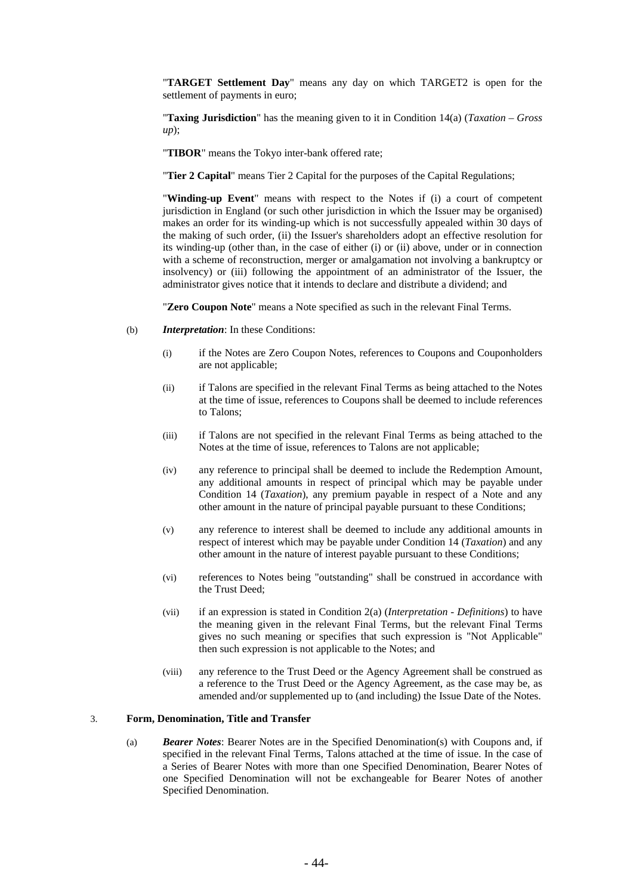"**TARGET Settlement Day**" means any day on which TARGET2 is open for the settlement of payments in euro;

"**Taxing Jurisdiction**" has the meaning given to it in Condition 14(a) (*Taxation – Gross up*);

"**TIBOR**" means the Tokyo inter-bank offered rate;

"**Tier 2 Capital**" means Tier 2 Capital for the purposes of the Capital Regulations;

"**Winding-up Event**" means with respect to the Notes if (i) a court of competent jurisdiction in England (or such other jurisdiction in which the Issuer may be organised) makes an order for its winding-up which is not successfully appealed within 30 days of the making of such order, (ii) the Issuer's shareholders adopt an effective resolution for its winding-up (other than, in the case of either (i) or (ii) above, under or in connection with a scheme of reconstruction, merger or amalgamation not involving a bankruptcy or insolvency) or (iii) following the appointment of an administrator of the Issuer, the administrator gives notice that it intends to declare and distribute a dividend; and

"**Zero Coupon Note**" means a Note specified as such in the relevant Final Terms.

- (b) *Interpretation*: In these Conditions:
	- (i) if the Notes are Zero Coupon Notes, references to Coupons and Couponholders are not applicable;
	- (ii) if Talons are specified in the relevant Final Terms as being attached to the Notes at the time of issue, references to Coupons shall be deemed to include references to Talons;
	- (iii) if Talons are not specified in the relevant Final Terms as being attached to the Notes at the time of issue, references to Talons are not applicable;
	- (iv) any reference to principal shall be deemed to include the Redemption Amount, any additional amounts in respect of principal which may be payable under Condition 14 (*Taxation*), any premium payable in respect of a Note and any other amount in the nature of principal payable pursuant to these Conditions;
	- (v) any reference to interest shall be deemed to include any additional amounts in respect of interest which may be payable under Condition 14 (*Taxation*) and any other amount in the nature of interest payable pursuant to these Conditions;
	- (vi) references to Notes being "outstanding" shall be construed in accordance with the Trust Deed;
	- (vii) if an expression is stated in Condition 2(a) (*Interpretation Definitions*) to have the meaning given in the relevant Final Terms, but the relevant Final Terms gives no such meaning or specifies that such expression is "Not Applicable" then such expression is not applicable to the Notes; and
	- (viii) any reference to the Trust Deed or the Agency Agreement shall be construed as a reference to the Trust Deed or the Agency Agreement, as the case may be, as amended and/or supplemented up to (and including) the Issue Date of the Notes.

### 3. **Form, Denomination, Title and Transfer**

(a) *Bearer Notes*: Bearer Notes are in the Specified Denomination(s) with Coupons and, if specified in the relevant Final Terms, Talons attached at the time of issue. In the case of a Series of Bearer Notes with more than one Specified Denomination, Bearer Notes of one Specified Denomination will not be exchangeable for Bearer Notes of another Specified Denomination.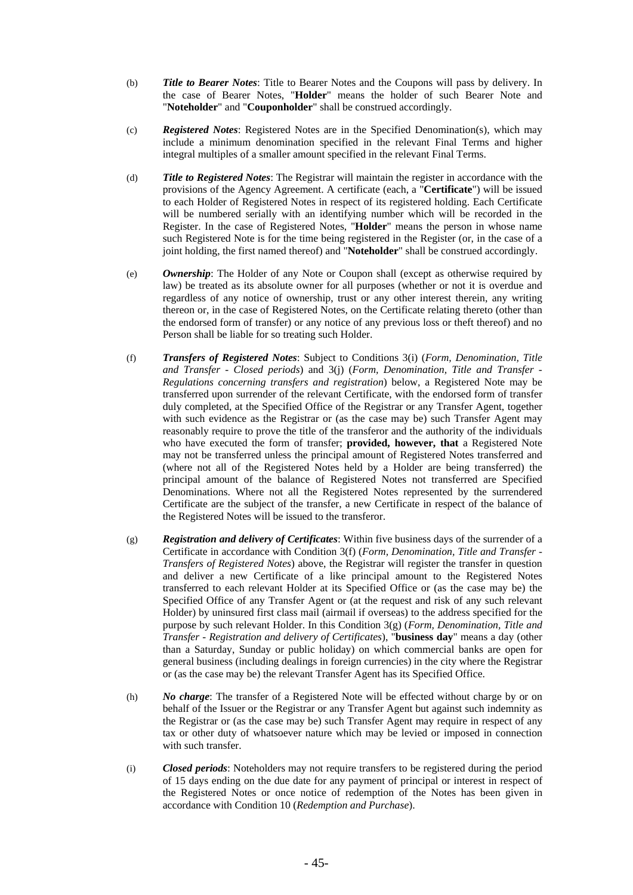- (b) *Title to Bearer Notes*: Title to Bearer Notes and the Coupons will pass by delivery. In the case of Bearer Notes, "**Holder**" means the holder of such Bearer Note and "**Noteholder**" and "**Couponholder**" shall be construed accordingly.
- (c) *Registered Notes*: Registered Notes are in the Specified Denomination(s), which may include a minimum denomination specified in the relevant Final Terms and higher integral multiples of a smaller amount specified in the relevant Final Terms.
- (d) *Title to Registered Notes*: The Registrar will maintain the register in accordance with the provisions of the Agency Agreement. A certificate (each, a "**Certificate**") will be issued to each Holder of Registered Notes in respect of its registered holding. Each Certificate will be numbered serially with an identifying number which will be recorded in the Register. In the case of Registered Notes, "**Holder**" means the person in whose name such Registered Note is for the time being registered in the Register (or, in the case of a joint holding, the first named thereof) and "**Noteholder**" shall be construed accordingly.
- (e) *Ownership*: The Holder of any Note or Coupon shall (except as otherwise required by law) be treated as its absolute owner for all purposes (whether or not it is overdue and regardless of any notice of ownership, trust or any other interest therein, any writing thereon or, in the case of Registered Notes, on the Certificate relating thereto (other than the endorsed form of transfer) or any notice of any previous loss or theft thereof) and no Person shall be liable for so treating such Holder.
- (f) *Transfers of Registered Notes*: Subject to Conditions 3(i) (*Form, Denomination, Title and Transfer - Closed periods*) and 3(j) (*Form, Denomination, Title and Transfer - Regulations concerning transfers and registration*) below, a Registered Note may be transferred upon surrender of the relevant Certificate, with the endorsed form of transfer duly completed, at the Specified Office of the Registrar or any Transfer Agent, together with such evidence as the Registrar or (as the case may be) such Transfer Agent may reasonably require to prove the title of the transferor and the authority of the individuals who have executed the form of transfer; **provided, however, that** a Registered Note may not be transferred unless the principal amount of Registered Notes transferred and (where not all of the Registered Notes held by a Holder are being transferred) the principal amount of the balance of Registered Notes not transferred are Specified Denominations. Where not all the Registered Notes represented by the surrendered Certificate are the subject of the transfer, a new Certificate in respect of the balance of the Registered Notes will be issued to the transferor.
- (g) *Registration and delivery of Certificates*: Within five business days of the surrender of a Certificate in accordance with Condition 3(f) (*Form, Denomination, Title and Transfer - Transfers of Registered Notes*) above, the Registrar will register the transfer in question and deliver a new Certificate of a like principal amount to the Registered Notes transferred to each relevant Holder at its Specified Office or (as the case may be) the Specified Office of any Transfer Agent or (at the request and risk of any such relevant Holder) by uninsured first class mail (airmail if overseas) to the address specified for the purpose by such relevant Holder. In this Condition 3(g) (*Form, Denomination, Title and Transfer - Registration and delivery of Certificates*), "**business day**" means a day (other than a Saturday, Sunday or public holiday) on which commercial banks are open for general business (including dealings in foreign currencies) in the city where the Registrar or (as the case may be) the relevant Transfer Agent has its Specified Office.
- (h) *No charge*: The transfer of a Registered Note will be effected without charge by or on behalf of the Issuer or the Registrar or any Transfer Agent but against such indemnity as the Registrar or (as the case may be) such Transfer Agent may require in respect of any tax or other duty of whatsoever nature which may be levied or imposed in connection with such transfer.
- (i) *Closed periods*: Noteholders may not require transfers to be registered during the period of 15 days ending on the due date for any payment of principal or interest in respect of the Registered Notes or once notice of redemption of the Notes has been given in accordance with Condition 10 (*Redemption and Purchase*).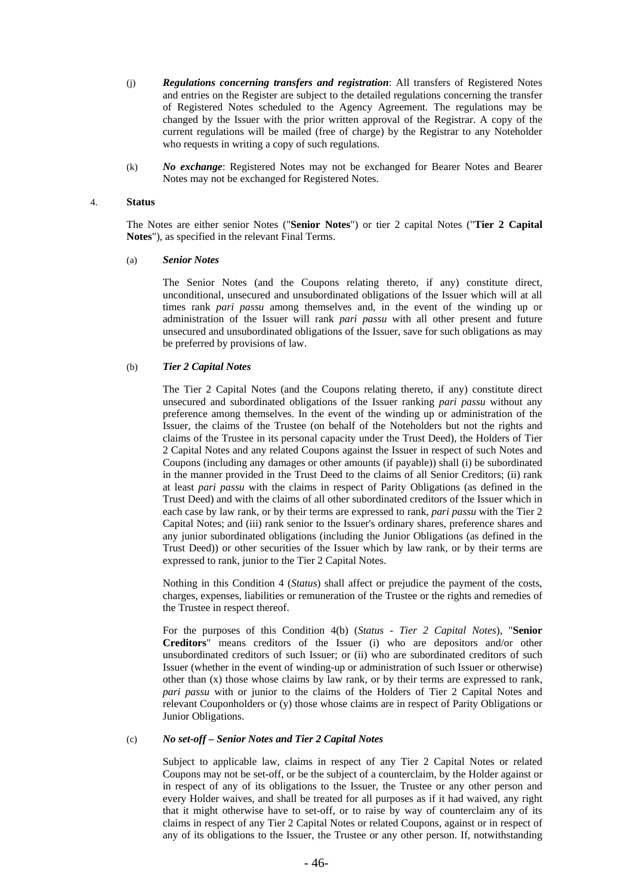- (j) *Regulations concerning transfers and registration*: All transfers of Registered Notes and entries on the Register are subject to the detailed regulations concerning the transfer of Registered Notes scheduled to the Agency Agreement. The regulations may be changed by the Issuer with the prior written approval of the Registrar. A copy of the current regulations will be mailed (free of charge) by the Registrar to any Noteholder who requests in writing a copy of such regulations.
- (k) *No exchange*: Registered Notes may not be exchanged for Bearer Notes and Bearer Notes may not be exchanged for Registered Notes.

#### 4. **Status**

The Notes are either senior Notes ("**Senior Notes**") or tier 2 capital Notes ("**Tier 2 Capital Notes**"), as specified in the relevant Final Terms.

### (a) *Senior Notes*

The Senior Notes (and the Coupons relating thereto, if any) constitute direct, unconditional, unsecured and unsubordinated obligations of the Issuer which will at all times rank *pari passu* among themselves and, in the event of the winding up or administration of the Issuer will rank *pari passu* with all other present and future unsecured and unsubordinated obligations of the Issuer, save for such obligations as may be preferred by provisions of law.

## (b) *Tier 2 Capital Notes*

The Tier 2 Capital Notes (and the Coupons relating thereto, if any) constitute direct unsecured and subordinated obligations of the Issuer ranking *pari passu* without any preference among themselves. In the event of the winding up or administration of the Issuer, the claims of the Trustee (on behalf of the Noteholders but not the rights and claims of the Trustee in its personal capacity under the Trust Deed), the Holders of Tier 2 Capital Notes and any related Coupons against the Issuer in respect of such Notes and Coupons (including any damages or other amounts (if payable)) shall (i) be subordinated in the manner provided in the Trust Deed to the claims of all Senior Creditors; (ii) rank at least *pari passu* with the claims in respect of Parity Obligations (as defined in the Trust Deed) and with the claims of all other subordinated creditors of the Issuer which in each case by law rank, or by their terms are expressed to rank, *pari passu* with the Tier 2 Capital Notes; and (iii) rank senior to the Issuer's ordinary shares, preference shares and any junior subordinated obligations (including the Junior Obligations (as defined in the Trust Deed)) or other securities of the Issuer which by law rank, or by their terms are expressed to rank, junior to the Tier 2 Capital Notes.

Nothing in this Condition 4 (*Status*) shall affect or prejudice the payment of the costs, charges, expenses, liabilities or remuneration of the Trustee or the rights and remedies of the Trustee in respect thereof.

For the purposes of this Condition 4(b) (*Status - Tier 2 Capital Notes*), "**Senior Creditors**" means creditors of the Issuer (i) who are depositors and/or other unsubordinated creditors of such Issuer; or (ii) who are subordinated creditors of such Issuer (whether in the event of winding-up or administration of such Issuer or otherwise) other than (x) those whose claims by law rank, or by their terms are expressed to rank, *pari passu* with or junior to the claims of the Holders of Tier 2 Capital Notes and relevant Couponholders or (y) those whose claims are in respect of Parity Obligations or Junior Obligations.

### (c) *No set-off – Senior Notes and Tier 2 Capital Notes*

Subject to applicable law, claims in respect of any Tier 2 Capital Notes or related Coupons may not be set-off, or be the subject of a counterclaim, by the Holder against or in respect of any of its obligations to the Issuer, the Trustee or any other person and every Holder waives, and shall be treated for all purposes as if it had waived, any right that it might otherwise have to set-off, or to raise by way of counterclaim any of its claims in respect of any Tier 2 Capital Notes or related Coupons, against or in respect of any of its obligations to the Issuer, the Trustee or any other person. If, notwithstanding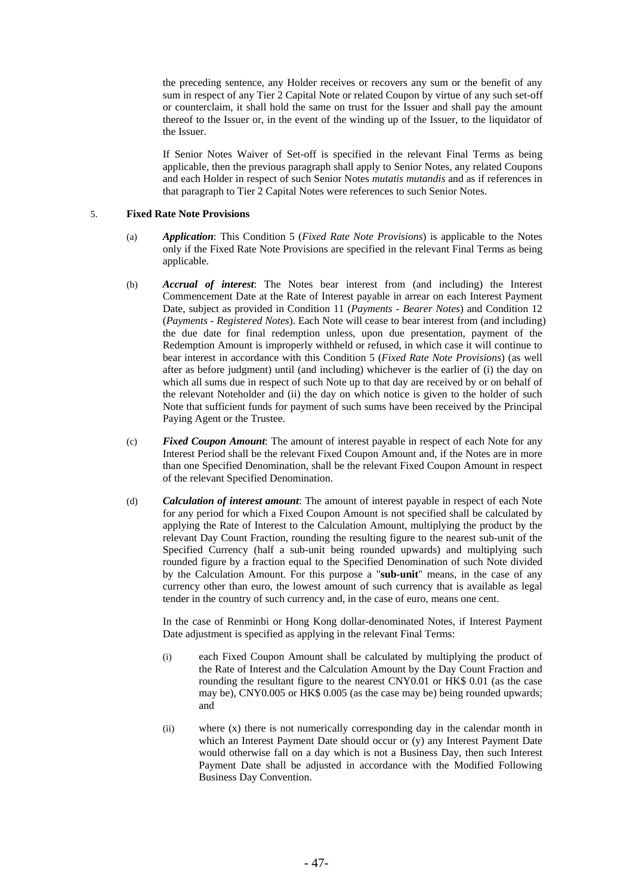the preceding sentence, any Holder receives or recovers any sum or the benefit of any sum in respect of any Tier 2 Capital Note or related Coupon by virtue of any such set-off or counterclaim, it shall hold the same on trust for the Issuer and shall pay the amount thereof to the Issuer or, in the event of the winding up of the Issuer, to the liquidator of the Issuer.

If Senior Notes Waiver of Set-off is specified in the relevant Final Terms as being applicable, then the previous paragraph shall apply to Senior Notes, any related Coupons and each Holder in respect of such Senior Notes *mutatis mutandis* and as if references in that paragraph to Tier 2 Capital Notes were references to such Senior Notes.

# 5. **Fixed Rate Note Provisions**

- (a) *Application*: This Condition 5 (*Fixed Rate Note Provisions*) is applicable to the Notes only if the Fixed Rate Note Provisions are specified in the relevant Final Terms as being applicable.
- (b) *Accrual of interest*: The Notes bear interest from (and including) the Interest Commencement Date at the Rate of Interest payable in arrear on each Interest Payment Date, subject as provided in Condition 11 (*Payments - Bearer Notes*) and Condition 12 (*Payments - Registered Notes*). Each Note will cease to bear interest from (and including) the due date for final redemption unless, upon due presentation, payment of the Redemption Amount is improperly withheld or refused, in which case it will continue to bear interest in accordance with this Condition 5 (*Fixed Rate Note Provisions*) (as well after as before judgment) until (and including) whichever is the earlier of (i) the day on which all sums due in respect of such Note up to that day are received by or on behalf of the relevant Noteholder and (ii) the day on which notice is given to the holder of such Note that sufficient funds for payment of such sums have been received by the Principal Paying Agent or the Trustee.
- (c) *Fixed Coupon Amount*: The amount of interest payable in respect of each Note for any Interest Period shall be the relevant Fixed Coupon Amount and, if the Notes are in more than one Specified Denomination, shall be the relevant Fixed Coupon Amount in respect of the relevant Specified Denomination.
- (d) *Calculation of interest amount*: The amount of interest payable in respect of each Note for any period for which a Fixed Coupon Amount is not specified shall be calculated by applying the Rate of Interest to the Calculation Amount, multiplying the product by the relevant Day Count Fraction, rounding the resulting figure to the nearest sub-unit of the Specified Currency (half a sub-unit being rounded upwards) and multiplying such rounded figure by a fraction equal to the Specified Denomination of such Note divided by the Calculation Amount. For this purpose a "**sub-unit**" means, in the case of any currency other than euro, the lowest amount of such currency that is available as legal tender in the country of such currency and, in the case of euro, means one cent.

In the case of Renminbi or Hong Kong dollar-denominated Notes, if Interest Payment Date adjustment is specified as applying in the relevant Final Terms:

- (i) each Fixed Coupon Amount shall be calculated by multiplying the product of the Rate of Interest and the Calculation Amount by the Day Count Fraction and rounding the resultant figure to the nearest CNY0.01 or HK\$ 0.01 (as the case may be), CNY0.005 or HK\$ 0.005 (as the case may be) being rounded upwards; and
- (ii) where (x) there is not numerically corresponding day in the calendar month in which an Interest Payment Date should occur or (y) any Interest Payment Date would otherwise fall on a day which is not a Business Day, then such Interest Payment Date shall be adjusted in accordance with the Modified Following Business Day Convention.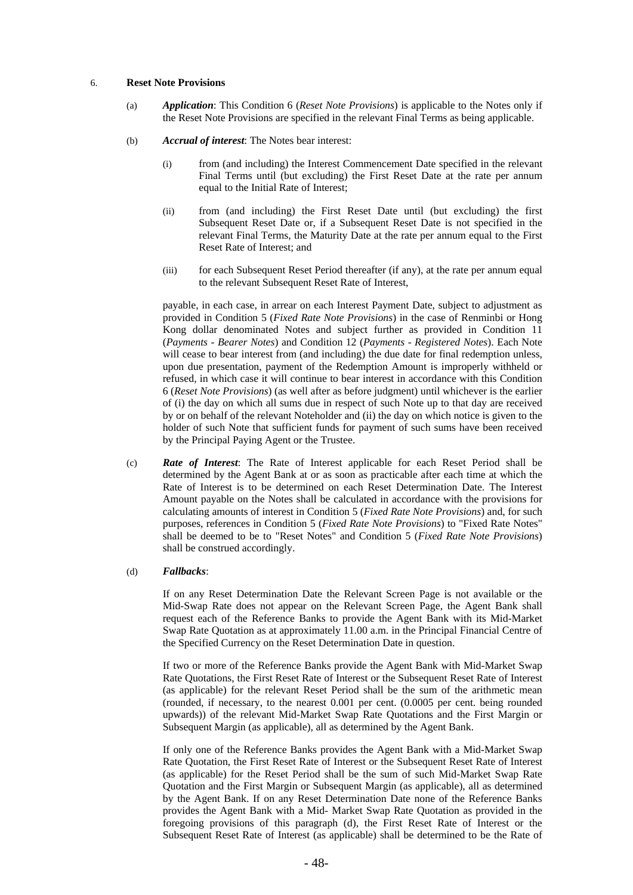### 6. **Reset Note Provisions**

- (a) *Application*: This Condition 6 (*Reset Note Provisions*) is applicable to the Notes only if the Reset Note Provisions are specified in the relevant Final Terms as being applicable.
- (b) *Accrual of interest*: The Notes bear interest:
	- (i) from (and including) the Interest Commencement Date specified in the relevant Final Terms until (but excluding) the First Reset Date at the rate per annum equal to the Initial Rate of Interest;
	- (ii) from (and including) the First Reset Date until (but excluding) the first Subsequent Reset Date or, if a Subsequent Reset Date is not specified in the relevant Final Terms, the Maturity Date at the rate per annum equal to the First Reset Rate of Interest; and
	- (iii) for each Subsequent Reset Period thereafter (if any), at the rate per annum equal to the relevant Subsequent Reset Rate of Interest,

payable, in each case, in arrear on each Interest Payment Date, subject to adjustment as provided in Condition 5 (*Fixed Rate Note Provisions*) in the case of Renminbi or Hong Kong dollar denominated Notes and subject further as provided in Condition 11 (*Payments - Bearer Notes*) and Condition 12 (*Payments - Registered Notes*). Each Note will cease to bear interest from (and including) the due date for final redemption unless, upon due presentation, payment of the Redemption Amount is improperly withheld or refused, in which case it will continue to bear interest in accordance with this Condition 6 (*Reset Note Provisions*) (as well after as before judgment) until whichever is the earlier of (i) the day on which all sums due in respect of such Note up to that day are received by or on behalf of the relevant Noteholder and (ii) the day on which notice is given to the holder of such Note that sufficient funds for payment of such sums have been received by the Principal Paying Agent or the Trustee.

(c) *Rate of Interest*: The Rate of Interest applicable for each Reset Period shall be determined by the Agent Bank at or as soon as practicable after each time at which the Rate of Interest is to be determined on each Reset Determination Date. The Interest Amount payable on the Notes shall be calculated in accordance with the provisions for calculating amounts of interest in Condition 5 (*Fixed Rate Note Provisions*) and, for such purposes, references in Condition 5 (*Fixed Rate Note Provisions*) to "Fixed Rate Notes" shall be deemed to be to "Reset Notes" and Condition 5 (*Fixed Rate Note Provisions*) shall be construed accordingly.

### (d) *Fallbacks*:

If on any Reset Determination Date the Relevant Screen Page is not available or the Mid-Swap Rate does not appear on the Relevant Screen Page, the Agent Bank shall request each of the Reference Banks to provide the Agent Bank with its Mid-Market Swap Rate Quotation as at approximately 11.00 a.m. in the Principal Financial Centre of the Specified Currency on the Reset Determination Date in question.

If two or more of the Reference Banks provide the Agent Bank with Mid-Market Swap Rate Quotations, the First Reset Rate of Interest or the Subsequent Reset Rate of Interest (as applicable) for the relevant Reset Period shall be the sum of the arithmetic mean (rounded, if necessary, to the nearest 0.001 per cent. (0.0005 per cent. being rounded upwards)) of the relevant Mid-Market Swap Rate Quotations and the First Margin or Subsequent Margin (as applicable), all as determined by the Agent Bank.

If only one of the Reference Banks provides the Agent Bank with a Mid-Market Swap Rate Quotation, the First Reset Rate of Interest or the Subsequent Reset Rate of Interest (as applicable) for the Reset Period shall be the sum of such Mid-Market Swap Rate Quotation and the First Margin or Subsequent Margin (as applicable), all as determined by the Agent Bank. If on any Reset Determination Date none of the Reference Banks provides the Agent Bank with a Mid- Market Swap Rate Quotation as provided in the foregoing provisions of this paragraph (d), the First Reset Rate of Interest or the Subsequent Reset Rate of Interest (as applicable) shall be determined to be the Rate of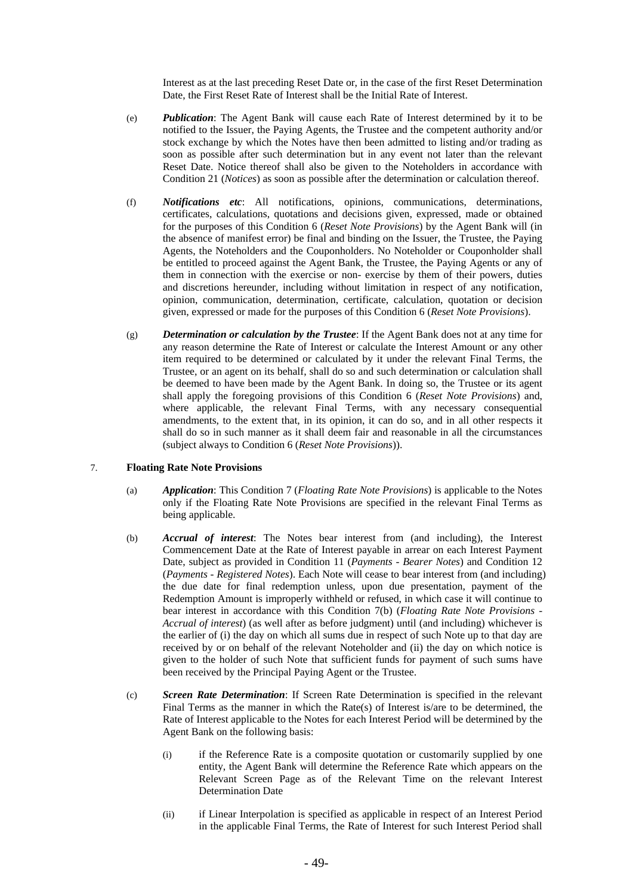Interest as at the last preceding Reset Date or, in the case of the first Reset Determination Date, the First Reset Rate of Interest shall be the Initial Rate of Interest.

- (e) *Publication*: The Agent Bank will cause each Rate of Interest determined by it to be notified to the Issuer, the Paying Agents, the Trustee and the competent authority and/or stock exchange by which the Notes have then been admitted to listing and/or trading as soon as possible after such determination but in any event not later than the relevant Reset Date. Notice thereof shall also be given to the Noteholders in accordance with Condition 21 (*Notices*) as soon as possible after the determination or calculation thereof.
- (f) *Notifications etc*: All notifications, opinions, communications, determinations, certificates, calculations, quotations and decisions given, expressed, made or obtained for the purposes of this Condition 6 (*Reset Note Provisions*) by the Agent Bank will (in the absence of manifest error) be final and binding on the Issuer, the Trustee, the Paying Agents, the Noteholders and the Couponholders. No Noteholder or Couponholder shall be entitled to proceed against the Agent Bank, the Trustee, the Paying Agents or any of them in connection with the exercise or non- exercise by them of their powers, duties and discretions hereunder, including without limitation in respect of any notification, opinion, communication, determination, certificate, calculation, quotation or decision given, expressed or made for the purposes of this Condition 6 (*Reset Note Provisions*).
- (g) *Determination or calculation by the Trustee*: If the Agent Bank does not at any time for any reason determine the Rate of Interest or calculate the Interest Amount or any other item required to be determined or calculated by it under the relevant Final Terms, the Trustee, or an agent on its behalf, shall do so and such determination or calculation shall be deemed to have been made by the Agent Bank. In doing so, the Trustee or its agent shall apply the foregoing provisions of this Condition 6 (*Reset Note Provisions*) and, where applicable, the relevant Final Terms, with any necessary consequential amendments, to the extent that, in its opinion, it can do so, and in all other respects it shall do so in such manner as it shall deem fair and reasonable in all the circumstances (subject always to Condition 6 (*Reset Note Provisions*)).

#### 7. **Floating Rate Note Provisions**

- (a) *Application*: This Condition 7 (*Floating Rate Note Provisions*) is applicable to the Notes only if the Floating Rate Note Provisions are specified in the relevant Final Terms as being applicable.
- (b) *Accrual of interest*: The Notes bear interest from (and including), the Interest Commencement Date at the Rate of Interest payable in arrear on each Interest Payment Date, subject as provided in Condition 11 (*Payments - Bearer Notes*) and Condition 12 (*Payments - Registered Notes*). Each Note will cease to bear interest from (and including) the due date for final redemption unless, upon due presentation, payment of the Redemption Amount is improperly withheld or refused, in which case it will continue to bear interest in accordance with this Condition 7(b) (*Floating Rate Note Provisions - Accrual of interest*) (as well after as before judgment) until (and including) whichever is the earlier of (i) the day on which all sums due in respect of such Note up to that day are received by or on behalf of the relevant Noteholder and (ii) the day on which notice is given to the holder of such Note that sufficient funds for payment of such sums have been received by the Principal Paying Agent or the Trustee.
- (c) *Screen Rate Determination*: If Screen Rate Determination is specified in the relevant Final Terms as the manner in which the Rate(s) of Interest is/are to be determined, the Rate of Interest applicable to the Notes for each Interest Period will be determined by the Agent Bank on the following basis:
	- (i) if the Reference Rate is a composite quotation or customarily supplied by one entity, the Agent Bank will determine the Reference Rate which appears on the Relevant Screen Page as of the Relevant Time on the relevant Interest Determination Date
	- (ii) if Linear Interpolation is specified as applicable in respect of an Interest Period in the applicable Final Terms, the Rate of Interest for such Interest Period shall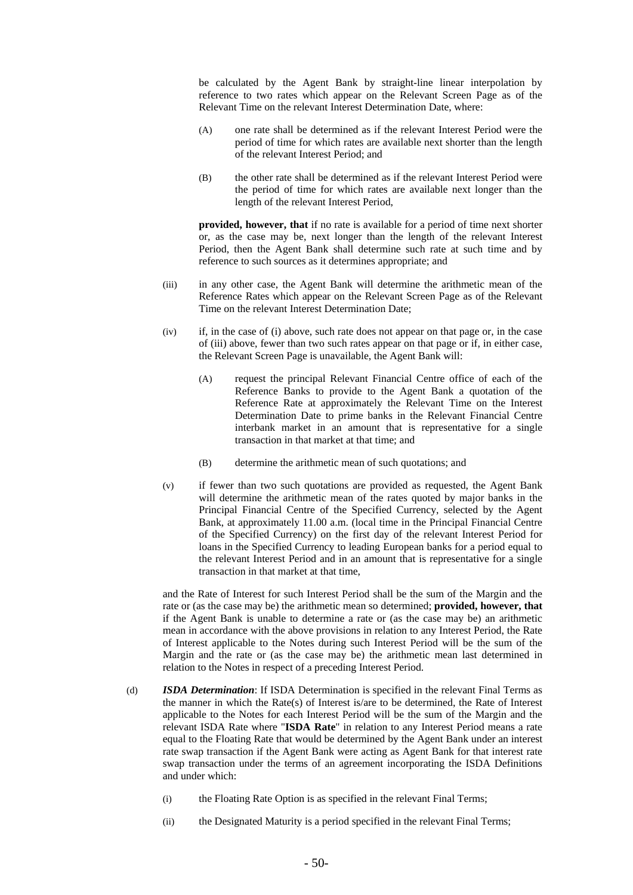be calculated by the Agent Bank by straight-line linear interpolation by reference to two rates which appear on the Relevant Screen Page as of the Relevant Time on the relevant Interest Determination Date, where:

- (A) one rate shall be determined as if the relevant Interest Period were the period of time for which rates are available next shorter than the length of the relevant Interest Period; and
- (B) the other rate shall be determined as if the relevant Interest Period were the period of time for which rates are available next longer than the length of the relevant Interest Period,

**provided, however, that** if no rate is available for a period of time next shorter or, as the case may be, next longer than the length of the relevant Interest Period, then the Agent Bank shall determine such rate at such time and by reference to such sources as it determines appropriate; and

- (iii) in any other case, the Agent Bank will determine the arithmetic mean of the Reference Rates which appear on the Relevant Screen Page as of the Relevant Time on the relevant Interest Determination Date;
- (iv) if, in the case of (i) above, such rate does not appear on that page or, in the case of (iii) above, fewer than two such rates appear on that page or if, in either case, the Relevant Screen Page is unavailable, the Agent Bank will:
	- (A) request the principal Relevant Financial Centre office of each of the Reference Banks to provide to the Agent Bank a quotation of the Reference Rate at approximately the Relevant Time on the Interest Determination Date to prime banks in the Relevant Financial Centre interbank market in an amount that is representative for a single transaction in that market at that time; and
	- (B) determine the arithmetic mean of such quotations; and
- (v) if fewer than two such quotations are provided as requested, the Agent Bank will determine the arithmetic mean of the rates quoted by major banks in the Principal Financial Centre of the Specified Currency, selected by the Agent Bank, at approximately 11.00 a.m. (local time in the Principal Financial Centre of the Specified Currency) on the first day of the relevant Interest Period for loans in the Specified Currency to leading European banks for a period equal to the relevant Interest Period and in an amount that is representative for a single transaction in that market at that time,

and the Rate of Interest for such Interest Period shall be the sum of the Margin and the rate or (as the case may be) the arithmetic mean so determined; **provided, however, that** if the Agent Bank is unable to determine a rate or (as the case may be) an arithmetic mean in accordance with the above provisions in relation to any Interest Period, the Rate of Interest applicable to the Notes during such Interest Period will be the sum of the Margin and the rate or (as the case may be) the arithmetic mean last determined in relation to the Notes in respect of a preceding Interest Period.

- (d) *ISDA Determination*: If ISDA Determination is specified in the relevant Final Terms as the manner in which the Rate(s) of Interest is/are to be determined, the Rate of Interest applicable to the Notes for each Interest Period will be the sum of the Margin and the relevant ISDA Rate where "**ISDA Rate**" in relation to any Interest Period means a rate equal to the Floating Rate that would be determined by the Agent Bank under an interest rate swap transaction if the Agent Bank were acting as Agent Bank for that interest rate swap transaction under the terms of an agreement incorporating the ISDA Definitions and under which:
	- (i) the Floating Rate Option is as specified in the relevant Final Terms;
	- (ii) the Designated Maturity is a period specified in the relevant Final Terms;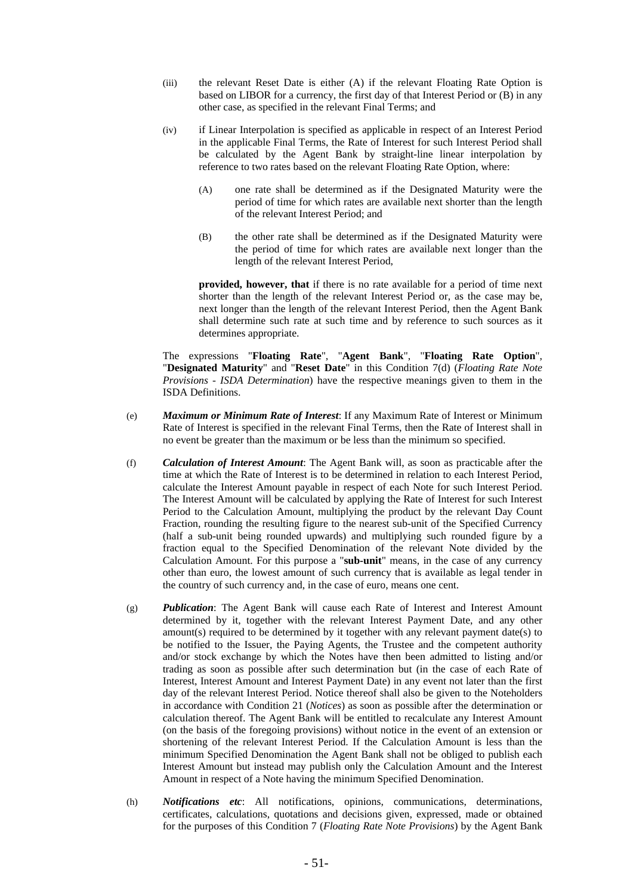- (iii) the relevant Reset Date is either (A) if the relevant Floating Rate Option is based on LIBOR for a currency, the first day of that Interest Period or (B) in any other case, as specified in the relevant Final Terms; and
- (iv) if Linear Interpolation is specified as applicable in respect of an Interest Period in the applicable Final Terms, the Rate of Interest for such Interest Period shall be calculated by the Agent Bank by straight-line linear interpolation by reference to two rates based on the relevant Floating Rate Option, where:
	- (A) one rate shall be determined as if the Designated Maturity were the period of time for which rates are available next shorter than the length of the relevant Interest Period; and
	- (B) the other rate shall be determined as if the Designated Maturity were the period of time for which rates are available next longer than the length of the relevant Interest Period,

**provided, however, that** if there is no rate available for a period of time next shorter than the length of the relevant Interest Period or, as the case may be, next longer than the length of the relevant Interest Period, then the Agent Bank shall determine such rate at such time and by reference to such sources as it determines appropriate.

The expressions "**Floating Rate**", "**Agent Bank**", "**Floating Rate Option**", "**Designated Maturity**" and "**Reset Date**" in this Condition 7(d) (*Floating Rate Note Provisions - ISDA Determination*) have the respective meanings given to them in the ISDA Definitions.

- (e) *Maximum or Minimum Rate of Interest*: If any Maximum Rate of Interest or Minimum Rate of Interest is specified in the relevant Final Terms, then the Rate of Interest shall in no event be greater than the maximum or be less than the minimum so specified.
- (f) *Calculation of Interest Amount*: The Agent Bank will, as soon as practicable after the time at which the Rate of Interest is to be determined in relation to each Interest Period, calculate the Interest Amount payable in respect of each Note for such Interest Period. The Interest Amount will be calculated by applying the Rate of Interest for such Interest Period to the Calculation Amount, multiplying the product by the relevant Day Count Fraction, rounding the resulting figure to the nearest sub-unit of the Specified Currency (half a sub-unit being rounded upwards) and multiplying such rounded figure by a fraction equal to the Specified Denomination of the relevant Note divided by the Calculation Amount. For this purpose a "**sub-unit**" means, in the case of any currency other than euro, the lowest amount of such currency that is available as legal tender in the country of such currency and, in the case of euro, means one cent.
- (g) *Publication*: The Agent Bank will cause each Rate of Interest and Interest Amount determined by it, together with the relevant Interest Payment Date, and any other amount(s) required to be determined by it together with any relevant payment date(s) to be notified to the Issuer, the Paying Agents, the Trustee and the competent authority and/or stock exchange by which the Notes have then been admitted to listing and/or trading as soon as possible after such determination but (in the case of each Rate of Interest, Interest Amount and Interest Payment Date) in any event not later than the first day of the relevant Interest Period. Notice thereof shall also be given to the Noteholders in accordance with Condition 21 (*Notices*) as soon as possible after the determination or calculation thereof. The Agent Bank will be entitled to recalculate any Interest Amount (on the basis of the foregoing provisions) without notice in the event of an extension or shortening of the relevant Interest Period. If the Calculation Amount is less than the minimum Specified Denomination the Agent Bank shall not be obliged to publish each Interest Amount but instead may publish only the Calculation Amount and the Interest Amount in respect of a Note having the minimum Specified Denomination.
- (h) *Notifications etc*: All notifications, opinions, communications, determinations, certificates, calculations, quotations and decisions given, expressed, made or obtained for the purposes of this Condition 7 (*Floating Rate Note Provisions*) by the Agent Bank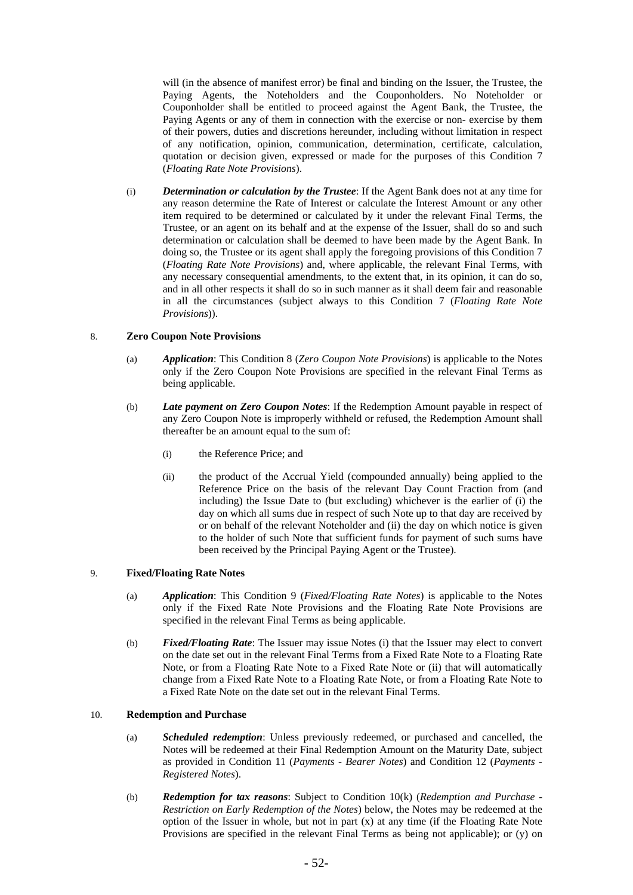will (in the absence of manifest error) be final and binding on the Issuer, the Trustee, the Paying Agents, the Noteholders and the Couponholders. No Noteholder or Couponholder shall be entitled to proceed against the Agent Bank, the Trustee, the Paying Agents or any of them in connection with the exercise or non- exercise by them of their powers, duties and discretions hereunder, including without limitation in respect of any notification, opinion, communication, determination, certificate, calculation, quotation or decision given, expressed or made for the purposes of this Condition 7 (*Floating Rate Note Provisions*).

(i) *Determination or calculation by the Trustee*: If the Agent Bank does not at any time for any reason determine the Rate of Interest or calculate the Interest Amount or any other item required to be determined or calculated by it under the relevant Final Terms, the Trustee, or an agent on its behalf and at the expense of the Issuer, shall do so and such determination or calculation shall be deemed to have been made by the Agent Bank. In doing so, the Trustee or its agent shall apply the foregoing provisions of this Condition 7 (*Floating Rate Note Provisions*) and, where applicable, the relevant Final Terms, with any necessary consequential amendments, to the extent that, in its opinion, it can do so, and in all other respects it shall do so in such manner as it shall deem fair and reasonable in all the circumstances (subject always to this Condition 7 (*Floating Rate Note Provisions*)).

### 8. **Zero Coupon Note Provisions**

- (a) *Application*: This Condition 8 (*Zero Coupon Note Provisions*) is applicable to the Notes only if the Zero Coupon Note Provisions are specified in the relevant Final Terms as being applicable.
- (b) *Late payment on Zero Coupon Notes*: If the Redemption Amount payable in respect of any Zero Coupon Note is improperly withheld or refused, the Redemption Amount shall thereafter be an amount equal to the sum of:
	- (i) the Reference Price; and
	- (ii) the product of the Accrual Yield (compounded annually) being applied to the Reference Price on the basis of the relevant Day Count Fraction from (and including) the Issue Date to (but excluding) whichever is the earlier of (i) the day on which all sums due in respect of such Note up to that day are received by or on behalf of the relevant Noteholder and (ii) the day on which notice is given to the holder of such Note that sufficient funds for payment of such sums have been received by the Principal Paying Agent or the Trustee).

# 9. **Fixed/Floating Rate Notes**

- (a) *Application*: This Condition 9 (*Fixed/Floating Rate Notes*) is applicable to the Notes only if the Fixed Rate Note Provisions and the Floating Rate Note Provisions are specified in the relevant Final Terms as being applicable.
- (b) *Fixed/Floating Rate*: The Issuer may issue Notes (i) that the Issuer may elect to convert on the date set out in the relevant Final Terms from a Fixed Rate Note to a Floating Rate Note, or from a Floating Rate Note to a Fixed Rate Note or (ii) that will automatically change from a Fixed Rate Note to a Floating Rate Note, or from a Floating Rate Note to a Fixed Rate Note on the date set out in the relevant Final Terms.

# 10. **Redemption and Purchase**

- (a) *Scheduled redemption*: Unless previously redeemed, or purchased and cancelled, the Notes will be redeemed at their Final Redemption Amount on the Maturity Date, subject as provided in Condition 11 (*Payments - Bearer Notes*) and Condition 12 (*Payments - Registered Notes*).
- (b) *Redemption for tax reasons*: Subject to Condition 10(k) (*Redemption and Purchase Restriction on Early Redemption of the Notes*) below, the Notes may be redeemed at the option of the Issuer in whole, but not in part (x) at any time (if the Floating Rate Note Provisions are specified in the relevant Final Terms as being not applicable); or (y) on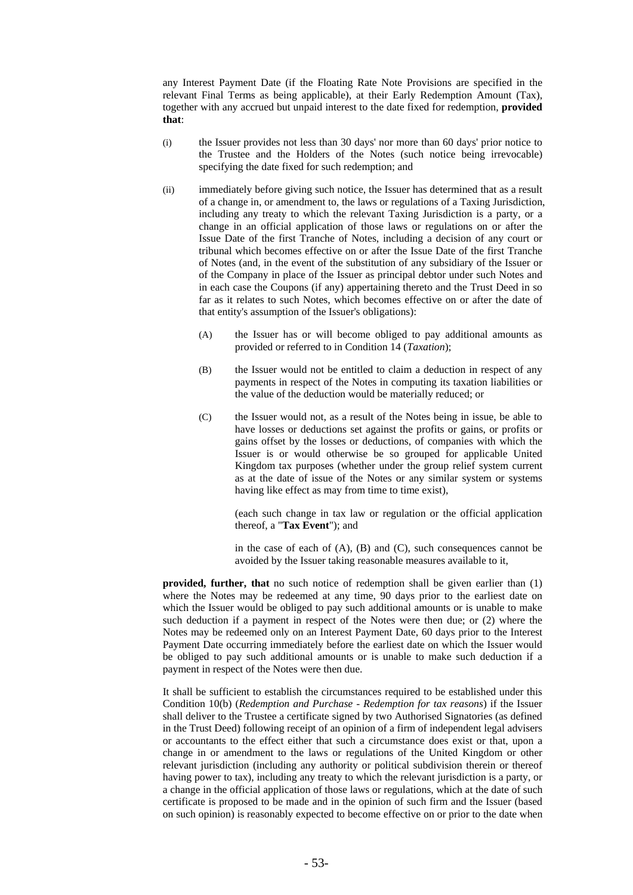any Interest Payment Date (if the Floating Rate Note Provisions are specified in the relevant Final Terms as being applicable), at their Early Redemption Amount (Tax), together with any accrued but unpaid interest to the date fixed for redemption, **provided that**:

- (i) the Issuer provides not less than 30 days' nor more than 60 days' prior notice to the Trustee and the Holders of the Notes (such notice being irrevocable) specifying the date fixed for such redemption; and
- (ii) immediately before giving such notice, the Issuer has determined that as a result of a change in, or amendment to, the laws or regulations of a Taxing Jurisdiction, including any treaty to which the relevant Taxing Jurisdiction is a party, or a change in an official application of those laws or regulations on or after the Issue Date of the first Tranche of Notes, including a decision of any court or tribunal which becomes effective on or after the Issue Date of the first Tranche of Notes (and, in the event of the substitution of any subsidiary of the Issuer or of the Company in place of the Issuer as principal debtor under such Notes and in each case the Coupons (if any) appertaining thereto and the Trust Deed in so far as it relates to such Notes, which becomes effective on or after the date of that entity's assumption of the Issuer's obligations):
	- (A) the Issuer has or will become obliged to pay additional amounts as provided or referred to in Condition 14 (*Taxation*);
	- (B) the Issuer would not be entitled to claim a deduction in respect of any payments in respect of the Notes in computing its taxation liabilities or the value of the deduction would be materially reduced; or
	- (C) the Issuer would not, as a result of the Notes being in issue, be able to have losses or deductions set against the profits or gains, or profits or gains offset by the losses or deductions, of companies with which the Issuer is or would otherwise be so grouped for applicable United Kingdom tax purposes (whether under the group relief system current as at the date of issue of the Notes or any similar system or systems having like effect as may from time to time exist),

(each such change in tax law or regulation or the official application thereof, a "**Tax Event**"); and

in the case of each of  $(A)$ ,  $(B)$  and  $(C)$ , such consequences cannot be avoided by the Issuer taking reasonable measures available to it,

**provided, further, that** no such notice of redemption shall be given earlier than (1) where the Notes may be redeemed at any time, 90 days prior to the earliest date on which the Issuer would be obliged to pay such additional amounts or is unable to make such deduction if a payment in respect of the Notes were then due; or (2) where the Notes may be redeemed only on an Interest Payment Date, 60 days prior to the Interest Payment Date occurring immediately before the earliest date on which the Issuer would be obliged to pay such additional amounts or is unable to make such deduction if a payment in respect of the Notes were then due.

It shall be sufficient to establish the circumstances required to be established under this Condition 10(b) (*Redemption and Purchase - Redemption for tax reasons*) if the Issuer shall deliver to the Trustee a certificate signed by two Authorised Signatories (as defined in the Trust Deed) following receipt of an opinion of a firm of independent legal advisers or accountants to the effect either that such a circumstance does exist or that, upon a change in or amendment to the laws or regulations of the United Kingdom or other relevant jurisdiction (including any authority or political subdivision therein or thereof having power to tax), including any treaty to which the relevant jurisdiction is a party, or a change in the official application of those laws or regulations, which at the date of such certificate is proposed to be made and in the opinion of such firm and the Issuer (based on such opinion) is reasonably expected to become effective on or prior to the date when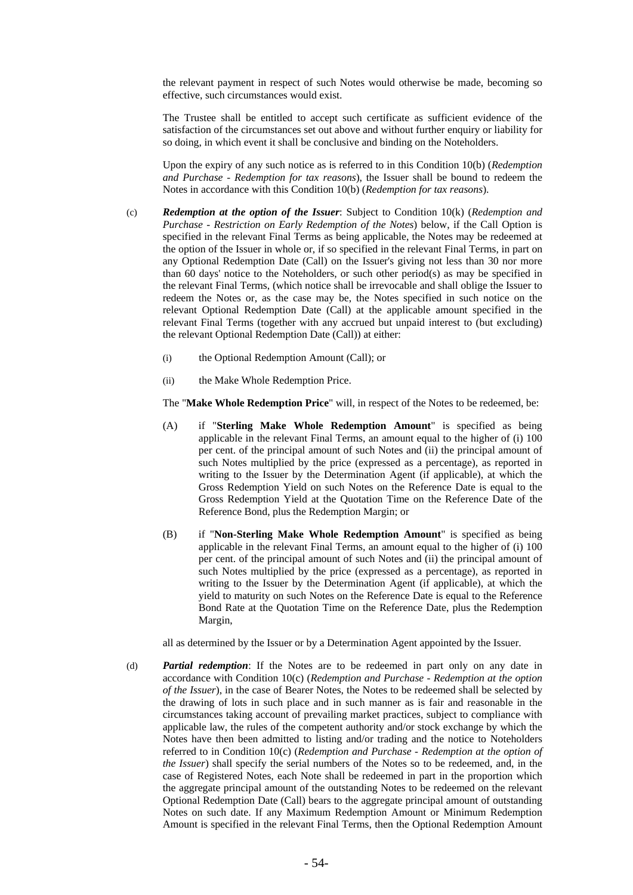the relevant payment in respect of such Notes would otherwise be made, becoming so effective, such circumstances would exist.

The Trustee shall be entitled to accept such certificate as sufficient evidence of the satisfaction of the circumstances set out above and without further enquiry or liability for so doing, in which event it shall be conclusive and binding on the Noteholders.

Upon the expiry of any such notice as is referred to in this Condition 10(b) (*Redemption and Purchase - Redemption for tax reasons*), the Issuer shall be bound to redeem the Notes in accordance with this Condition 10(b) (*Redemption for tax reasons*).

- (c) *Redemption at the option of the Issuer*: Subject to Condition 10(k) (*Redemption and Purchase - Restriction on Early Redemption of the Notes*) below, if the Call Option is specified in the relevant Final Terms as being applicable, the Notes may be redeemed at the option of the Issuer in whole or, if so specified in the relevant Final Terms, in part on any Optional Redemption Date (Call) on the Issuer's giving not less than 30 nor more than 60 days' notice to the Noteholders, or such other period(s) as may be specified in the relevant Final Terms, (which notice shall be irrevocable and shall oblige the Issuer to redeem the Notes or, as the case may be, the Notes specified in such notice on the relevant Optional Redemption Date (Call) at the applicable amount specified in the relevant Final Terms (together with any accrued but unpaid interest to (but excluding) the relevant Optional Redemption Date (Call)) at either:
	- (i) the Optional Redemption Amount (Call); or
	- (ii) the Make Whole Redemption Price.

The "**Make Whole Redemption Price**" will, in respect of the Notes to be redeemed, be:

- (A) if "**Sterling Make Whole Redemption Amount**" is specified as being applicable in the relevant Final Terms, an amount equal to the higher of (i) 100 per cent. of the principal amount of such Notes and (ii) the principal amount of such Notes multiplied by the price (expressed as a percentage), as reported in writing to the Issuer by the Determination Agent (if applicable), at which the Gross Redemption Yield on such Notes on the Reference Date is equal to the Gross Redemption Yield at the Quotation Time on the Reference Date of the Reference Bond, plus the Redemption Margin; or
- (B) if "**Non-Sterling Make Whole Redemption Amount**" is specified as being applicable in the relevant Final Terms, an amount equal to the higher of (i) 100 per cent. of the principal amount of such Notes and (ii) the principal amount of such Notes multiplied by the price (expressed as a percentage), as reported in writing to the Issuer by the Determination Agent (if applicable), at which the yield to maturity on such Notes on the Reference Date is equal to the Reference Bond Rate at the Quotation Time on the Reference Date, plus the Redemption Margin,

all as determined by the Issuer or by a Determination Agent appointed by the Issuer.

(d) *Partial redemption*: If the Notes are to be redeemed in part only on any date in accordance with Condition 10(c) (*Redemption and Purchase - Redemption at the option of the Issuer*), in the case of Bearer Notes, the Notes to be redeemed shall be selected by the drawing of lots in such place and in such manner as is fair and reasonable in the circumstances taking account of prevailing market practices, subject to compliance with applicable law, the rules of the competent authority and/or stock exchange by which the Notes have then been admitted to listing and/or trading and the notice to Noteholders referred to in Condition 10(c) (*Redemption and Purchase - Redemption at the option of the Issuer*) shall specify the serial numbers of the Notes so to be redeemed, and, in the case of Registered Notes, each Note shall be redeemed in part in the proportion which the aggregate principal amount of the outstanding Notes to be redeemed on the relevant Optional Redemption Date (Call) bears to the aggregate principal amount of outstanding Notes on such date. If any Maximum Redemption Amount or Minimum Redemption Amount is specified in the relevant Final Terms, then the Optional Redemption Amount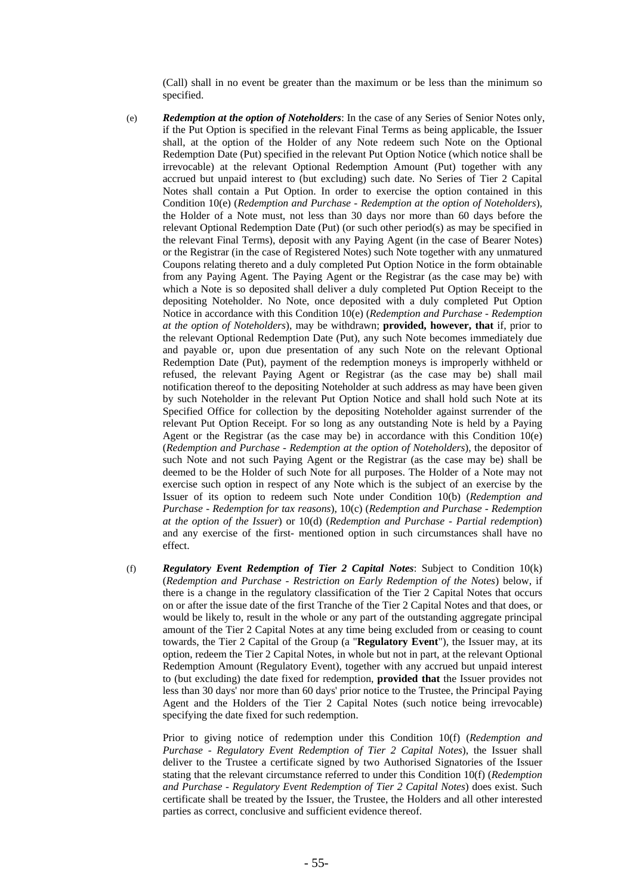(Call) shall in no event be greater than the maximum or be less than the minimum so specified.

- (e) *Redemption at the option of Noteholders*: In the case of any Series of Senior Notes only, if the Put Option is specified in the relevant Final Terms as being applicable, the Issuer shall, at the option of the Holder of any Note redeem such Note on the Optional Redemption Date (Put) specified in the relevant Put Option Notice (which notice shall be irrevocable) at the relevant Optional Redemption Amount (Put) together with any accrued but unpaid interest to (but excluding) such date. No Series of Tier 2 Capital Notes shall contain a Put Option. In order to exercise the option contained in this Condition 10(e) (*Redemption and Purchase - Redemption at the option of Noteholders*), the Holder of a Note must, not less than 30 days nor more than 60 days before the relevant Optional Redemption Date (Put) (or such other period(s) as may be specified in the relevant Final Terms), deposit with any Paying Agent (in the case of Bearer Notes) or the Registrar (in the case of Registered Notes) such Note together with any unmatured Coupons relating thereto and a duly completed Put Option Notice in the form obtainable from any Paying Agent. The Paying Agent or the Registrar (as the case may be) with which a Note is so deposited shall deliver a duly completed Put Option Receipt to the depositing Noteholder. No Note, once deposited with a duly completed Put Option Notice in accordance with this Condition 10(e) (*Redemption and Purchase - Redemption at the option of Noteholders*), may be withdrawn; **provided, however, that** if, prior to the relevant Optional Redemption Date (Put), any such Note becomes immediately due and payable or, upon due presentation of any such Note on the relevant Optional Redemption Date (Put), payment of the redemption moneys is improperly withheld or refused, the relevant Paying Agent or Registrar (as the case may be) shall mail notification thereof to the depositing Noteholder at such address as may have been given by such Noteholder in the relevant Put Option Notice and shall hold such Note at its Specified Office for collection by the depositing Noteholder against surrender of the relevant Put Option Receipt. For so long as any outstanding Note is held by a Paying Agent or the Registrar (as the case may be) in accordance with this Condition  $10(e)$ (*Redemption and Purchase - Redemption at the option of Noteholders*), the depositor of such Note and not such Paying Agent or the Registrar (as the case may be) shall be deemed to be the Holder of such Note for all purposes. The Holder of a Note may not exercise such option in respect of any Note which is the subject of an exercise by the Issuer of its option to redeem such Note under Condition 10(b) (*Redemption and Purchase - Redemption for tax reasons*), 10(c) (*Redemption and Purchase - Redemption at the option of the Issuer*) or 10(d) (*Redemption and Purchase - Partial redemption*) and any exercise of the first- mentioned option in such circumstances shall have no effect.
- (f) *Regulatory Event Redemption of Tier 2 Capital Notes*: Subject to Condition 10(k) (*Redemption and Purchase - Restriction on Early Redemption of the Notes*) below, if there is a change in the regulatory classification of the Tier 2 Capital Notes that occurs on or after the issue date of the first Tranche of the Tier 2 Capital Notes and that does, or would be likely to, result in the whole or any part of the outstanding aggregate principal amount of the Tier 2 Capital Notes at any time being excluded from or ceasing to count towards, the Tier 2 Capital of the Group (a "**Regulatory Event**"), the Issuer may, at its option, redeem the Tier 2 Capital Notes, in whole but not in part, at the relevant Optional Redemption Amount (Regulatory Event), together with any accrued but unpaid interest to (but excluding) the date fixed for redemption, **provided that** the Issuer provides not less than 30 days' nor more than 60 days' prior notice to the Trustee, the Principal Paying Agent and the Holders of the Tier 2 Capital Notes (such notice being irrevocable) specifying the date fixed for such redemption.

Prior to giving notice of redemption under this Condition 10(f) (*Redemption and Purchase - Regulatory Event Redemption of Tier 2 Capital Notes*), the Issuer shall deliver to the Trustee a certificate signed by two Authorised Signatories of the Issuer stating that the relevant circumstance referred to under this Condition 10(f) (*Redemption and Purchase - Regulatory Event Redemption of Tier 2 Capital Notes*) does exist. Such certificate shall be treated by the Issuer, the Trustee, the Holders and all other interested parties as correct, conclusive and sufficient evidence thereof.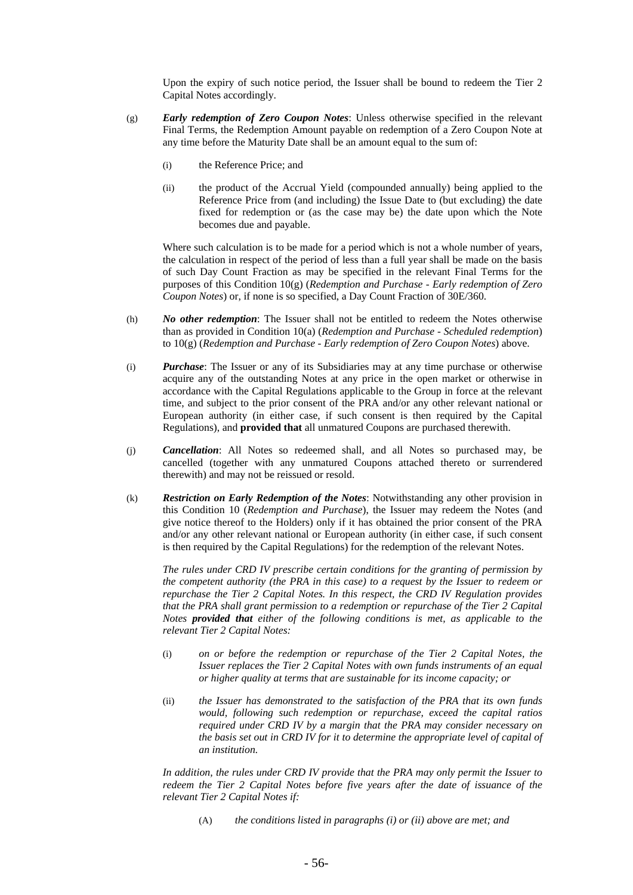Upon the expiry of such notice period, the Issuer shall be bound to redeem the Tier 2 Capital Notes accordingly.

- (g) *Early redemption of Zero Coupon Notes*: Unless otherwise specified in the relevant Final Terms, the Redemption Amount payable on redemption of a Zero Coupon Note at any time before the Maturity Date shall be an amount equal to the sum of:
	- (i) the Reference Price; and
	- (ii) the product of the Accrual Yield (compounded annually) being applied to the Reference Price from (and including) the Issue Date to (but excluding) the date fixed for redemption or (as the case may be) the date upon which the Note becomes due and payable.

Where such calculation is to be made for a period which is not a whole number of years, the calculation in respect of the period of less than a full year shall be made on the basis of such Day Count Fraction as may be specified in the relevant Final Terms for the purposes of this Condition 10(g) (*Redemption and Purchase - Early redemption of Zero Coupon Notes*) or, if none is so specified, a Day Count Fraction of 30E/360.

- (h) *No other redemption*: The Issuer shall not be entitled to redeem the Notes otherwise than as provided in Condition 10(a) (*Redemption and Purchase - Scheduled redemption*) to 10(g) (*Redemption and Purchase - Early redemption of Zero Coupon Notes*) above.
- (i) *Purchase*: The Issuer or any of its Subsidiaries may at any time purchase or otherwise acquire any of the outstanding Notes at any price in the open market or otherwise in accordance with the Capital Regulations applicable to the Group in force at the relevant time, and subject to the prior consent of the PRA and/or any other relevant national or European authority (in either case, if such consent is then required by the Capital Regulations), and **provided that** all unmatured Coupons are purchased therewith.
- (j) *Cancellation*: All Notes so redeemed shall, and all Notes so purchased may, be cancelled (together with any unmatured Coupons attached thereto or surrendered therewith) and may not be reissued or resold.
- (k) *Restriction on Early Redemption of the Notes*: Notwithstanding any other provision in this Condition 10 (*Redemption and Purchase*), the Issuer may redeem the Notes (and give notice thereof to the Holders) only if it has obtained the prior consent of the PRA and/or any other relevant national or European authority (in either case, if such consent is then required by the Capital Regulations) for the redemption of the relevant Notes.

*The rules under CRD IV prescribe certain conditions for the granting of permission by the competent authority (the PRA in this case) to a request by the Issuer to redeem or repurchase the Tier 2 Capital Notes. In this respect, the CRD IV Regulation provides that the PRA shall grant permission to a redemption or repurchase of the Tier 2 Capital Notes provided that either of the following conditions is met, as applicable to the relevant Tier 2 Capital Notes:* 

- (i) *on or before the redemption or repurchase of the Tier 2 Capital Notes, the Issuer replaces the Tier 2 Capital Notes with own funds instruments of an equal or higher quality at terms that are sustainable for its income capacity; or*
- (ii) *the Issuer has demonstrated to the satisfaction of the PRA that its own funds would, following such redemption or repurchase, exceed the capital ratios required under CRD IV by a margin that the PRA may consider necessary on the basis set out in CRD IV for it to determine the appropriate level of capital of an institution.*

*In addition, the rules under CRD IV provide that the PRA may only permit the Issuer to redeem the Tier 2 Capital Notes before five years after the date of issuance of the relevant Tier 2 Capital Notes if:* 

(A) *the conditions listed in paragraphs (i) or (ii) above are met; and*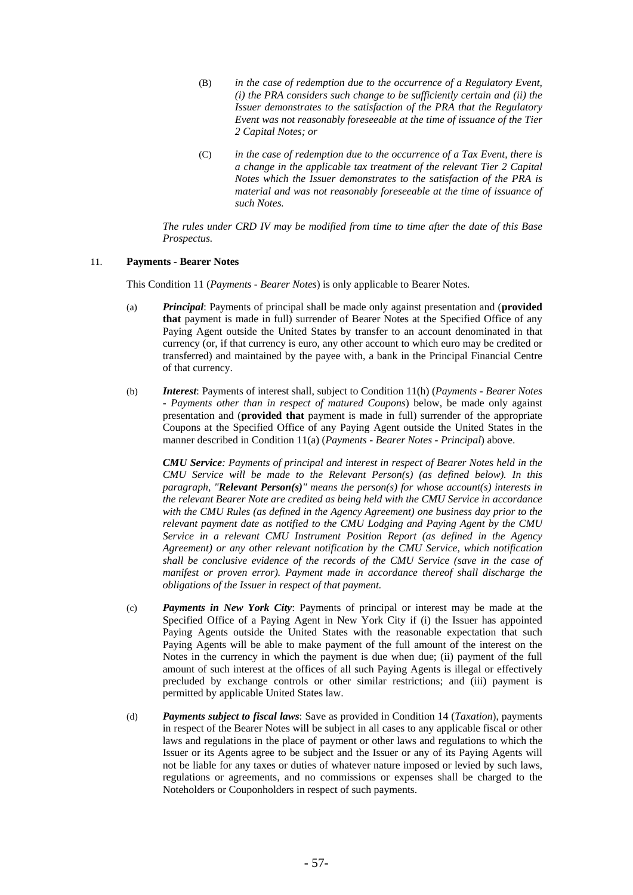- (B) *in the case of redemption due to the occurrence of a Regulatory Event, (i) the PRA considers such change to be sufficiently certain and (ii) the Issuer demonstrates to the satisfaction of the PRA that the Regulatory Event was not reasonably foreseeable at the time of issuance of the Tier 2 Capital Notes; or*
- (C) *in the case of redemption due to the occurrence of a Tax Event, there is a change in the applicable tax treatment of the relevant Tier 2 Capital Notes which the Issuer demonstrates to the satisfaction of the PRA is material and was not reasonably foreseeable at the time of issuance of such Notes.*

*The rules under CRD IV may be modified from time to time after the date of this Base Prospectus.* 

### 11. **Payments - Bearer Notes**

This Condition 11 (*Payments - Bearer Notes*) is only applicable to Bearer Notes.

- (a) *Principal*: Payments of principal shall be made only against presentation and (**provided that** payment is made in full) surrender of Bearer Notes at the Specified Office of any Paying Agent outside the United States by transfer to an account denominated in that currency (or, if that currency is euro, any other account to which euro may be credited or transferred) and maintained by the payee with, a bank in the Principal Financial Centre of that currency.
- (b) *Interest*: Payments of interest shall, subject to Condition 11(h) (*Payments Bearer Notes - Payments other than in respect of matured Coupons*) below, be made only against presentation and (**provided that** payment is made in full) surrender of the appropriate Coupons at the Specified Office of any Paying Agent outside the United States in the manner described in Condition 11(a) (*Payments - Bearer Notes - Principal*) above.

*CMU Service: Payments of principal and interest in respect of Bearer Notes held in the CMU Service will be made to the Relevant Person(s) (as defined below). In this paragraph, "Relevant Person(s)" means the person(s) for whose account(s) interests in the relevant Bearer Note are credited as being held with the CMU Service in accordance with the CMU Rules (as defined in the Agency Agreement) one business day prior to the relevant payment date as notified to the CMU Lodging and Paying Agent by the CMU Service in a relevant CMU Instrument Position Report (as defined in the Agency Agreement) or any other relevant notification by the CMU Service, which notification shall be conclusive evidence of the records of the CMU Service (save in the case of manifest or proven error). Payment made in accordance thereof shall discharge the obligations of the Issuer in respect of that payment.*

- (c) *Payments in New York City*: Payments of principal or interest may be made at the Specified Office of a Paying Agent in New York City if (i) the Issuer has appointed Paying Agents outside the United States with the reasonable expectation that such Paying Agents will be able to make payment of the full amount of the interest on the Notes in the currency in which the payment is due when due; (ii) payment of the full amount of such interest at the offices of all such Paying Agents is illegal or effectively precluded by exchange controls or other similar restrictions; and (iii) payment is permitted by applicable United States law.
- (d) *Payments subject to fiscal laws*: Save as provided in Condition 14 (*Taxation*), payments in respect of the Bearer Notes will be subject in all cases to any applicable fiscal or other laws and regulations in the place of payment or other laws and regulations to which the Issuer or its Agents agree to be subject and the Issuer or any of its Paying Agents will not be liable for any taxes or duties of whatever nature imposed or levied by such laws, regulations or agreements, and no commissions or expenses shall be charged to the Noteholders or Couponholders in respect of such payments.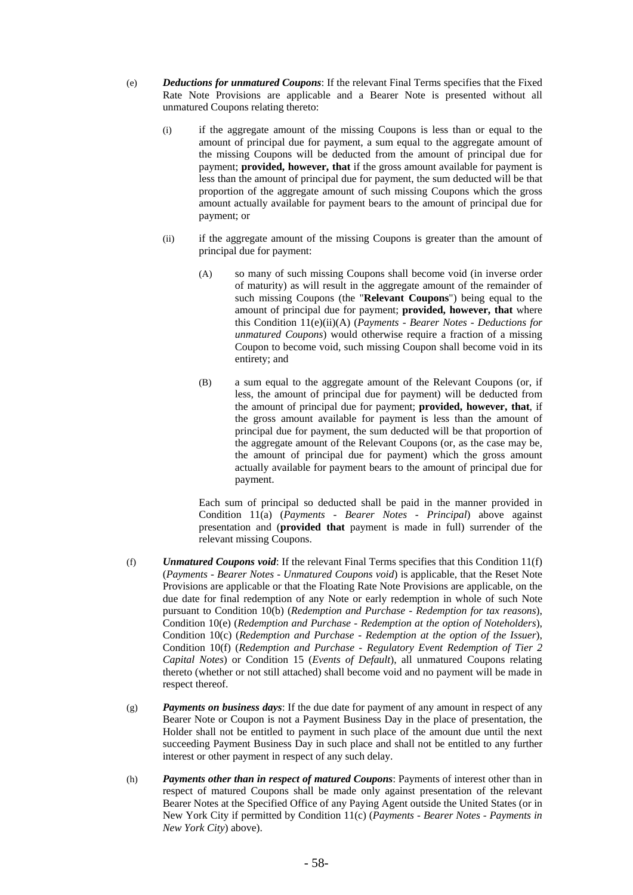- (e) *Deductions for unmatured Coupons*: If the relevant Final Terms specifies that the Fixed Rate Note Provisions are applicable and a Bearer Note is presented without all unmatured Coupons relating thereto:
	- (i) if the aggregate amount of the missing Coupons is less than or equal to the amount of principal due for payment, a sum equal to the aggregate amount of the missing Coupons will be deducted from the amount of principal due for payment; **provided, however, that** if the gross amount available for payment is less than the amount of principal due for payment, the sum deducted will be that proportion of the aggregate amount of such missing Coupons which the gross amount actually available for payment bears to the amount of principal due for payment; or
	- (ii) if the aggregate amount of the missing Coupons is greater than the amount of principal due for payment:
		- (A) so many of such missing Coupons shall become void (in inverse order of maturity) as will result in the aggregate amount of the remainder of such missing Coupons (the "**Relevant Coupons**") being equal to the amount of principal due for payment; **provided, however, that** where this Condition 11(e)(ii)(A) (*Payments - Bearer Notes - Deductions for unmatured Coupons*) would otherwise require a fraction of a missing Coupon to become void, such missing Coupon shall become void in its entirety; and
		- (B) a sum equal to the aggregate amount of the Relevant Coupons (or, if less, the amount of principal due for payment) will be deducted from the amount of principal due for payment; **provided, however, that**, if the gross amount available for payment is less than the amount of principal due for payment, the sum deducted will be that proportion of the aggregate amount of the Relevant Coupons (or, as the case may be, the amount of principal due for payment) which the gross amount actually available for payment bears to the amount of principal due for payment.

Each sum of principal so deducted shall be paid in the manner provided in Condition 11(a) (*Payments - Bearer Notes - Principal*) above against presentation and (**provided that** payment is made in full) surrender of the relevant missing Coupons.

- (f) *Unmatured Coupons void*: If the relevant Final Terms specifies that this Condition 11(f) (*Payments - Bearer Notes - Unmatured Coupons void*) is applicable, that the Reset Note Provisions are applicable or that the Floating Rate Note Provisions are applicable, on the due date for final redemption of any Note or early redemption in whole of such Note pursuant to Condition 10(b) (*Redemption and Purchase - Redemption for tax reasons*), Condition 10(e) (*Redemption and Purchase - Redemption at the option of Noteholders*), Condition 10(c) (*Redemption and Purchase - Redemption at the option of the Issuer*), Condition 10(f) (*Redemption and Purchase - Regulatory Event Redemption of Tier 2 Capital Notes*) or Condition 15 (*Events of Default*), all unmatured Coupons relating thereto (whether or not still attached) shall become void and no payment will be made in respect thereof.
- (g) *Payments on business days*: If the due date for payment of any amount in respect of any Bearer Note or Coupon is not a Payment Business Day in the place of presentation, the Holder shall not be entitled to payment in such place of the amount due until the next succeeding Payment Business Day in such place and shall not be entitled to any further interest or other payment in respect of any such delay.
- (h) *Payments other than in respect of matured Coupons*: Payments of interest other than in respect of matured Coupons shall be made only against presentation of the relevant Bearer Notes at the Specified Office of any Paying Agent outside the United States (or in New York City if permitted by Condition 11(c) (*Payments - Bearer Notes - Payments in New York City*) above).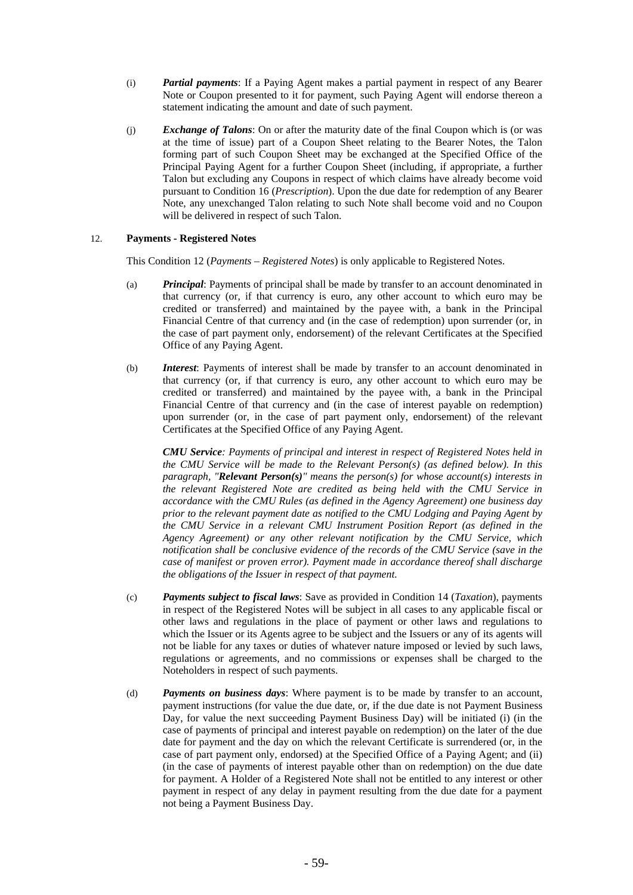- (i) *Partial payments*: If a Paying Agent makes a partial payment in respect of any Bearer Note or Coupon presented to it for payment, such Paying Agent will endorse thereon a statement indicating the amount and date of such payment.
- (j) *Exchange of Talons*: On or after the maturity date of the final Coupon which is (or was at the time of issue) part of a Coupon Sheet relating to the Bearer Notes, the Talon forming part of such Coupon Sheet may be exchanged at the Specified Office of the Principal Paying Agent for a further Coupon Sheet (including, if appropriate, a further Talon but excluding any Coupons in respect of which claims have already become void pursuant to Condition 16 (*Prescription*). Upon the due date for redemption of any Bearer Note, any unexchanged Talon relating to such Note shall become void and no Coupon will be delivered in respect of such Talon.

# 12. **Payments - Registered Notes**

This Condition 12 (*Payments – Registered Notes*) is only applicable to Registered Notes.

- (a) *Principal*: Payments of principal shall be made by transfer to an account denominated in that currency (or, if that currency is euro, any other account to which euro may be credited or transferred) and maintained by the payee with, a bank in the Principal Financial Centre of that currency and (in the case of redemption) upon surrender (or, in the case of part payment only, endorsement) of the relevant Certificates at the Specified Office of any Paying Agent.
- (b) *Interest*: Payments of interest shall be made by transfer to an account denominated in that currency (or, if that currency is euro, any other account to which euro may be credited or transferred) and maintained by the payee with, a bank in the Principal Financial Centre of that currency and (in the case of interest payable on redemption) upon surrender (or, in the case of part payment only, endorsement) of the relevant Certificates at the Specified Office of any Paying Agent.

*CMU Service: Payments of principal and interest in respect of Registered Notes held in the CMU Service will be made to the Relevant Person(s) (as defined below). In this paragraph, "Relevant Person(s)" means the person(s) for whose account(s) interests in the relevant Registered Note are credited as being held with the CMU Service in accordance with the CMU Rules (as defined in the Agency Agreement) one business day prior to the relevant payment date as notified to the CMU Lodging and Paying Agent by the CMU Service in a relevant CMU Instrument Position Report (as defined in the Agency Agreement) or any other relevant notification by the CMU Service, which notification shall be conclusive evidence of the records of the CMU Service (save in the case of manifest or proven error). Payment made in accordance thereof shall discharge the obligations of the Issuer in respect of that payment.* 

- (c) *Payments subject to fiscal laws*: Save as provided in Condition 14 (*Taxation*), payments in respect of the Registered Notes will be subject in all cases to any applicable fiscal or other laws and regulations in the place of payment or other laws and regulations to which the Issuer or its Agents agree to be subject and the Issuers or any of its agents will not be liable for any taxes or duties of whatever nature imposed or levied by such laws, regulations or agreements, and no commissions or expenses shall be charged to the Noteholders in respect of such payments.
- (d) *Payments on business days*: Where payment is to be made by transfer to an account, payment instructions (for value the due date, or, if the due date is not Payment Business Day, for value the next succeeding Payment Business Day) will be initiated (i) (in the case of payments of principal and interest payable on redemption) on the later of the due date for payment and the day on which the relevant Certificate is surrendered (or, in the case of part payment only, endorsed) at the Specified Office of a Paying Agent; and (ii) (in the case of payments of interest payable other than on redemption) on the due date for payment. A Holder of a Registered Note shall not be entitled to any interest or other payment in respect of any delay in payment resulting from the due date for a payment not being a Payment Business Day.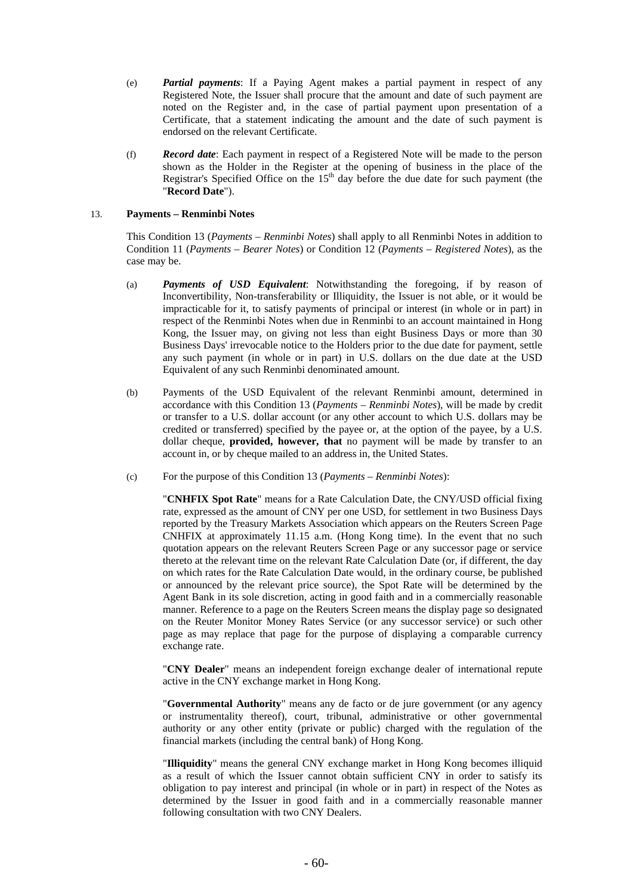- (e) *Partial payments*: If a Paying Agent makes a partial payment in respect of any Registered Note, the Issuer shall procure that the amount and date of such payment are noted on the Register and, in the case of partial payment upon presentation of a Certificate, that a statement indicating the amount and the date of such payment is endorsed on the relevant Certificate.
- (f) *Record date*: Each payment in respect of a Registered Note will be made to the person shown as the Holder in the Register at the opening of business in the place of the Registrar's Specified Office on the  $15<sup>th</sup>$  day before the due date for such payment (the "**Record Date**").

# 13. **Payments – Renminbi Notes**

This Condition 13 (*Payments – Renminbi Notes*) shall apply to all Renminbi Notes in addition to Condition 11 (*Payments – Bearer Notes*) or Condition 12 (*Payments – Registered Notes*), as the case may be.

- (a) *Payments of USD Equivalent*: Notwithstanding the foregoing, if by reason of Inconvertibility, Non-transferability or Illiquidity, the Issuer is not able, or it would be impracticable for it, to satisfy payments of principal or interest (in whole or in part) in respect of the Renminbi Notes when due in Renminbi to an account maintained in Hong Kong, the Issuer may, on giving not less than eight Business Days or more than 30 Business Days' irrevocable notice to the Holders prior to the due date for payment, settle any such payment (in whole or in part) in U.S. dollars on the due date at the USD Equivalent of any such Renminbi denominated amount.
- (b) Payments of the USD Equivalent of the relevant Renminbi amount, determined in accordance with this Condition 13 (*Payments – Renminbi Notes*), will be made by credit or transfer to a U.S. dollar account (or any other account to which U.S. dollars may be credited or transferred) specified by the payee or, at the option of the payee, by a U.S. dollar cheque, **provided, however, that** no payment will be made by transfer to an account in, or by cheque mailed to an address in, the United States.
- (c) For the purpose of this Condition 13 (*Payments Renminbi Notes*):

"**CNHFIX Spot Rate**" means for a Rate Calculation Date, the CNY/USD official fixing rate, expressed as the amount of CNY per one USD, for settlement in two Business Days reported by the Treasury Markets Association which appears on the Reuters Screen Page CNHFIX at approximately 11.15 a.m. (Hong Kong time). In the event that no such quotation appears on the relevant Reuters Screen Page or any successor page or service thereto at the relevant time on the relevant Rate Calculation Date (or, if different, the day on which rates for the Rate Calculation Date would, in the ordinary course, be published or announced by the relevant price source), the Spot Rate will be determined by the Agent Bank in its sole discretion, acting in good faith and in a commercially reasonable manner. Reference to a page on the Reuters Screen means the display page so designated on the Reuter Monitor Money Rates Service (or any successor service) or such other page as may replace that page for the purpose of displaying a comparable currency exchange rate.

"**CNY Dealer**" means an independent foreign exchange dealer of international repute active in the CNY exchange market in Hong Kong.

"**Governmental Authority**" means any de facto or de jure government (or any agency or instrumentality thereof), court, tribunal, administrative or other governmental authority or any other entity (private or public) charged with the regulation of the financial markets (including the central bank) of Hong Kong.

"**Illiquidity**" means the general CNY exchange market in Hong Kong becomes illiquid as a result of which the Issuer cannot obtain sufficient CNY in order to satisfy its obligation to pay interest and principal (in whole or in part) in respect of the Notes as determined by the Issuer in good faith and in a commercially reasonable manner following consultation with two CNY Dealers.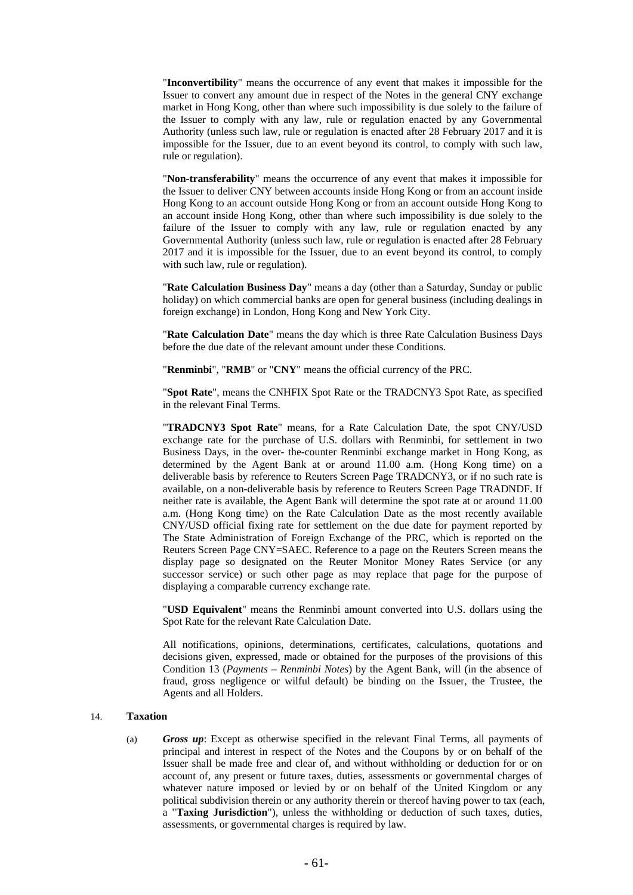"**Inconvertibility**" means the occurrence of any event that makes it impossible for the Issuer to convert any amount due in respect of the Notes in the general CNY exchange market in Hong Kong, other than where such impossibility is due solely to the failure of the Issuer to comply with any law, rule or regulation enacted by any Governmental Authority (unless such law, rule or regulation is enacted after 28 February 2017 and it is impossible for the Issuer, due to an event beyond its control, to comply with such law, rule or regulation).

"**Non-transferability**" means the occurrence of any event that makes it impossible for the Issuer to deliver CNY between accounts inside Hong Kong or from an account inside Hong Kong to an account outside Hong Kong or from an account outside Hong Kong to an account inside Hong Kong, other than where such impossibility is due solely to the failure of the Issuer to comply with any law, rule or regulation enacted by any Governmental Authority (unless such law, rule or regulation is enacted after 28 February 2017 and it is impossible for the Issuer, due to an event beyond its control, to comply with such law, rule or regulation).

"**Rate Calculation Business Day**" means a day (other than a Saturday, Sunday or public holiday) on which commercial banks are open for general business (including dealings in foreign exchange) in London, Hong Kong and New York City.

"**Rate Calculation Date**" means the day which is three Rate Calculation Business Days before the due date of the relevant amount under these Conditions.

"**Renminbi**", "**RMB**" or "**CNY**" means the official currency of the PRC.

"**Spot Rate**", means the CNHFIX Spot Rate or the TRADCNY3 Spot Rate, as specified in the relevant Final Terms.

"**TRADCNY3 Spot Rate**" means, for a Rate Calculation Date, the spot CNY/USD exchange rate for the purchase of U.S. dollars with Renminbi, for settlement in two Business Days, in the over- the-counter Renminbi exchange market in Hong Kong, as determined by the Agent Bank at or around 11.00 a.m. (Hong Kong time) on a deliverable basis by reference to Reuters Screen Page TRADCNY3, or if no such rate is available, on a non-deliverable basis by reference to Reuters Screen Page TRADNDF. If neither rate is available, the Agent Bank will determine the spot rate at or around 11.00 a.m. (Hong Kong time) on the Rate Calculation Date as the most recently available CNY/USD official fixing rate for settlement on the due date for payment reported by The State Administration of Foreign Exchange of the PRC, which is reported on the Reuters Screen Page CNY=SAEC. Reference to a page on the Reuters Screen means the display page so designated on the Reuter Monitor Money Rates Service (or any successor service) or such other page as may replace that page for the purpose of displaying a comparable currency exchange rate.

"**USD Equivalent**" means the Renminbi amount converted into U.S. dollars using the Spot Rate for the relevant Rate Calculation Date.

All notifications, opinions, determinations, certificates, calculations, quotations and decisions given, expressed, made or obtained for the purposes of the provisions of this Condition 13 (*Payments – Renminbi Notes*) by the Agent Bank, will (in the absence of fraud, gross negligence or wilful default) be binding on the Issuer, the Trustee, the Agents and all Holders.

### 14. **Taxation**

(a) *Gross up*: Except as otherwise specified in the relevant Final Terms, all payments of principal and interest in respect of the Notes and the Coupons by or on behalf of the Issuer shall be made free and clear of, and without withholding or deduction for or on account of, any present or future taxes, duties, assessments or governmental charges of whatever nature imposed or levied by or on behalf of the United Kingdom or any political subdivision therein or any authority therein or thereof having power to tax (each, a "**Taxing Jurisdiction**"), unless the withholding or deduction of such taxes, duties, assessments, or governmental charges is required by law.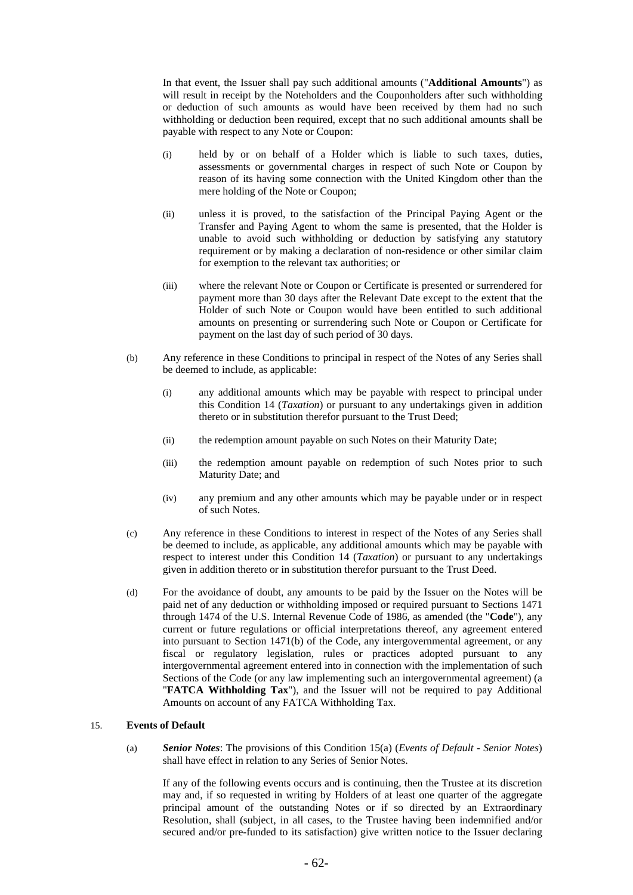In that event, the Issuer shall pay such additional amounts ("**Additional Amounts**") as will result in receipt by the Noteholders and the Couponholders after such withholding or deduction of such amounts as would have been received by them had no such withholding or deduction been required, except that no such additional amounts shall be payable with respect to any Note or Coupon:

- (i) held by or on behalf of a Holder which is liable to such taxes, duties, assessments or governmental charges in respect of such Note or Coupon by reason of its having some connection with the United Kingdom other than the mere holding of the Note or Coupon;
- (ii) unless it is proved, to the satisfaction of the Principal Paying Agent or the Transfer and Paying Agent to whom the same is presented, that the Holder is unable to avoid such withholding or deduction by satisfying any statutory requirement or by making a declaration of non-residence or other similar claim for exemption to the relevant tax authorities; or
- (iii) where the relevant Note or Coupon or Certificate is presented or surrendered for payment more than 30 days after the Relevant Date except to the extent that the Holder of such Note or Coupon would have been entitled to such additional amounts on presenting or surrendering such Note or Coupon or Certificate for payment on the last day of such period of 30 days.
- (b) Any reference in these Conditions to principal in respect of the Notes of any Series shall be deemed to include, as applicable:
	- (i) any additional amounts which may be payable with respect to principal under this Condition 14 (*Taxation*) or pursuant to any undertakings given in addition thereto or in substitution therefor pursuant to the Trust Deed;
	- (ii) the redemption amount payable on such Notes on their Maturity Date;
	- (iii) the redemption amount payable on redemption of such Notes prior to such Maturity Date; and
	- (iv) any premium and any other amounts which may be payable under or in respect of such Notes.
- (c) Any reference in these Conditions to interest in respect of the Notes of any Series shall be deemed to include, as applicable, any additional amounts which may be payable with respect to interest under this Condition 14 (*Taxation*) or pursuant to any undertakings given in addition thereto or in substitution therefor pursuant to the Trust Deed.
- (d) For the avoidance of doubt, any amounts to be paid by the Issuer on the Notes will be paid net of any deduction or withholding imposed or required pursuant to Sections 1471 through 1474 of the U.S. Internal Revenue Code of 1986, as amended (the "**Code**"), any current or future regulations or official interpretations thereof, any agreement entered into pursuant to Section 1471(b) of the Code, any intergovernmental agreement, or any fiscal or regulatory legislation, rules or practices adopted pursuant to any intergovernmental agreement entered into in connection with the implementation of such Sections of the Code (or any law implementing such an intergovernmental agreement) (a "**FATCA Withholding Tax**"), and the Issuer will not be required to pay Additional Amounts on account of any FATCA Withholding Tax.

# 15. **Events of Default**

(a) *Senior Notes*: The provisions of this Condition 15(a) (*Events of Default - Senior Notes*) shall have effect in relation to any Series of Senior Notes.

If any of the following events occurs and is continuing, then the Trustee at its discretion may and, if so requested in writing by Holders of at least one quarter of the aggregate principal amount of the outstanding Notes or if so directed by an Extraordinary Resolution, shall (subject, in all cases, to the Trustee having been indemnified and/or secured and/or pre-funded to its satisfaction) give written notice to the Issuer declaring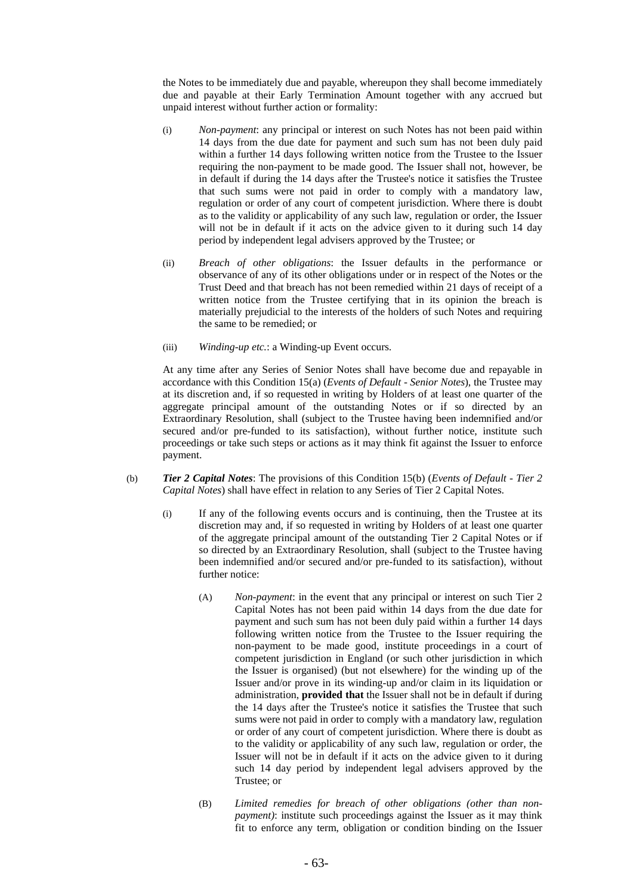the Notes to be immediately due and payable, whereupon they shall become immediately due and payable at their Early Termination Amount together with any accrued but unpaid interest without further action or formality:

- (i) *Non-payment*: any principal or interest on such Notes has not been paid within 14 days from the due date for payment and such sum has not been duly paid within a further 14 days following written notice from the Trustee to the Issuer requiring the non-payment to be made good. The Issuer shall not, however, be in default if during the 14 days after the Trustee's notice it satisfies the Trustee that such sums were not paid in order to comply with a mandatory law, regulation or order of any court of competent jurisdiction. Where there is doubt as to the validity or applicability of any such law, regulation or order, the Issuer will not be in default if it acts on the advice given to it during such 14 day period by independent legal advisers approved by the Trustee; or
- (ii) *Breach of other obligations*: the Issuer defaults in the performance or observance of any of its other obligations under or in respect of the Notes or the Trust Deed and that breach has not been remedied within 21 days of receipt of a written notice from the Trustee certifying that in its opinion the breach is materially prejudicial to the interests of the holders of such Notes and requiring the same to be remedied; or
- (iii) *Winding-up etc.*: a Winding-up Event occurs.

At any time after any Series of Senior Notes shall have become due and repayable in accordance with this Condition 15(a) (*Events of Default - Senior Notes*), the Trustee may at its discretion and, if so requested in writing by Holders of at least one quarter of the aggregate principal amount of the outstanding Notes or if so directed by an Extraordinary Resolution, shall (subject to the Trustee having been indemnified and/or secured and/or pre-funded to its satisfaction), without further notice, institute such proceedings or take such steps or actions as it may think fit against the Issuer to enforce payment.

- (b) *Tier 2 Capital Notes*: The provisions of this Condition 15(b) (*Events of Default Tier 2 Capital Notes*) shall have effect in relation to any Series of Tier 2 Capital Notes.
	- (i) If any of the following events occurs and is continuing, then the Trustee at its discretion may and, if so requested in writing by Holders of at least one quarter of the aggregate principal amount of the outstanding Tier 2 Capital Notes or if so directed by an Extraordinary Resolution, shall (subject to the Trustee having been indemnified and/or secured and/or pre-funded to its satisfaction), without further notice:
		- (A) *Non-payment*: in the event that any principal or interest on such Tier 2 Capital Notes has not been paid within 14 days from the due date for payment and such sum has not been duly paid within a further 14 days following written notice from the Trustee to the Issuer requiring the non-payment to be made good, institute proceedings in a court of competent jurisdiction in England (or such other jurisdiction in which the Issuer is organised) (but not elsewhere) for the winding up of the Issuer and/or prove in its winding-up and/or claim in its liquidation or administration, **provided that** the Issuer shall not be in default if during the 14 days after the Trustee's notice it satisfies the Trustee that such sums were not paid in order to comply with a mandatory law, regulation or order of any court of competent jurisdiction. Where there is doubt as to the validity or applicability of any such law, regulation or order, the Issuer will not be in default if it acts on the advice given to it during such 14 day period by independent legal advisers approved by the Trustee; or
		- (B) *Limited remedies for breach of other obligations (other than nonpayment)*: institute such proceedings against the Issuer as it may think fit to enforce any term, obligation or condition binding on the Issuer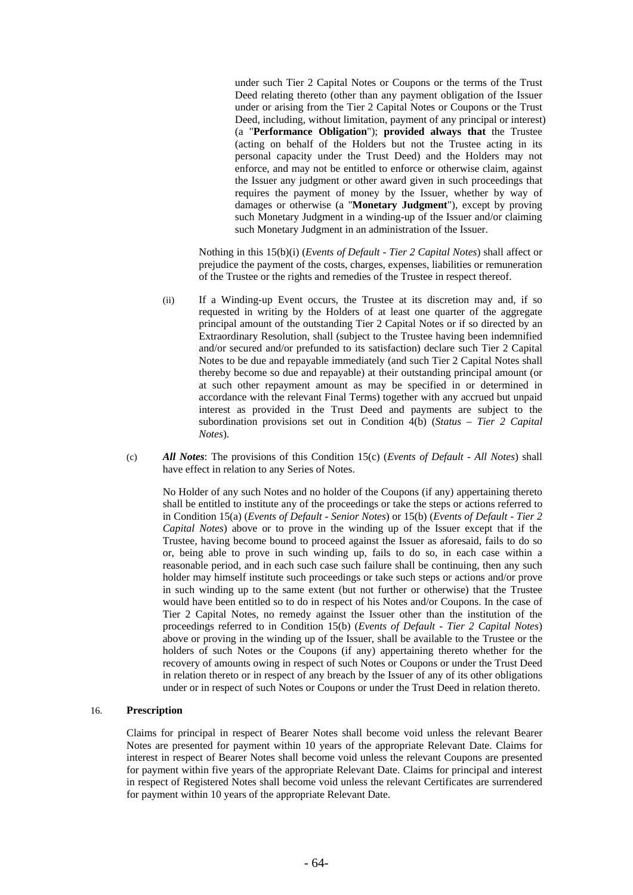under such Tier 2 Capital Notes or Coupons or the terms of the Trust Deed relating thereto (other than any payment obligation of the Issuer under or arising from the Tier 2 Capital Notes or Coupons or the Trust Deed, including, without limitation, payment of any principal or interest) (a "**Performance Obligation**"); **provided always that** the Trustee (acting on behalf of the Holders but not the Trustee acting in its personal capacity under the Trust Deed) and the Holders may not enforce, and may not be entitled to enforce or otherwise claim, against the Issuer any judgment or other award given in such proceedings that requires the payment of money by the Issuer, whether by way of damages or otherwise (a "**Monetary Judgment**"), except by proving such Monetary Judgment in a winding-up of the Issuer and/or claiming such Monetary Judgment in an administration of the Issuer.

Nothing in this 15(b)(i) (*Events of Default - Tier 2 Capital Notes*) shall affect or prejudice the payment of the costs, charges, expenses, liabilities or remuneration of the Trustee or the rights and remedies of the Trustee in respect thereof.

- (ii) If a Winding-up Event occurs, the Trustee at its discretion may and, if so requested in writing by the Holders of at least one quarter of the aggregate principal amount of the outstanding Tier 2 Capital Notes or if so directed by an Extraordinary Resolution, shall (subject to the Trustee having been indemnified and/or secured and/or prefunded to its satisfaction) declare such Tier 2 Capital Notes to be due and repayable immediately (and such Tier 2 Capital Notes shall thereby become so due and repayable) at their outstanding principal amount (or at such other repayment amount as may be specified in or determined in accordance with the relevant Final Terms) together with any accrued but unpaid interest as provided in the Trust Deed and payments are subject to the subordination provisions set out in Condition 4(b) (*Status – Tier 2 Capital Notes*).
- (c) *All Notes*: The provisions of this Condition 15(c) (*Events of Default All Notes*) shall have effect in relation to any Series of Notes.

No Holder of any such Notes and no holder of the Coupons (if any) appertaining thereto shall be entitled to institute any of the proceedings or take the steps or actions referred to in Condition 15(a) (*Events of Default - Senior Notes*) or 15(b) (*Events of Default - Tier 2 Capital Notes*) above or to prove in the winding up of the Issuer except that if the Trustee, having become bound to proceed against the Issuer as aforesaid, fails to do so or, being able to prove in such winding up, fails to do so, in each case within a reasonable period, and in each such case such failure shall be continuing, then any such holder may himself institute such proceedings or take such steps or actions and/or prove in such winding up to the same extent (but not further or otherwise) that the Trustee would have been entitled so to do in respect of his Notes and/or Coupons. In the case of Tier 2 Capital Notes, no remedy against the Issuer other than the institution of the proceedings referred to in Condition 15(b) (*Events of Default - Tier 2 Capital Notes*) above or proving in the winding up of the Issuer, shall be available to the Trustee or the holders of such Notes or the Coupons (if any) appertaining thereto whether for the recovery of amounts owing in respect of such Notes or Coupons or under the Trust Deed in relation thereto or in respect of any breach by the Issuer of any of its other obligations under or in respect of such Notes or Coupons or under the Trust Deed in relation thereto.

# 16. **Prescription**

Claims for principal in respect of Bearer Notes shall become void unless the relevant Bearer Notes are presented for payment within 10 years of the appropriate Relevant Date. Claims for interest in respect of Bearer Notes shall become void unless the relevant Coupons are presented for payment within five years of the appropriate Relevant Date. Claims for principal and interest in respect of Registered Notes shall become void unless the relevant Certificates are surrendered for payment within 10 years of the appropriate Relevant Date.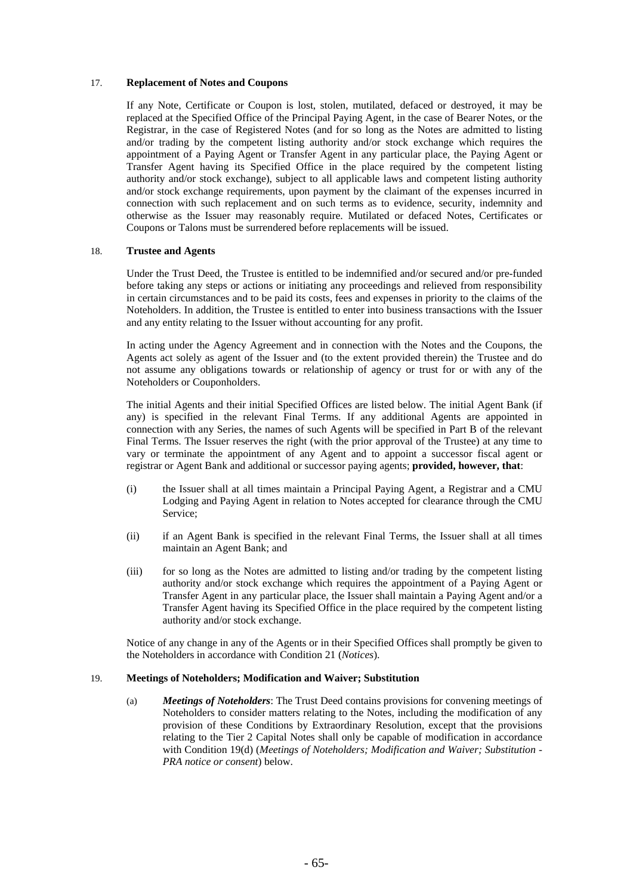### 17. **Replacement of Notes and Coupons**

If any Note, Certificate or Coupon is lost, stolen, mutilated, defaced or destroyed, it may be replaced at the Specified Office of the Principal Paying Agent, in the case of Bearer Notes, or the Registrar, in the case of Registered Notes (and for so long as the Notes are admitted to listing and/or trading by the competent listing authority and/or stock exchange which requires the appointment of a Paying Agent or Transfer Agent in any particular place, the Paying Agent or Transfer Agent having its Specified Office in the place required by the competent listing authority and/or stock exchange), subject to all applicable laws and competent listing authority and/or stock exchange requirements, upon payment by the claimant of the expenses incurred in connection with such replacement and on such terms as to evidence, security, indemnity and otherwise as the Issuer may reasonably require. Mutilated or defaced Notes, Certificates or Coupons or Talons must be surrendered before replacements will be issued.

### 18. **Trustee and Agents**

Under the Trust Deed, the Trustee is entitled to be indemnified and/or secured and/or pre-funded before taking any steps or actions or initiating any proceedings and relieved from responsibility in certain circumstances and to be paid its costs, fees and expenses in priority to the claims of the Noteholders. In addition, the Trustee is entitled to enter into business transactions with the Issuer and any entity relating to the Issuer without accounting for any profit.

In acting under the Agency Agreement and in connection with the Notes and the Coupons, the Agents act solely as agent of the Issuer and (to the extent provided therein) the Trustee and do not assume any obligations towards or relationship of agency or trust for or with any of the Noteholders or Couponholders.

The initial Agents and their initial Specified Offices are listed below. The initial Agent Bank (if any) is specified in the relevant Final Terms. If any additional Agents are appointed in connection with any Series, the names of such Agents will be specified in Part B of the relevant Final Terms. The Issuer reserves the right (with the prior approval of the Trustee) at any time to vary or terminate the appointment of any Agent and to appoint a successor fiscal agent or registrar or Agent Bank and additional or successor paying agents; **provided, however, that**:

- (i) the Issuer shall at all times maintain a Principal Paying Agent, a Registrar and a CMU Lodging and Paying Agent in relation to Notes accepted for clearance through the CMU Service;
- (ii) if an Agent Bank is specified in the relevant Final Terms, the Issuer shall at all times maintain an Agent Bank; and
- (iii) for so long as the Notes are admitted to listing and/or trading by the competent listing authority and/or stock exchange which requires the appointment of a Paying Agent or Transfer Agent in any particular place, the Issuer shall maintain a Paying Agent and/or a Transfer Agent having its Specified Office in the place required by the competent listing authority and/or stock exchange.

Notice of any change in any of the Agents or in their Specified Offices shall promptly be given to the Noteholders in accordance with Condition 21 (*Notices*).

#### 19. **Meetings of Noteholders; Modification and Waiver; Substitution**

(a) *Meetings of Noteholders*: The Trust Deed contains provisions for convening meetings of Noteholders to consider matters relating to the Notes, including the modification of any provision of these Conditions by Extraordinary Resolution, except that the provisions relating to the Tier 2 Capital Notes shall only be capable of modification in accordance with Condition 19(d) (*Meetings of Noteholders; Modification and Waiver; Substitution - PRA notice or consent*) below.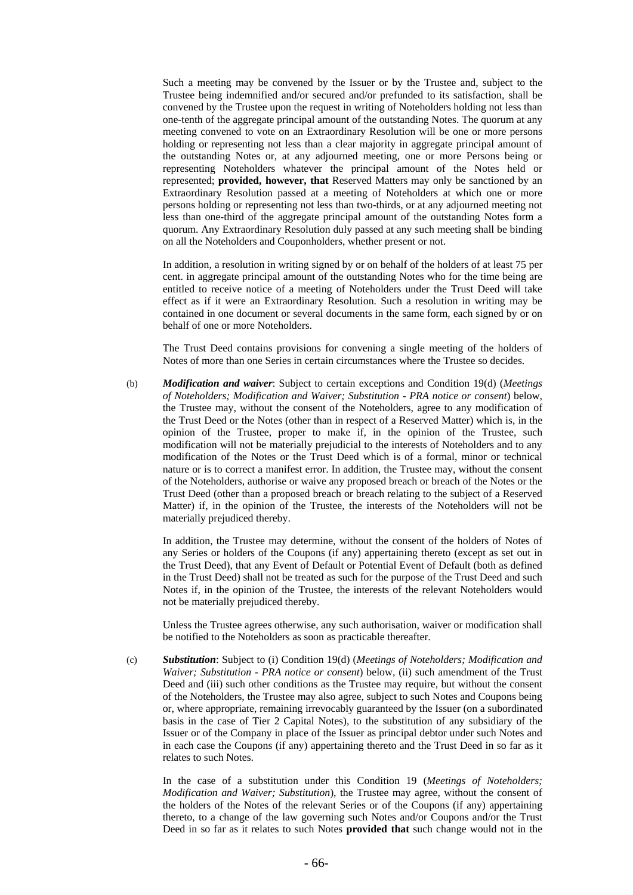Such a meeting may be convened by the Issuer or by the Trustee and, subject to the Trustee being indemnified and/or secured and/or prefunded to its satisfaction, shall be convened by the Trustee upon the request in writing of Noteholders holding not less than one-tenth of the aggregate principal amount of the outstanding Notes. The quorum at any meeting convened to vote on an Extraordinary Resolution will be one or more persons holding or representing not less than a clear majority in aggregate principal amount of the outstanding Notes or, at any adjourned meeting, one or more Persons being or representing Noteholders whatever the principal amount of the Notes held or represented; **provided, however, that** Reserved Matters may only be sanctioned by an Extraordinary Resolution passed at a meeting of Noteholders at which one or more persons holding or representing not less than two-thirds, or at any adjourned meeting not less than one-third of the aggregate principal amount of the outstanding Notes form a quorum. Any Extraordinary Resolution duly passed at any such meeting shall be binding on all the Noteholders and Couponholders, whether present or not.

In addition, a resolution in writing signed by or on behalf of the holders of at least 75 per cent. in aggregate principal amount of the outstanding Notes who for the time being are entitled to receive notice of a meeting of Noteholders under the Trust Deed will take effect as if it were an Extraordinary Resolution. Such a resolution in writing may be contained in one document or several documents in the same form, each signed by or on behalf of one or more Noteholders.

The Trust Deed contains provisions for convening a single meeting of the holders of Notes of more than one Series in certain circumstances where the Trustee so decides.

(b) *Modification and waiver*: Subject to certain exceptions and Condition 19(d) (*Meetings of Noteholders; Modification and Waiver; Substitution - PRA notice or consent*) below, the Trustee may, without the consent of the Noteholders, agree to any modification of the Trust Deed or the Notes (other than in respect of a Reserved Matter) which is, in the opinion of the Trustee, proper to make if, in the opinion of the Trustee, such modification will not be materially prejudicial to the interests of Noteholders and to any modification of the Notes or the Trust Deed which is of a formal, minor or technical nature or is to correct a manifest error. In addition, the Trustee may, without the consent of the Noteholders, authorise or waive any proposed breach or breach of the Notes or the Trust Deed (other than a proposed breach or breach relating to the subject of a Reserved Matter) if, in the opinion of the Trustee, the interests of the Noteholders will not be materially prejudiced thereby.

In addition, the Trustee may determine, without the consent of the holders of Notes of any Series or holders of the Coupons (if any) appertaining thereto (except as set out in the Trust Deed), that any Event of Default or Potential Event of Default (both as defined in the Trust Deed) shall not be treated as such for the purpose of the Trust Deed and such Notes if, in the opinion of the Trustee, the interests of the relevant Noteholders would not be materially prejudiced thereby.

Unless the Trustee agrees otherwise, any such authorisation, waiver or modification shall be notified to the Noteholders as soon as practicable thereafter.

(c) *Substitution*: Subject to (i) Condition 19(d) (*Meetings of Noteholders; Modification and Waiver; Substitution - PRA notice or consent*) below, (ii) such amendment of the Trust Deed and (iii) such other conditions as the Trustee may require, but without the consent of the Noteholders, the Trustee may also agree, subject to such Notes and Coupons being or, where appropriate, remaining irrevocably guaranteed by the Issuer (on a subordinated basis in the case of Tier 2 Capital Notes), to the substitution of any subsidiary of the Issuer or of the Company in place of the Issuer as principal debtor under such Notes and in each case the Coupons (if any) appertaining thereto and the Trust Deed in so far as it relates to such Notes.

In the case of a substitution under this Condition 19 (*Meetings of Noteholders; Modification and Waiver; Substitution*), the Trustee may agree, without the consent of the holders of the Notes of the relevant Series or of the Coupons (if any) appertaining thereto, to a change of the law governing such Notes and/or Coupons and/or the Trust Deed in so far as it relates to such Notes **provided that** such change would not in the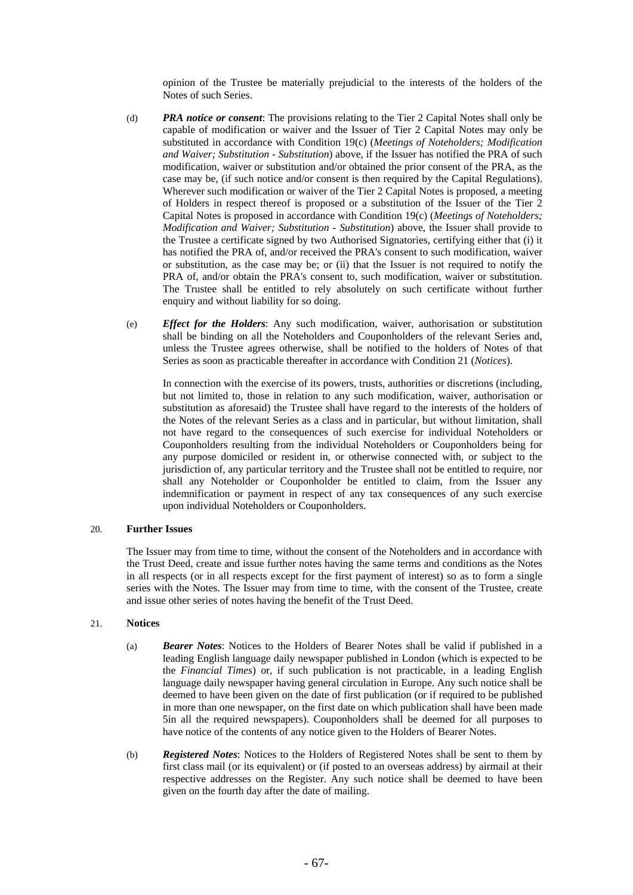opinion of the Trustee be materially prejudicial to the interests of the holders of the Notes of such Series.

- (d) *PRA notice or consent*: The provisions relating to the Tier 2 Capital Notes shall only be capable of modification or waiver and the Issuer of Tier 2 Capital Notes may only be substituted in accordance with Condition 19(c) (*Meetings of Noteholders; Modification and Waiver; Substitution - Substitution*) above, if the Issuer has notified the PRA of such modification, waiver or substitution and/or obtained the prior consent of the PRA, as the case may be, (if such notice and/or consent is then required by the Capital Regulations). Wherever such modification or waiver of the Tier 2 Capital Notes is proposed, a meeting of Holders in respect thereof is proposed or a substitution of the Issuer of the Tier 2 Capital Notes is proposed in accordance with Condition 19(c) (*Meetings of Noteholders; Modification and Waiver; Substitution - Substitution*) above, the Issuer shall provide to the Trustee a certificate signed by two Authorised Signatories, certifying either that (i) it has notified the PRA of, and/or received the PRA's consent to such modification, waiver or substitution, as the case may be; or (ii) that the Issuer is not required to notify the PRA of, and/or obtain the PRA's consent to, such modification, waiver or substitution. The Trustee shall be entitled to rely absolutely on such certificate without further enquiry and without liability for so doing.
- (e) *Effect for the Holders*: Any such modification, waiver, authorisation or substitution shall be binding on all the Noteholders and Couponholders of the relevant Series and, unless the Trustee agrees otherwise, shall be notified to the holders of Notes of that Series as soon as practicable thereafter in accordance with Condition 21 (*Notices*).

In connection with the exercise of its powers, trusts, authorities or discretions (including, but not limited to, those in relation to any such modification, waiver, authorisation or substitution as aforesaid) the Trustee shall have regard to the interests of the holders of the Notes of the relevant Series as a class and in particular, but without limitation, shall not have regard to the consequences of such exercise for individual Noteholders or Couponholders resulting from the individual Noteholders or Couponholders being for any purpose domiciled or resident in, or otherwise connected with, or subject to the jurisdiction of, any particular territory and the Trustee shall not be entitled to require, nor shall any Noteholder or Couponholder be entitled to claim, from the Issuer any indemnification or payment in respect of any tax consequences of any such exercise upon individual Noteholders or Couponholders.

### 20. **Further Issues**

The Issuer may from time to time, without the consent of the Noteholders and in accordance with the Trust Deed, create and issue further notes having the same terms and conditions as the Notes in all respects (or in all respects except for the first payment of interest) so as to form a single series with the Notes. The Issuer may from time to time, with the consent of the Trustee, create and issue other series of notes having the benefit of the Trust Deed.

### 21. **Notices**

- (a) *Bearer Notes*: Notices to the Holders of Bearer Notes shall be valid if published in a leading English language daily newspaper published in London (which is expected to be the *Financial Times*) or, if such publication is not practicable, in a leading English language daily newspaper having general circulation in Europe. Any such notice shall be deemed to have been given on the date of first publication (or if required to be published in more than one newspaper, on the first date on which publication shall have been made 5in all the required newspapers). Couponholders shall be deemed for all purposes to have notice of the contents of any notice given to the Holders of Bearer Notes.
- (b) *Registered Notes*: Notices to the Holders of Registered Notes shall be sent to them by first class mail (or its equivalent) or (if posted to an overseas address) by airmail at their respective addresses on the Register. Any such notice shall be deemed to have been given on the fourth day after the date of mailing.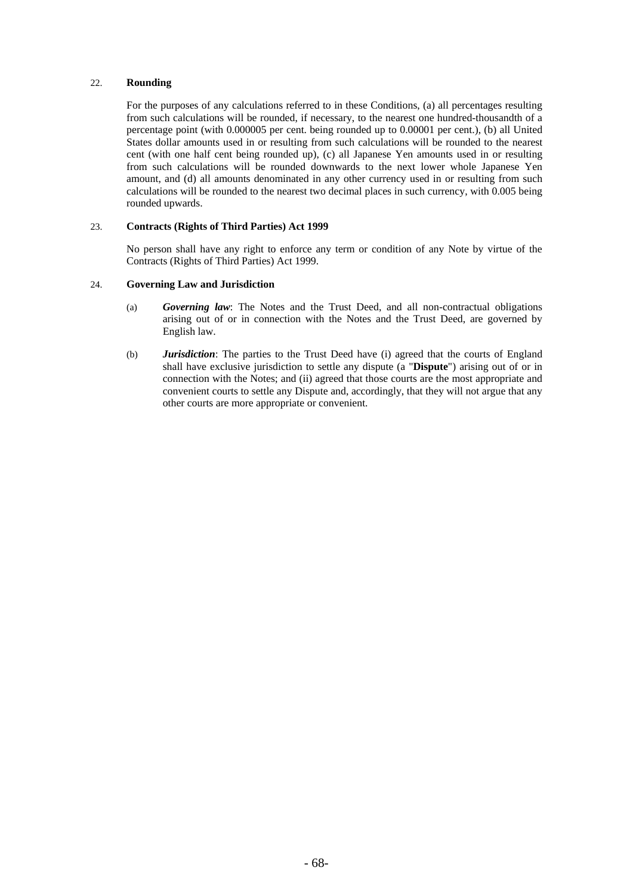### 22. **Rounding**

For the purposes of any calculations referred to in these Conditions, (a) all percentages resulting from such calculations will be rounded, if necessary, to the nearest one hundred-thousandth of a percentage point (with 0.000005 per cent. being rounded up to 0.00001 per cent.), (b) all United States dollar amounts used in or resulting from such calculations will be rounded to the nearest cent (with one half cent being rounded up), (c) all Japanese Yen amounts used in or resulting from such calculations will be rounded downwards to the next lower whole Japanese Yen amount, and (d) all amounts denominated in any other currency used in or resulting from such calculations will be rounded to the nearest two decimal places in such currency, with 0.005 being rounded upwards.

#### 23. **Contracts (Rights of Third Parties) Act 1999**

No person shall have any right to enforce any term or condition of any Note by virtue of the Contracts (Rights of Third Parties) Act 1999.

### 24. **Governing Law and Jurisdiction**

- (a) *Governing law*: The Notes and the Trust Deed, and all non-contractual obligations arising out of or in connection with the Notes and the Trust Deed, are governed by English law.
- (b) *Jurisdiction*: The parties to the Trust Deed have (i) agreed that the courts of England shall have exclusive jurisdiction to settle any dispute (a "**Dispute**") arising out of or in connection with the Notes; and (ii) agreed that those courts are the most appropriate and convenient courts to settle any Dispute and, accordingly, that they will not argue that any other courts are more appropriate or convenient.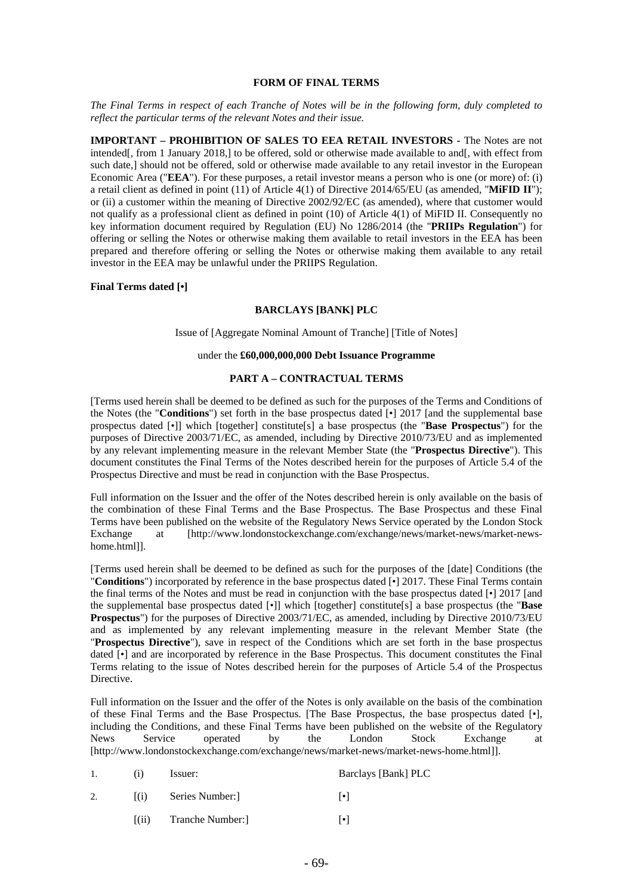### **FORM OF FINAL TERMS**

*The Final Terms in respect of each Tranche of Notes will be in the following form, duly completed to reflect the particular terms of the relevant Notes and their issue.*

**IMPORTANT – PROHIBITION OF SALES TO EEA RETAIL INVESTORS -** The Notes are not intended[, from 1 January 2018,] to be offered, sold or otherwise made available to and[, with effect from such date,] should not be offered, sold or otherwise made available to any retail investor in the European Economic Area ("**EEA**"). For these purposes, a retail investor means a person who is one (or more) of: (i) a retail client as defined in point (11) of Article 4(1) of Directive 2014/65/EU (as amended, "**MiFID II**"); or (ii) a customer within the meaning of Directive 2002/92/EC (as amended), where that customer would not qualify as a professional client as defined in point (10) of Article 4(1) of MiFID II. Consequently no key information document required by Regulation (EU) No 1286/2014 (the "**PRIIPs Regulation**") for offering or selling the Notes or otherwise making them available to retail investors in the EEA has been prepared and therefore offering or selling the Notes or otherwise making them available to any retail investor in the EEA may be unlawful under the PRIIPS Regulation.

### **Final Terms dated [•]**

### **BARCLAYS [BANK] PLC**

Issue of [Aggregate Nominal Amount of Tranche] [Title of Notes]

### under the **£60,000,000,000 Debt Issuance Programme**

### **PART A – CONTRACTUAL TERMS**

[Terms used herein shall be deemed to be defined as such for the purposes of the Terms and Conditions of the Notes (the "**Conditions**") set forth in the base prospectus dated [•] 2017 [and the supplemental base prospectus dated [*•*]] which [together] constitute[s] a base prospectus (the "**Base Prospectus**") for the purposes of Directive 2003/71/EC, as amended, including by Directive 2010/73/EU and as implemented by any relevant implementing measure in the relevant Member State (the "**Prospectus Directive**"). This document constitutes the Final Terms of the Notes described herein for the purposes of Article 5.4 of the Prospectus Directive and must be read in conjunction with the Base Prospectus.

Full information on the Issuer and the offer of the Notes described herein is only available on the basis of the combination of these Final Terms and the Base Prospectus. The Base Prospectus and these Final Terms have been published on the website of the Regulatory News Service operated by the London Stock Exchange at [http://www.londonstockexchange.com/exchange/news/market-news/market-newshome.html]].

[Terms used herein shall be deemed to be defined as such for the purposes of the [date] Conditions (the "**Conditions**") incorporated by reference in the base prospectus dated [•] 2017. These Final Terms contain the final terms of the Notes and must be read in conjunction with the base prospectus dated [•] 2017 [and the supplemental base prospectus dated [*•*]] which [together] constitute[s] a base prospectus (the "**Base Prospectus**") for the purposes of Directive 2003/71/EC, as amended, including by Directive 2010/73/EU and as implemented by any relevant implementing measure in the relevant Member State (the "**Prospectus Directive**"), save in respect of the Conditions which are set forth in the base prospectus dated [•] and are incorporated by reference in the Base Prospectus. This document constitutes the Final Terms relating to the issue of Notes described herein for the purposes of Article 5.4 of the Prospectus Directive.

Full information on the Issuer and the offer of the Notes is only available on the basis of the combination of these Final Terms and the Base Prospectus. [The Base Prospectus, the base prospectus dated [•], including the Conditions, and these Final Terms have been published on the website of the Regulatory News Service operated by the London Stock Exchange at [http://www.londonstockexchange.com/exchange/news/market-news/market-news-home.html]].

|                   | Issuer:          | Barclays [Bank] PLC |
|-------------------|------------------|---------------------|
| $\vert (1) \vert$ | Series Number:   | l٠l                 |
| (11)              | Tranche Number:] | ا • ا               |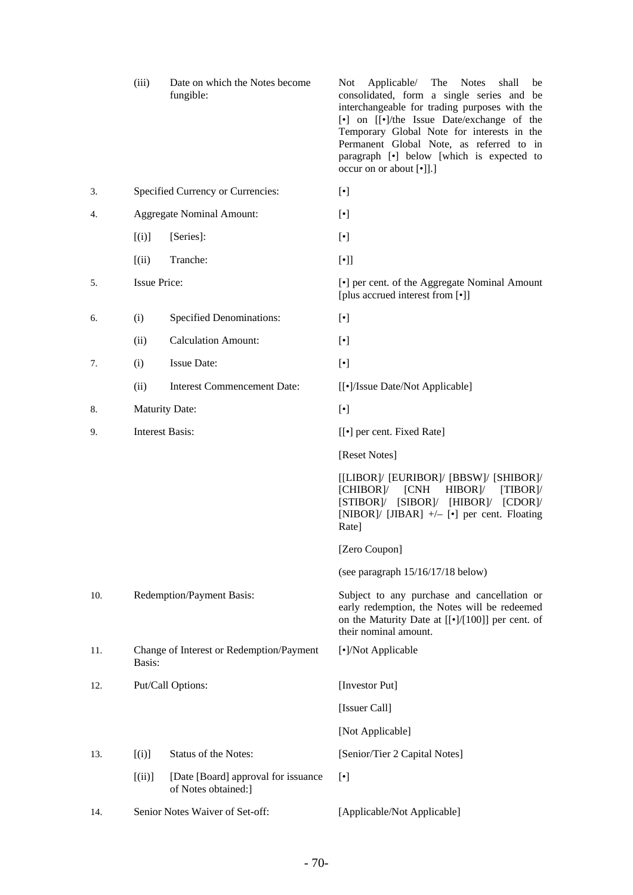|     | (iii)                  | Date on which the Notes become<br>fungible:                | Not Applicable/ The Notes<br>shall<br>be<br>consolidated, form a single series and be<br>interchangeable for trading purposes with the<br>[•] on [[•]/the Issue Date/exchange of the<br>Temporary Global Note for interests in the<br>Permanent Global Note, as referred to in<br>paragraph [•] below [which is expected to<br>occur on or about [•]].] |
|-----|------------------------|------------------------------------------------------------|---------------------------------------------------------------------------------------------------------------------------------------------------------------------------------------------------------------------------------------------------------------------------------------------------------------------------------------------------------|
| 3.  |                        | Specified Currency or Currencies:                          | $[\cdot]$                                                                                                                                                                                                                                                                                                                                               |
| 4.  |                        | <b>Aggregate Nominal Amount:</b>                           | $[\cdot]$                                                                                                                                                                                                                                                                                                                                               |
|     | [(i)]                  | [Series]:                                                  | $[\cdot]$                                                                                                                                                                                                                                                                                                                                               |
|     | (iii)                  | Tranche:                                                   | $[\cdot] ]$                                                                                                                                                                                                                                                                                                                                             |
| 5.  | <b>Issue Price:</b>    |                                                            | [•] per cent. of the Aggregate Nominal Amount<br>[plus accrued interest from [•]]                                                                                                                                                                                                                                                                       |
| 6.  | (i)                    | <b>Specified Denominations:</b>                            | $[\cdot]$                                                                                                                                                                                                                                                                                                                                               |
|     | (ii)                   | <b>Calculation Amount:</b>                                 | $[\cdot]$                                                                                                                                                                                                                                                                                                                                               |
| 7.  | (i)                    | <b>Issue Date:</b>                                         | $[\bullet]$                                                                                                                                                                                                                                                                                                                                             |
|     | (ii)                   | Interest Commencement Date:                                | [[•]/Issue Date/Not Applicable]                                                                                                                                                                                                                                                                                                                         |
| 8.  | <b>Maturity Date:</b>  |                                                            | $[\bullet]$                                                                                                                                                                                                                                                                                                                                             |
| 9.  | <b>Interest Basis:</b> |                                                            | [[ $\bullet$ ] per cent. Fixed Rate]                                                                                                                                                                                                                                                                                                                    |
|     |                        |                                                            | [Reset Notes]                                                                                                                                                                                                                                                                                                                                           |
|     |                        |                                                            | [[LIBOR]/ [EURIBOR]/ [BBSW]/ [SHIBOR]/<br>[CHIBOR]<br>[CNH]<br>$HIBOR$ ]/<br>[TIBOR]<br>[STIBOR]/ [SIBOR]/ [HIBOR]/ [CDOR]/<br>[NIBOR]/ [JIBAR] $+/-$ [ $\bullet$ ] per cent. Floating<br>Rate]                                                                                                                                                         |
|     |                        |                                                            | [Zero Coupon]                                                                                                                                                                                                                                                                                                                                           |
|     |                        |                                                            | (see paragraph 15/16/17/18 below)                                                                                                                                                                                                                                                                                                                       |
| 10. |                        | Redemption/Payment Basis:                                  | Subject to any purchase and cancellation or<br>early redemption, the Notes will be redeemed<br>on the Maturity Date at [[ $\cdot$ ]/[100]] per cent. of<br>their nominal amount.                                                                                                                                                                        |
| 11. | Basis:                 | Change of Interest or Redemption/Payment                   | [•]/Not Applicable                                                                                                                                                                                                                                                                                                                                      |
| 12. |                        | Put/Call Options:                                          | [Investor Put]                                                                                                                                                                                                                                                                                                                                          |
|     |                        |                                                            | [Issuer Call]                                                                                                                                                                                                                                                                                                                                           |
|     |                        |                                                            | [Not Applicable]                                                                                                                                                                                                                                                                                                                                        |
| 13. | [(i)]                  | Status of the Notes:                                       | [Senior/Tier 2 Capital Notes]                                                                                                                                                                                                                                                                                                                           |
|     | [(ii)]                 | [Date [Board] approval for issuance<br>of Notes obtained:] | $[\cdot]$                                                                                                                                                                                                                                                                                                                                               |
| 14. |                        | Senior Notes Waiver of Set-off:                            | [Applicable/Not Applicable]                                                                                                                                                                                                                                                                                                                             |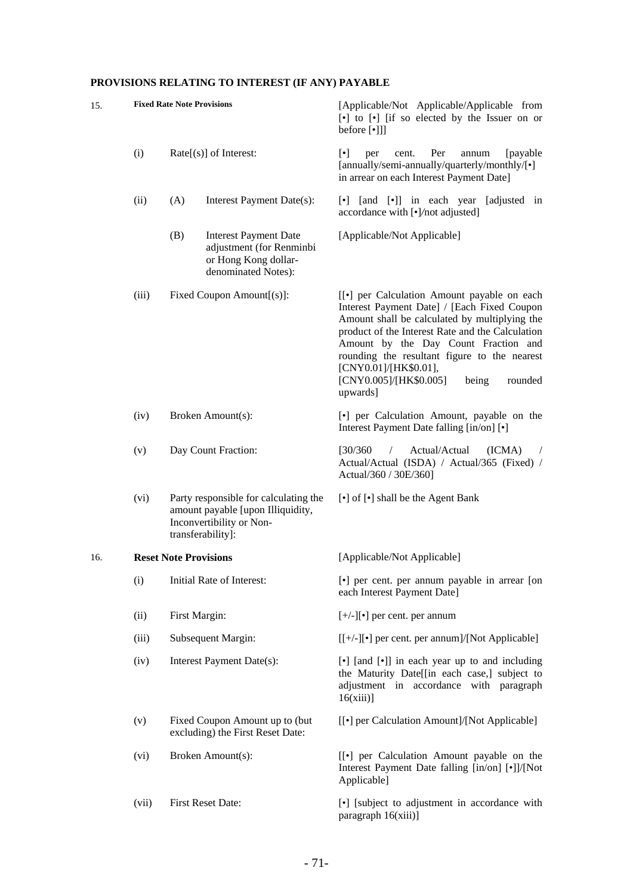# **PROVISIONS RELATING TO INTEREST (IF ANY) PAYABLE**

| 15. |                                    | <b>Fixed Rate Note Provisions</b>                                                                                           | [Applicable/Not Applicable/Applicable from<br>[•] to [•] [if so elected by the Issuer on or<br>before [•]]]                                                                                                                                                                                                                                                                |
|-----|------------------------------------|-----------------------------------------------------------------------------------------------------------------------------|----------------------------------------------------------------------------------------------------------------------------------------------------------------------------------------------------------------------------------------------------------------------------------------------------------------------------------------------------------------------------|
|     | (i)                                | $Rate[s]$ of Interest:                                                                                                      | $\lceil \cdot \rceil$<br>Per<br>[payable]<br>per<br>cent.<br>annum<br>[annually/semi-annually/quarterly/monthly/[•]<br>in arrear on each Interest Payment Date]                                                                                                                                                                                                            |
|     | (ii)                               | (A)<br>Interest Payment Date(s):                                                                                            | [and [•]] in each year<br>[adjusted in<br>$\lceil \cdot \rceil$<br>accordance with [•]/not adjusted]                                                                                                                                                                                                                                                                       |
|     |                                    | (B)<br><b>Interest Payment Date</b><br>adjustment (for Renminbi<br>or Hong Kong dollar-<br>denominated Notes):              | [Applicable/Not Applicable]                                                                                                                                                                                                                                                                                                                                                |
|     | Fixed Coupon Amount[(s)]:<br>(iii) |                                                                                                                             | [[.] per Calculation Amount payable on each<br>Interest Payment Date] / [Each Fixed Coupon<br>Amount shall be calculated by multiplying the<br>product of the Interest Rate and the Calculation<br>Amount by the Day Count Fraction and<br>rounding the resultant figure to the nearest<br>[CNY0.01]/[HK\$0.01],<br>[CNY0.005]/[HK\$0.005]<br>being<br>rounded<br>upwards] |
|     | (iv)                               | Broken Amount(s):                                                                                                           | [•] per Calculation Amount, payable on the<br>Interest Payment Date falling [in/on] [ $\bullet$ ]                                                                                                                                                                                                                                                                          |
|     | (v)                                | Day Count Fraction:                                                                                                         | Actual/Actual<br>[30/360]<br>(ICMA)<br>$\sqrt{2}$<br>Actual/Actual (ISDA) / Actual/365 (Fixed) /<br>Actual/360 / 30E/360]                                                                                                                                                                                                                                                  |
|     | (vi)                               | Party responsible for calculating the<br>amount payable [upon Illiquidity,<br>Inconvertibility or Non-<br>transferability]: | [•] of [•] shall be the Agent Bank                                                                                                                                                                                                                                                                                                                                         |
| 16. | <b>Reset Note Provisions</b>       |                                                                                                                             | [Applicable/Not Applicable]                                                                                                                                                                                                                                                                                                                                                |
|     | (i)                                | Initial Rate of Interest:                                                                                                   | [•] per cent. per annum payable in arrear [on<br>each Interest Payment Date]                                                                                                                                                                                                                                                                                               |
|     | (ii)                               | First Margin:                                                                                                               | $[+/$ -][ $\bullet$ ] per cent. per annum                                                                                                                                                                                                                                                                                                                                  |
|     | (iii)                              | Subsequent Margin:                                                                                                          | $[[+/-]$ [ $\bullet]$ ] per cent. per annum]/[Not Applicable]                                                                                                                                                                                                                                                                                                              |
|     | (iv)                               | Interest Payment Date(s):                                                                                                   | [•] [and [•]] in each year up to and including<br>the Maturity Date[[in each case,] subject to<br>adjustment in accordance with paragraph<br>16(xiii)                                                                                                                                                                                                                      |
|     | (v)                                | Fixed Coupon Amount up to (but<br>excluding) the First Reset Date:                                                          | [[.] per Calculation Amount]/[Not Applicable]                                                                                                                                                                                                                                                                                                                              |
|     | (vi)                               | Broken Amount(s):                                                                                                           | [[.] per Calculation Amount payable on the<br>Interest Payment Date falling [in/on] [.]]/[Not<br>Applicable]                                                                                                                                                                                                                                                               |
|     | (vii)                              | First Reset Date:                                                                                                           | [•] [subject to adjustment in accordance with<br>paragraph 16(xiii)]                                                                                                                                                                                                                                                                                                       |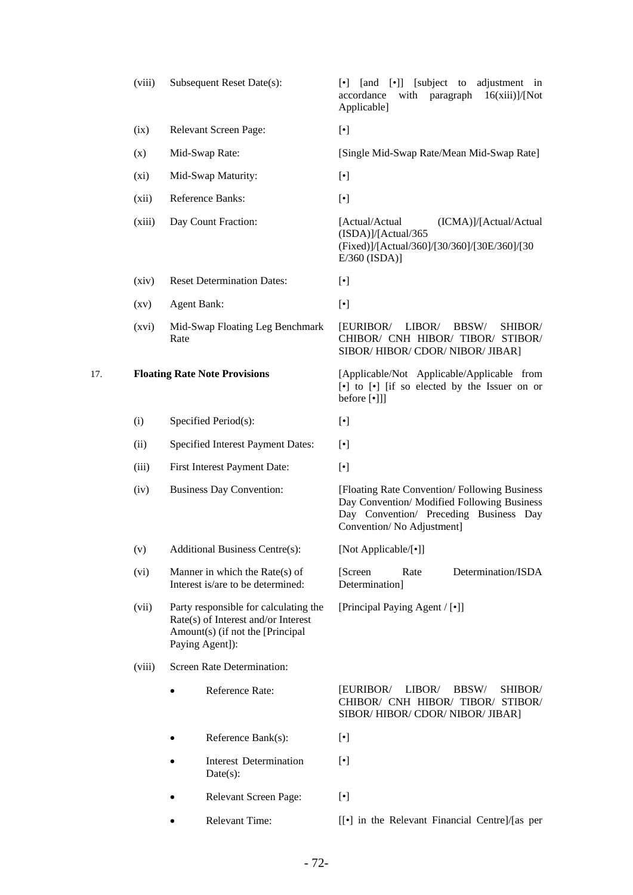|     | (viii)             | Subsequent Reset Date(s):                                                                                                           | [•]] [subject to adjustment in<br>[and<br>$\lvert \cdot \rvert$<br>accordance<br>with paragraph<br>16(xiii)/[Not]<br>Applicable]                                   |
|-----|--------------------|-------------------------------------------------------------------------------------------------------------------------------------|--------------------------------------------------------------------------------------------------------------------------------------------------------------------|
|     | (ix)               | Relevant Screen Page:                                                                                                               | $[\cdot]$                                                                                                                                                          |
|     | (x)                | Mid-Swap Rate:                                                                                                                      | [Single Mid-Swap Rate/Mean Mid-Swap Rate]                                                                                                                          |
|     | $(x_i)$            | Mid-Swap Maturity:                                                                                                                  | $[\cdot]$                                                                                                                                                          |
|     | (xii)              | Reference Banks:                                                                                                                    | $[\cdot]$                                                                                                                                                          |
|     | (xiii)             | Day Count Fraction:                                                                                                                 | [Actual/Actual<br>(ICMA)]/[Actual/Actual<br>(ISDA)]/[Actual/365<br>(Fixed)]/[Actual/360]/[30/360]/[30E/360]/[30<br>$E/360$ (ISDA)]                                 |
|     | (xiv)              | <b>Reset Determination Dates:</b>                                                                                                   | $[\cdot]$                                                                                                                                                          |
|     | $\left( xy\right)$ | <b>Agent Bank:</b>                                                                                                                  | $[\cdot]$                                                                                                                                                          |
|     | (xvi)              | Mid-Swap Floating Leg Benchmark<br>Rate                                                                                             | <b>EURIBOR/</b><br>LIBOR/<br>BBSW/<br>SHIBOR/<br>CHIBOR/ CNH HIBOR/ TIBOR/ STIBOR/<br>SIBOR/HIBOR/CDOR/NIBOR/JIBAR]                                                |
| 17. |                    | <b>Floating Rate Note Provisions</b>                                                                                                | [Applicable/Not Applicable/Applicable from<br>$\lceil \cdot \rceil$ to $\lceil \cdot \rceil$ if so elected by the Issuer on or<br>before [•]]]                     |
|     | (i)                | Specified Period(s):                                                                                                                | $[\cdot]$                                                                                                                                                          |
|     | (ii)               | Specified Interest Payment Dates:                                                                                                   | $[\cdot]$                                                                                                                                                          |
|     | (iii)              | First Interest Payment Date:                                                                                                        | $[\cdot]$                                                                                                                                                          |
|     | (iv)               | <b>Business Day Convention:</b>                                                                                                     | [Floating Rate Convention/Following Business<br>Day Convention/ Modified Following Business<br>Day Convention/ Preceding Business Day<br>Convention/No Adjustment] |
|     | (v)                | Additional Business Centre(s):                                                                                                      | [Not Applicable/[•]]                                                                                                                                               |
|     | (vi)               | Manner in which the Rate $(s)$ of<br>Interest is/are to be determined:                                                              | Determination/ISDA<br>[Screen]<br>Rate<br>Determination]                                                                                                           |
|     | (vii)              | Party responsible for calculating the<br>Rate(s) of Interest and/or Interest<br>Amount(s) (if not the [Principal<br>Paying Agent]): | [Principal Paying Agent / [•]]                                                                                                                                     |
|     | (viii)             | Screen Rate Determination:                                                                                                          |                                                                                                                                                                    |
|     |                    | Reference Rate:                                                                                                                     | [EURIBOR/<br>LIBOR/<br>BBSW/<br>SHIBOR/<br>CHIBOR/ CNH HIBOR/ TIBOR/ STIBOR/<br>SIBOR/HIBOR/CDOR/NIBOR/JIBAR]                                                      |
|     |                    | Reference Bank(s):                                                                                                                  | $[\cdot]$                                                                                                                                                          |
|     |                    | Interest Determination<br>Date(s):                                                                                                  | $[\cdot]$                                                                                                                                                          |
|     |                    | Relevant Screen Page:                                                                                                               | $[\cdot]$                                                                                                                                                          |
|     |                    | Relevant Time:                                                                                                                      | [[•] in the Relevant Financial Centre]/[as per                                                                                                                     |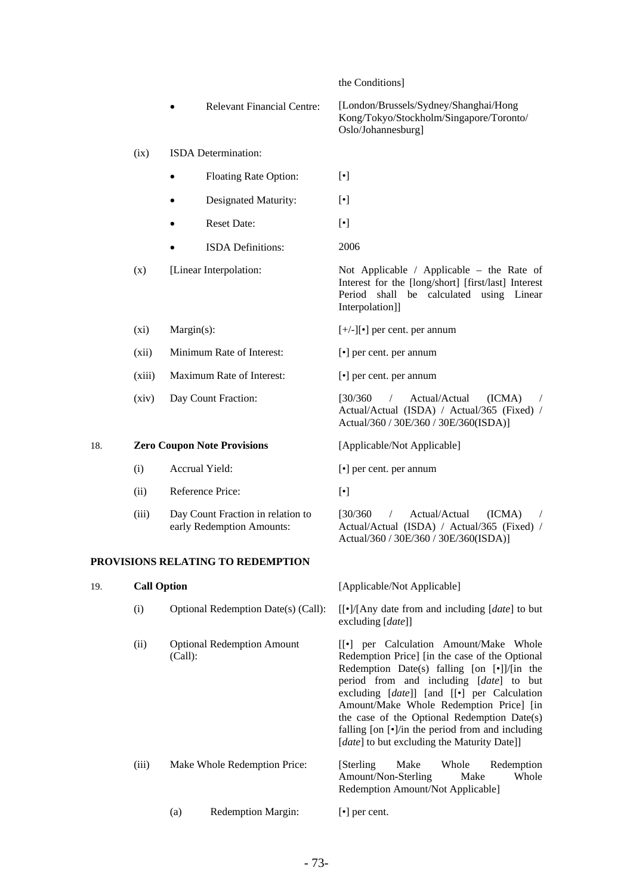|  | the Conditions |
|--|----------------|
|--|----------------|

Interpolation]]

 Relevant Financial Centre: [London/Brussels/Sydney/Shanghai/Hong Kong/Tokyo/Stockholm/Singapore/Toronto/ Oslo/Johannesburg]

### (ix) ISDA Determination:

- Floating Rate Option: [ $\bullet$ ]
- Designated Maturity: [•]
- Reset Date: [ $\bullet$ ]
- ISDA Definitions: 2006

(x) [Linear Interpolation: Not Applicable / Applicable – the Rate of

(xi) Margin(s):  $[+/]-]$ [•] per cent. per annum

(xii) Minimum Rate of Interest: [•] per cent. per annum

(xiii) Maximum Rate of Interest: [•] per cent. per annum

(xiv) Day Count Fraction: [30/360 / Actual/Actual (ICMA) /

### 18. **Zero Coupon Note Provisions** [Applicable/Not Applicable]

- (i) Accrual Yield: [•] per cent. per annum
- (ii) Reference Price: [•]

**PROVISIONS RELATING TO REDEMPTION**

 (iii) Day Count Fraction in relation to early Redemption Amounts:

# 19. **Call Option** [Applicable/Not Applicable]

Interest for the [long/short] [first/last] Interest Period shall be calculated using Linear

Actual/Actual (ISDA) / Actual/365 (Fixed) / Actual/360 / 30E/360 / 30E/360(ISDA)]

 $[30/360$  / Actual/Actual  $(ICMA)$ Actual/Actual (ISDA) / Actual/365 (Fixed) / Actual/360 / 30E/360 / 30E/360(ISDA)]

 (i) Optional Redemption Date(s) (Call): [[•]/[Any date from and including [*date*] to but excluding [*date*]] (ii) Optional Redemption Amount (Call): [[•] per Calculation Amount/Make Whole Redemption Price] [in the case of the Optional Redemption Date(s) falling  $[on \; [\bullet]]/$ [in the period from and including [*date*] to but excluding [*date*]] [and [[•] per Calculation Amount/Make Whole Redemption Price] [in the case of the Optional Redemption Date(s) falling [on [•]/in the period from and including [*date*] to but excluding the Maturity Date]] (iii) Make Whole Redemption Price: [Sterling Make Whole Redemption Amount/Non-Sterling Make Whole Redemption Amount/Not Applicable] (a) Redemption Margin: [•] per cent.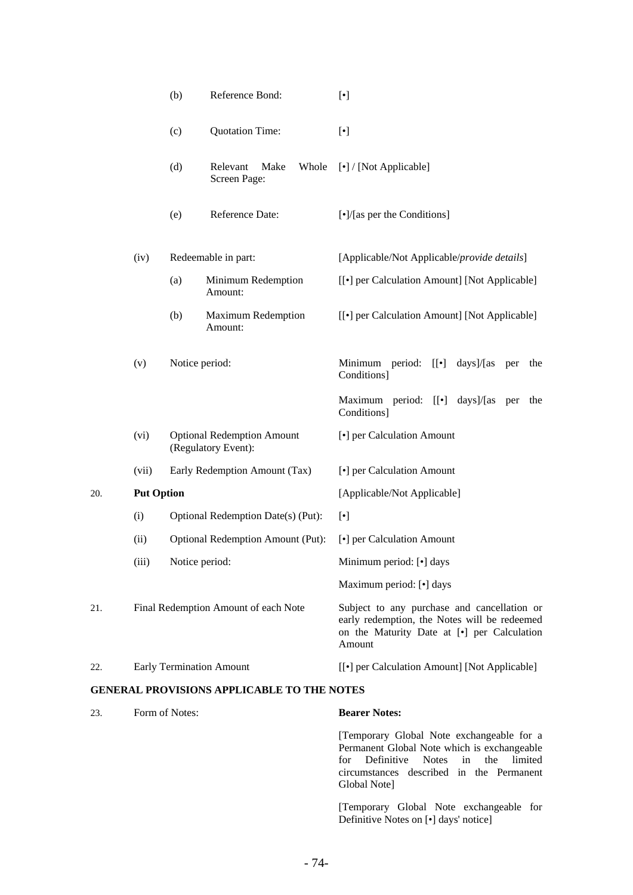|     |                   | (b)            | Reference Bond:                                          | $[\cdot]$                                                                                                                                            |
|-----|-------------------|----------------|----------------------------------------------------------|------------------------------------------------------------------------------------------------------------------------------------------------------|
|     |                   | (c)            | <b>Quotation Time:</b>                                   | $[\cdot]$                                                                                                                                            |
|     |                   | (d)            | Relevant<br>Make<br>Whole<br>Screen Page:                | [•] / [Not Applicable]                                                                                                                               |
|     |                   | (e)            | Reference Date:                                          | [ $\cdot$ ]/[as per the Conditions]                                                                                                                  |
|     | (iv)              |                | Redeemable in part:                                      | [Applicable/Not Applicable/provide details]                                                                                                          |
|     |                   | (a)            | Minimum Redemption<br>Amount:                            | [[ $\bullet$ ] per Calculation Amount] [Not Applicable]                                                                                              |
|     |                   | (b)            | <b>Maximum Redemption</b><br>Amount:                     | [[ $\bullet$ ] per Calculation Amount] [Not Applicable]                                                                                              |
|     | (v)               | Notice period: |                                                          | Minimum period: [[.] days]/[as per<br>the<br>Conditions]                                                                                             |
|     |                   |                |                                                          | Maximum period: [[.] days]/[as per<br>the<br>Conditions]                                                                                             |
|     | (vi)              |                | <b>Optional Redemption Amount</b><br>(Regulatory Event): | [•] per Calculation Amount                                                                                                                           |
|     | (vii)             |                | Early Redemption Amount (Tax)                            | [•] per Calculation Amount                                                                                                                           |
| 20. | <b>Put Option</b> |                |                                                          | [Applicable/Not Applicable]                                                                                                                          |
|     | (i)               |                | Optional Redemption Date(s) (Put):                       | $[\cdot]$                                                                                                                                            |
|     | (ii)              |                | Optional Redemption Amount (Put):                        | [•] per Calculation Amount                                                                                                                           |
|     | (iii)             | Notice period: |                                                          | Minimum period: [•] days                                                                                                                             |
|     |                   |                |                                                          | Maximum period: [•] days                                                                                                                             |
| 21. |                   |                | Final Redemption Amount of each Note                     | Subject to any purchase and cancellation or<br>early redemption, the Notes will be redeemed<br>on the Maturity Date at [.] per Calculation<br>Amount |
| 22. |                   |                | <b>Early Termination Amount</b>                          | [[ $\bullet$ ] per Calculation Amount] [Not Applicable]                                                                                              |
|     |                   |                | <b>GENERAL PROVISIONS APPLICABLE TO THE NOTES</b>        |                                                                                                                                                      |
| 23. | Form of Notes:    |                |                                                          | <b>Bearer Notes:</b>                                                                                                                                 |

[Temporary Global Note exchangeable for a Permanent Global Note which is exchangeable for Definitive Notes in the limited circumstances described in the Permanent Global Note]

[Temporary Global Note exchangeable for Definitive Notes on [•] days' notice]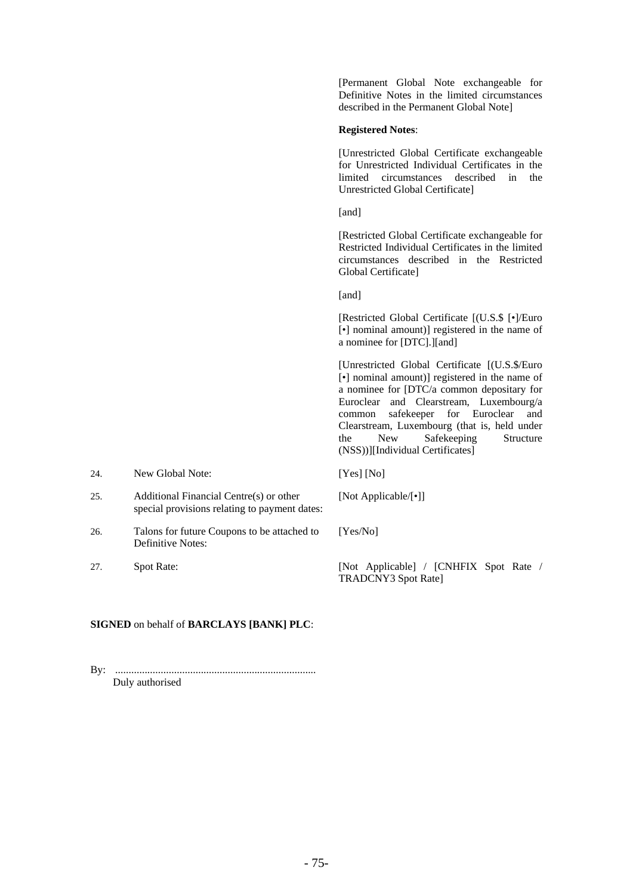[Permanent Global Note exchangeable for Definitive Notes in the limited circumstances described in the Permanent Global Note]

### **Registered Notes**:

[Unrestricted Global Certificate exchangeable for Unrestricted Individual Certificates in the limited circumstances described in the Unrestricted Global Certificate]

[and]

[Restricted Global Certificate exchangeable for Restricted Individual Certificates in the limited circumstances described in the Restricted Global Certificate]

[and]

[Restricted Global Certificate [(U.S.\$ [•]/Euro [•] nominal amount)] registered in the name of a nominee for [DTC].][and]

[Unrestricted Global Certificate [(U.S.\$/Euro [•] nominal amount)] registered in the name of a nominee for [DTC/a common depositary for Euroclear and Clearstream, Luxembourg/a common safekeeper for Euroclear and Clearstream, Luxembourg (that is, held under the New Safekeeping Structure (NSS))][Individual Certificates]

| 24. | New Global Note:                                                                         | [Yes] [No]                                                           |
|-----|------------------------------------------------------------------------------------------|----------------------------------------------------------------------|
| 25. | Additional Financial Centre(s) or other<br>special provisions relating to payment dates: | [Not Applicable/ $\lceil \cdot \rceil$ ]                             |
| 26. | Talons for future Coupons to be attached to<br>Definitive Notes:                         | [Yes/No]                                                             |
| 27. | Spot Rate:                                                                               | [Not Applicable] / [CNHFIX Spot Rate /<br><b>TRADCNY3</b> Spot Rate] |

# **SIGNED** on behalf of **BARCLAYS [BANK] PLC**:

By: ........................................................................... Duly authorised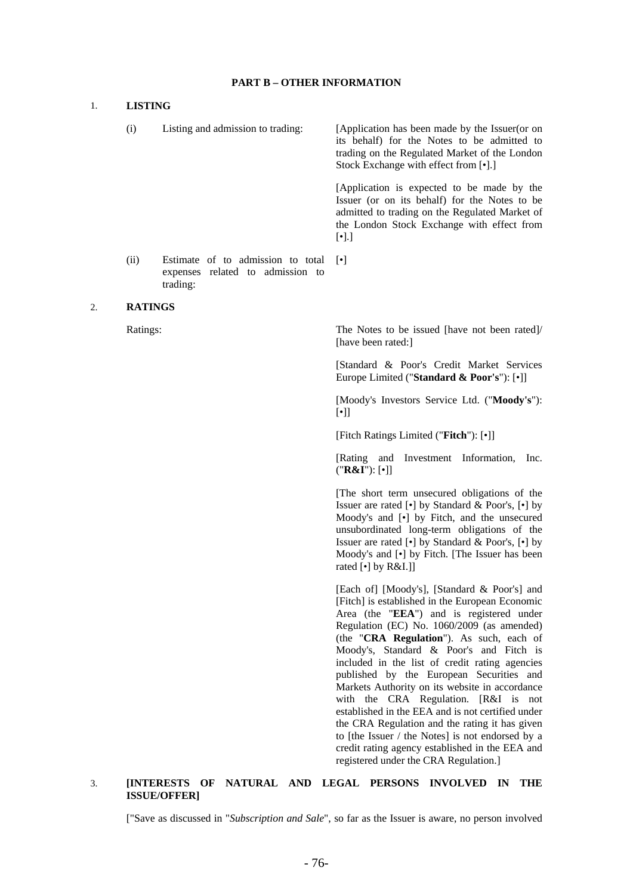#### **PART B – OTHER INFORMATION**

#### 1. **LISTING**

| (i)  | Listing and admission to trading:                                                 | [Application has been made by the Issuer(or on<br>its behalf) for the Notes to be admitted to<br>trading on the Regulated Market of the London<br>Stock Exchange with effect from [•].]                     |
|------|-----------------------------------------------------------------------------------|-------------------------------------------------------------------------------------------------------------------------------------------------------------------------------------------------------------|
|      |                                                                                   | [Application is expected to be made by the<br>Issuer (or on its behalf) for the Notes to be<br>admitted to trading on the Regulated Market of<br>the London Stock Exchange with effect from<br>$[\cdot]$ .] |
| (ii) | Estimate of to admission to total<br>expenses related to admission to<br>trading: | $\lceil \cdot \rceil$                                                                                                                                                                                       |

#### 2. **RATINGS**

Ratings: The Notes to be issued [have not been rated]/ [have been rated:]

> [Standard & Poor's Credit Market Services Europe Limited ("**Standard & Poor's**"): [•]]

> [Moody's Investors Service Ltd. ("**Moody's**"): [•]]

[Fitch Ratings Limited ("**Fitch**"): [•]]

 [Rating and Investment Information, Inc. ("**R&I**"): [•]]

 [The short term unsecured obligations of the Issuer are rated [•] by Standard & Poor's, [•] by Moody's and [•] by Fitch, and the unsecured unsubordinated long-term obligations of the Issuer are rated  $\lceil \cdot \rceil$  by Standard & Poor's,  $\lceil \cdot \rceil$  by Moody's and [•] by Fitch. [The Issuer has been rated [•] by R&I.]]

 [Each of] [Moody's], [Standard & Poor's] and [Fitch] is established in the European Economic Area (the "**EEA**") and is registered under Regulation (EC) No. 1060/2009 (as amended) (the "**CRA Regulation**"). As such, each of Moody's, Standard & Poor's and Fitch is included in the list of credit rating agencies published by the European Securities and Markets Authority on its website in accordance with the CRA Regulation. [R&I is not established in the EEA and is not certified under the CRA Regulation and the rating it has given to [the Issuer / the Notes] is not endorsed by a credit rating agency established in the EEA and registered under the CRA Regulation.]

# 3. **[INTERESTS OF NATURAL AND LEGAL PERSONS INVOLVED IN THE ISSUE/OFFER]**

["Save as discussed in "*Subscription and Sale*", so far as the Issuer is aware, no person involved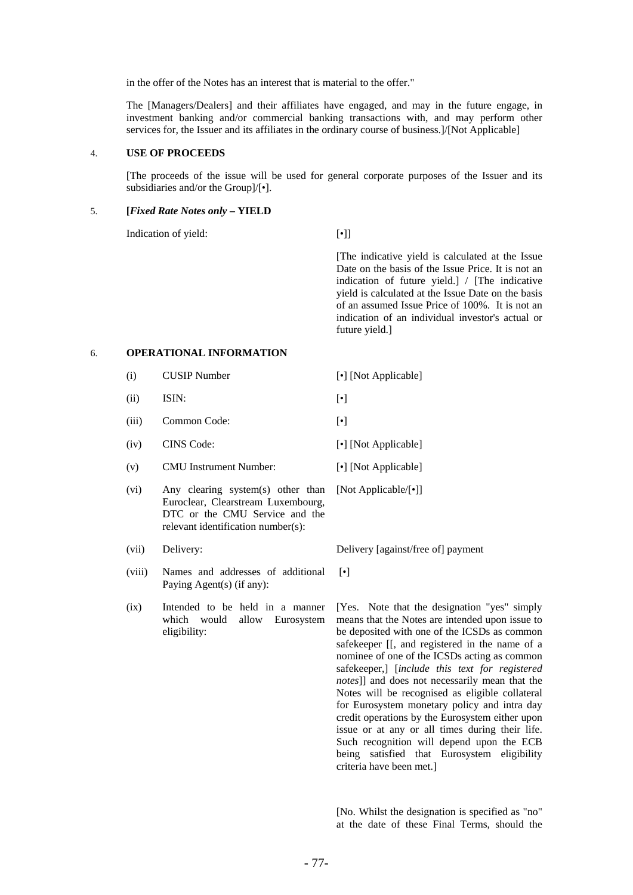in the offer of the Notes has an interest that is material to the offer."

 The [Managers/Dealers] and their affiliates have engaged, and may in the future engage, in investment banking and/or commercial banking transactions with, and may perform other services for, the Issuer and its affiliates in the ordinary course of business.]/[Not Applicable]

#### 4. **USE OF PROCEEDS**

 [The proceeds of the issue will be used for general corporate purposes of the Issuer and its subsidiaries and/or the Group]/[•].

#### 5. **[***Fixed Rate Notes only* **– YIELD**

Indication of yield: [•]]

 [The indicative yield is calculated at the Issue Date on the basis of the Issue Price. It is not an indication of future yield.] / [The indicative yield is calculated at the Issue Date on the basis of an assumed Issue Price of 100%. It is not an indication of an individual investor's actual or future yield.]

### 6. **OPERATIONAL INFORMATION**

- (i) CUSIP Number [•] [Not Applicable]
- $(i)$  ISIN:  $\lbrack \bullet \rbrack$ 
	- (iii) Common Code: [•]
	- (iv) CINS Code: [•] [Not Applicable]
	- (v) CMU Instrument Number: [•] [Not Applicable]
	- (vi) Any clearing system(s) other than Euroclear, Clearstream Luxembourg, DTC or the CMU Service and the relevant identification number(s): [Not Applicable/[•]]
	-
	- (viii) Names and addresses of additional Paying Agent(s) (if any):
	- (ix) Intended to be held in a manner which would allow Eurosystem eligibility:

(vii) Delivery: Delivery [against/free of] payment

[•]

[Yes. Note that the designation "yes" simply means that the Notes are intended upon issue to be deposited with one of the ICSDs as common safekeeper [[, and registered in the name of a nominee of one of the ICSDs acting as common safekeeper,] [*include this text for registered notes*]] and does not necessarily mean that the Notes will be recognised as eligible collateral for Eurosystem monetary policy and intra day credit operations by the Eurosystem either upon issue or at any or all times during their life. Such recognition will depend upon the ECB being satisfied that Eurosystem eligibility criteria have been met.]

[No. Whilst the designation is specified as "no" at the date of these Final Terms, should the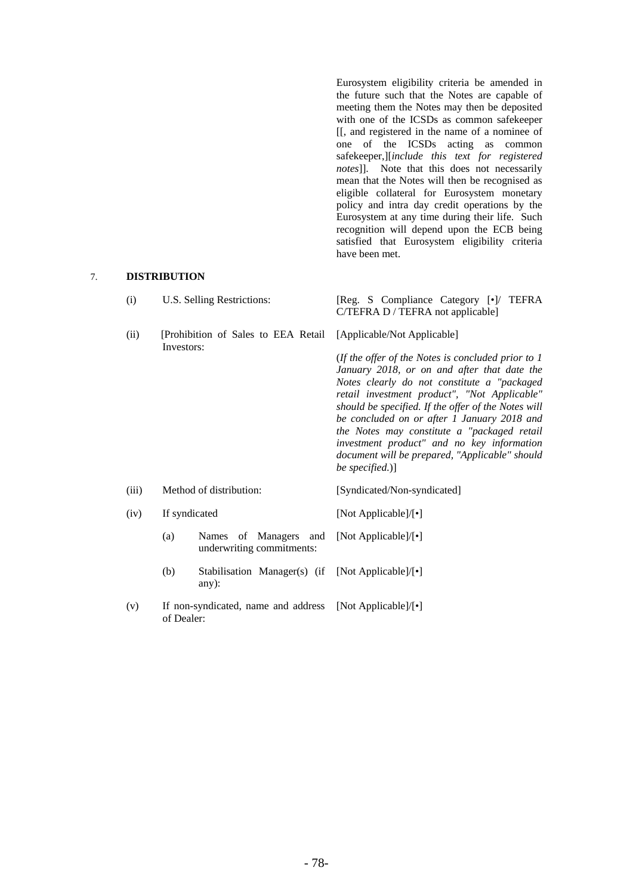Eurosystem eligibility criteria be amended in the future such that the Notes are capable of meeting them the Notes may then be deposited with one of the ICSDs as common safekeeper [[, and registered in the name of a nominee of one of the ICSDs acting as common safekeeper,][*include this text for registered notes*]]. Note that this does not necessarily mean that the Notes will then be recognised as eligible collateral for Eurosystem monetary policy and intra day credit operations by the Eurosystem at any time during their life. Such recognition will depend upon the ECB being satisfied that Eurosystem eligibility criteria have been met.

# 7. **DISTRIBUTION**

| (i)   | U.S. Selling Restrictions:                                | [Reg. S Compliance Category [•]/ TEFRA<br>C/TEFRA D / TEFRA not applicable]                                                                                                                                                                                                                                                                                                                                                                                                                               |
|-------|-----------------------------------------------------------|-----------------------------------------------------------------------------------------------------------------------------------------------------------------------------------------------------------------------------------------------------------------------------------------------------------------------------------------------------------------------------------------------------------------------------------------------------------------------------------------------------------|
| (ii)  | [Prohibition of Sales to EEA Retail]<br>Investors:        | [Applicable/Not Applicable]<br>(If the offer of the Notes is concluded prior to $1$<br>January 2018, or on and after that date the<br>Notes clearly do not constitute a "packaged<br>retail investment product", "Not Applicable"<br>should be specified. If the offer of the Notes will<br>be concluded on or after 1 January 2018 and<br>the Notes may constitute a "packaged retail<br>investment product" and no key information<br>document will be prepared, "Applicable" should<br>be specified.)] |
| (iii) | Method of distribution:                                   | [Syndicated/Non-syndicated]                                                                                                                                                                                                                                                                                                                                                                                                                                                                               |
| (iv)  | If syndicated                                             | [Not Applicable]/[•]                                                                                                                                                                                                                                                                                                                                                                                                                                                                                      |
|       | Names of Managers and<br>(a)<br>underwriting commitments: | [Not Applicable]/[•]                                                                                                                                                                                                                                                                                                                                                                                                                                                                                      |
|       | (b)<br>Stabilisation Manager(s) (if<br>any):              | [Not Applicable]/ $[\cdot]$                                                                                                                                                                                                                                                                                                                                                                                                                                                                               |
| (v)   | If non-syndicated, name and address<br>of Dealer:         | [Not Applicable]/[•]                                                                                                                                                                                                                                                                                                                                                                                                                                                                                      |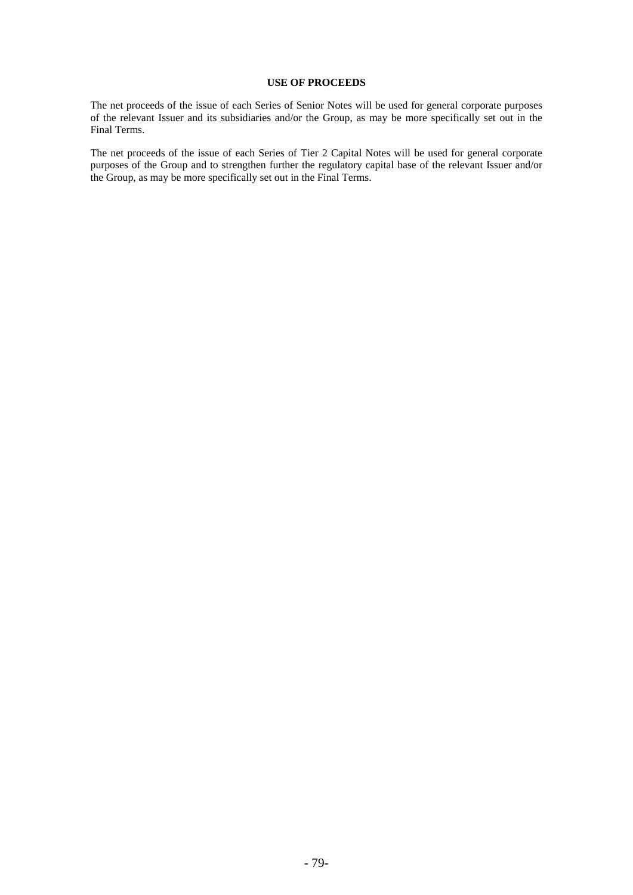# **USE OF PROCEEDS**

The net proceeds of the issue of each Series of Senior Notes will be used for general corporate purposes of the relevant Issuer and its subsidiaries and/or the Group, as may be more specifically set out in the Final Terms.

The net proceeds of the issue of each Series of Tier 2 Capital Notes will be used for general corporate purposes of the Group and to strengthen further the regulatory capital base of the relevant Issuer and/or the Group, as may be more specifically set out in the Final Terms.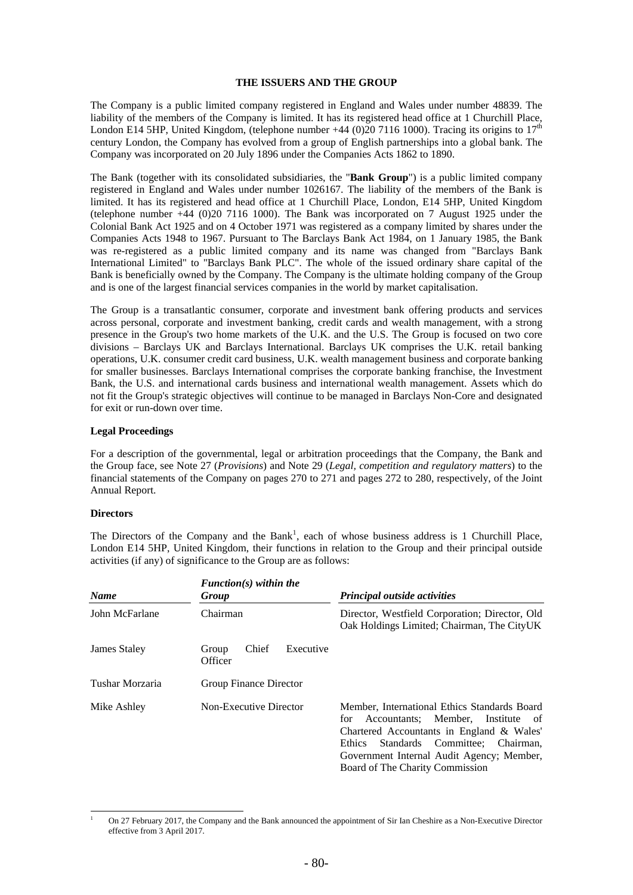### **THE ISSUERS AND THE GROUP**

The Company is a public limited company registered in England and Wales under number 48839. The liability of the members of the Company is limited. It has its registered head office at 1 Churchill Place, London E14 5HP, United Kingdom, (telephone number  $+44$  (0)20 7116 1000). Tracing its origins to  $17<sup>th</sup>$ century London, the Company has evolved from a group of English partnerships into a global bank. The Company was incorporated on 20 July 1896 under the Companies Acts 1862 to 1890.

The Bank (together with its consolidated subsidiaries, the "**Bank Group**") is a public limited company registered in England and Wales under number 1026167. The liability of the members of the Bank is limited. It has its registered and head office at 1 Churchill Place, London, E14 5HP, United Kingdom (telephone number +44 (0)20 7116 1000). The Bank was incorporated on 7 August 1925 under the Colonial Bank Act 1925 and on 4 October 1971 was registered as a company limited by shares under the Companies Acts 1948 to 1967. Pursuant to The Barclays Bank Act 1984, on 1 January 1985, the Bank was re-registered as a public limited company and its name was changed from "Barclays Bank International Limited" to "Barclays Bank PLC". The whole of the issued ordinary share capital of the Bank is beneficially owned by the Company. The Company is the ultimate holding company of the Group and is one of the largest financial services companies in the world by market capitalisation.

The Group is a transatlantic consumer, corporate and investment bank offering products and services across personal, corporate and investment banking, credit cards and wealth management, with a strong presence in the Group's two home markets of the U.K. and the U.S. The Group is focused on two core divisions – Barclays UK and Barclays International. Barclays UK comprises the U.K. retail banking operations, U.K. consumer credit card business, U.K. wealth management business and corporate banking for smaller businesses. Barclays International comprises the corporate banking franchise, the Investment Bank, the U.S. and international cards business and international wealth management. Assets which do not fit the Group's strategic objectives will continue to be managed in Barclays Non-Core and designated for exit or run-down over time.

### **Legal Proceedings**

For a description of the governmental, legal or arbitration proceedings that the Company, the Bank and the Group face, see Note 27 (*Provisions*) and Note 29 (*Legal, competition and regulatory matters*) to the financial statements of the Company on pages 270 to 271 and pages 272 to 280, respectively, of the Joint Annual Report.

### **Directors**

The Directors of the Company and the Bank<sup>1</sup>, each of whose business address is 1 Churchill Place, London E14 5HP, United Kingdom, their functions in relation to the Group and their principal outside activities (if any) of significance to the Group are as follows:

| <b>Name</b>     | $Function(s)$ within the<br>Group      | <b>Principal outside activities</b>                                                                                                                                                                                                                                         |
|-----------------|----------------------------------------|-----------------------------------------------------------------------------------------------------------------------------------------------------------------------------------------------------------------------------------------------------------------------------|
| John McFarlane  | Chairman                               | Director, Westfield Corporation; Director, Old<br>Oak Holdings Limited; Chairman, The CityUK                                                                                                                                                                                |
| James Staley    | Executive<br>Chief<br>Group<br>Officer |                                                                                                                                                                                                                                                                             |
| Tushar Morzaria | Group Finance Director                 |                                                                                                                                                                                                                                                                             |
| Mike Ashley     | Non-Executive Director                 | Member, International Ethics Standards Board<br>Accountants; Member,<br>Institute<br>of.<br>for<br>Chartered Accountants in England & Wales'<br>Standards Committee;<br>Chairman,<br>Ethics<br>Government Internal Audit Agency; Member,<br>Board of The Charity Commission |

<sup>-</sup>1 On 27 February 2017, the Company and the Bank announced the appointment of Sir Ian Cheshire as a Non-Executive Director effective from 3 April 2017.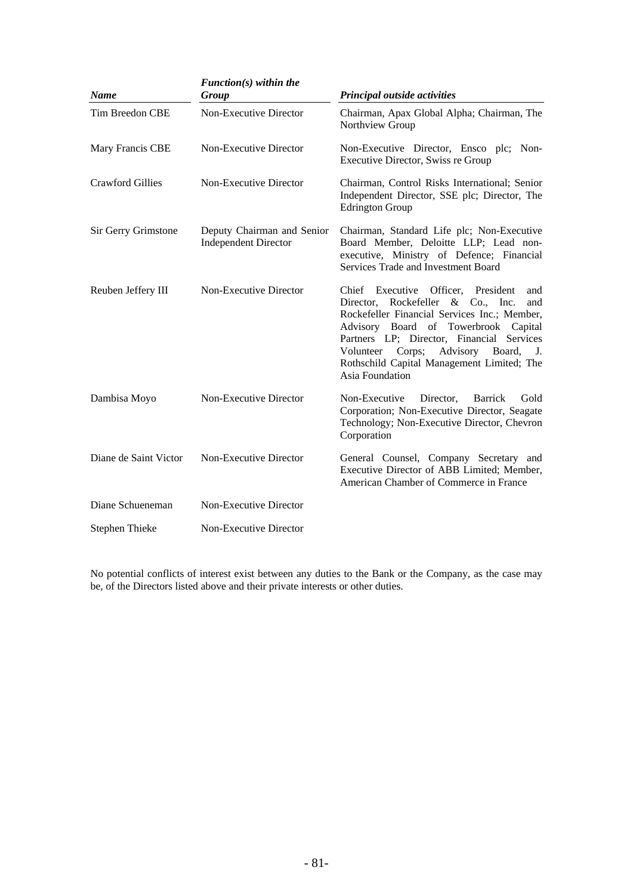| <b>Name</b>             | $Function(s)$ within the<br>Group                         | Principal outside activities                                                                                                                                                                                                                                                                                                                   |
|-------------------------|-----------------------------------------------------------|------------------------------------------------------------------------------------------------------------------------------------------------------------------------------------------------------------------------------------------------------------------------------------------------------------------------------------------------|
| Tim Breedon CBE         | Non-Executive Director                                    | Chairman, Apax Global Alpha; Chairman, The<br>Northview Group                                                                                                                                                                                                                                                                                  |
| Mary Francis CBE        | Non-Executive Director                                    | Non-Executive Director, Ensco plc; Non-<br>Executive Director, Swiss re Group                                                                                                                                                                                                                                                                  |
| <b>Crawford Gillies</b> | Non-Executive Director                                    | Chairman, Control Risks International; Senior<br>Independent Director, SSE plc; Director, The<br><b>Edrington Group</b>                                                                                                                                                                                                                        |
| Sir Gerry Grimstone     | Deputy Chairman and Senior<br><b>Independent Director</b> | Chairman, Standard Life plc; Non-Executive<br>Board Member, Deloitte LLP; Lead non-<br>executive, Ministry of Defence; Financial<br>Services Trade and Investment Board                                                                                                                                                                        |
| Reuben Jeffery III      | Non-Executive Director                                    | Chief Executive Officer, President<br>and<br>Director, Rockefeller<br>$\&$ Co., Inc.<br>and<br>Rockefeller Financial Services Inc.; Member,<br>Advisory Board of Towerbrook Capital<br>Partners LP; Director, Financial Services<br>Volunteer Corps; Advisory<br>Board,<br>J.<br>Rothschild Capital Management Limited; The<br>Asia Foundation |
| Dambisa Moyo            | Non-Executive Director                                    | Non-Executive<br>Director,<br>Barrick<br>Gold<br>Corporation; Non-Executive Director, Seagate<br>Technology; Non-Executive Director, Chevron<br>Corporation                                                                                                                                                                                    |
| Diane de Saint Victor   | Non-Executive Director                                    | General Counsel, Company Secretary and<br>Executive Director of ABB Limited; Member,<br>American Chamber of Commerce in France                                                                                                                                                                                                                 |
| Diane Schueneman        | Non-Executive Director                                    |                                                                                                                                                                                                                                                                                                                                                |
| <b>Stephen Thieke</b>   | Non-Executive Director                                    |                                                                                                                                                                                                                                                                                                                                                |

No potential conflicts of interest exist between any duties to the Bank or the Company, as the case may be, of the Directors listed above and their private interests or other duties.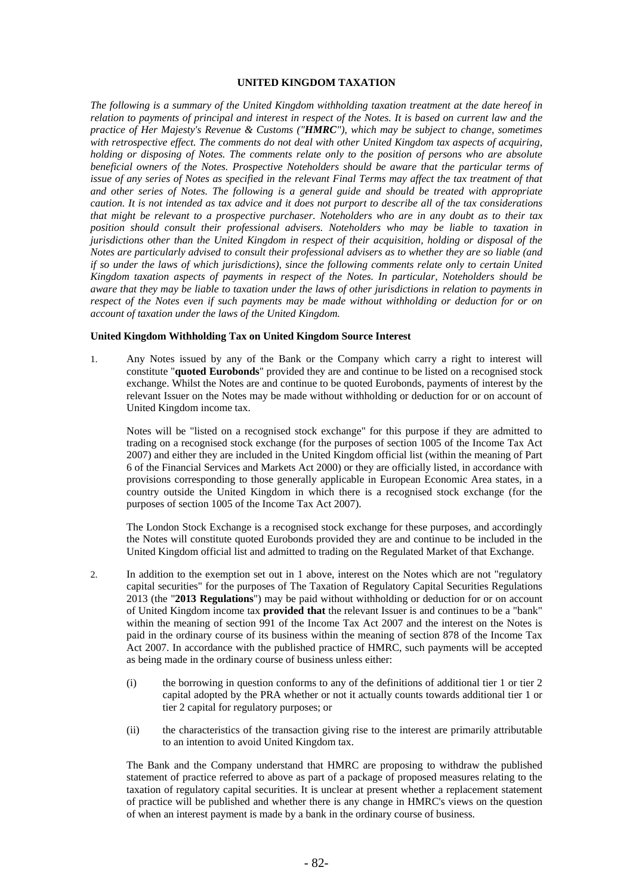#### **UNITED KINGDOM TAXATION**

*The following is a summary of the United Kingdom withholding taxation treatment at the date hereof in relation to payments of principal and interest in respect of the Notes. It is based on current law and the practice of Her Majesty's Revenue & Customs ("HMRC"), which may be subject to change, sometimes with retrospective effect. The comments do not deal with other United Kingdom tax aspects of acquiring, holding or disposing of Notes. The comments relate only to the position of persons who are absolute beneficial owners of the Notes. Prospective Noteholders should be aware that the particular terms of issue of any series of Notes as specified in the relevant Final Terms may affect the tax treatment of that and other series of Notes. The following is a general guide and should be treated with appropriate caution. It is not intended as tax advice and it does not purport to describe all of the tax considerations that might be relevant to a prospective purchaser. Noteholders who are in any doubt as to their tax position should consult their professional advisers. Noteholders who may be liable to taxation in jurisdictions other than the United Kingdom in respect of their acquisition, holding or disposal of the Notes are particularly advised to consult their professional advisers as to whether they are so liable (and if so under the laws of which jurisdictions), since the following comments relate only to certain United Kingdom taxation aspects of payments in respect of the Notes. In particular, Noteholders should be aware that they may be liable to taxation under the laws of other jurisdictions in relation to payments in respect of the Notes even if such payments may be made without withholding or deduction for or on account of taxation under the laws of the United Kingdom.*

#### **United Kingdom Withholding Tax on United Kingdom Source Interest**

1. Any Notes issued by any of the Bank or the Company which carry a right to interest will constitute "**quoted Eurobonds**" provided they are and continue to be listed on a recognised stock exchange. Whilst the Notes are and continue to be quoted Eurobonds, payments of interest by the relevant Issuer on the Notes may be made without withholding or deduction for or on account of United Kingdom income tax.

Notes will be "listed on a recognised stock exchange" for this purpose if they are admitted to trading on a recognised stock exchange (for the purposes of section 1005 of the Income Tax Act 2007) and either they are included in the United Kingdom official list (within the meaning of Part 6 of the Financial Services and Markets Act 2000) or they are officially listed, in accordance with provisions corresponding to those generally applicable in European Economic Area states, in a country outside the United Kingdom in which there is a recognised stock exchange (for the purposes of section 1005 of the Income Tax Act 2007).

The London Stock Exchange is a recognised stock exchange for these purposes, and accordingly the Notes will constitute quoted Eurobonds provided they are and continue to be included in the United Kingdom official list and admitted to trading on the Regulated Market of that Exchange.

- 2. In addition to the exemption set out in 1 above, interest on the Notes which are not "regulatory capital securities" for the purposes of The Taxation of Regulatory Capital Securities Regulations 2013 (the "**2013 Regulations**") may be paid without withholding or deduction for or on account of United Kingdom income tax **provided that** the relevant Issuer is and continues to be a "bank" within the meaning of section 991 of the Income Tax Act 2007 and the interest on the Notes is paid in the ordinary course of its business within the meaning of section 878 of the Income Tax Act 2007. In accordance with the published practice of HMRC, such payments will be accepted as being made in the ordinary course of business unless either:
	- (i) the borrowing in question conforms to any of the definitions of additional tier 1 or tier 2 capital adopted by the PRA whether or not it actually counts towards additional tier 1 or tier 2 capital for regulatory purposes; or
	- (ii) the characteristics of the transaction giving rise to the interest are primarily attributable to an intention to avoid United Kingdom tax.

The Bank and the Company understand that HMRC are proposing to withdraw the published statement of practice referred to above as part of a package of proposed measures relating to the taxation of regulatory capital securities. It is unclear at present whether a replacement statement of practice will be published and whether there is any change in HMRC's views on the question of when an interest payment is made by a bank in the ordinary course of business.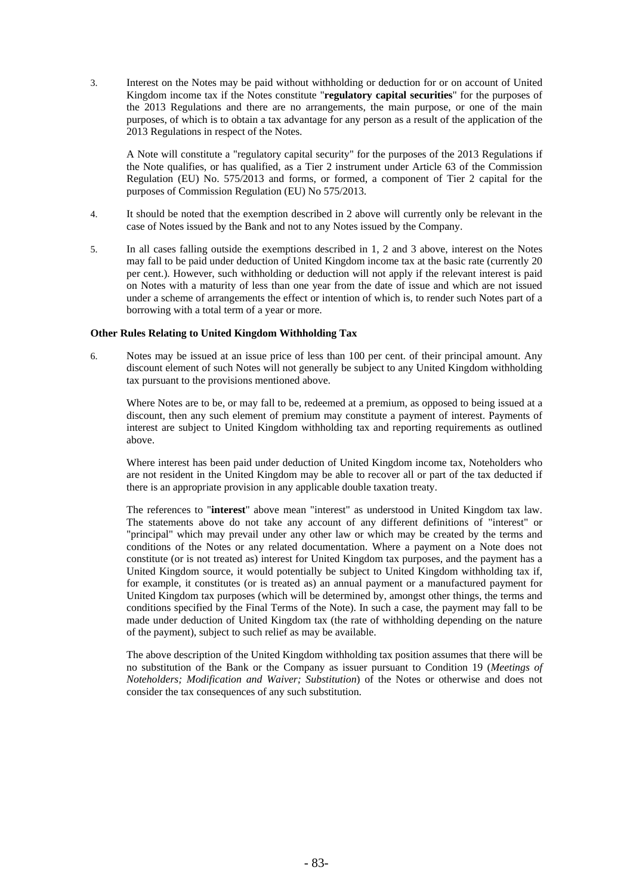3. Interest on the Notes may be paid without withholding or deduction for or on account of United Kingdom income tax if the Notes constitute "**regulatory capital securities**" for the purposes of the 2013 Regulations and there are no arrangements, the main purpose, or one of the main purposes, of which is to obtain a tax advantage for any person as a result of the application of the 2013 Regulations in respect of the Notes.

A Note will constitute a "regulatory capital security" for the purposes of the 2013 Regulations if the Note qualifies, or has qualified, as a Tier 2 instrument under Article 63 of the Commission Regulation (EU) No. 575/2013 and forms, or formed, a component of Tier 2 capital for the purposes of Commission Regulation (EU) No 575/2013.

- 4. It should be noted that the exemption described in 2 above will currently only be relevant in the case of Notes issued by the Bank and not to any Notes issued by the Company.
- 5. In all cases falling outside the exemptions described in 1, 2 and 3 above, interest on the Notes may fall to be paid under deduction of United Kingdom income tax at the basic rate (currently 20 per cent.). However, such withholding or deduction will not apply if the relevant interest is paid on Notes with a maturity of less than one year from the date of issue and which are not issued under a scheme of arrangements the effect or intention of which is, to render such Notes part of a borrowing with a total term of a year or more.

### **Other Rules Relating to United Kingdom Withholding Tax**

6. Notes may be issued at an issue price of less than 100 per cent. of their principal amount. Any discount element of such Notes will not generally be subject to any United Kingdom withholding tax pursuant to the provisions mentioned above.

Where Notes are to be, or may fall to be, redeemed at a premium, as opposed to being issued at a discount, then any such element of premium may constitute a payment of interest. Payments of interest are subject to United Kingdom withholding tax and reporting requirements as outlined above.

Where interest has been paid under deduction of United Kingdom income tax, Noteholders who are not resident in the United Kingdom may be able to recover all or part of the tax deducted if there is an appropriate provision in any applicable double taxation treaty.

The references to "**interest**" above mean "interest" as understood in United Kingdom tax law. The statements above do not take any account of any different definitions of "interest" or "principal" which may prevail under any other law or which may be created by the terms and conditions of the Notes or any related documentation. Where a payment on a Note does not constitute (or is not treated as) interest for United Kingdom tax purposes, and the payment has a United Kingdom source, it would potentially be subject to United Kingdom withholding tax if, for example, it constitutes (or is treated as) an annual payment or a manufactured payment for United Kingdom tax purposes (which will be determined by, amongst other things, the terms and conditions specified by the Final Terms of the Note). In such a case, the payment may fall to be made under deduction of United Kingdom tax (the rate of withholding depending on the nature of the payment), subject to such relief as may be available.

The above description of the United Kingdom withholding tax position assumes that there will be no substitution of the Bank or the Company as issuer pursuant to Condition 19 (*Meetings of Noteholders; Modification and Waiver; Substitution*) of the Notes or otherwise and does not consider the tax consequences of any such substitution.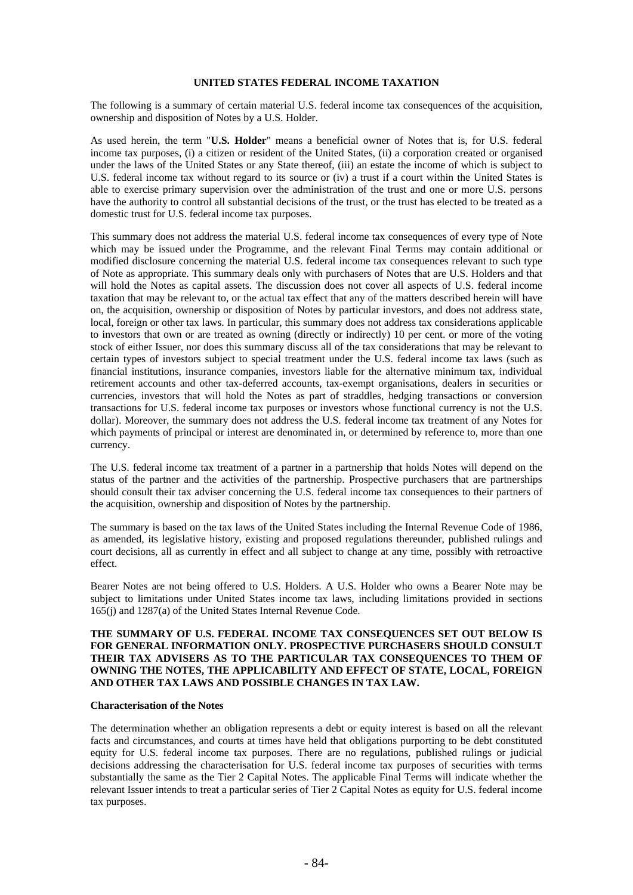### **UNITED STATES FEDERAL INCOME TAXATION**

The following is a summary of certain material U.S. federal income tax consequences of the acquisition, ownership and disposition of Notes by a U.S. Holder.

As used herein, the term "**U.S. Holder**" means a beneficial owner of Notes that is, for U.S. federal income tax purposes, (i) a citizen or resident of the United States, (ii) a corporation created or organised under the laws of the United States or any State thereof, (iii) an estate the income of which is subject to U.S. federal income tax without regard to its source or (iv) a trust if a court within the United States is able to exercise primary supervision over the administration of the trust and one or more U.S. persons have the authority to control all substantial decisions of the trust, or the trust has elected to be treated as a domestic trust for U.S. federal income tax purposes.

This summary does not address the material U.S. federal income tax consequences of every type of Note which may be issued under the Programme, and the relevant Final Terms may contain additional or modified disclosure concerning the material U.S. federal income tax consequences relevant to such type of Note as appropriate. This summary deals only with purchasers of Notes that are U.S. Holders and that will hold the Notes as capital assets. The discussion does not cover all aspects of U.S. federal income taxation that may be relevant to, or the actual tax effect that any of the matters described herein will have on, the acquisition, ownership or disposition of Notes by particular investors, and does not address state, local, foreign or other tax laws. In particular, this summary does not address tax considerations applicable to investors that own or are treated as owning (directly or indirectly) 10 per cent. or more of the voting stock of either Issuer, nor does this summary discuss all of the tax considerations that may be relevant to certain types of investors subject to special treatment under the U.S. federal income tax laws (such as financial institutions, insurance companies, investors liable for the alternative minimum tax, individual retirement accounts and other tax-deferred accounts, tax-exempt organisations, dealers in securities or currencies, investors that will hold the Notes as part of straddles, hedging transactions or conversion transactions for U.S. federal income tax purposes or investors whose functional currency is not the U.S. dollar). Moreover, the summary does not address the U.S. federal income tax treatment of any Notes for which payments of principal or interest are denominated in, or determined by reference to, more than one currency.

The U.S. federal income tax treatment of a partner in a partnership that holds Notes will depend on the status of the partner and the activities of the partnership. Prospective purchasers that are partnerships should consult their tax adviser concerning the U.S. federal income tax consequences to their partners of the acquisition, ownership and disposition of Notes by the partnership.

The summary is based on the tax laws of the United States including the Internal Revenue Code of 1986, as amended, its legislative history, existing and proposed regulations thereunder, published rulings and court decisions, all as currently in effect and all subject to change at any time, possibly with retroactive effect.

Bearer Notes are not being offered to U.S. Holders. A U.S. Holder who owns a Bearer Note may be subject to limitations under United States income tax laws, including limitations provided in sections 165(j) and 1287(a) of the United States Internal Revenue Code.

### **THE SUMMARY OF U.S. FEDERAL INCOME TAX CONSEQUENCES SET OUT BELOW IS FOR GENERAL INFORMATION ONLY. PROSPECTIVE PURCHASERS SHOULD CONSULT THEIR TAX ADVISERS AS TO THE PARTICULAR TAX CONSEQUENCES TO THEM OF OWNING THE NOTES, THE APPLICABILITY AND EFFECT OF STATE, LOCAL, FOREIGN AND OTHER TAX LAWS AND POSSIBLE CHANGES IN TAX LAW.**

### **Characterisation of the Notes**

The determination whether an obligation represents a debt or equity interest is based on all the relevant facts and circumstances, and courts at times have held that obligations purporting to be debt constituted equity for U.S. federal income tax purposes. There are no regulations, published rulings or judicial decisions addressing the characterisation for U.S. federal income tax purposes of securities with terms substantially the same as the Tier 2 Capital Notes. The applicable Final Terms will indicate whether the relevant Issuer intends to treat a particular series of Tier 2 Capital Notes as equity for U.S. federal income tax purposes.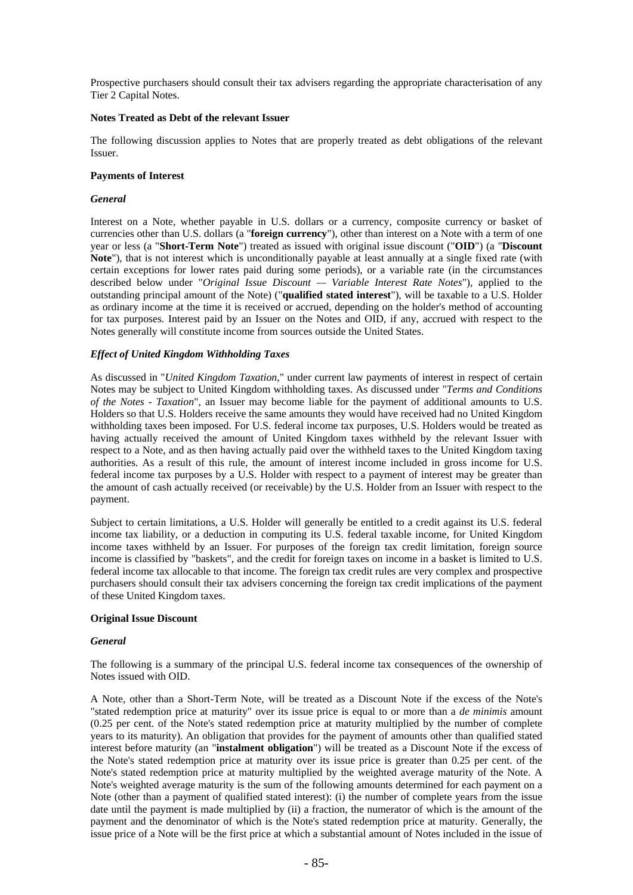Prospective purchasers should consult their tax advisers regarding the appropriate characterisation of any Tier 2 Capital Notes.

### **Notes Treated as Debt of the relevant Issuer**

The following discussion applies to Notes that are properly treated as debt obligations of the relevant Issuer.

### **Payments of Interest**

### *General*

Interest on a Note, whether payable in U.S. dollars or a currency, composite currency or basket of currencies other than U.S. dollars (a "**foreign currency**"), other than interest on a Note with a term of one year or less (a "**Short-Term Note**") treated as issued with original issue discount ("**OID**") (a "**Discount Note**"), that is not interest which is unconditionally payable at least annually at a single fixed rate (with certain exceptions for lower rates paid during some periods), or a variable rate (in the circumstances described below under "*Original Issue Discount — Variable Interest Rate Notes*"), applied to the outstanding principal amount of the Note) ("**qualified stated interest**"), will be taxable to a U.S. Holder as ordinary income at the time it is received or accrued, depending on the holder's method of accounting for tax purposes. Interest paid by an Issuer on the Notes and OID, if any, accrued with respect to the Notes generally will constitute income from sources outside the United States.

### *Effect of United Kingdom Withholding Taxes*

As discussed in "*United Kingdom Taxation*," under current law payments of interest in respect of certain Notes may be subject to United Kingdom withholding taxes. As discussed under "*Terms and Conditions of the Notes - Taxation*", an Issuer may become liable for the payment of additional amounts to U.S. Holders so that U.S. Holders receive the same amounts they would have received had no United Kingdom withholding taxes been imposed. For U.S. federal income tax purposes, U.S. Holders would be treated as having actually received the amount of United Kingdom taxes withheld by the relevant Issuer with respect to a Note, and as then having actually paid over the withheld taxes to the United Kingdom taxing authorities. As a result of this rule, the amount of interest income included in gross income for U.S. federal income tax purposes by a U.S. Holder with respect to a payment of interest may be greater than the amount of cash actually received (or receivable) by the U.S. Holder from an Issuer with respect to the payment.

Subject to certain limitations, a U.S. Holder will generally be entitled to a credit against its U.S. federal income tax liability, or a deduction in computing its U.S. federal taxable income, for United Kingdom income taxes withheld by an Issuer. For purposes of the foreign tax credit limitation, foreign source income is classified by "baskets", and the credit for foreign taxes on income in a basket is limited to U.S. federal income tax allocable to that income. The foreign tax credit rules are very complex and prospective purchasers should consult their tax advisers concerning the foreign tax credit implications of the payment of these United Kingdom taxes.

### **Original Issue Discount**

#### *General*

The following is a summary of the principal U.S. federal income tax consequences of the ownership of Notes issued with OID.

A Note, other than a Short-Term Note, will be treated as a Discount Note if the excess of the Note's "stated redemption price at maturity" over its issue price is equal to or more than a *de minimis* amount (0.25 per cent. of the Note's stated redemption price at maturity multiplied by the number of complete years to its maturity). An obligation that provides for the payment of amounts other than qualified stated interest before maturity (an "**instalment obligation**") will be treated as a Discount Note if the excess of the Note's stated redemption price at maturity over its issue price is greater than 0.25 per cent. of the Note's stated redemption price at maturity multiplied by the weighted average maturity of the Note. A Note's weighted average maturity is the sum of the following amounts determined for each payment on a Note (other than a payment of qualified stated interest): (i) the number of complete years from the issue date until the payment is made multiplied by (ii) a fraction, the numerator of which is the amount of the payment and the denominator of which is the Note's stated redemption price at maturity. Generally, the issue price of a Note will be the first price at which a substantial amount of Notes included in the issue of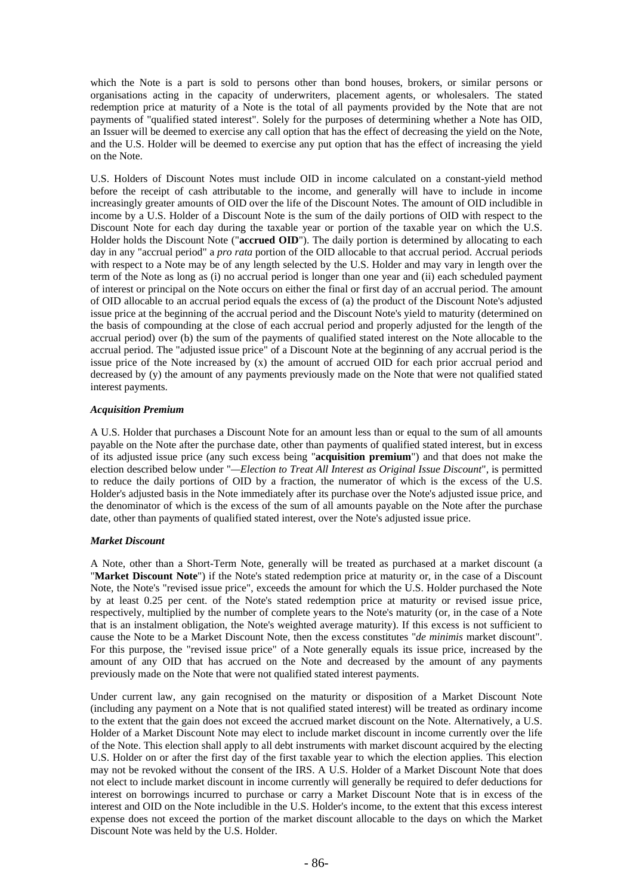which the Note is a part is sold to persons other than bond houses, brokers, or similar persons or organisations acting in the capacity of underwriters, placement agents, or wholesalers. The stated redemption price at maturity of a Note is the total of all payments provided by the Note that are not payments of "qualified stated interest". Solely for the purposes of determining whether a Note has OID, an Issuer will be deemed to exercise any call option that has the effect of decreasing the yield on the Note, and the U.S. Holder will be deemed to exercise any put option that has the effect of increasing the yield on the Note.

U.S. Holders of Discount Notes must include OID in income calculated on a constant-yield method before the receipt of cash attributable to the income, and generally will have to include in income increasingly greater amounts of OID over the life of the Discount Notes. The amount of OID includible in income by a U.S. Holder of a Discount Note is the sum of the daily portions of OID with respect to the Discount Note for each day during the taxable year or portion of the taxable year on which the U.S. Holder holds the Discount Note ("**accrued OID**"). The daily portion is determined by allocating to each day in any "accrual period" a *pro rata* portion of the OID allocable to that accrual period. Accrual periods with respect to a Note may be of any length selected by the U.S. Holder and may vary in length over the term of the Note as long as (i) no accrual period is longer than one year and (ii) each scheduled payment of interest or principal on the Note occurs on either the final or first day of an accrual period. The amount of OID allocable to an accrual period equals the excess of (a) the product of the Discount Note's adjusted issue price at the beginning of the accrual period and the Discount Note's yield to maturity (determined on the basis of compounding at the close of each accrual period and properly adjusted for the length of the accrual period) over (b) the sum of the payments of qualified stated interest on the Note allocable to the accrual period. The "adjusted issue price" of a Discount Note at the beginning of any accrual period is the issue price of the Note increased by (x) the amount of accrued OID for each prior accrual period and decreased by (y) the amount of any payments previously made on the Note that were not qualified stated interest payments.

### *Acquisition Premium*

A U.S. Holder that purchases a Discount Note for an amount less than or equal to the sum of all amounts payable on the Note after the purchase date, other than payments of qualified stated interest, but in excess of its adjusted issue price (any such excess being "**acquisition premium**") and that does not make the election described below under "*—Election to Treat All Interest as Original Issue Discount*", is permitted to reduce the daily portions of OID by a fraction, the numerator of which is the excess of the U.S. Holder's adjusted basis in the Note immediately after its purchase over the Note's adjusted issue price, and the denominator of which is the excess of the sum of all amounts payable on the Note after the purchase date, other than payments of qualified stated interest, over the Note's adjusted issue price.

### *Market Discount*

A Note, other than a Short-Term Note, generally will be treated as purchased at a market discount (a "**Market Discount Note**") if the Note's stated redemption price at maturity or, in the case of a Discount Note, the Note's "revised issue price", exceeds the amount for which the U.S. Holder purchased the Note by at least 0.25 per cent. of the Note's stated redemption price at maturity or revised issue price, respectively, multiplied by the number of complete years to the Note's maturity (or, in the case of a Note that is an instalment obligation, the Note's weighted average maturity). If this excess is not sufficient to cause the Note to be a Market Discount Note, then the excess constitutes "*de minimis* market discount". For this purpose, the "revised issue price" of a Note generally equals its issue price, increased by the amount of any OID that has accrued on the Note and decreased by the amount of any payments previously made on the Note that were not qualified stated interest payments.

Under current law, any gain recognised on the maturity or disposition of a Market Discount Note (including any payment on a Note that is not qualified stated interest) will be treated as ordinary income to the extent that the gain does not exceed the accrued market discount on the Note. Alternatively, a U.S. Holder of a Market Discount Note may elect to include market discount in income currently over the life of the Note. This election shall apply to all debt instruments with market discount acquired by the electing U.S. Holder on or after the first day of the first taxable year to which the election applies. This election may not be revoked without the consent of the IRS. A U.S. Holder of a Market Discount Note that does not elect to include market discount in income currently will generally be required to defer deductions for interest on borrowings incurred to purchase or carry a Market Discount Note that is in excess of the interest and OID on the Note includible in the U.S. Holder's income, to the extent that this excess interest expense does not exceed the portion of the market discount allocable to the days on which the Market Discount Note was held by the U.S. Holder.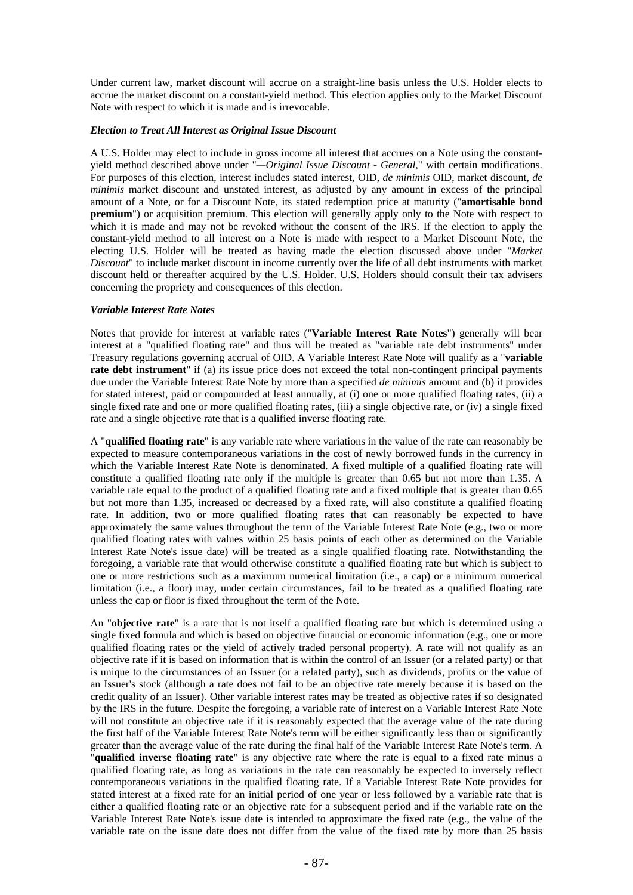Under current law, market discount will accrue on a straight-line basis unless the U.S. Holder elects to accrue the market discount on a constant-yield method. This election applies only to the Market Discount Note with respect to which it is made and is irrevocable.

### *Election to Treat All Interest as Original Issue Discount*

A U.S. Holder may elect to include in gross income all interest that accrues on a Note using the constantyield method described above under "*—Original Issue Discount - General*," with certain modifications. For purposes of this election, interest includes stated interest, OID, *de minimis* OID, market discount, *de minimis* market discount and unstated interest, as adjusted by any amount in excess of the principal amount of a Note, or for a Discount Note, its stated redemption price at maturity ("**amortisable bond premium**") or acquisition premium. This election will generally apply only to the Note with respect to which it is made and may not be revoked without the consent of the IRS. If the election to apply the constant-yield method to all interest on a Note is made with respect to a Market Discount Note, the electing U.S. Holder will be treated as having made the election discussed above under "*Market Discount*" to include market discount in income currently over the life of all debt instruments with market discount held or thereafter acquired by the U.S. Holder. U.S. Holders should consult their tax advisers concerning the propriety and consequences of this election.

### *Variable Interest Rate Notes*

Notes that provide for interest at variable rates ("**Variable Interest Rate Notes**") generally will bear interest at a "qualified floating rate" and thus will be treated as "variable rate debt instruments" under Treasury regulations governing accrual of OID. A Variable Interest Rate Note will qualify as a "**variable rate debt instrument**" if (a) its issue price does not exceed the total non-contingent principal payments due under the Variable Interest Rate Note by more than a specified *de minimis* amount and (b) it provides for stated interest, paid or compounded at least annually, at (i) one or more qualified floating rates, (ii) a single fixed rate and one or more qualified floating rates, (iii) a single objective rate, or (iv) a single fixed rate and a single objective rate that is a qualified inverse floating rate.

A "**qualified floating rate**" is any variable rate where variations in the value of the rate can reasonably be expected to measure contemporaneous variations in the cost of newly borrowed funds in the currency in which the Variable Interest Rate Note is denominated. A fixed multiple of a qualified floating rate will constitute a qualified floating rate only if the multiple is greater than 0.65 but not more than 1.35. A variable rate equal to the product of a qualified floating rate and a fixed multiple that is greater than 0.65 but not more than 1.35, increased or decreased by a fixed rate, will also constitute a qualified floating rate. In addition, two or more qualified floating rates that can reasonably be expected to have approximately the same values throughout the term of the Variable Interest Rate Note (e.g., two or more qualified floating rates with values within 25 basis points of each other as determined on the Variable Interest Rate Note's issue date) will be treated as a single qualified floating rate. Notwithstanding the foregoing, a variable rate that would otherwise constitute a qualified floating rate but which is subject to one or more restrictions such as a maximum numerical limitation (i.e., a cap) or a minimum numerical limitation (i.e., a floor) may, under certain circumstances, fail to be treated as a qualified floating rate unless the cap or floor is fixed throughout the term of the Note.

An "**objective rate**" is a rate that is not itself a qualified floating rate but which is determined using a single fixed formula and which is based on objective financial or economic information (e.g., one or more qualified floating rates or the yield of actively traded personal property). A rate will not qualify as an objective rate if it is based on information that is within the control of an Issuer (or a related party) or that is unique to the circumstances of an Issuer (or a related party), such as dividends, profits or the value of an Issuer's stock (although a rate does not fail to be an objective rate merely because it is based on the credit quality of an Issuer). Other variable interest rates may be treated as objective rates if so designated by the IRS in the future. Despite the foregoing, a variable rate of interest on a Variable Interest Rate Note will not constitute an objective rate if it is reasonably expected that the average value of the rate during the first half of the Variable Interest Rate Note's term will be either significantly less than or significantly greater than the average value of the rate during the final half of the Variable Interest Rate Note's term. A "**qualified inverse floating rate**" is any objective rate where the rate is equal to a fixed rate minus a qualified floating rate, as long as variations in the rate can reasonably be expected to inversely reflect contemporaneous variations in the qualified floating rate. If a Variable Interest Rate Note provides for stated interest at a fixed rate for an initial period of one year or less followed by a variable rate that is either a qualified floating rate or an objective rate for a subsequent period and if the variable rate on the Variable Interest Rate Note's issue date is intended to approximate the fixed rate (e.g., the value of the variable rate on the issue date does not differ from the value of the fixed rate by more than 25 basis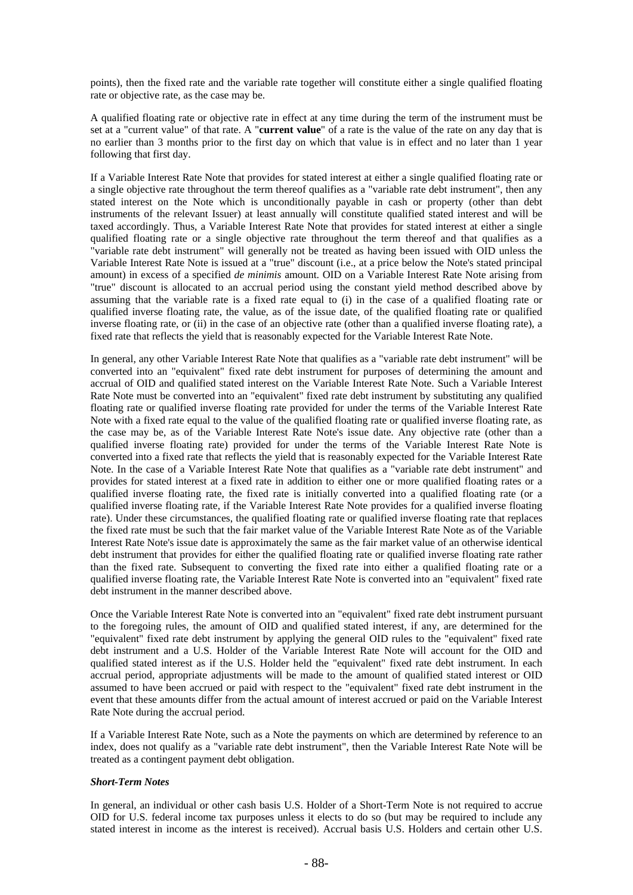points), then the fixed rate and the variable rate together will constitute either a single qualified floating rate or objective rate, as the case may be.

A qualified floating rate or objective rate in effect at any time during the term of the instrument must be set at a "current value" of that rate. A "**current value**" of a rate is the value of the rate on any day that is no earlier than 3 months prior to the first day on which that value is in effect and no later than 1 year following that first day.

If a Variable Interest Rate Note that provides for stated interest at either a single qualified floating rate or a single objective rate throughout the term thereof qualifies as a "variable rate debt instrument", then any stated interest on the Note which is unconditionally payable in cash or property (other than debt instruments of the relevant Issuer) at least annually will constitute qualified stated interest and will be taxed accordingly. Thus, a Variable Interest Rate Note that provides for stated interest at either a single qualified floating rate or a single objective rate throughout the term thereof and that qualifies as a "variable rate debt instrument" will generally not be treated as having been issued with OID unless the Variable Interest Rate Note is issued at a "true" discount (i.e., at a price below the Note's stated principal amount) in excess of a specified *de minimis* amount. OID on a Variable Interest Rate Note arising from "true" discount is allocated to an accrual period using the constant yield method described above by assuming that the variable rate is a fixed rate equal to (i) in the case of a qualified floating rate or qualified inverse floating rate, the value, as of the issue date, of the qualified floating rate or qualified inverse floating rate, or (ii) in the case of an objective rate (other than a qualified inverse floating rate), a fixed rate that reflects the yield that is reasonably expected for the Variable Interest Rate Note.

In general, any other Variable Interest Rate Note that qualifies as a "variable rate debt instrument" will be converted into an "equivalent" fixed rate debt instrument for purposes of determining the amount and accrual of OID and qualified stated interest on the Variable Interest Rate Note. Such a Variable Interest Rate Note must be converted into an "equivalent" fixed rate debt instrument by substituting any qualified floating rate or qualified inverse floating rate provided for under the terms of the Variable Interest Rate Note with a fixed rate equal to the value of the qualified floating rate or qualified inverse floating rate, as the case may be, as of the Variable Interest Rate Note's issue date. Any objective rate (other than a qualified inverse floating rate) provided for under the terms of the Variable Interest Rate Note is converted into a fixed rate that reflects the yield that is reasonably expected for the Variable Interest Rate Note. In the case of a Variable Interest Rate Note that qualifies as a "variable rate debt instrument" and provides for stated interest at a fixed rate in addition to either one or more qualified floating rates or a qualified inverse floating rate, the fixed rate is initially converted into a qualified floating rate (or a qualified inverse floating rate, if the Variable Interest Rate Note provides for a qualified inverse floating rate). Under these circumstances, the qualified floating rate or qualified inverse floating rate that replaces the fixed rate must be such that the fair market value of the Variable Interest Rate Note as of the Variable Interest Rate Note's issue date is approximately the same as the fair market value of an otherwise identical debt instrument that provides for either the qualified floating rate or qualified inverse floating rate rather than the fixed rate. Subsequent to converting the fixed rate into either a qualified floating rate or a qualified inverse floating rate, the Variable Interest Rate Note is converted into an "equivalent" fixed rate debt instrument in the manner described above.

Once the Variable Interest Rate Note is converted into an "equivalent" fixed rate debt instrument pursuant to the foregoing rules, the amount of OID and qualified stated interest, if any, are determined for the "equivalent" fixed rate debt instrument by applying the general OID rules to the "equivalent" fixed rate debt instrument and a U.S. Holder of the Variable Interest Rate Note will account for the OID and qualified stated interest as if the U.S. Holder held the "equivalent" fixed rate debt instrument. In each accrual period, appropriate adjustments will be made to the amount of qualified stated interest or OID assumed to have been accrued or paid with respect to the "equivalent" fixed rate debt instrument in the event that these amounts differ from the actual amount of interest accrued or paid on the Variable Interest Rate Note during the accrual period.

If a Variable Interest Rate Note, such as a Note the payments on which are determined by reference to an index, does not qualify as a "variable rate debt instrument", then the Variable Interest Rate Note will be treated as a contingent payment debt obligation.

#### *Short-Term Notes*

In general, an individual or other cash basis U.S. Holder of a Short-Term Note is not required to accrue OID for U.S. federal income tax purposes unless it elects to do so (but may be required to include any stated interest in income as the interest is received). Accrual basis U.S. Holders and certain other U.S.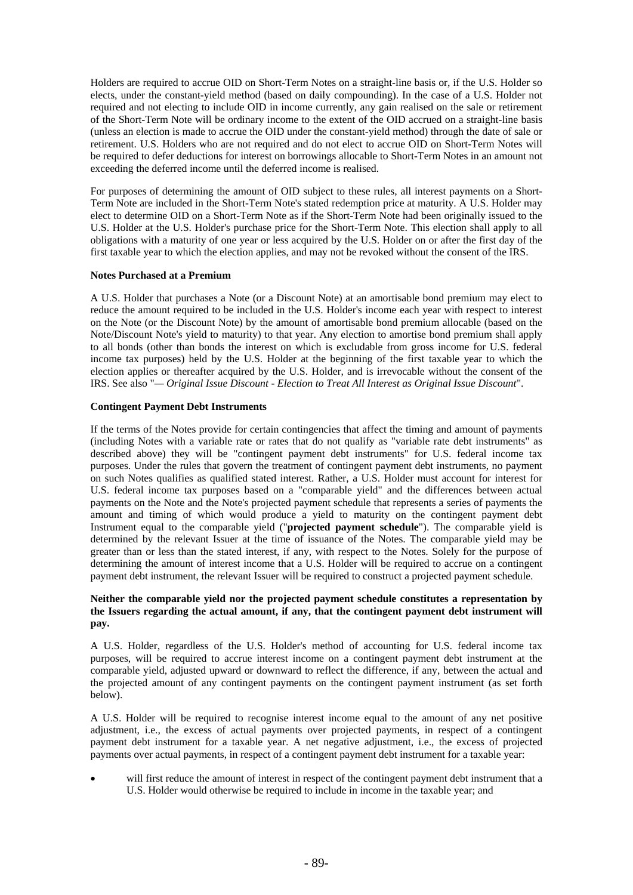Holders are required to accrue OID on Short-Term Notes on a straight-line basis or, if the U.S. Holder so elects, under the constant-yield method (based on daily compounding). In the case of a U.S. Holder not required and not electing to include OID in income currently, any gain realised on the sale or retirement of the Short-Term Note will be ordinary income to the extent of the OID accrued on a straight-line basis (unless an election is made to accrue the OID under the constant-yield method) through the date of sale or retirement. U.S. Holders who are not required and do not elect to accrue OID on Short-Term Notes will be required to defer deductions for interest on borrowings allocable to Short-Term Notes in an amount not exceeding the deferred income until the deferred income is realised.

For purposes of determining the amount of OID subject to these rules, all interest payments on a Short-Term Note are included in the Short-Term Note's stated redemption price at maturity. A U.S. Holder may elect to determine OID on a Short-Term Note as if the Short-Term Note had been originally issued to the U.S. Holder at the U.S. Holder's purchase price for the Short-Term Note. This election shall apply to all obligations with a maturity of one year or less acquired by the U.S. Holder on or after the first day of the first taxable year to which the election applies, and may not be revoked without the consent of the IRS.

### **Notes Purchased at a Premium**

A U.S. Holder that purchases a Note (or a Discount Note) at an amortisable bond premium may elect to reduce the amount required to be included in the U.S. Holder's income each year with respect to interest on the Note (or the Discount Note) by the amount of amortisable bond premium allocable (based on the Note/Discount Note's yield to maturity) to that year. Any election to amortise bond premium shall apply to all bonds (other than bonds the interest on which is excludable from gross income for U.S. federal income tax purposes) held by the U.S. Holder at the beginning of the first taxable year to which the election applies or thereafter acquired by the U.S. Holder, and is irrevocable without the consent of the IRS. See also "*— Original Issue Discount - Election to Treat All Interest as Original Issue Discount*".

# **Contingent Payment Debt Instruments**

If the terms of the Notes provide for certain contingencies that affect the timing and amount of payments (including Notes with a variable rate or rates that do not qualify as "variable rate debt instruments" as described above) they will be "contingent payment debt instruments" for U.S. federal income tax purposes. Under the rules that govern the treatment of contingent payment debt instruments, no payment on such Notes qualifies as qualified stated interest. Rather, a U.S. Holder must account for interest for U.S. federal income tax purposes based on a "comparable yield" and the differences between actual payments on the Note and the Note's projected payment schedule that represents a series of payments the amount and timing of which would produce a yield to maturity on the contingent payment debt Instrument equal to the comparable yield ("**projected payment schedule**"). The comparable yield is determined by the relevant Issuer at the time of issuance of the Notes. The comparable yield may be greater than or less than the stated interest, if any, with respect to the Notes. Solely for the purpose of determining the amount of interest income that a U.S. Holder will be required to accrue on a contingent payment debt instrument, the relevant Issuer will be required to construct a projected payment schedule.

### **Neither the comparable yield nor the projected payment schedule constitutes a representation by the Issuers regarding the actual amount, if any, that the contingent payment debt instrument will pay.**

A U.S. Holder, regardless of the U.S. Holder's method of accounting for U.S. federal income tax purposes, will be required to accrue interest income on a contingent payment debt instrument at the comparable yield, adjusted upward or downward to reflect the difference, if any, between the actual and the projected amount of any contingent payments on the contingent payment instrument (as set forth below).

A U.S. Holder will be required to recognise interest income equal to the amount of any net positive adjustment, i.e.*,* the excess of actual payments over projected payments, in respect of a contingent payment debt instrument for a taxable year. A net negative adjustment, i.e., the excess of projected payments over actual payments, in respect of a contingent payment debt instrument for a taxable year:

 will first reduce the amount of interest in respect of the contingent payment debt instrument that a U.S. Holder would otherwise be required to include in income in the taxable year; and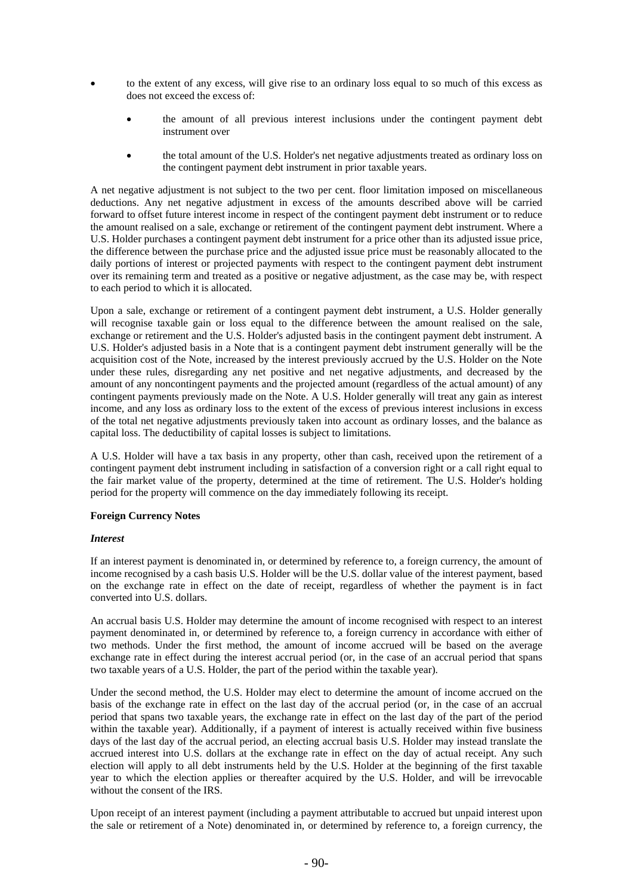- to the extent of any excess, will give rise to an ordinary loss equal to so much of this excess as does not exceed the excess of:
	- the amount of all previous interest inclusions under the contingent payment debt instrument over
	- the total amount of the U.S. Holder's net negative adjustments treated as ordinary loss on the contingent payment debt instrument in prior taxable years.

A net negative adjustment is not subject to the two per cent. floor limitation imposed on miscellaneous deductions. Any net negative adjustment in excess of the amounts described above will be carried forward to offset future interest income in respect of the contingent payment debt instrument or to reduce the amount realised on a sale, exchange or retirement of the contingent payment debt instrument. Where a U.S. Holder purchases a contingent payment debt instrument for a price other than its adjusted issue price, the difference between the purchase price and the adjusted issue price must be reasonably allocated to the daily portions of interest or projected payments with respect to the contingent payment debt instrument over its remaining term and treated as a positive or negative adjustment, as the case may be, with respect to each period to which it is allocated.

Upon a sale, exchange or retirement of a contingent payment debt instrument, a U.S. Holder generally will recognise taxable gain or loss equal to the difference between the amount realised on the sale, exchange or retirement and the U.S. Holder's adjusted basis in the contingent payment debt instrument. A U.S. Holder's adjusted basis in a Note that is a contingent payment debt instrument generally will be the acquisition cost of the Note, increased by the interest previously accrued by the U.S. Holder on the Note under these rules, disregarding any net positive and net negative adjustments, and decreased by the amount of any noncontingent payments and the projected amount (regardless of the actual amount) of any contingent payments previously made on the Note. A U.S. Holder generally will treat any gain as interest income, and any loss as ordinary loss to the extent of the excess of previous interest inclusions in excess of the total net negative adjustments previously taken into account as ordinary losses, and the balance as capital loss. The deductibility of capital losses is subject to limitations.

A U.S. Holder will have a tax basis in any property, other than cash, received upon the retirement of a contingent payment debt instrument including in satisfaction of a conversion right or a call right equal to the fair market value of the property, determined at the time of retirement. The U.S. Holder's holding period for the property will commence on the day immediately following its receipt.

### **Foreign Currency Notes**

#### *Interest*

If an interest payment is denominated in, or determined by reference to, a foreign currency, the amount of income recognised by a cash basis U.S. Holder will be the U.S. dollar value of the interest payment, based on the exchange rate in effect on the date of receipt, regardless of whether the payment is in fact converted into U.S. dollars.

An accrual basis U.S. Holder may determine the amount of income recognised with respect to an interest payment denominated in, or determined by reference to, a foreign currency in accordance with either of two methods. Under the first method, the amount of income accrued will be based on the average exchange rate in effect during the interest accrual period (or, in the case of an accrual period that spans two taxable years of a U.S. Holder, the part of the period within the taxable year).

Under the second method, the U.S. Holder may elect to determine the amount of income accrued on the basis of the exchange rate in effect on the last day of the accrual period (or, in the case of an accrual period that spans two taxable years, the exchange rate in effect on the last day of the part of the period within the taxable year). Additionally, if a payment of interest is actually received within five business days of the last day of the accrual period, an electing accrual basis U.S. Holder may instead translate the accrued interest into U.S. dollars at the exchange rate in effect on the day of actual receipt. Any such election will apply to all debt instruments held by the U.S. Holder at the beginning of the first taxable year to which the election applies or thereafter acquired by the U.S. Holder, and will be irrevocable without the consent of the IRS.

Upon receipt of an interest payment (including a payment attributable to accrued but unpaid interest upon the sale or retirement of a Note) denominated in, or determined by reference to, a foreign currency, the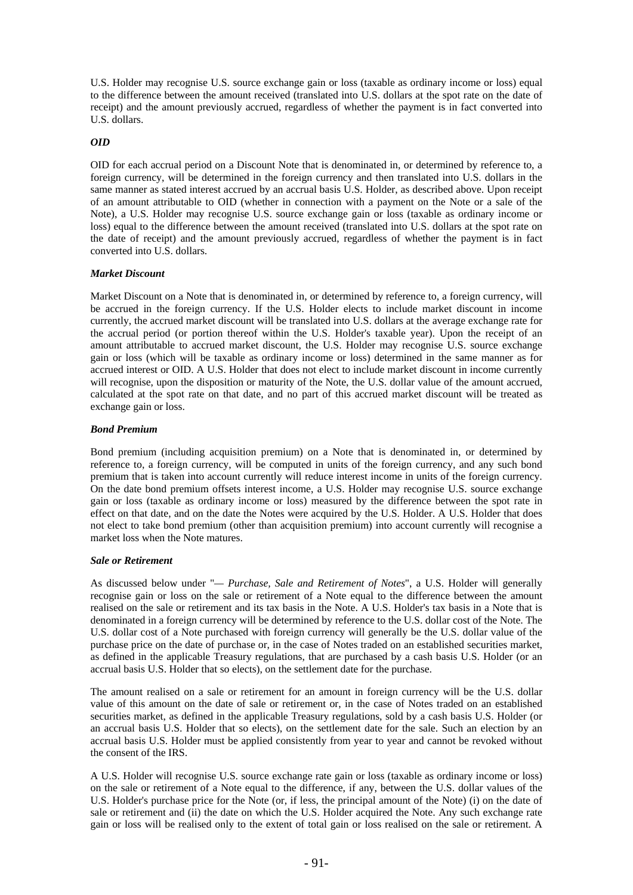U.S. Holder may recognise U.S. source exchange gain or loss (taxable as ordinary income or loss) equal to the difference between the amount received (translated into U.S. dollars at the spot rate on the date of receipt) and the amount previously accrued, regardless of whether the payment is in fact converted into U.S. dollars.

### *OID*

OID for each accrual period on a Discount Note that is denominated in, or determined by reference to, a foreign currency, will be determined in the foreign currency and then translated into U.S. dollars in the same manner as stated interest accrued by an accrual basis U.S. Holder, as described above. Upon receipt of an amount attributable to OID (whether in connection with a payment on the Note or a sale of the Note), a U.S. Holder may recognise U.S. source exchange gain or loss (taxable as ordinary income or loss) equal to the difference between the amount received (translated into U.S. dollars at the spot rate on the date of receipt) and the amount previously accrued, regardless of whether the payment is in fact converted into U.S. dollars.

### *Market Discount*

Market Discount on a Note that is denominated in, or determined by reference to, a foreign currency, will be accrued in the foreign currency. If the U.S. Holder elects to include market discount in income currently, the accrued market discount will be translated into U.S. dollars at the average exchange rate for the accrual period (or portion thereof within the U.S. Holder's taxable year). Upon the receipt of an amount attributable to accrued market discount, the U.S. Holder may recognise U.S. source exchange gain or loss (which will be taxable as ordinary income or loss) determined in the same manner as for accrued interest or OID. A U.S. Holder that does not elect to include market discount in income currently will recognise, upon the disposition or maturity of the Note, the U.S. dollar value of the amount accrued, calculated at the spot rate on that date, and no part of this accrued market discount will be treated as exchange gain or loss.

### *Bond Premium*

Bond premium (including acquisition premium) on a Note that is denominated in, or determined by reference to, a foreign currency, will be computed in units of the foreign currency, and any such bond premium that is taken into account currently will reduce interest income in units of the foreign currency. On the date bond premium offsets interest income, a U.S. Holder may recognise U.S. source exchange gain or loss (taxable as ordinary income or loss) measured by the difference between the spot rate in effect on that date, and on the date the Notes were acquired by the U.S. Holder. A U.S. Holder that does not elect to take bond premium (other than acquisition premium) into account currently will recognise a market loss when the Note matures.

### *Sale or Retirement*

As discussed below under "*— Purchase, Sale and Retirement of Notes*", a U.S. Holder will generally recognise gain or loss on the sale or retirement of a Note equal to the difference between the amount realised on the sale or retirement and its tax basis in the Note. A U.S. Holder's tax basis in a Note that is denominated in a foreign currency will be determined by reference to the U.S. dollar cost of the Note. The U.S. dollar cost of a Note purchased with foreign currency will generally be the U.S. dollar value of the purchase price on the date of purchase or, in the case of Notes traded on an established securities market, as defined in the applicable Treasury regulations, that are purchased by a cash basis U.S. Holder (or an accrual basis U.S. Holder that so elects), on the settlement date for the purchase.

The amount realised on a sale or retirement for an amount in foreign currency will be the U.S. dollar value of this amount on the date of sale or retirement or, in the case of Notes traded on an established securities market, as defined in the applicable Treasury regulations, sold by a cash basis U.S. Holder (or an accrual basis U.S. Holder that so elects), on the settlement date for the sale. Such an election by an accrual basis U.S. Holder must be applied consistently from year to year and cannot be revoked without the consent of the IRS.

A U.S. Holder will recognise U.S. source exchange rate gain or loss (taxable as ordinary income or loss) on the sale or retirement of a Note equal to the difference, if any, between the U.S. dollar values of the U.S. Holder's purchase price for the Note (or, if less, the principal amount of the Note) (i) on the date of sale or retirement and (ii) the date on which the U.S. Holder acquired the Note. Any such exchange rate gain or loss will be realised only to the extent of total gain or loss realised on the sale or retirement. A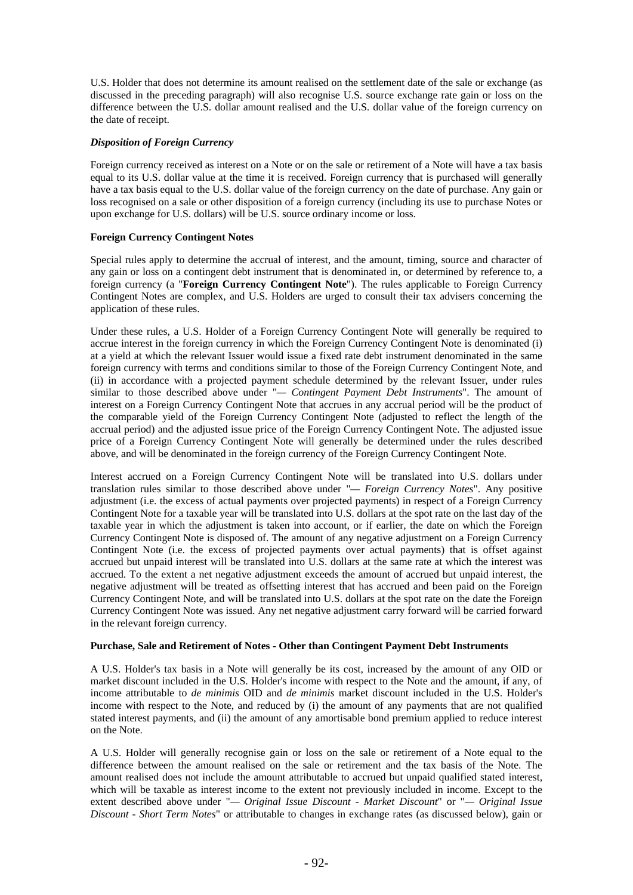U.S. Holder that does not determine its amount realised on the settlement date of the sale or exchange (as discussed in the preceding paragraph) will also recognise U.S. source exchange rate gain or loss on the difference between the U.S. dollar amount realised and the U.S. dollar value of the foreign currency on the date of receipt.

### *Disposition of Foreign Currency*

Foreign currency received as interest on a Note or on the sale or retirement of a Note will have a tax basis equal to its U.S. dollar value at the time it is received. Foreign currency that is purchased will generally have a tax basis equal to the U.S. dollar value of the foreign currency on the date of purchase. Any gain or loss recognised on a sale or other disposition of a foreign currency (including its use to purchase Notes or upon exchange for U.S. dollars) will be U.S. source ordinary income or loss.

### **Foreign Currency Contingent Notes**

Special rules apply to determine the accrual of interest, and the amount, timing, source and character of any gain or loss on a contingent debt instrument that is denominated in, or determined by reference to, a foreign currency (a "**Foreign Currency Contingent Note**"). The rules applicable to Foreign Currency Contingent Notes are complex, and U.S. Holders are urged to consult their tax advisers concerning the application of these rules.

Under these rules, a U.S. Holder of a Foreign Currency Contingent Note will generally be required to accrue interest in the foreign currency in which the Foreign Currency Contingent Note is denominated (i) at a yield at which the relevant Issuer would issue a fixed rate debt instrument denominated in the same foreign currency with terms and conditions similar to those of the Foreign Currency Contingent Note, and (ii) in accordance with a projected payment schedule determined by the relevant Issuer, under rules similar to those described above under "*— Contingent Payment Debt Instruments*". The amount of interest on a Foreign Currency Contingent Note that accrues in any accrual period will be the product of the comparable yield of the Foreign Currency Contingent Note (adjusted to reflect the length of the accrual period) and the adjusted issue price of the Foreign Currency Contingent Note. The adjusted issue price of a Foreign Currency Contingent Note will generally be determined under the rules described above, and will be denominated in the foreign currency of the Foreign Currency Contingent Note.

Interest accrued on a Foreign Currency Contingent Note will be translated into U.S. dollars under translation rules similar to those described above under "*— Foreign Currency Notes*". Any positive adjustment (i.e. the excess of actual payments over projected payments) in respect of a Foreign Currency Contingent Note for a taxable year will be translated into U.S. dollars at the spot rate on the last day of the taxable year in which the adjustment is taken into account, or if earlier, the date on which the Foreign Currency Contingent Note is disposed of. The amount of any negative adjustment on a Foreign Currency Contingent Note (i.e. the excess of projected payments over actual payments) that is offset against accrued but unpaid interest will be translated into U.S. dollars at the same rate at which the interest was accrued. To the extent a net negative adjustment exceeds the amount of accrued but unpaid interest, the negative adjustment will be treated as offsetting interest that has accrued and been paid on the Foreign Currency Contingent Note, and will be translated into U.S. dollars at the spot rate on the date the Foreign Currency Contingent Note was issued. Any net negative adjustment carry forward will be carried forward in the relevant foreign currency.

#### **Purchase, Sale and Retirement of Notes - Other than Contingent Payment Debt Instruments**

A U.S. Holder's tax basis in a Note will generally be its cost, increased by the amount of any OID or market discount included in the U.S. Holder's income with respect to the Note and the amount, if any, of income attributable to *de minimis* OID and *de minimis* market discount included in the U.S. Holder's income with respect to the Note, and reduced by (i) the amount of any payments that are not qualified stated interest payments, and (ii) the amount of any amortisable bond premium applied to reduce interest on the Note.

A U.S. Holder will generally recognise gain or loss on the sale or retirement of a Note equal to the difference between the amount realised on the sale or retirement and the tax basis of the Note. The amount realised does not include the amount attributable to accrued but unpaid qualified stated interest, which will be taxable as interest income to the extent not previously included in income. Except to the extent described above under "*— Original Issue Discount - Market Discount*" or "*— Original Issue Discount - Short Term Notes*" or attributable to changes in exchange rates (as discussed below), gain or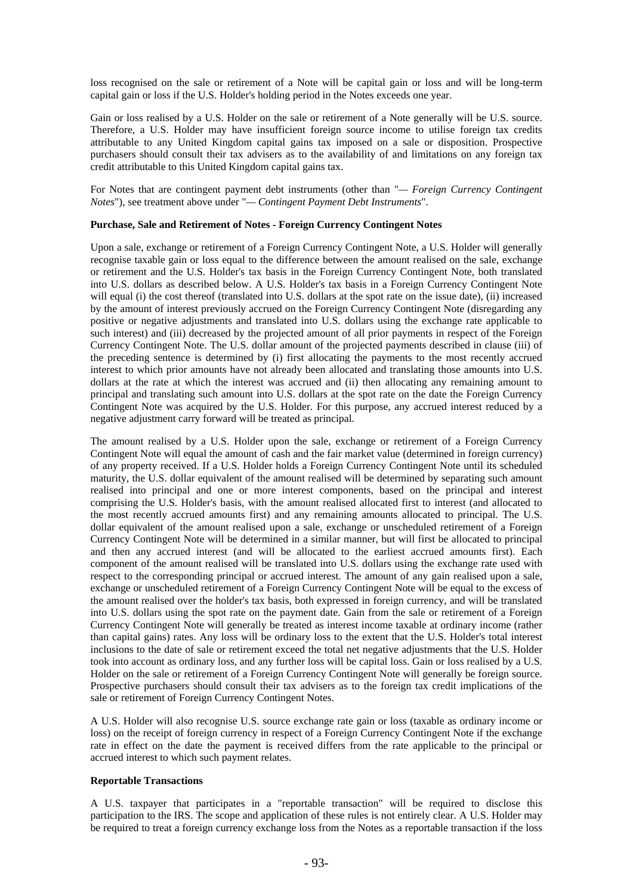loss recognised on the sale or retirement of a Note will be capital gain or loss and will be long-term capital gain or loss if the U.S. Holder's holding period in the Notes exceeds one year.

Gain or loss realised by a U.S. Holder on the sale or retirement of a Note generally will be U.S. source. Therefore, a U.S. Holder may have insufficient foreign source income to utilise foreign tax credits attributable to any United Kingdom capital gains tax imposed on a sale or disposition. Prospective purchasers should consult their tax advisers as to the availability of and limitations on any foreign tax credit attributable to this United Kingdom capital gains tax.

For Notes that are contingent payment debt instruments (other than "*— Foreign Currency Contingent Notes*"), see treatment above under "*— Contingent Payment Debt Instruments*".

# **Purchase, Sale and Retirement of Notes - Foreign Currency Contingent Notes**

Upon a sale, exchange or retirement of a Foreign Currency Contingent Note, a U.S. Holder will generally recognise taxable gain or loss equal to the difference between the amount realised on the sale, exchange or retirement and the U.S. Holder's tax basis in the Foreign Currency Contingent Note, both translated into U.S. dollars as described below. A U.S. Holder's tax basis in a Foreign Currency Contingent Note will equal (i) the cost thereof (translated into U.S. dollars at the spot rate on the issue date), (ii) increased by the amount of interest previously accrued on the Foreign Currency Contingent Note (disregarding any positive or negative adjustments and translated into U.S. dollars using the exchange rate applicable to such interest) and (iii) decreased by the projected amount of all prior payments in respect of the Foreign Currency Contingent Note. The U.S. dollar amount of the projected payments described in clause (iii) of the preceding sentence is determined by (i) first allocating the payments to the most recently accrued interest to which prior amounts have not already been allocated and translating those amounts into U.S. dollars at the rate at which the interest was accrued and (ii) then allocating any remaining amount to principal and translating such amount into U.S. dollars at the spot rate on the date the Foreign Currency Contingent Note was acquired by the U.S. Holder. For this purpose, any accrued interest reduced by a negative adjustment carry forward will be treated as principal.

The amount realised by a U.S. Holder upon the sale, exchange or retirement of a Foreign Currency Contingent Note will equal the amount of cash and the fair market value (determined in foreign currency) of any property received. If a U.S. Holder holds a Foreign Currency Contingent Note until its scheduled maturity, the U.S. dollar equivalent of the amount realised will be determined by separating such amount realised into principal and one or more interest components, based on the principal and interest comprising the U.S. Holder's basis, with the amount realised allocated first to interest (and allocated to the most recently accrued amounts first) and any remaining amounts allocated to principal. The U.S. dollar equivalent of the amount realised upon a sale, exchange or unscheduled retirement of a Foreign Currency Contingent Note will be determined in a similar manner, but will first be allocated to principal and then any accrued interest (and will be allocated to the earliest accrued amounts first). Each component of the amount realised will be translated into U.S. dollars using the exchange rate used with respect to the corresponding principal or accrued interest. The amount of any gain realised upon a sale, exchange or unscheduled retirement of a Foreign Currency Contingent Note will be equal to the excess of the amount realised over the holder's tax basis, both expressed in foreign currency, and will be translated into U.S. dollars using the spot rate on the payment date. Gain from the sale or retirement of a Foreign Currency Contingent Note will generally be treated as interest income taxable at ordinary income (rather than capital gains) rates. Any loss will be ordinary loss to the extent that the U.S. Holder's total interest inclusions to the date of sale or retirement exceed the total net negative adjustments that the U.S. Holder took into account as ordinary loss, and any further loss will be capital loss. Gain or loss realised by a U.S. Holder on the sale or retirement of a Foreign Currency Contingent Note will generally be foreign source. Prospective purchasers should consult their tax advisers as to the foreign tax credit implications of the sale or retirement of Foreign Currency Contingent Notes.

A U.S. Holder will also recognise U.S. source exchange rate gain or loss (taxable as ordinary income or loss) on the receipt of foreign currency in respect of a Foreign Currency Contingent Note if the exchange rate in effect on the date the payment is received differs from the rate applicable to the principal or accrued interest to which such payment relates.

#### **Reportable Transactions**

A U.S. taxpayer that participates in a "reportable transaction" will be required to disclose this participation to the IRS. The scope and application of these rules is not entirely clear. A U.S. Holder may be required to treat a foreign currency exchange loss from the Notes as a reportable transaction if the loss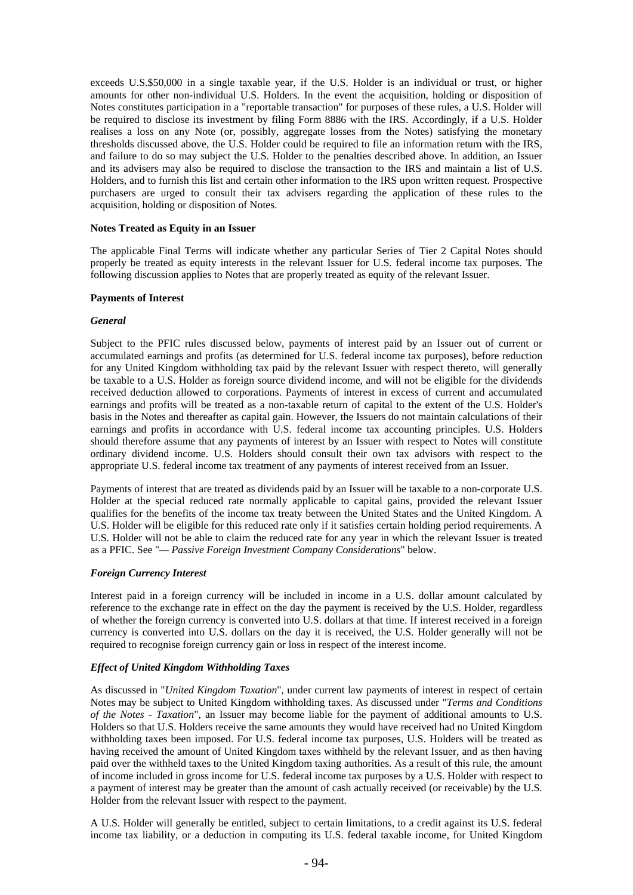exceeds U.S.\$50,000 in a single taxable year, if the U.S. Holder is an individual or trust, or higher amounts for other non-individual U.S. Holders. In the event the acquisition, holding or disposition of Notes constitutes participation in a "reportable transaction" for purposes of these rules, a U.S. Holder will be required to disclose its investment by filing Form 8886 with the IRS. Accordingly, if a U.S. Holder realises a loss on any Note (or, possibly, aggregate losses from the Notes) satisfying the monetary thresholds discussed above, the U.S. Holder could be required to file an information return with the IRS, and failure to do so may subject the U.S. Holder to the penalties described above. In addition, an Issuer and its advisers may also be required to disclose the transaction to the IRS and maintain a list of U.S. Holders, and to furnish this list and certain other information to the IRS upon written request. Prospective purchasers are urged to consult their tax advisers regarding the application of these rules to the acquisition, holding or disposition of Notes.

### **Notes Treated as Equity in an Issuer**

The applicable Final Terms will indicate whether any particular Series of Tier 2 Capital Notes should properly be treated as equity interests in the relevant Issuer for U.S. federal income tax purposes. The following discussion applies to Notes that are properly treated as equity of the relevant Issuer.

### **Payments of Interest**

### *General*

Subject to the PFIC rules discussed below, payments of interest paid by an Issuer out of current or accumulated earnings and profits (as determined for U.S. federal income tax purposes), before reduction for any United Kingdom withholding tax paid by the relevant Issuer with respect thereto, will generally be taxable to a U.S. Holder as foreign source dividend income, and will not be eligible for the dividends received deduction allowed to corporations. Payments of interest in excess of current and accumulated earnings and profits will be treated as a non-taxable return of capital to the extent of the U.S. Holder's basis in the Notes and thereafter as capital gain. However, the Issuers do not maintain calculations of their earnings and profits in accordance with U.S. federal income tax accounting principles. U.S. Holders should therefore assume that any payments of interest by an Issuer with respect to Notes will constitute ordinary dividend income. U.S. Holders should consult their own tax advisors with respect to the appropriate U.S. federal income tax treatment of any payments of interest received from an Issuer.

Payments of interest that are treated as dividends paid by an Issuer will be taxable to a non-corporate U.S. Holder at the special reduced rate normally applicable to capital gains, provided the relevant Issuer qualifies for the benefits of the income tax treaty between the United States and the United Kingdom. A U.S. Holder will be eligible for this reduced rate only if it satisfies certain holding period requirements. A U.S. Holder will not be able to claim the reduced rate for any year in which the relevant Issuer is treated as a PFIC. See "*— Passive Foreign Investment Company Considerations*" below.

### *Foreign Currency Interest*

Interest paid in a foreign currency will be included in income in a U.S. dollar amount calculated by reference to the exchange rate in effect on the day the payment is received by the U.S. Holder, regardless of whether the foreign currency is converted into U.S. dollars at that time. If interest received in a foreign currency is converted into U.S. dollars on the day it is received, the U.S. Holder generally will not be required to recognise foreign currency gain or loss in respect of the interest income.

### *Effect of United Kingdom Withholding Taxes*

As discussed in "*United Kingdom Taxation*", under current law payments of interest in respect of certain Notes may be subject to United Kingdom withholding taxes. As discussed under "*Terms and Conditions of the Notes - Taxation*", an Issuer may become liable for the payment of additional amounts to U.S. Holders so that U.S. Holders receive the same amounts they would have received had no United Kingdom withholding taxes been imposed. For U.S. federal income tax purposes, U.S. Holders will be treated as having received the amount of United Kingdom taxes withheld by the relevant Issuer, and as then having paid over the withheld taxes to the United Kingdom taxing authorities. As a result of this rule, the amount of income included in gross income for U.S. federal income tax purposes by a U.S. Holder with respect to a payment of interest may be greater than the amount of cash actually received (or receivable) by the U.S. Holder from the relevant Issuer with respect to the payment.

A U.S. Holder will generally be entitled, subject to certain limitations, to a credit against its U.S. federal income tax liability, or a deduction in computing its U.S. federal taxable income, for United Kingdom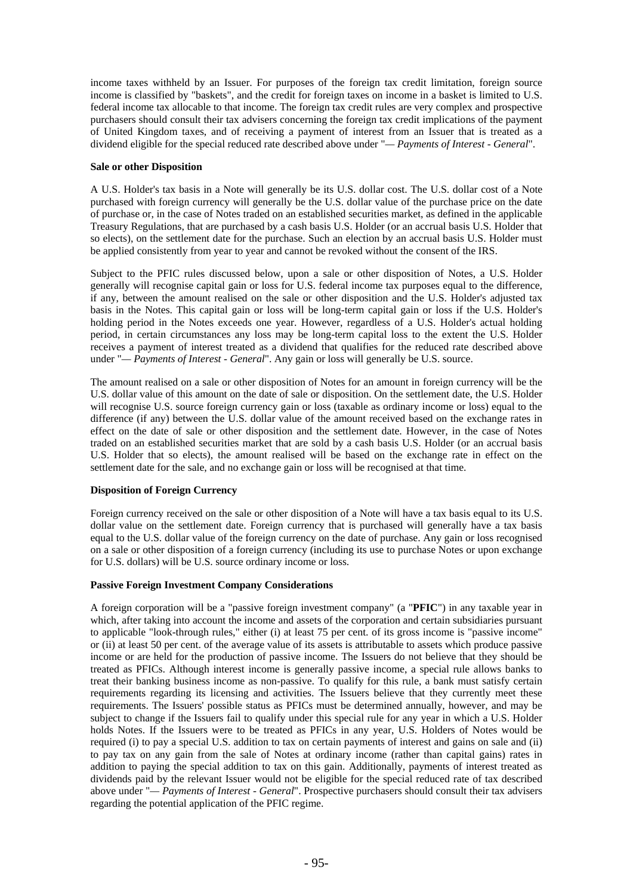income taxes withheld by an Issuer. For purposes of the foreign tax credit limitation, foreign source income is classified by "baskets", and the credit for foreign taxes on income in a basket is limited to U.S. federal income tax allocable to that income. The foreign tax credit rules are very complex and prospective purchasers should consult their tax advisers concerning the foreign tax credit implications of the payment of United Kingdom taxes, and of receiving a payment of interest from an Issuer that is treated as a dividend eligible for the special reduced rate described above under "*— Payments of Interest - General*".

### **Sale or other Disposition**

A U.S. Holder's tax basis in a Note will generally be its U.S. dollar cost. The U.S. dollar cost of a Note purchased with foreign currency will generally be the U.S. dollar value of the purchase price on the date of purchase or, in the case of Notes traded on an established securities market, as defined in the applicable Treasury Regulations, that are purchased by a cash basis U.S. Holder (or an accrual basis U.S. Holder that so elects), on the settlement date for the purchase. Such an election by an accrual basis U.S. Holder must be applied consistently from year to year and cannot be revoked without the consent of the IRS.

Subject to the PFIC rules discussed below, upon a sale or other disposition of Notes, a U.S. Holder generally will recognise capital gain or loss for U.S. federal income tax purposes equal to the difference, if any, between the amount realised on the sale or other disposition and the U.S. Holder's adjusted tax basis in the Notes. This capital gain or loss will be long-term capital gain or loss if the U.S. Holder's holding period in the Notes exceeds one year. However, regardless of a U.S. Holder's actual holding period, in certain circumstances any loss may be long-term capital loss to the extent the U.S. Holder receives a payment of interest treated as a dividend that qualifies for the reduced rate described above under "*— Payments of Interest - General*". Any gain or loss will generally be U.S. source.

The amount realised on a sale or other disposition of Notes for an amount in foreign currency will be the U.S. dollar value of this amount on the date of sale or disposition. On the settlement date, the U.S. Holder will recognise U.S. source foreign currency gain or loss (taxable as ordinary income or loss) equal to the difference (if any) between the U.S. dollar value of the amount received based on the exchange rates in effect on the date of sale or other disposition and the settlement date. However, in the case of Notes traded on an established securities market that are sold by a cash basis U.S. Holder (or an accrual basis U.S. Holder that so elects), the amount realised will be based on the exchange rate in effect on the settlement date for the sale, and no exchange gain or loss will be recognised at that time.

### **Disposition of Foreign Currency**

Foreign currency received on the sale or other disposition of a Note will have a tax basis equal to its U.S. dollar value on the settlement date. Foreign currency that is purchased will generally have a tax basis equal to the U.S. dollar value of the foreign currency on the date of purchase. Any gain or loss recognised on a sale or other disposition of a foreign currency (including its use to purchase Notes or upon exchange for U.S. dollars) will be U.S. source ordinary income or loss.

### **Passive Foreign Investment Company Considerations**

A foreign corporation will be a "passive foreign investment company" (a "**PFIC**") in any taxable year in which, after taking into account the income and assets of the corporation and certain subsidiaries pursuant to applicable "look-through rules," either (i) at least 75 per cent. of its gross income is "passive income" or (ii) at least 50 per cent. of the average value of its assets is attributable to assets which produce passive income or are held for the production of passive income. The Issuers do not believe that they should be treated as PFICs. Although interest income is generally passive income, a special rule allows banks to treat their banking business income as non-passive. To qualify for this rule, a bank must satisfy certain requirements regarding its licensing and activities. The Issuers believe that they currently meet these requirements. The Issuers' possible status as PFICs must be determined annually, however, and may be subject to change if the Issuers fail to qualify under this special rule for any year in which a U.S. Holder holds Notes. If the Issuers were to be treated as PFICs in any year, U.S. Holders of Notes would be required (i) to pay a special U.S. addition to tax on certain payments of interest and gains on sale and (ii) to pay tax on any gain from the sale of Notes at ordinary income (rather than capital gains) rates in addition to paying the special addition to tax on this gain. Additionally, payments of interest treated as dividends paid by the relevant Issuer would not be eligible for the special reduced rate of tax described above under "*— Payments of Interest - General*". Prospective purchasers should consult their tax advisers regarding the potential application of the PFIC regime.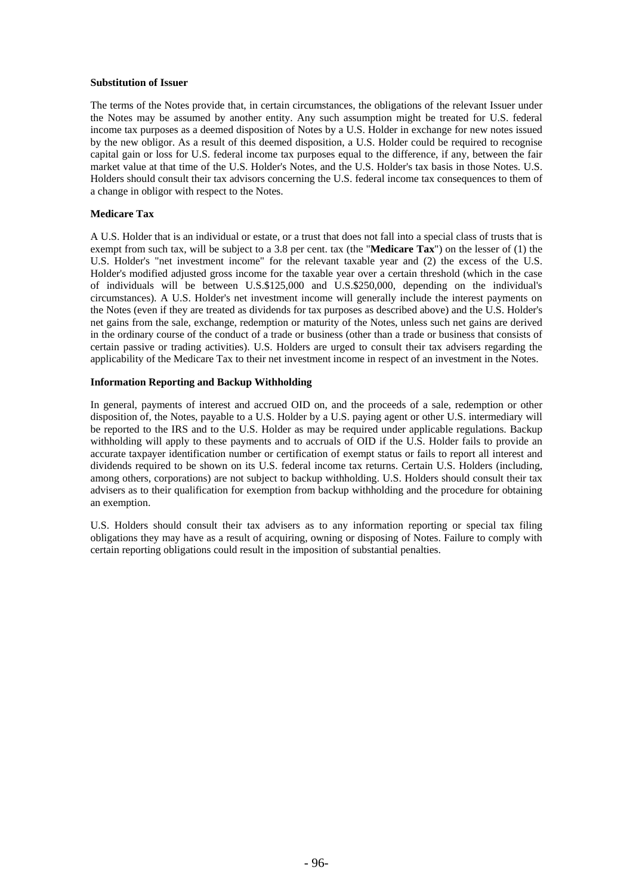#### **Substitution of Issuer**

The terms of the Notes provide that, in certain circumstances, the obligations of the relevant Issuer under the Notes may be assumed by another entity. Any such assumption might be treated for U.S. federal income tax purposes as a deemed disposition of Notes by a U.S. Holder in exchange for new notes issued by the new obligor. As a result of this deemed disposition, a U.S. Holder could be required to recognise capital gain or loss for U.S. federal income tax purposes equal to the difference, if any, between the fair market value at that time of the U.S. Holder's Notes, and the U.S. Holder's tax basis in those Notes. U.S. Holders should consult their tax advisors concerning the U.S. federal income tax consequences to them of a change in obligor with respect to the Notes.

### **Medicare Tax**

A U.S. Holder that is an individual or estate, or a trust that does not fall into a special class of trusts that is exempt from such tax, will be subject to a 3.8 per cent. tax (the "**Medicare Tax**") on the lesser of (1) the U.S. Holder's "net investment income" for the relevant taxable year and (2) the excess of the U.S. Holder's modified adjusted gross income for the taxable year over a certain threshold (which in the case of individuals will be between U.S.\$125,000 and U.S.\$250,000, depending on the individual's circumstances). A U.S. Holder's net investment income will generally include the interest payments on the Notes (even if they are treated as dividends for tax purposes as described above) and the U.S. Holder's net gains from the sale, exchange, redemption or maturity of the Notes, unless such net gains are derived in the ordinary course of the conduct of a trade or business (other than a trade or business that consists of certain passive or trading activities). U.S. Holders are urged to consult their tax advisers regarding the applicability of the Medicare Tax to their net investment income in respect of an investment in the Notes.

#### **Information Reporting and Backup Withholding**

In general, payments of interest and accrued OID on, and the proceeds of a sale, redemption or other disposition of, the Notes, payable to a U.S. Holder by a U.S. paying agent or other U.S. intermediary will be reported to the IRS and to the U.S. Holder as may be required under applicable regulations. Backup withholding will apply to these payments and to accruals of OID if the U.S. Holder fails to provide an accurate taxpayer identification number or certification of exempt status or fails to report all interest and dividends required to be shown on its U.S. federal income tax returns. Certain U.S. Holders (including, among others, corporations) are not subject to backup withholding. U.S. Holders should consult their tax advisers as to their qualification for exemption from backup withholding and the procedure for obtaining an exemption.

U.S. Holders should consult their tax advisers as to any information reporting or special tax filing obligations they may have as a result of acquiring, owning or disposing of Notes. Failure to comply with certain reporting obligations could result in the imposition of substantial penalties.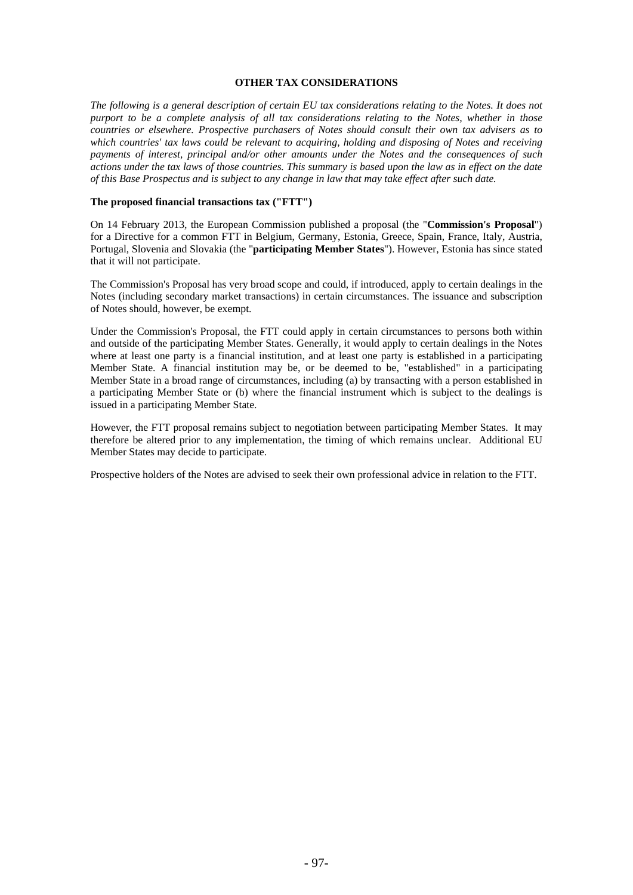### **OTHER TAX CONSIDERATIONS**

*The following is a general description of certain EU tax considerations relating to the Notes. It does not purport to be a complete analysis of all tax considerations relating to the Notes, whether in those countries or elsewhere. Prospective purchasers of Notes should consult their own tax advisers as to which countries' tax laws could be relevant to acquiring, holding and disposing of Notes and receiving payments of interest, principal and/or other amounts under the Notes and the consequences of such actions under the tax laws of those countries. This summary is based upon the law as in effect on the date of this Base Prospectus and is subject to any change in law that may take effect after such date.*

### **The proposed financial transactions tax ("FTT")**

On 14 February 2013, the European Commission published a proposal (the "**Commission's Proposal**") for a Directive for a common FTT in Belgium, Germany, Estonia, Greece, Spain, France, Italy, Austria, Portugal, Slovenia and Slovakia (the "**participating Member States**"). However, Estonia has since stated that it will not participate.

The Commission's Proposal has very broad scope and could, if introduced, apply to certain dealings in the Notes (including secondary market transactions) in certain circumstances. The issuance and subscription of Notes should, however, be exempt.

Under the Commission's Proposal, the FTT could apply in certain circumstances to persons both within and outside of the participating Member States. Generally, it would apply to certain dealings in the Notes where at least one party is a financial institution, and at least one party is established in a participating Member State. A financial institution may be, or be deemed to be, "established" in a participating Member State in a broad range of circumstances, including (a) by transacting with a person established in a participating Member State or (b) where the financial instrument which is subject to the dealings is issued in a participating Member State.

However, the FTT proposal remains subject to negotiation between participating Member States. It may therefore be altered prior to any implementation, the timing of which remains unclear. Additional EU Member States may decide to participate.

Prospective holders of the Notes are advised to seek their own professional advice in relation to the FTT.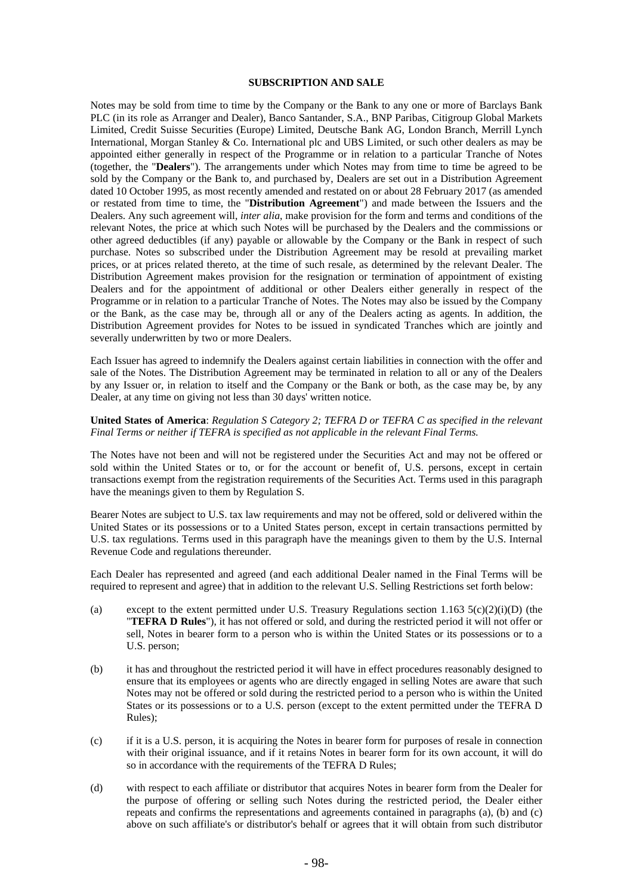### **SUBSCRIPTION AND SALE**

Notes may be sold from time to time by the Company or the Bank to any one or more of Barclays Bank PLC (in its role as Arranger and Dealer), Banco Santander, S.A., BNP Paribas, Citigroup Global Markets Limited, Credit Suisse Securities (Europe) Limited, Deutsche Bank AG, London Branch, Merrill Lynch International, Morgan Stanley & Co. International plc and UBS Limited, or such other dealers as may be appointed either generally in respect of the Programme or in relation to a particular Tranche of Notes (together, the "**Dealers**"). The arrangements under which Notes may from time to time be agreed to be sold by the Company or the Bank to, and purchased by, Dealers are set out in a Distribution Agreement dated 10 October 1995, as most recently amended and restated on or about 28 February 2017 (as amended or restated from time to time, the "**Distribution Agreement**") and made between the Issuers and the Dealers. Any such agreement will, *inter alia*, make provision for the form and terms and conditions of the relevant Notes, the price at which such Notes will be purchased by the Dealers and the commissions or other agreed deductibles (if any) payable or allowable by the Company or the Bank in respect of such purchase. Notes so subscribed under the Distribution Agreement may be resold at prevailing market prices, or at prices related thereto, at the time of such resale, as determined by the relevant Dealer. The Distribution Agreement makes provision for the resignation or termination of appointment of existing Dealers and for the appointment of additional or other Dealers either generally in respect of the Programme or in relation to a particular Tranche of Notes. The Notes may also be issued by the Company or the Bank, as the case may be, through all or any of the Dealers acting as agents. In addition, the Distribution Agreement provides for Notes to be issued in syndicated Tranches which are jointly and severally underwritten by two or more Dealers.

Each Issuer has agreed to indemnify the Dealers against certain liabilities in connection with the offer and sale of the Notes. The Distribution Agreement may be terminated in relation to all or any of the Dealers by any Issuer or, in relation to itself and the Company or the Bank or both, as the case may be, by any Dealer, at any time on giving not less than 30 days' written notice.

### **United States of America**: *Regulation S Category 2; TEFRA D or TEFRA C as specified in the relevant Final Terms or neither if TEFRA is specified as not applicable in the relevant Final Terms*.

The Notes have not been and will not be registered under the Securities Act and may not be offered or sold within the United States or to, or for the account or benefit of, U.S. persons, except in certain transactions exempt from the registration requirements of the Securities Act. Terms used in this paragraph have the meanings given to them by Regulation S.

Bearer Notes are subject to U.S. tax law requirements and may not be offered, sold or delivered within the United States or its possessions or to a United States person, except in certain transactions permitted by U.S. tax regulations. Terms used in this paragraph have the meanings given to them by the U.S. Internal Revenue Code and regulations thereunder.

Each Dealer has represented and agreed (and each additional Dealer named in the Final Terms will be required to represent and agree) that in addition to the relevant U.S. Selling Restrictions set forth below:

- (a) except to the extent permitted under U.S. Treasury Regulations section 1.163  $5(c)(2)(i)(D)$  (the "**TEFRA D Rules**"), it has not offered or sold, and during the restricted period it will not offer or sell, Notes in bearer form to a person who is within the United States or its possessions or to a U.S. person;
- (b) it has and throughout the restricted period it will have in effect procedures reasonably designed to ensure that its employees or agents who are directly engaged in selling Notes are aware that such Notes may not be offered or sold during the restricted period to a person who is within the United States or its possessions or to a U.S. person (except to the extent permitted under the TEFRA D Rules);
- (c) if it is a U.S. person, it is acquiring the Notes in bearer form for purposes of resale in connection with their original issuance, and if it retains Notes in bearer form for its own account, it will do so in accordance with the requirements of the TEFRA D Rules;
- (d) with respect to each affiliate or distributor that acquires Notes in bearer form from the Dealer for the purpose of offering or selling such Notes during the restricted period, the Dealer either repeats and confirms the representations and agreements contained in paragraphs (a), (b) and (c) above on such affiliate's or distributor's behalf or agrees that it will obtain from such distributor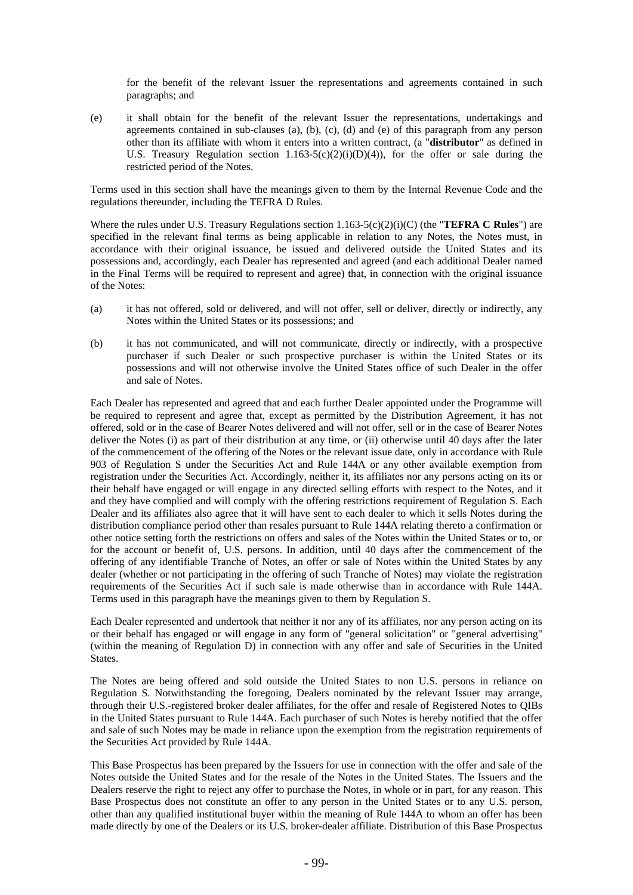for the benefit of the relevant Issuer the representations and agreements contained in such paragraphs; and

(e) it shall obtain for the benefit of the relevant Issuer the representations, undertakings and agreements contained in sub-clauses (a), (b), (c), (d) and (e) of this paragraph from any person other than its affiliate with whom it enters into a written contract, (a "**distributor**" as defined in U.S. Treasury Regulation section  $1.163-5(c)(2)(i)(D)(4)$ , for the offer or sale during the restricted period of the Notes.

Terms used in this section shall have the meanings given to them by the Internal Revenue Code and the regulations thereunder, including the TEFRA D Rules.

Where the rules under U.S. Treasury Regulations section 1.163-5(c)(2)(i)(C) (the "**TEFRA C Rules**") are specified in the relevant final terms as being applicable in relation to any Notes, the Notes must, in accordance with their original issuance, be issued and delivered outside the United States and its possessions and, accordingly, each Dealer has represented and agreed (and each additional Dealer named in the Final Terms will be required to represent and agree) that, in connection with the original issuance of the Notes:

- (a) it has not offered, sold or delivered, and will not offer, sell or deliver, directly or indirectly, any Notes within the United States or its possessions; and
- (b) it has not communicated, and will not communicate, directly or indirectly, with a prospective purchaser if such Dealer or such prospective purchaser is within the United States or its possessions and will not otherwise involve the United States office of such Dealer in the offer and sale of Notes.

Each Dealer has represented and agreed that and each further Dealer appointed under the Programme will be required to represent and agree that, except as permitted by the Distribution Agreement, it has not offered, sold or in the case of Bearer Notes delivered and will not offer, sell or in the case of Bearer Notes deliver the Notes (i) as part of their distribution at any time, or (ii) otherwise until 40 days after the later of the commencement of the offering of the Notes or the relevant issue date, only in accordance with Rule 903 of Regulation S under the Securities Act and Rule 144A or any other available exemption from registration under the Securities Act. Accordingly, neither it, its affiliates nor any persons acting on its or their behalf have engaged or will engage in any directed selling efforts with respect to the Notes, and it and they have complied and will comply with the offering restrictions requirement of Regulation S. Each Dealer and its affiliates also agree that it will have sent to each dealer to which it sells Notes during the distribution compliance period other than resales pursuant to Rule 144A relating thereto a confirmation or other notice setting forth the restrictions on offers and sales of the Notes within the United States or to, or for the account or benefit of, U.S. persons. In addition, until 40 days after the commencement of the offering of any identifiable Tranche of Notes, an offer or sale of Notes within the United States by any dealer (whether or not participating in the offering of such Tranche of Notes) may violate the registration requirements of the Securities Act if such sale is made otherwise than in accordance with Rule 144A. Terms used in this paragraph have the meanings given to them by Regulation S.

Each Dealer represented and undertook that neither it nor any of its affiliates, nor any person acting on its or their behalf has engaged or will engage in any form of "general solicitation" or "general advertising" (within the meaning of Regulation D) in connection with any offer and sale of Securities in the United States.

The Notes are being offered and sold outside the United States to non U.S. persons in reliance on Regulation S. Notwithstanding the foregoing, Dealers nominated by the relevant Issuer may arrange, through their U.S.-registered broker dealer affiliates, for the offer and resale of Registered Notes to QIBs in the United States pursuant to Rule 144A. Each purchaser of such Notes is hereby notified that the offer and sale of such Notes may be made in reliance upon the exemption from the registration requirements of the Securities Act provided by Rule 144A.

This Base Prospectus has been prepared by the Issuers for use in connection with the offer and sale of the Notes outside the United States and for the resale of the Notes in the United States. The Issuers and the Dealers reserve the right to reject any offer to purchase the Notes, in whole or in part, for any reason. This Base Prospectus does not constitute an offer to any person in the United States or to any U.S. person, other than any qualified institutional buyer within the meaning of Rule 144A to whom an offer has been made directly by one of the Dealers or its U.S. broker-dealer affiliate. Distribution of this Base Prospectus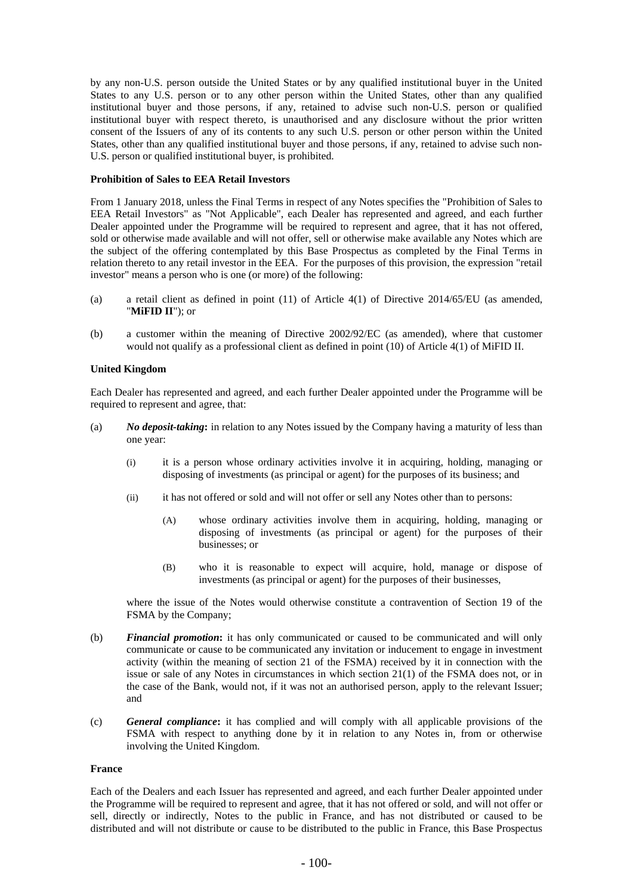by any non-U.S. person outside the United States or by any qualified institutional buyer in the United States to any U.S. person or to any other person within the United States, other than any qualified institutional buyer and those persons, if any, retained to advise such non-U.S. person or qualified institutional buyer with respect thereto, is unauthorised and any disclosure without the prior written consent of the Issuers of any of its contents to any such U.S. person or other person within the United States, other than any qualified institutional buyer and those persons, if any, retained to advise such non-U.S. person or qualified institutional buyer, is prohibited.

### **Prohibition of Sales to EEA Retail Investors**

From 1 January 2018, unless the Final Terms in respect of any Notes specifies the "Prohibition of Sales to EEA Retail Investors" as "Not Applicable", each Dealer has represented and agreed, and each further Dealer appointed under the Programme will be required to represent and agree, that it has not offered, sold or otherwise made available and will not offer, sell or otherwise make available any Notes which are the subject of the offering contemplated by this Base Prospectus as completed by the Final Terms in relation thereto to any retail investor in the EEA. For the purposes of this provision, the expression "retail investor" means a person who is one (or more) of the following:

- (a) a retail client as defined in point (11) of Article 4(1) of Directive 2014/65/EU (as amended, "**MiFID II**"); or
- (b) a customer within the meaning of Directive 2002/92/EC (as amended), where that customer would not qualify as a professional client as defined in point (10) of Article 4(1) of MiFID II.

#### **United Kingdom**

Each Dealer has represented and agreed, and each further Dealer appointed under the Programme will be required to represent and agree, that:

- (a) *No deposit-taking***:** in relation to any Notes issued by the Company having a maturity of less than one year:
	- (i) it is a person whose ordinary activities involve it in acquiring, holding, managing or disposing of investments (as principal or agent) for the purposes of its business; and
	- (ii) it has not offered or sold and will not offer or sell any Notes other than to persons:
		- (A) whose ordinary activities involve them in acquiring, holding, managing or disposing of investments (as principal or agent) for the purposes of their businesses; or
		- (B) who it is reasonable to expect will acquire, hold, manage or dispose of investments (as principal or agent) for the purposes of their businesses,

where the issue of the Notes would otherwise constitute a contravention of Section 19 of the FSMA by the Company;

- (b) *Financial promotion***:** it has only communicated or caused to be communicated and will only communicate or cause to be communicated any invitation or inducement to engage in investment activity (within the meaning of section 21 of the FSMA) received by it in connection with the issue or sale of any Notes in circumstances in which section 21(1) of the FSMA does not, or in the case of the Bank, would not, if it was not an authorised person, apply to the relevant Issuer; and
- (c) *General compliance***:** it has complied and will comply with all applicable provisions of the FSMA with respect to anything done by it in relation to any Notes in, from or otherwise involving the United Kingdom.

#### **France**

Each of the Dealers and each Issuer has represented and agreed, and each further Dealer appointed under the Programme will be required to represent and agree, that it has not offered or sold, and will not offer or sell, directly or indirectly, Notes to the public in France, and has not distributed or caused to be distributed and will not distribute or cause to be distributed to the public in France, this Base Prospectus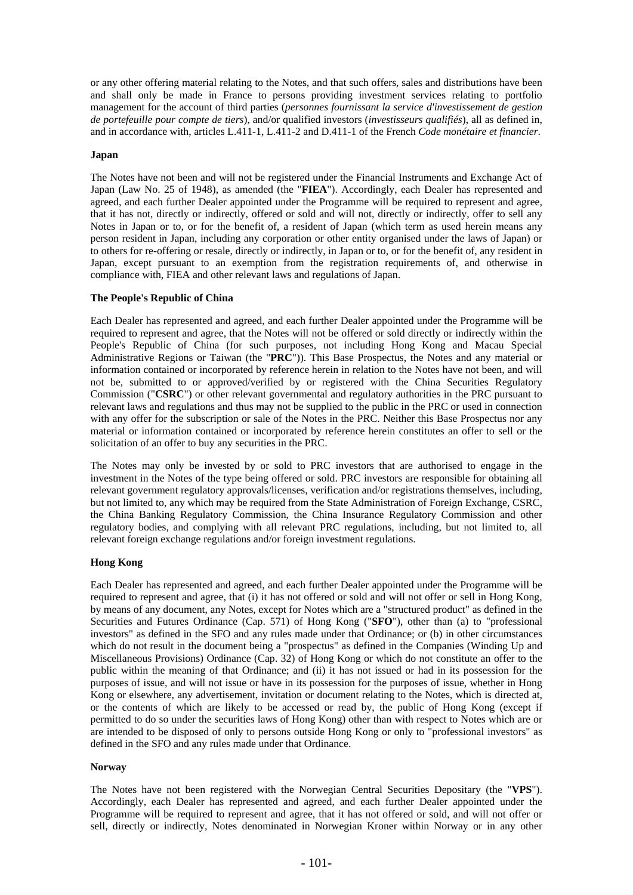or any other offering material relating to the Notes, and that such offers, sales and distributions have been and shall only be made in France to persons providing investment services relating to portfolio management for the account of third parties (*personnes fournissant la service d'investissement de gestion de portefeuille pour compte de tiers*), and/or qualified investors (*investisseurs qualifiés*), all as defined in, and in accordance with, articles L.411-1, L.411-2 and D.411-1 of the French *Code monétaire et financier*.

## **Japan**

The Notes have not been and will not be registered under the Financial Instruments and Exchange Act of Japan (Law No. 25 of 1948), as amended (the "**FIEA**"). Accordingly, each Dealer has represented and agreed, and each further Dealer appointed under the Programme will be required to represent and agree, that it has not, directly or indirectly, offered or sold and will not, directly or indirectly, offer to sell any Notes in Japan or to, or for the benefit of, a resident of Japan (which term as used herein means any person resident in Japan, including any corporation or other entity organised under the laws of Japan) or to others for re-offering or resale, directly or indirectly, in Japan or to, or for the benefit of, any resident in Japan, except pursuant to an exemption from the registration requirements of, and otherwise in compliance with, FIEA and other relevant laws and regulations of Japan.

#### **The People's Republic of China**

Each Dealer has represented and agreed, and each further Dealer appointed under the Programme will be required to represent and agree, that the Notes will not be offered or sold directly or indirectly within the People's Republic of China (for such purposes, not including Hong Kong and Macau Special Administrative Regions or Taiwan (the "**PRC**")). This Base Prospectus, the Notes and any material or information contained or incorporated by reference herein in relation to the Notes have not been, and will not be, submitted to or approved/verified by or registered with the China Securities Regulatory Commission ("**CSRC**") or other relevant governmental and regulatory authorities in the PRC pursuant to relevant laws and regulations and thus may not be supplied to the public in the PRC or used in connection with any offer for the subscription or sale of the Notes in the PRC. Neither this Base Prospectus nor any material or information contained or incorporated by reference herein constitutes an offer to sell or the solicitation of an offer to buy any securities in the PRC.

The Notes may only be invested by or sold to PRC investors that are authorised to engage in the investment in the Notes of the type being offered or sold. PRC investors are responsible for obtaining all relevant government regulatory approvals/licenses, verification and/or registrations themselves, including, but not limited to, any which may be required from the State Administration of Foreign Exchange, CSRC, the China Banking Regulatory Commission, the China Insurance Regulatory Commission and other regulatory bodies, and complying with all relevant PRC regulations, including, but not limited to, all relevant foreign exchange regulations and/or foreign investment regulations.

## **Hong Kong**

Each Dealer has represented and agreed, and each further Dealer appointed under the Programme will be required to represent and agree, that (i) it has not offered or sold and will not offer or sell in Hong Kong, by means of any document, any Notes, except for Notes which are a "structured product" as defined in the Securities and Futures Ordinance (Cap. 571) of Hong Kong ("**SFO**"), other than (a) to "professional investors" as defined in the SFO and any rules made under that Ordinance; or (b) in other circumstances which do not result in the document being a "prospectus" as defined in the Companies (Winding Up and Miscellaneous Provisions) Ordinance (Cap. 32) of Hong Kong or which do not constitute an offer to the public within the meaning of that Ordinance; and (ii) it has not issued or had in its possession for the purposes of issue, and will not issue or have in its possession for the purposes of issue, whether in Hong Kong or elsewhere, any advertisement, invitation or document relating to the Notes, which is directed at, or the contents of which are likely to be accessed or read by, the public of Hong Kong (except if permitted to do so under the securities laws of Hong Kong) other than with respect to Notes which are or are intended to be disposed of only to persons outside Hong Kong or only to "professional investors" as defined in the SFO and any rules made under that Ordinance.

## **Norway**

The Notes have not been registered with the Norwegian Central Securities Depositary (the "**VPS**"). Accordingly, each Dealer has represented and agreed, and each further Dealer appointed under the Programme will be required to represent and agree, that it has not offered or sold, and will not offer or sell, directly or indirectly, Notes denominated in Norwegian Kroner within Norway or in any other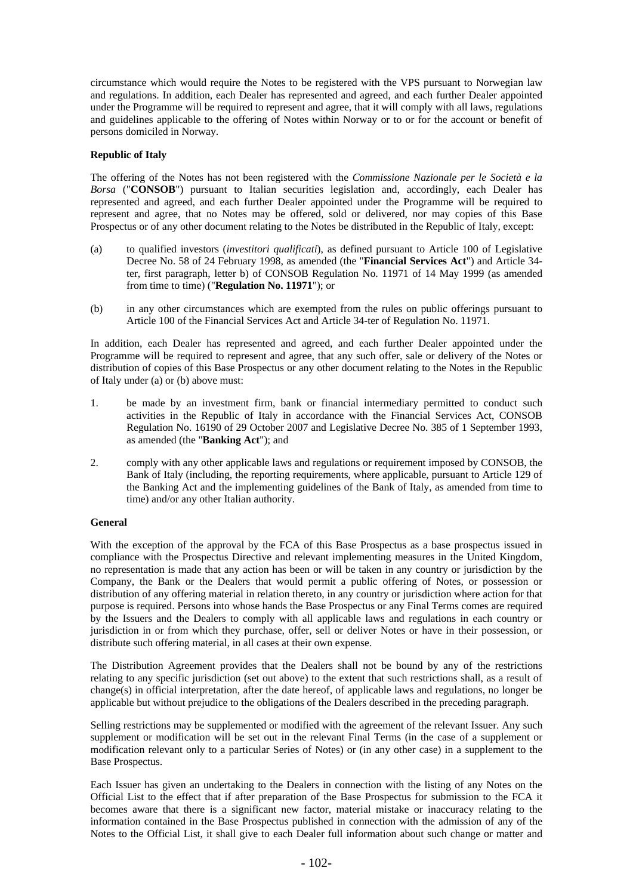circumstance which would require the Notes to be registered with the VPS pursuant to Norwegian law and regulations. In addition, each Dealer has represented and agreed, and each further Dealer appointed under the Programme will be required to represent and agree, that it will comply with all laws, regulations and guidelines applicable to the offering of Notes within Norway or to or for the account or benefit of persons domiciled in Norway.

## **Republic of Italy**

The offering of the Notes has not been registered with the *Commissione Nazionale per le Società e la Borsa* ("**CONSOB**") pursuant to Italian securities legislation and, accordingly, each Dealer has represented and agreed, and each further Dealer appointed under the Programme will be required to represent and agree, that no Notes may be offered, sold or delivered, nor may copies of this Base Prospectus or of any other document relating to the Notes be distributed in the Republic of Italy, except:

- (a) to qualified investors (*investitori qualificati*), as defined pursuant to Article 100 of Legislative Decree No. 58 of 24 February 1998, as amended (the "**Financial Services Act**") and Article 34 ter, first paragraph, letter b) of CONSOB Regulation No. 11971 of 14 May 1999 (as amended from time to time) ("**Regulation No. 11971**"); or
- (b) in any other circumstances which are exempted from the rules on public offerings pursuant to Article 100 of the Financial Services Act and Article 34-ter of Regulation No. 11971.

In addition, each Dealer has represented and agreed, and each further Dealer appointed under the Programme will be required to represent and agree, that any such offer, sale or delivery of the Notes or distribution of copies of this Base Prospectus or any other document relating to the Notes in the Republic of Italy under (a) or (b) above must:

- 1. be made by an investment firm, bank or financial intermediary permitted to conduct such activities in the Republic of Italy in accordance with the Financial Services Act, CONSOB Regulation No. 16190 of 29 October 2007 and Legislative Decree No. 385 of 1 September 1993, as amended (the "**Banking Act**"); and
- 2. comply with any other applicable laws and regulations or requirement imposed by CONSOB, the Bank of Italy (including, the reporting requirements, where applicable, pursuant to Article 129 of the Banking Act and the implementing guidelines of the Bank of Italy, as amended from time to time) and/or any other Italian authority.

## **General**

With the exception of the approval by the FCA of this Base Prospectus as a base prospectus issued in compliance with the Prospectus Directive and relevant implementing measures in the United Kingdom, no representation is made that any action has been or will be taken in any country or jurisdiction by the Company, the Bank or the Dealers that would permit a public offering of Notes, or possession or distribution of any offering material in relation thereto, in any country or jurisdiction where action for that purpose is required. Persons into whose hands the Base Prospectus or any Final Terms comes are required by the Issuers and the Dealers to comply with all applicable laws and regulations in each country or jurisdiction in or from which they purchase, offer, sell or deliver Notes or have in their possession, or distribute such offering material, in all cases at their own expense.

The Distribution Agreement provides that the Dealers shall not be bound by any of the restrictions relating to any specific jurisdiction (set out above) to the extent that such restrictions shall, as a result of change(s) in official interpretation, after the date hereof, of applicable laws and regulations, no longer be applicable but without prejudice to the obligations of the Dealers described in the preceding paragraph.

Selling restrictions may be supplemented or modified with the agreement of the relevant Issuer. Any such supplement or modification will be set out in the relevant Final Terms (in the case of a supplement or modification relevant only to a particular Series of Notes) or (in any other case) in a supplement to the Base Prospectus.

Each Issuer has given an undertaking to the Dealers in connection with the listing of any Notes on the Official List to the effect that if after preparation of the Base Prospectus for submission to the FCA it becomes aware that there is a significant new factor, material mistake or inaccuracy relating to the information contained in the Base Prospectus published in connection with the admission of any of the Notes to the Official List, it shall give to each Dealer full information about such change or matter and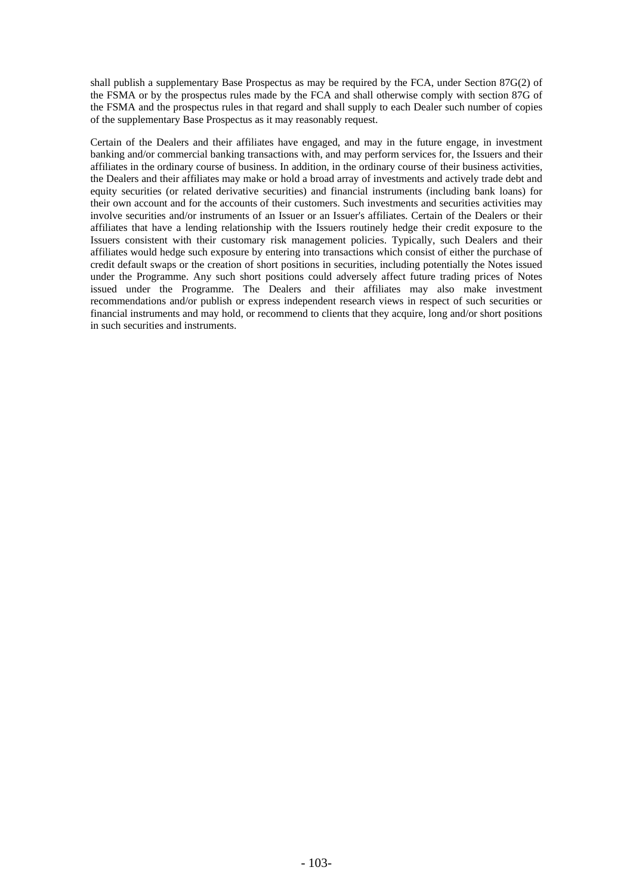shall publish a supplementary Base Prospectus as may be required by the FCA, under Section 87G(2) of the FSMA or by the prospectus rules made by the FCA and shall otherwise comply with section 87G of the FSMA and the prospectus rules in that regard and shall supply to each Dealer such number of copies of the supplementary Base Prospectus as it may reasonably request.

Certain of the Dealers and their affiliates have engaged, and may in the future engage, in investment banking and/or commercial banking transactions with, and may perform services for, the Issuers and their affiliates in the ordinary course of business. In addition, in the ordinary course of their business activities, the Dealers and their affiliates may make or hold a broad array of investments and actively trade debt and equity securities (or related derivative securities) and financial instruments (including bank loans) for their own account and for the accounts of their customers. Such investments and securities activities may involve securities and/or instruments of an Issuer or an Issuer's affiliates. Certain of the Dealers or their affiliates that have a lending relationship with the Issuers routinely hedge their credit exposure to the Issuers consistent with their customary risk management policies. Typically, such Dealers and their affiliates would hedge such exposure by entering into transactions which consist of either the purchase of credit default swaps or the creation of short positions in securities, including potentially the Notes issued under the Programme. Any such short positions could adversely affect future trading prices of Notes issued under the Programme. The Dealers and their affiliates may also make investment recommendations and/or publish or express independent research views in respect of such securities or financial instruments and may hold, or recommend to clients that they acquire, long and/or short positions in such securities and instruments.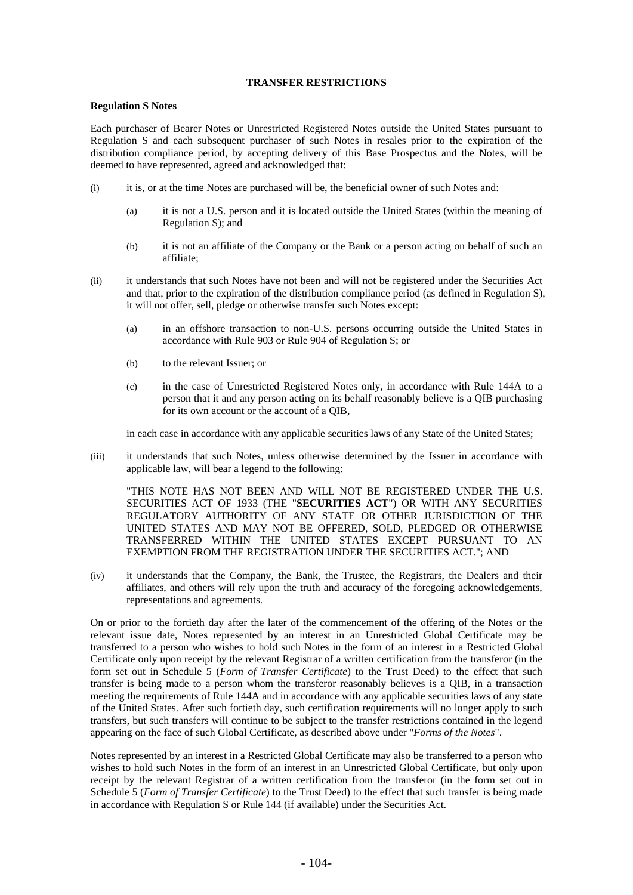### **TRANSFER RESTRICTIONS**

#### **Regulation S Notes**

Each purchaser of Bearer Notes or Unrestricted Registered Notes outside the United States pursuant to Regulation S and each subsequent purchaser of such Notes in resales prior to the expiration of the distribution compliance period, by accepting delivery of this Base Prospectus and the Notes, will be deemed to have represented, agreed and acknowledged that:

- (i) it is, or at the time Notes are purchased will be, the beneficial owner of such Notes and:
	- (a) it is not a U.S. person and it is located outside the United States (within the meaning of Regulation S); and
	- (b) it is not an affiliate of the Company or the Bank or a person acting on behalf of such an affiliate;
- (ii) it understands that such Notes have not been and will not be registered under the Securities Act and that, prior to the expiration of the distribution compliance period (as defined in Regulation S), it will not offer, sell, pledge or otherwise transfer such Notes except:
	- (a) in an offshore transaction to non-U.S. persons occurring outside the United States in accordance with Rule 903 or Rule 904 of Regulation S; or
	- (b) to the relevant Issuer; or
	- (c) in the case of Unrestricted Registered Notes only, in accordance with Rule 144A to a person that it and any person acting on its behalf reasonably believe is a QIB purchasing for its own account or the account of a QIB,

in each case in accordance with any applicable securities laws of any State of the United States;

(iii) it understands that such Notes, unless otherwise determined by the Issuer in accordance with applicable law, will bear a legend to the following:

"THIS NOTE HAS NOT BEEN AND WILL NOT BE REGISTERED UNDER THE U.S. SECURITIES ACT OF 1933 (THE "**SECURITIES ACT**") OR WITH ANY SECURITIES REGULATORY AUTHORITY OF ANY STATE OR OTHER JURISDICTION OF THE UNITED STATES AND MAY NOT BE OFFERED, SOLD, PLEDGED OR OTHERWISE TRANSFERRED WITHIN THE UNITED STATES EXCEPT PURSUANT TO AN EXEMPTION FROM THE REGISTRATION UNDER THE SECURITIES ACT."; AND

(iv) it understands that the Company, the Bank, the Trustee, the Registrars, the Dealers and their affiliates, and others will rely upon the truth and accuracy of the foregoing acknowledgements, representations and agreements.

On or prior to the fortieth day after the later of the commencement of the offering of the Notes or the relevant issue date, Notes represented by an interest in an Unrestricted Global Certificate may be transferred to a person who wishes to hold such Notes in the form of an interest in a Restricted Global Certificate only upon receipt by the relevant Registrar of a written certification from the transferor (in the form set out in Schedule 5 (*Form of Transfer Certificate*) to the Trust Deed) to the effect that such transfer is being made to a person whom the transferor reasonably believes is a QIB, in a transaction meeting the requirements of Rule 144A and in accordance with any applicable securities laws of any state of the United States. After such fortieth day, such certification requirements will no longer apply to such transfers, but such transfers will continue to be subject to the transfer restrictions contained in the legend appearing on the face of such Global Certificate, as described above under "*Forms of the Notes*".

Notes represented by an interest in a Restricted Global Certificate may also be transferred to a person who wishes to hold such Notes in the form of an interest in an Unrestricted Global Certificate, but only upon receipt by the relevant Registrar of a written certification from the transferor (in the form set out in Schedule 5 (*Form of Transfer Certificate*) to the Trust Deed) to the effect that such transfer is being made in accordance with Regulation S or Rule 144 (if available) under the Securities Act.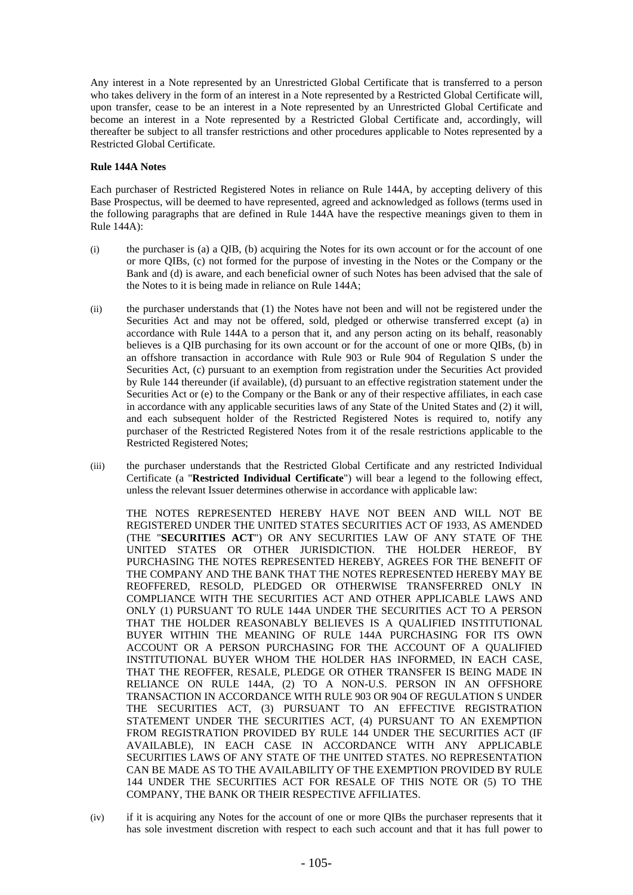Any interest in a Note represented by an Unrestricted Global Certificate that is transferred to a person who takes delivery in the form of an interest in a Note represented by a Restricted Global Certificate will, upon transfer, cease to be an interest in a Note represented by an Unrestricted Global Certificate and become an interest in a Note represented by a Restricted Global Certificate and, accordingly, will thereafter be subject to all transfer restrictions and other procedures applicable to Notes represented by a Restricted Global Certificate.

## **Rule 144A Notes**

Each purchaser of Restricted Registered Notes in reliance on Rule 144A, by accepting delivery of this Base Prospectus, will be deemed to have represented, agreed and acknowledged as follows (terms used in the following paragraphs that are defined in Rule 144A have the respective meanings given to them in Rule 144A):

- (i) the purchaser is (a) a QIB, (b) acquiring the Notes for its own account or for the account of one or more QIBs, (c) not formed for the purpose of investing in the Notes or the Company or the Bank and (d) is aware, and each beneficial owner of such Notes has been advised that the sale of the Notes to it is being made in reliance on Rule 144A;
- (ii) the purchaser understands that (1) the Notes have not been and will not be registered under the Securities Act and may not be offered, sold, pledged or otherwise transferred except (a) in accordance with Rule 144A to a person that it, and any person acting on its behalf, reasonably believes is a QIB purchasing for its own account or for the account of one or more QIBs, (b) in an offshore transaction in accordance with Rule 903 or Rule 904 of Regulation S under the Securities Act, (c) pursuant to an exemption from registration under the Securities Act provided by Rule 144 thereunder (if available), (d) pursuant to an effective registration statement under the Securities Act or (e) to the Company or the Bank or any of their respective affiliates, in each case in accordance with any applicable securities laws of any State of the United States and (2) it will, and each subsequent holder of the Restricted Registered Notes is required to, notify any purchaser of the Restricted Registered Notes from it of the resale restrictions applicable to the Restricted Registered Notes;
- (iii) the purchaser understands that the Restricted Global Certificate and any restricted Individual Certificate (a "**Restricted Individual Certificate**") will bear a legend to the following effect, unless the relevant Issuer determines otherwise in accordance with applicable law:

THE NOTES REPRESENTED HEREBY HAVE NOT BEEN AND WILL NOT BE REGISTERED UNDER THE UNITED STATES SECURITIES ACT OF 1933, AS AMENDED (THE "**SECURITIES ACT**") OR ANY SECURITIES LAW OF ANY STATE OF THE UNITED STATES OR OTHER JURISDICTION. THE HOLDER HEREOF, BY PURCHASING THE NOTES REPRESENTED HEREBY, AGREES FOR THE BENEFIT OF THE COMPANY AND THE BANK THAT THE NOTES REPRESENTED HEREBY MAY BE REOFFERED, RESOLD, PLEDGED OR OTHERWISE TRANSFERRED ONLY IN COMPLIANCE WITH THE SECURITIES ACT AND OTHER APPLICABLE LAWS AND ONLY (1) PURSUANT TO RULE 144A UNDER THE SECURITIES ACT TO A PERSON THAT THE HOLDER REASONABLY BELIEVES IS A QUALIFIED INSTITUTIONAL BUYER WITHIN THE MEANING OF RULE 144A PURCHASING FOR ITS OWN ACCOUNT OR A PERSON PURCHASING FOR THE ACCOUNT OF A QUALIFIED INSTITUTIONAL BUYER WHOM THE HOLDER HAS INFORMED, IN EACH CASE, THAT THE REOFFER, RESALE, PLEDGE OR OTHER TRANSFER IS BEING MADE IN RELIANCE ON RULE 144A, (2) TO A NON-U.S. PERSON IN AN OFFSHORE TRANSACTION IN ACCORDANCE WITH RULE 903 OR 904 OF REGULATION S UNDER THE SECURITIES ACT, (3) PURSUANT TO AN EFFECTIVE REGISTRATION STATEMENT UNDER THE SECURITIES ACT, (4) PURSUANT TO AN EXEMPTION FROM REGISTRATION PROVIDED BY RULE 144 UNDER THE SECURITIES ACT (IF AVAILABLE), IN EACH CASE IN ACCORDANCE WITH ANY APPLICABLE SECURITIES LAWS OF ANY STATE OF THE UNITED STATES. NO REPRESENTATION CAN BE MADE AS TO THE AVAILABILITY OF THE EXEMPTION PROVIDED BY RULE 144 UNDER THE SECURITIES ACT FOR RESALE OF THIS NOTE OR (5) TO THE COMPANY, THE BANK OR THEIR RESPECTIVE AFFILIATES.

(iv) if it is acquiring any Notes for the account of one or more QIBs the purchaser represents that it has sole investment discretion with respect to each such account and that it has full power to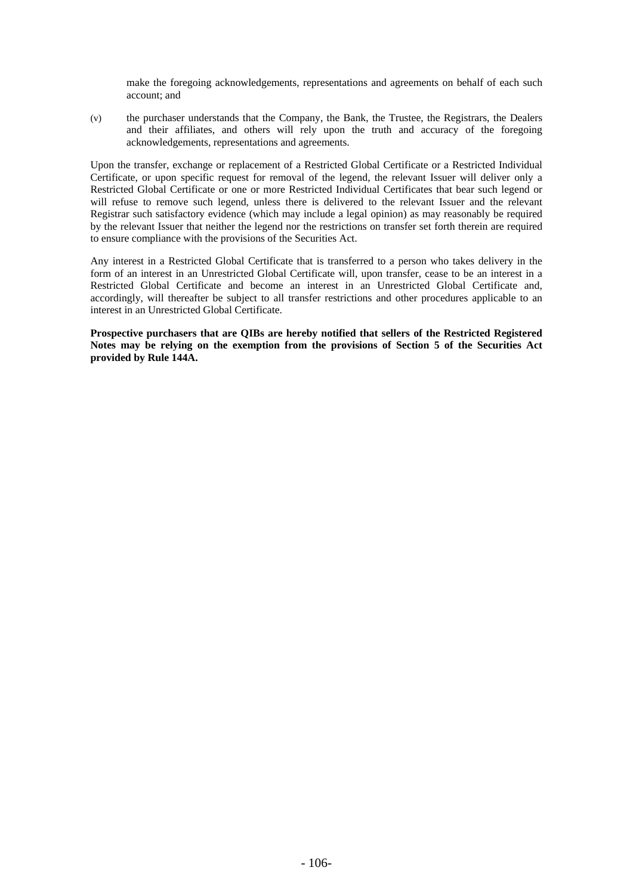make the foregoing acknowledgements, representations and agreements on behalf of each such account; and

(v) the purchaser understands that the Company, the Bank, the Trustee, the Registrars, the Dealers and their affiliates, and others will rely upon the truth and accuracy of the foregoing acknowledgements, representations and agreements.

Upon the transfer, exchange or replacement of a Restricted Global Certificate or a Restricted Individual Certificate, or upon specific request for removal of the legend, the relevant Issuer will deliver only a Restricted Global Certificate or one or more Restricted Individual Certificates that bear such legend or will refuse to remove such legend, unless there is delivered to the relevant Issuer and the relevant Registrar such satisfactory evidence (which may include a legal opinion) as may reasonably be required by the relevant Issuer that neither the legend nor the restrictions on transfer set forth therein are required to ensure compliance with the provisions of the Securities Act.

Any interest in a Restricted Global Certificate that is transferred to a person who takes delivery in the form of an interest in an Unrestricted Global Certificate will, upon transfer, cease to be an interest in a Restricted Global Certificate and become an interest in an Unrestricted Global Certificate and, accordingly, will thereafter be subject to all transfer restrictions and other procedures applicable to an interest in an Unrestricted Global Certificate.

**Prospective purchasers that are QIBs are hereby notified that sellers of the Restricted Registered Notes may be relying on the exemption from the provisions of Section 5 of the Securities Act provided by Rule 144A.**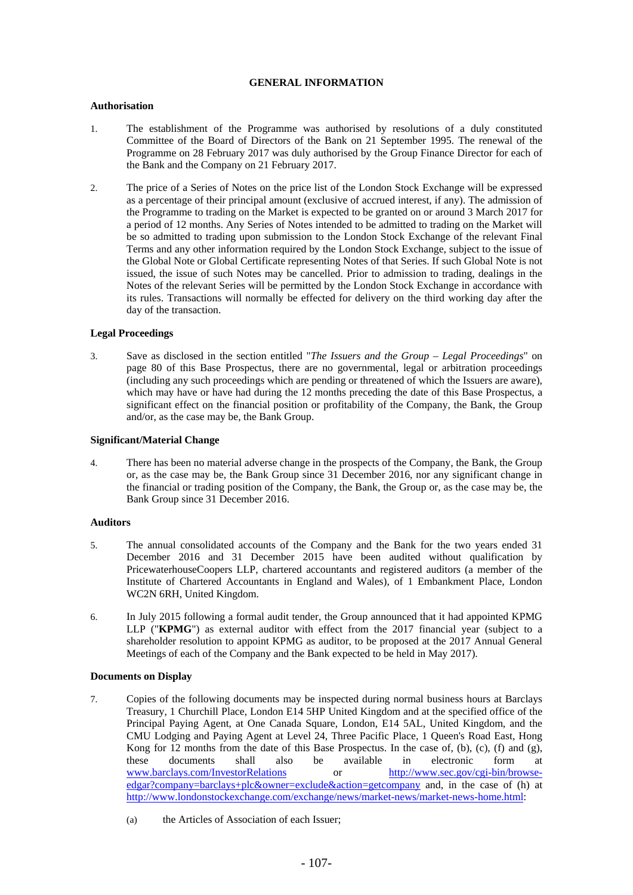### **GENERAL INFORMATION**

### **Authorisation**

- 1. The establishment of the Programme was authorised by resolutions of a duly constituted Committee of the Board of Directors of the Bank on 21 September 1995. The renewal of the Programme on 28 February 2017 was duly authorised by the Group Finance Director for each of the Bank and the Company on 21 February 2017.
- 2. The price of a Series of Notes on the price list of the London Stock Exchange will be expressed as a percentage of their principal amount (exclusive of accrued interest, if any). The admission of the Programme to trading on the Market is expected to be granted on or around 3 March 2017 for a period of 12 months. Any Series of Notes intended to be admitted to trading on the Market will be so admitted to trading upon submission to the London Stock Exchange of the relevant Final Terms and any other information required by the London Stock Exchange, subject to the issue of the Global Note or Global Certificate representing Notes of that Series. If such Global Note is not issued, the issue of such Notes may be cancelled. Prior to admission to trading, dealings in the Notes of the relevant Series will be permitted by the London Stock Exchange in accordance with its rules. Transactions will normally be effected for delivery on the third working day after the day of the transaction.

#### **Legal Proceedings**

3. Save as disclosed in the section entitled "*The Issuers and the Group – Legal Proceedings*" on page 80 of this Base Prospectus, there are no governmental, legal or arbitration proceedings (including any such proceedings which are pending or threatened of which the Issuers are aware), which may have or have had during the 12 months preceding the date of this Base Prospectus, a significant effect on the financial position or profitability of the Company, the Bank, the Group and/or, as the case may be, the Bank Group.

#### **Significant/Material Change**

4. There has been no material adverse change in the prospects of the Company, the Bank, the Group or, as the case may be, the Bank Group since 31 December 2016, nor any significant change in the financial or trading position of the Company, the Bank, the Group or, as the case may be, the Bank Group since 31 December 2016.

### **Auditors**

- 5. The annual consolidated accounts of the Company and the Bank for the two years ended 31 December 2016 and 31 December 2015 have been audited without qualification by PricewaterhouseCoopers LLP, chartered accountants and registered auditors (a member of the Institute of Chartered Accountants in England and Wales), of 1 Embankment Place, London WC2N 6RH, United Kingdom.
- 6. In July 2015 following a formal audit tender, the Group announced that it had appointed KPMG LLP ("**KPMG**") as external auditor with effect from the 2017 financial year (subject to a shareholder resolution to appoint KPMG as auditor, to be proposed at the 2017 Annual General Meetings of each of the Company and the Bank expected to be held in May 2017).

## **Documents on Display**

- 7. Copies of the following documents may be inspected during normal business hours at Barclays Treasury, 1 Churchill Place, London E14 5HP United Kingdom and at the specified office of the Principal Paying Agent, at One Canada Square, London, E14 5AL, United Kingdom, and the CMU Lodging and Paying Agent at Level 24, Three Pacific Place, 1 Queen's Road East, Hong Kong for 12 months from the date of this Base Prospectus. In the case of, (b), (c), (f) and  $(g)$ , these documents shall also be available in electronic form at www.barclays.com/InvestorRelations or http://www.sec.gov/cgi-bin/browseedgar?company=barclays+plc&owner=exclude&action=getcompany and, in the case of (h) at http://www.londonstockexchange.com/exchange/news/market-news/market-news-home.html:
	- (a) the Articles of Association of each Issuer;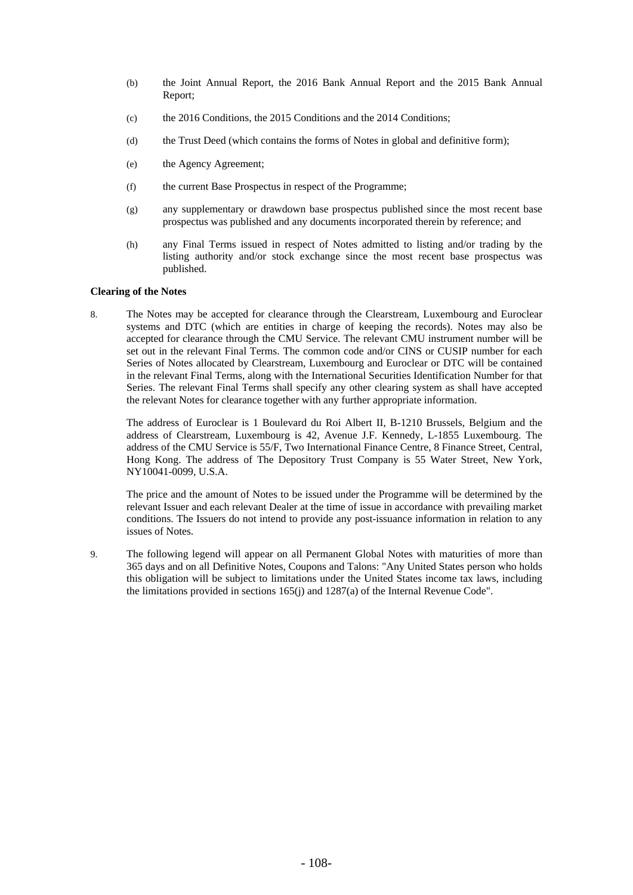- (b) the Joint Annual Report, the 2016 Bank Annual Report and the 2015 Bank Annual Report;
- (c) the 2016 Conditions, the 2015 Conditions and the 2014 Conditions;
- (d) the Trust Deed (which contains the forms of Notes in global and definitive form);
- (e) the Agency Agreement;
- (f) the current Base Prospectus in respect of the Programme;
- (g) any supplementary or drawdown base prospectus published since the most recent base prospectus was published and any documents incorporated therein by reference; and
- (h) any Final Terms issued in respect of Notes admitted to listing and/or trading by the listing authority and/or stock exchange since the most recent base prospectus was published.

#### **Clearing of the Notes**

8. The Notes may be accepted for clearance through the Clearstream, Luxembourg and Euroclear systems and DTC (which are entities in charge of keeping the records). Notes may also be accepted for clearance through the CMU Service. The relevant CMU instrument number will be set out in the relevant Final Terms. The common code and/or CINS or CUSIP number for each Series of Notes allocated by Clearstream, Luxembourg and Euroclear or DTC will be contained in the relevant Final Terms, along with the International Securities Identification Number for that Series. The relevant Final Terms shall specify any other clearing system as shall have accepted the relevant Notes for clearance together with any further appropriate information.

The address of Euroclear is 1 Boulevard du Roi Albert II, B-1210 Brussels, Belgium and the address of Clearstream, Luxembourg is 42, Avenue J.F. Kennedy, L-1855 Luxembourg. The address of the CMU Service is 55/F, Two International Finance Centre, 8 Finance Street, Central, Hong Kong. The address of The Depository Trust Company is 55 Water Street, New York, NY10041-0099, U.S.A.

The price and the amount of Notes to be issued under the Programme will be determined by the relevant Issuer and each relevant Dealer at the time of issue in accordance with prevailing market conditions. The Issuers do not intend to provide any post-issuance information in relation to any issues of Notes.

9. The following legend will appear on all Permanent Global Notes with maturities of more than 365 days and on all Definitive Notes, Coupons and Talons: "Any United States person who holds this obligation will be subject to limitations under the United States income tax laws, including the limitations provided in sections 165(j) and 1287(a) of the Internal Revenue Code".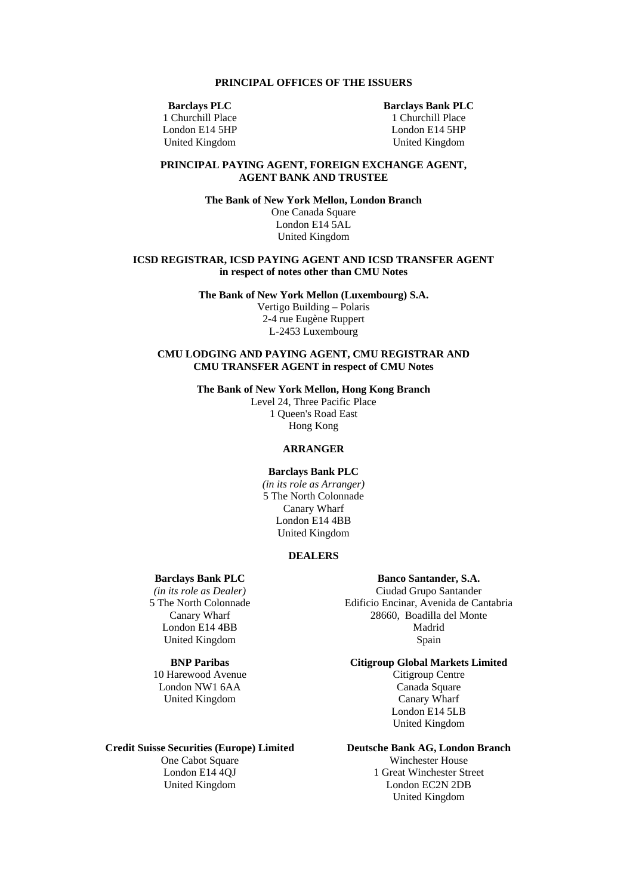### **PRINCIPAL OFFICES OF THE ISSUERS**

**Barclays PLC** 

1 Churchill Place London E14 5HP United Kingdom

**Barclays Bank PLC**  1 Churchill Place London E14 5HP United Kingdom

## **PRINCIPAL PAYING AGENT, FOREIGN EXCHANGE AGENT, AGENT BANK AND TRUSTEE**

**The Bank of New York Mellon, London Branch**  One Canada Square London E14 5AL United Kingdom

#### **ICSD REGISTRAR, ICSD PAYING AGENT AND ICSD TRANSFER AGENT in respect of notes other than CMU Notes**

**The Bank of New York Mellon (Luxembourg) S.A.**  Vertigo Building – Polaris 2-4 rue Eugène Ruppert L-2453 Luxembourg

## **CMU LODGING AND PAYING AGENT, CMU REGISTRAR AND CMU TRANSFER AGENT in respect of CMU Notes**

**The Bank of New York Mellon, Hong Kong Branch** 

Level 24, Three Pacific Place 1 Queen's Road East Hong Kong

## **ARRANGER**

**Barclays Bank PLC**  *(in its role as Arranger)*  5 The North Colonnade Canary Wharf London E14 4BB United Kingdom

#### **DEALERS**

## **Barclays Bank PLC**

*(in its role as Dealer)*  5 The North Colonnade Canary Wharf London E14 4BB United Kingdom

# **BNP Paribas**

10 Harewood Avenue London NW1 6AA United Kingdom

#### **Credit Suisse Securities (Europe) Limited**

One Cabot Square London E14 4QJ United Kingdom

# **Banco Santander, S.A.**  Ciudad Grupo Santander Edificio Encinar, Avenida de Cantabria

28660, Boadilla del Monte Madrid Spain

**Citigroup Global Markets Limited**  Citigroup Centre Canada Square Canary Wharf

London E14 5LB United Kingdom

## **Deutsche Bank AG, London Branch**

Winchester House 1 Great Winchester Street London EC2N 2DB United Kingdom